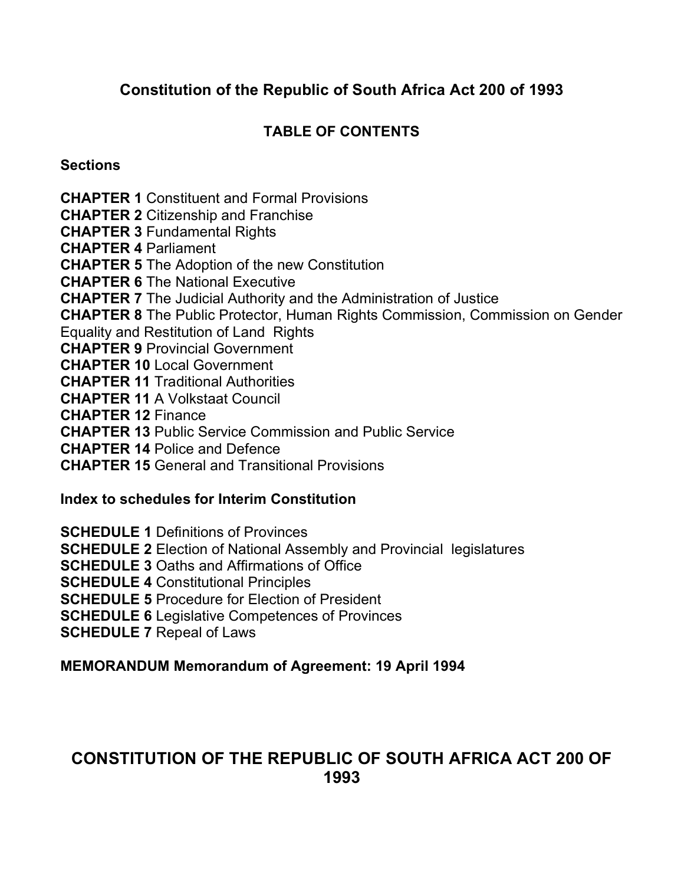# **Constitution of the Republic of South Africa Act 200 of 1993**

# **TABLE OF CONTENTS**

#### **Sections**

**CHAPTER 1** Constituent and Formal Provisions **CHAPTER 2** Citizenship and Franchise **CHAPTER 3** Fundamental Rights **CHAPTER 4** Parliament **CHAPTER 5** The Adoption of the new Constitution **CHAPTER 6** The National Executive **CHAPTER 7** The Judicial Authority and the Administration of Justice **CHAPTER 8** The Public Protector, Human Rights Commission, Commission on Gender Equality and Restitution of Land Rights **CHAPTER 9** Provincial Government **CHAPTER 10** Local Government **CHAPTER 11** Traditional Authorities **CHAPTER 11** A Volkstaat Council **CHAPTER 12** Finance **CHAPTER 13** Public Service Commission and Public Service **CHAPTER 14** Police and Defence **CHAPTER 15** General and Transitional Provisions

#### **Index to schedules for Interim Constitution**

**SCHEDULE 1** Definitions of Provinces

**SCHEDULE 2** Election of National Assembly and Provincial legislatures

**SCHEDULE 3** Oaths and Affirmations of Office

**SCHEDULE 4** Constitutional Principles

**SCHEDULE 5** Procedure for Election of President

**SCHEDULE 6** Legislative Competences of Provinces

**SCHEDULE 7** Repeal of Laws

#### **MEMORANDUM Memorandum of Agreement: 19 April 1994**

# **CONSTITUTION OF THE REPUBLIC OF SOUTH AFRICA ACT 200 OF 1993**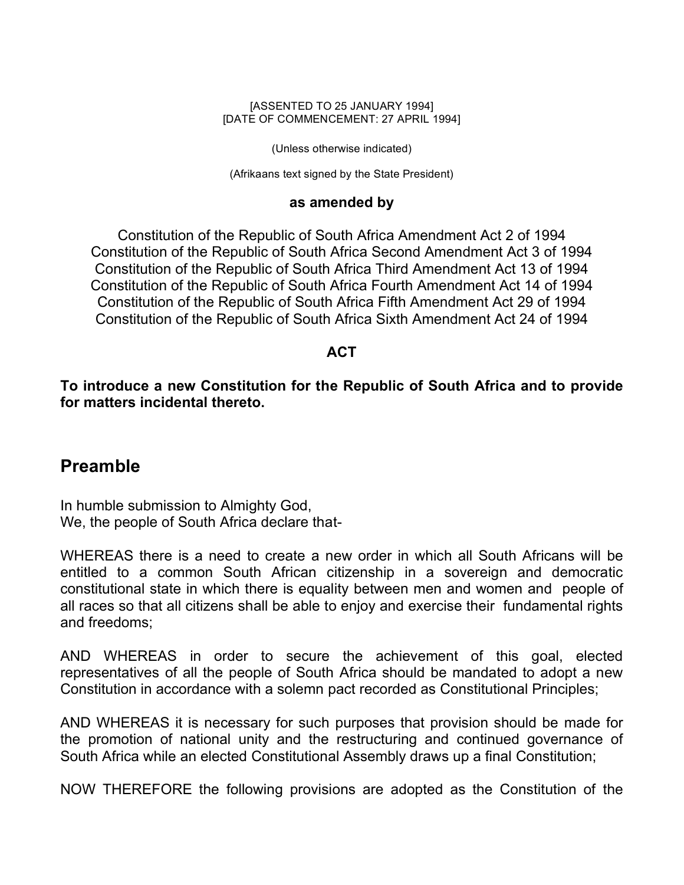#### [ASSENTED TO 25 JANUARY 1994] [DATE OF COMMENCEMENT: 27 APRIL 1994]

(Unless otherwise indicated)

(Afrikaans text signed by the State President)

#### **as amended by**

Constitution of the Republic of South Africa Amendment Act 2 of 1994 Constitution of the Republic of South Africa Second Amendment Act 3 of 1994 Constitution of the Republic of South Africa Third Amendment Act 13 of 1994 Constitution of the Republic of South Africa Fourth Amendment Act 14 of 1994 Constitution of the Republic of South Africa Fifth Amendment Act 29 of 1994 Constitution of the Republic of South Africa Sixth Amendment Act 24 of 1994

#### **ACT**

**To introduce a new Constitution for the Republic of South Africa and to provide for matters incidental thereto.**

# **Preamble**

In humble submission to Almighty God, We, the people of South Africa declare that-

WHEREAS there is a need to create a new order in which all South Africans will be entitled to a common South African citizenship in a sovereign and democratic constitutional state in which there is equality between men and women and people of all races so that all citizens shall be able to enjoy and exercise their fundamental rights and freedoms;

AND WHEREAS in order to secure the achievement of this goal, elected representatives of all the people of South Africa should be mandated to adopt a new Constitution in accordance with a solemn pact recorded as Constitutional Principles;

AND WHEREAS it is necessary for such purposes that provision should be made for the promotion of national unity and the restructuring and continued governance of South Africa while an elected Constitutional Assembly draws up a final Constitution;

NOW THEREFORE the following provisions are adopted as the Constitution of the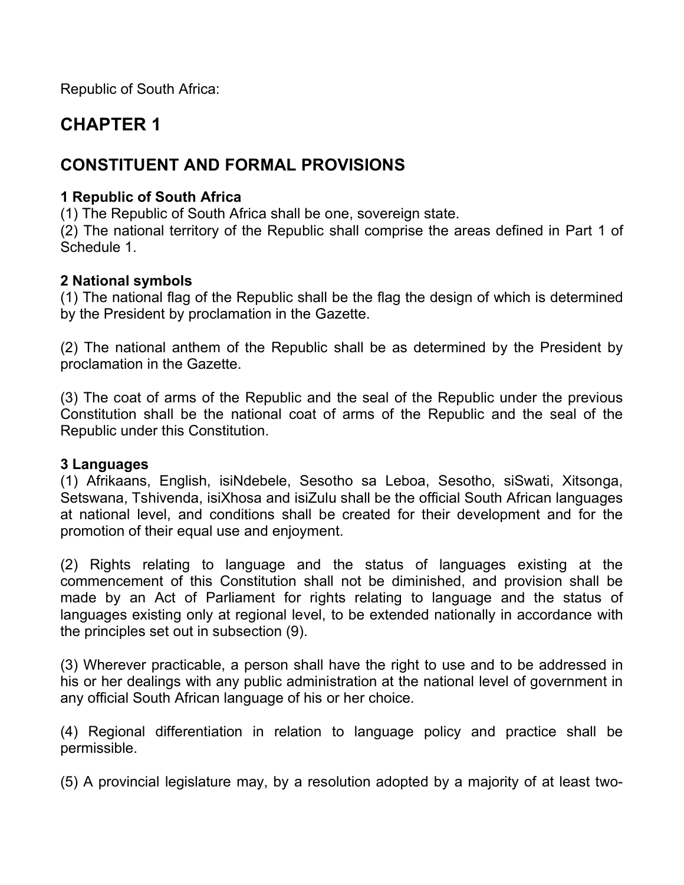Republic of South Africa:

# **CHAPTER 1**

# **CONSTITUENT AND FORMAL PROVISIONS**

#### **1 Republic of South Africa**

(1) The Republic of South Africa shall be one, sovereign state.

(2) The national territory of the Republic shall comprise the areas defined in Part 1 of Schedule 1.

#### **2 National symbols**

(1) The national flag of the Republic shall be the flag the design of which is determined by the President by proclamation in the Gazette.

(2) The national anthem of the Republic shall be as determined by the President by proclamation in the Gazette.

(3) The coat of arms of the Republic and the seal of the Republic under the previous Constitution shall be the national coat of arms of the Republic and the seal of the Republic under this Constitution.

#### **3 Languages**

(1) Afrikaans, English, isiNdebele, Sesotho sa Leboa, Sesotho, siSwati, Xitsonga, Setswana, Tshivenda, isiXhosa and isiZulu shall be the official South African languages at national level, and conditions shall be created for their development and for the promotion of their equal use and enjoyment.

(2) Rights relating to language and the status of languages existing at the commencement of this Constitution shall not be diminished, and provision shall be made by an Act of Parliament for rights relating to language and the status of languages existing only at regional level, to be extended nationally in accordance with the principles set out in subsection (9).

(3) Wherever practicable, a person shall have the right to use and to be addressed in his or her dealings with any public administration at the national level of government in any official South African language of his or her choice.

(4) Regional differentiation in relation to language policy and practice shall be permissible.

(5) A provincial legislature may, by a resolution adopted by a majority of at least two-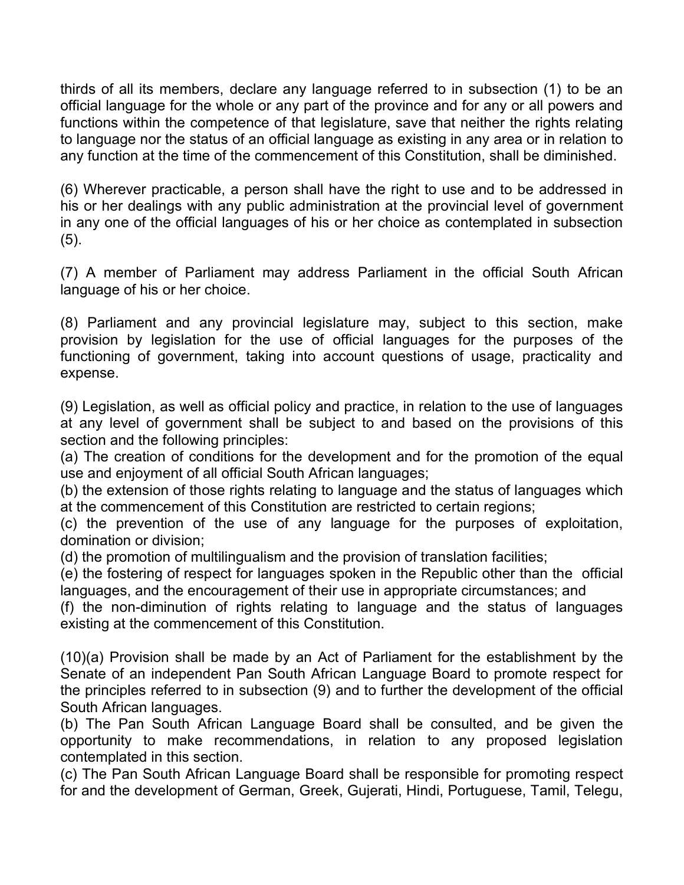thirds of all its members, declare any language referred to in subsection (1) to be an official language for the whole or any part of the province and for any or all powers and functions within the competence of that legislature, save that neither the rights relating to language nor the status of an official language as existing in any area or in relation to any function at the time of the commencement of this Constitution, shall be diminished.

(6) Wherever practicable, a person shall have the right to use and to be addressed in his or her dealings with any public administration at the provincial level of government in any one of the official languages of his or her choice as contemplated in subsection (5).

(7) A member of Parliament may address Parliament in the official South African language of his or her choice.

(8) Parliament and any provincial legislature may, subject to this section, make provision by legislation for the use of official languages for the purposes of the functioning of government, taking into account questions of usage, practicality and expense.

(9) Legislation, as well as official policy and practice, in relation to the use of languages at any level of government shall be subject to and based on the provisions of this section and the following principles:

(a) The creation of conditions for the development and for the promotion of the equal use and enjoyment of all official South African languages;

(b) the extension of those rights relating to language and the status of languages which at the commencement of this Constitution are restricted to certain regions;

(c) the prevention of the use of any language for the purposes of exploitation, domination or division;

(d) the promotion of multilingualism and the provision of translation facilities;

(e) the fostering of respect for languages spoken in the Republic other than the official languages, and the encouragement of their use in appropriate circumstances; and

(f) the non-diminution of rights relating to language and the status of languages existing at the commencement of this Constitution.

(10)(a) Provision shall be made by an Act of Parliament for the establishment by the Senate of an independent Pan South African Language Board to promote respect for the principles referred to in subsection (9) and to further the development of the official South African languages.

(b) The Pan South African Language Board shall be consulted, and be given the opportunity to make recommendations, in relation to any proposed legislation contemplated in this section.

(c) The Pan South African Language Board shall be responsible for promoting respect for and the development of German, Greek, Gujerati, Hindi, Portuguese, Tamil, Telegu,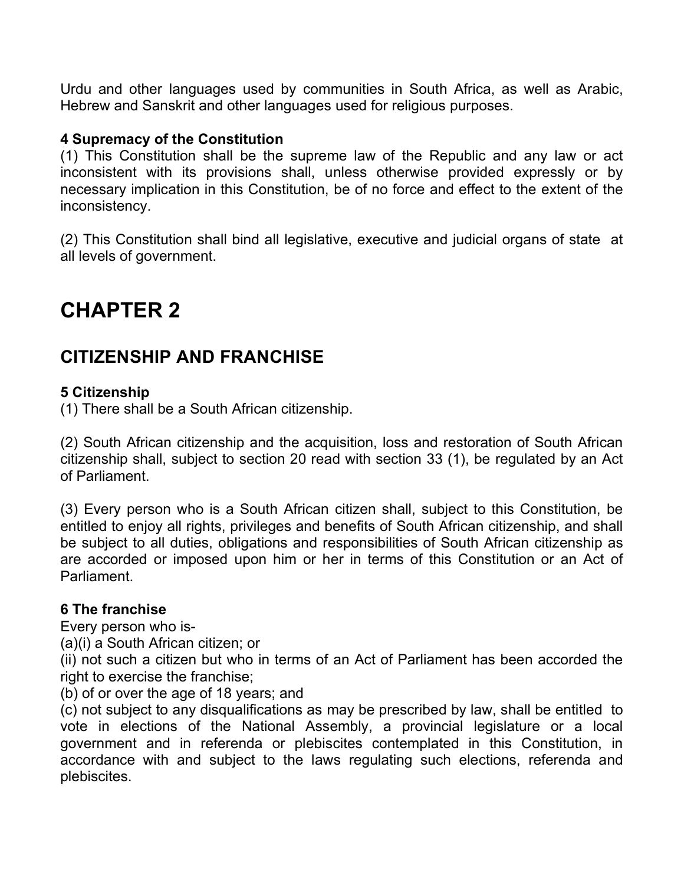Urdu and other languages used by communities in South Africa, as well as Arabic, Hebrew and Sanskrit and other languages used for religious purposes.

#### **4 Supremacy of the Constitution**

(1) This Constitution shall be the supreme law of the Republic and any law or act inconsistent with its provisions shall, unless otherwise provided expressly or by necessary implication in this Constitution, be of no force and effect to the extent of the inconsistency.

(2) This Constitution shall bind all legislative, executive and judicial organs of state at all levels of government.

# **CHAPTER 2**

# **CITIZENSHIP AND FRANCHISE**

#### **5 Citizenship**

(1) There shall be a South African citizenship.

(2) South African citizenship and the acquisition, loss and restoration of South African citizenship shall, subject to section 20 read with section 33 (1), be regulated by an Act of Parliament.

(3) Every person who is a South African citizen shall, subject to this Constitution, be entitled to enjoy all rights, privileges and benefits of South African citizenship, and shall be subject to all duties, obligations and responsibilities of South African citizenship as are accorded or imposed upon him or her in terms of this Constitution or an Act of Parliament.

#### **6 The franchise**

Every person who is-

(a)(i) a South African citizen; or

(ii) not such a citizen but who in terms of an Act of Parliament has been accorded the right to exercise the franchise;

(b) of or over the age of 18 years; and

(c) not subject to any disqualifications as may be prescribed by law, shall be entitled to vote in elections of the National Assembly, a provincial legislature or a local government and in referenda or plebiscites contemplated in this Constitution, in accordance with and subject to the laws regulating such elections, referenda and plebiscites.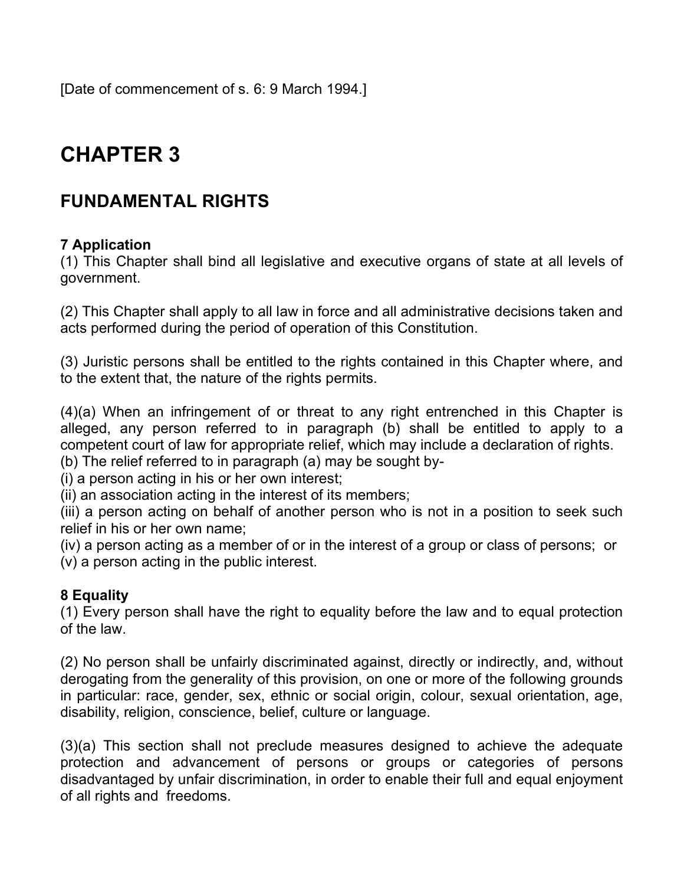# **CHAPTER 3**

# **FUNDAMENTAL RIGHTS**

#### **7 Application**

(1) This Chapter shall bind all legislative and executive organs of state at all levels of government.

(2) This Chapter shall apply to all law in force and all administrative decisions taken and acts performed during the period of operation of this Constitution.

(3) Juristic persons shall be entitled to the rights contained in this Chapter where, and to the extent that, the nature of the rights permits.

(4)(a) When an infringement of or threat to any right entrenched in this Chapter is alleged, any person referred to in paragraph (b) shall be entitled to apply to a competent court of law for appropriate relief, which may include a declaration of rights. (b) The relief referred to in paragraph (a) may be sought by-

(i) a person acting in his or her own interest;

(ii) an association acting in the interest of its members;

(iii) a person acting on behalf of another person who is not in a position to seek such relief in his or her own name;

(iv) a person acting as a member of or in the interest of a group or class of persons; or (v) a person acting in the public interest.

## **8 Equality**

(1) Every person shall have the right to equality before the law and to equal protection of the law.

(2) No person shall be unfairly discriminated against, directly or indirectly, and, without derogating from the generality of this provision, on one or more of the following grounds in particular: race, gender, sex, ethnic or social origin, colour, sexual orientation, age, disability, religion, conscience, belief, culture or language.

(3)(a) This section shall not preclude measures designed to achieve the adequate protection and advancement of persons or groups or categories of persons disadvantaged by unfair discrimination, in order to enable their full and equal enjoyment of all rights and freedoms.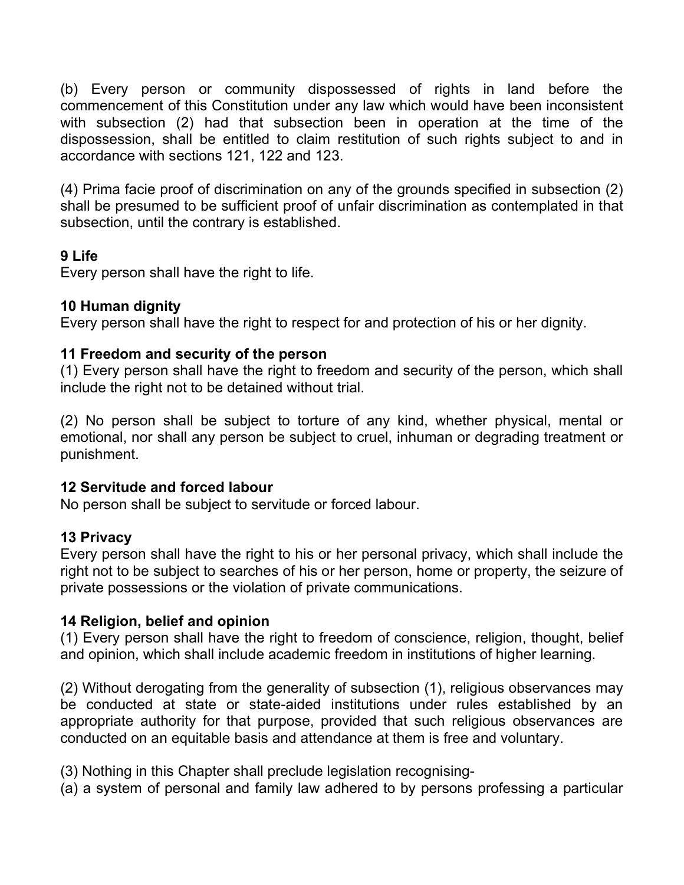(b) Every person or community dispossessed of rights in land before the commencement of this Constitution under any law which would have been inconsistent with subsection (2) had that subsection been in operation at the time of the dispossession, shall be entitled to claim restitution of such rights subject to and in accordance with sections 121, 122 and 123.

(4) Prima facie proof of discrimination on any of the grounds specified in subsection (2) shall be presumed to be sufficient proof of unfair discrimination as contemplated in that subsection, until the contrary is established.

# **9 Life**

Every person shall have the right to life.

# **10 Human dignity**

Every person shall have the right to respect for and protection of his or her dignity.

## **11 Freedom and security of the person**

(1) Every person shall have the right to freedom and security of the person, which shall include the right not to be detained without trial.

(2) No person shall be subject to torture of any kind, whether physical, mental or emotional, nor shall any person be subject to cruel, inhuman or degrading treatment or punishment.

## **12 Servitude and forced labour**

No person shall be subject to servitude or forced labour.

## **13 Privacy**

Every person shall have the right to his or her personal privacy, which shall include the right not to be subject to searches of his or her person, home or property, the seizure of private possessions or the violation of private communications.

## **14 Religion, belief and opinion**

(1) Every person shall have the right to freedom of conscience, religion, thought, belief and opinion, which shall include academic freedom in institutions of higher learning.

(2) Without derogating from the generality of subsection (1), religious observances may be conducted at state or state-aided institutions under rules established by an appropriate authority for that purpose, provided that such religious observances are conducted on an equitable basis and attendance at them is free and voluntary.

(3) Nothing in this Chapter shall preclude legislation recognising-

(a) a system of personal and family law adhered to by persons professing a particular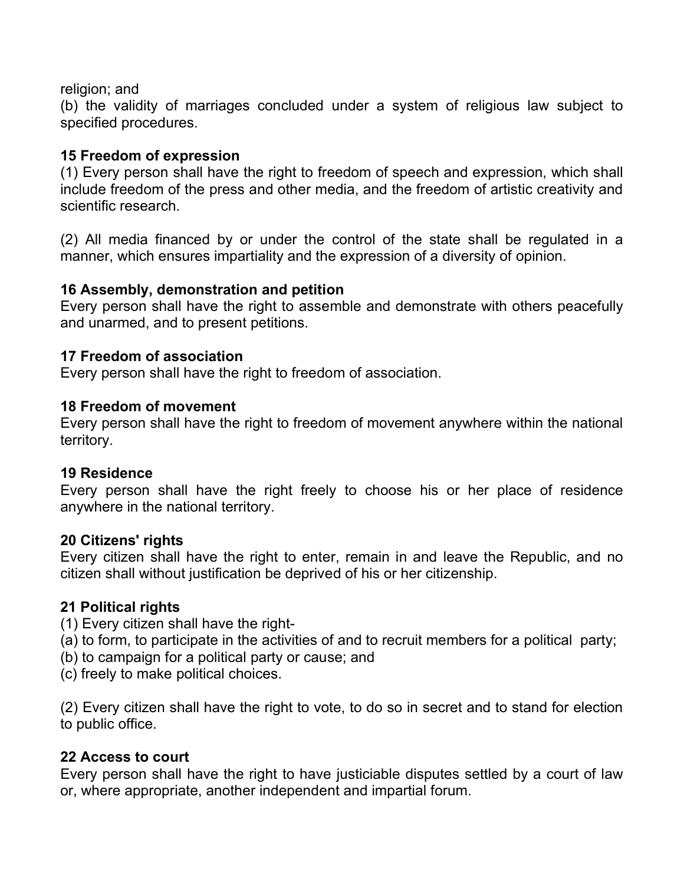religion; and

(b) the validity of marriages concluded under a system of religious law subject to specified procedures.

#### **15 Freedom of expression**

(1) Every person shall have the right to freedom of speech and expression, which shall include freedom of the press and other media, and the freedom of artistic creativity and scientific research.

(2) All media financed by or under the control of the state shall be regulated in a manner, which ensures impartiality and the expression of a diversity of opinion.

#### **16 Assembly, demonstration and petition**

Every person shall have the right to assemble and demonstrate with others peacefully and unarmed, and to present petitions.

#### **17 Freedom of association**

Every person shall have the right to freedom of association.

#### **18 Freedom of movement**

Every person shall have the right to freedom of movement anywhere within the national territory.

#### **19 Residence**

Every person shall have the right freely to choose his or her place of residence anywhere in the national territory.

#### **20 Citizens' rights**

Every citizen shall have the right to enter, remain in and leave the Republic, and no citizen shall without justification be deprived of his or her citizenship.

#### **21 Political rights**

(1) Every citizen shall have the right-

- (a) to form, to participate in the activities of and to recruit members for a political party;
- (b) to campaign for a political party or cause; and
- (c) freely to make political choices.

(2) Every citizen shall have the right to vote, to do so in secret and to stand for election to public office.

#### **22 Access to court**

Every person shall have the right to have justiciable disputes settled by a court of law or, where appropriate, another independent and impartial forum.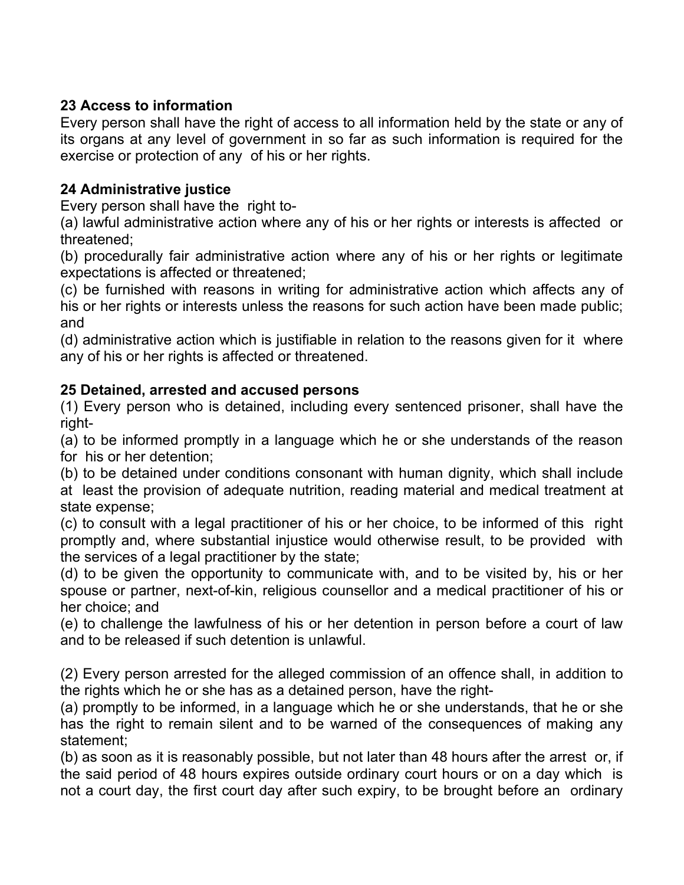# **23 Access to information**

Every person shall have the right of access to all information held by the state or any of its organs at any level of government in so far as such information is required for the exercise or protection of any of his or her rights.

# **24 Administrative justice**

Every person shall have the right to-

(a) lawful administrative action where any of his or her rights or interests is affected or threatened;

(b) procedurally fair administrative action where any of his or her rights or legitimate expectations is affected or threatened;

(c) be furnished with reasons in writing for administrative action which affects any of his or her rights or interests unless the reasons for such action have been made public; and

(d) administrative action which is justifiable in relation to the reasons given for it where any of his or her rights is affected or threatened.

## **25 Detained, arrested and accused persons**

(1) Every person who is detained, including every sentenced prisoner, shall have the right-

(a) to be informed promptly in a language which he or she understands of the reason for his or her detention;

(b) to be detained under conditions consonant with human dignity, which shall include at least the provision of adequate nutrition, reading material and medical treatment at state expense;

(c) to consult with a legal practitioner of his or her choice, to be informed of this right promptly and, where substantial injustice would otherwise result, to be provided with the services of a legal practitioner by the state;

(d) to be given the opportunity to communicate with, and to be visited by, his or her spouse or partner, next-of-kin, religious counsellor and a medical practitioner of his or her choice; and

(e) to challenge the lawfulness of his or her detention in person before a court of law and to be released if such detention is unlawful.

(2) Every person arrested for the alleged commission of an offence shall, in addition to the rights which he or she has as a detained person, have the right-

(a) promptly to be informed, in a language which he or she understands, that he or she has the right to remain silent and to be warned of the consequences of making any statement;

(b) as soon as it is reasonably possible, but not later than 48 hours after the arrest or, if the said period of 48 hours expires outside ordinary court hours or on a day which is not a court day, the first court day after such expiry, to be brought before an ordinary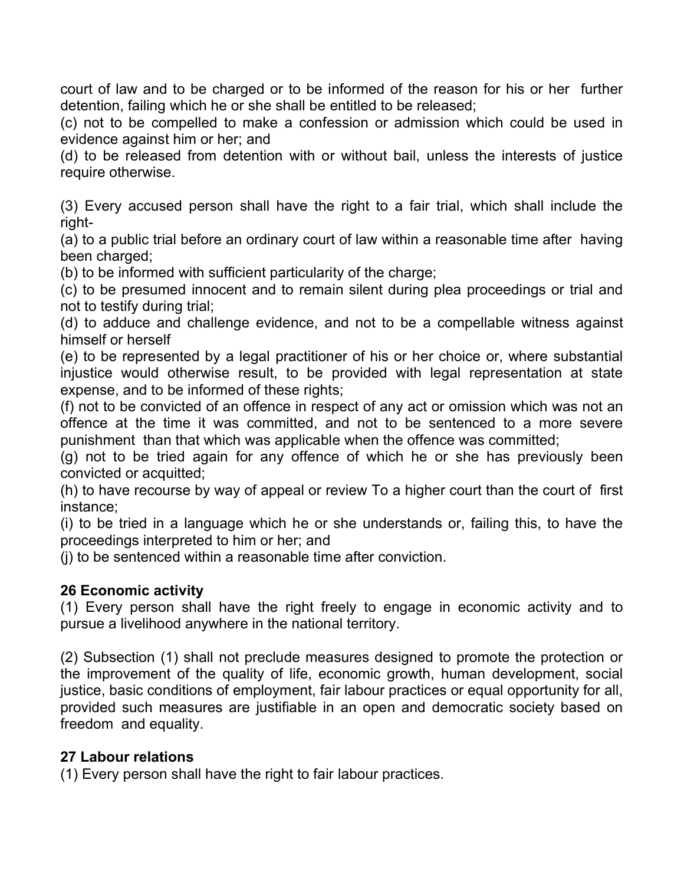court of law and to be charged or to be informed of the reason for his or her further detention, failing which he or she shall be entitled to be released;

(c) not to be compelled to make a confession or admission which could be used in evidence against him or her; and

(d) to be released from detention with or without bail, unless the interests of justice require otherwise.

(3) Every accused person shall have the right to a fair trial, which shall include the right-

(a) to a public trial before an ordinary court of law within a reasonable time after having been charged;

(b) to be informed with sufficient particularity of the charge;

(c) to be presumed innocent and to remain silent during plea proceedings or trial and not to testify during trial;

(d) to adduce and challenge evidence, and not to be a compellable witness against himself or herself

(e) to be represented by a legal practitioner of his or her choice or, where substantial injustice would otherwise result, to be provided with legal representation at state expense, and to be informed of these rights;

(f) not to be convicted of an offence in respect of any act or omission which was not an offence at the time it was committed, and not to be sentenced to a more severe punishment than that which was applicable when the offence was committed;

(g) not to be tried again for any offence of which he or she has previously been convicted or acquitted;

(h) to have recourse by way of appeal or review To a higher court than the court of first instance;

(i) to be tried in a language which he or she understands or, failing this, to have the proceedings interpreted to him or her; and

(j) to be sentenced within a reasonable time after conviction.

## **26 Economic activity**

(1) Every person shall have the right freely to engage in economic activity and to pursue a livelihood anywhere in the national territory.

(2) Subsection (1) shall not preclude measures designed to promote the protection or the improvement of the quality of life, economic growth, human development, social justice, basic conditions of employment, fair labour practices or equal opportunity for all, provided such measures are justifiable in an open and democratic society based on freedom and equality.

## **27 Labour relations**

(1) Every person shall have the right to fair labour practices.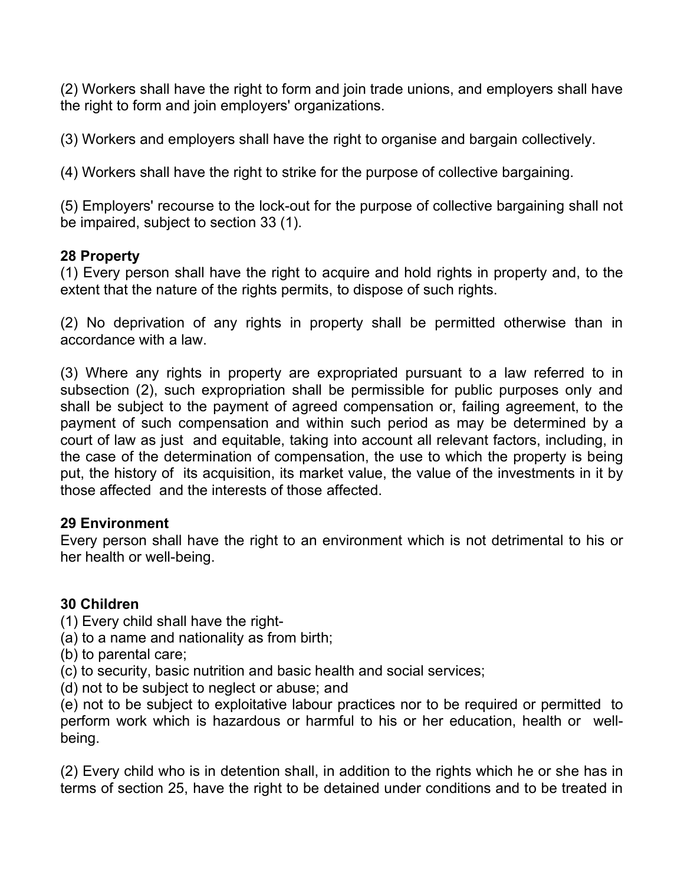(2) Workers shall have the right to form and join trade unions, and employers shall have the right to form and join employers' organizations.

(3) Workers and employers shall have the right to organise and bargain collectively.

(4) Workers shall have the right to strike for the purpose of collective bargaining.

(5) Employers' recourse to the lock-out for the purpose of collective bargaining shall not be impaired, subject to section 33 (1).

## **28 Property**

(1) Every person shall have the right to acquire and hold rights in property and, to the extent that the nature of the rights permits, to dispose of such rights.

(2) No deprivation of any rights in property shall be permitted otherwise than in accordance with a law.

(3) Where any rights in property are expropriated pursuant to a law referred to in subsection (2), such expropriation shall be permissible for public purposes only and shall be subject to the payment of agreed compensation or, failing agreement, to the payment of such compensation and within such period as may be determined by a court of law as just and equitable, taking into account all relevant factors, including, in the case of the determination of compensation, the use to which the property is being put, the history of its acquisition, its market value, the value of the investments in it by those affected and the interests of those affected.

## **29 Environment**

Every person shall have the right to an environment which is not detrimental to his or her health or well-being.

## **30 Children**

- (1) Every child shall have the right-
- (a) to a name and nationality as from birth;
- (b) to parental care;
- (c) to security, basic nutrition and basic health and social services;
- (d) not to be subject to neglect or abuse; and

(e) not to be subject to exploitative labour practices nor to be required or permitted to perform work which is hazardous or harmful to his or her education, health or wellbeing.

(2) Every child who is in detention shall, in addition to the rights which he or she has in terms of section 25, have the right to be detained under conditions and to be treated in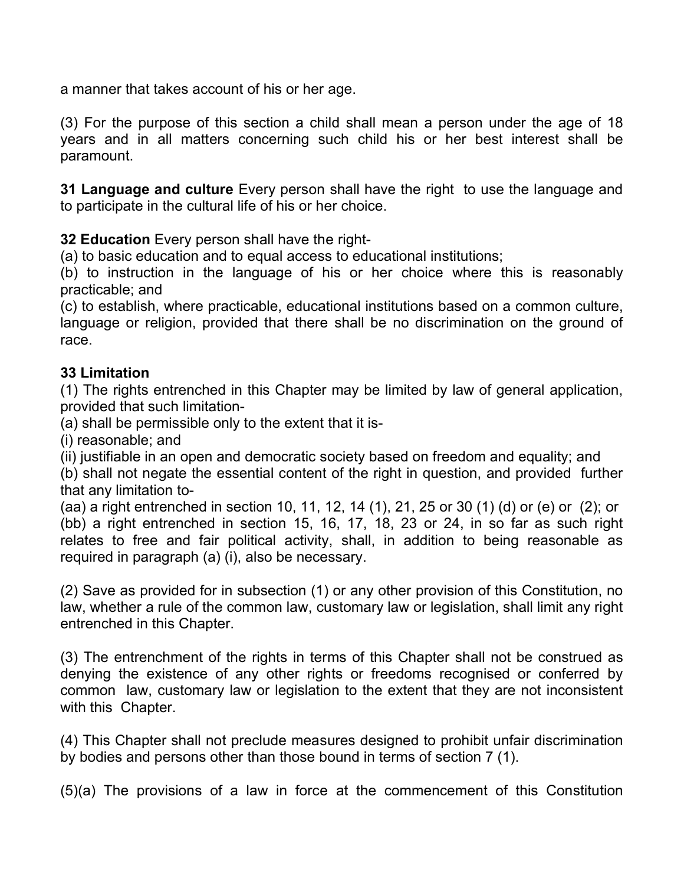a manner that takes account of his or her age.

(3) For the purpose of this section a child shall mean a person under the age of 18 years and in all matters concerning such child his or her best interest shall be paramount.

**31 Language and culture** Every person shall have the right to use the language and to participate in the cultural life of his or her choice.

**32 Education** Every person shall have the right-

(a) to basic education and to equal access to educational institutions;

(b) to instruction in the language of his or her choice where this is reasonably practicable; and

(c) to establish, where practicable, educational institutions based on a common culture, language or religion, provided that there shall be no discrimination on the ground of race.

#### **33 Limitation**

(1) The rights entrenched in this Chapter may be limited by law of general application, provided that such limitation-

(a) shall be permissible only to the extent that it is-

(i) reasonable; and

(ii) justifiable in an open and democratic society based on freedom and equality; and

(b) shall not negate the essential content of the right in question, and provided further that any limitation to-

(aa) a right entrenched in section 10, 11, 12, 14 (1), 21, 25 or 30 (1) (d) or (e) or (2); or (bb) a right entrenched in section 15, 16, 17, 18, 23 or 24, in so far as such right relates to free and fair political activity, shall, in addition to being reasonable as required in paragraph (a) (i), also be necessary.

(2) Save as provided for in subsection (1) or any other provision of this Constitution, no law, whether a rule of the common law, customary law or legislation, shall limit any right entrenched in this Chapter.

(3) The entrenchment of the rights in terms of this Chapter shall not be construed as denying the existence of any other rights or freedoms recognised or conferred by common law, customary law or legislation to the extent that they are not inconsistent with this Chapter.

(4) This Chapter shall not preclude measures designed to prohibit unfair discrimination by bodies and persons other than those bound in terms of section 7 (1).

(5)(a) The provisions of a law in force at the commencement of this Constitution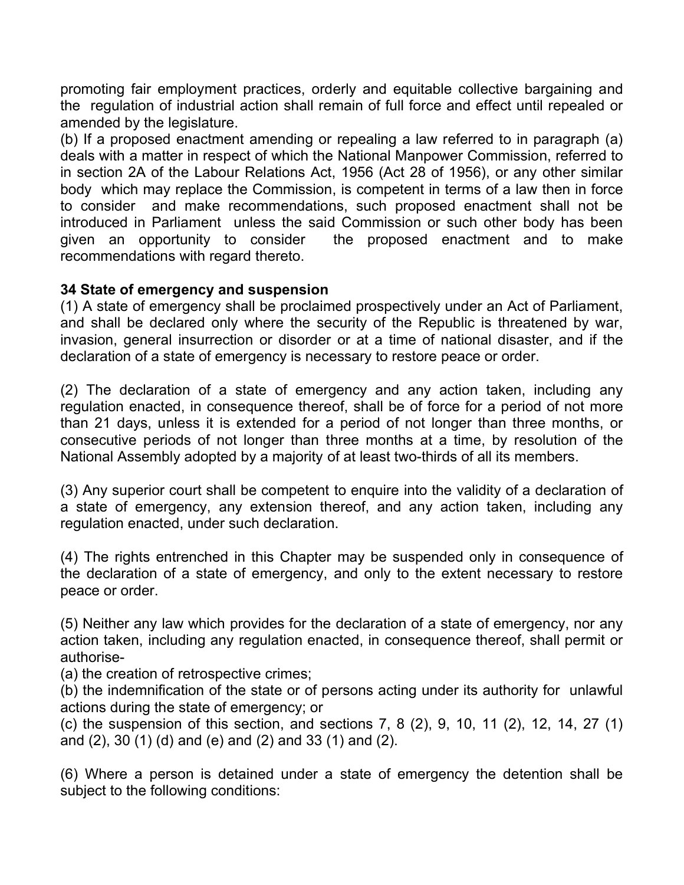promoting fair employment practices, orderly and equitable collective bargaining and the regulation of industrial action shall remain of full force and effect until repealed or amended by the legislature.

(b) If a proposed enactment amending or repealing a law referred to in paragraph (a) deals with a matter in respect of which the National Manpower Commission, referred to in section 2A of the Labour Relations Act, 1956 (Act 28 of 1956), or any other similar body which may replace the Commission, is competent in terms of a law then in force to consider and make recommendations, such proposed enactment shall not be introduced in Parliament unless the said Commission or such other body has been given an opportunity to consider the proposed enactment and to make recommendations with regard thereto.

## **34 State of emergency and suspension**

(1) A state of emergency shall be proclaimed prospectively under an Act of Parliament, and shall be declared only where the security of the Republic is threatened by war, invasion, general insurrection or disorder or at a time of national disaster, and if the declaration of a state of emergency is necessary to restore peace or order.

(2) The declaration of a state of emergency and any action taken, including any regulation enacted, in consequence thereof, shall be of force for a period of not more than 21 days, unless it is extended for a period of not longer than three months, or consecutive periods of not longer than three months at a time, by resolution of the National Assembly adopted by a majority of at least two-thirds of all its members.

(3) Any superior court shall be competent to enquire into the validity of a declaration of a state of emergency, any extension thereof, and any action taken, including any regulation enacted, under such declaration.

(4) The rights entrenched in this Chapter may be suspended only in consequence of the declaration of a state of emergency, and only to the extent necessary to restore peace or order.

(5) Neither any law which provides for the declaration of a state of emergency, nor any action taken, including any regulation enacted, in consequence thereof, shall permit or authorise-

(a) the creation of retrospective crimes;

(b) the indemnification of the state or of persons acting under its authority for unlawful actions during the state of emergency; or

(c) the suspension of this section, and sections 7, 8 (2), 9, 10, 11 (2), 12, 14, 27 (1) and (2), 30 (1) (d) and (e) and (2) and 33 (1) and (2).

(6) Where a person is detained under a state of emergency the detention shall be subject to the following conditions: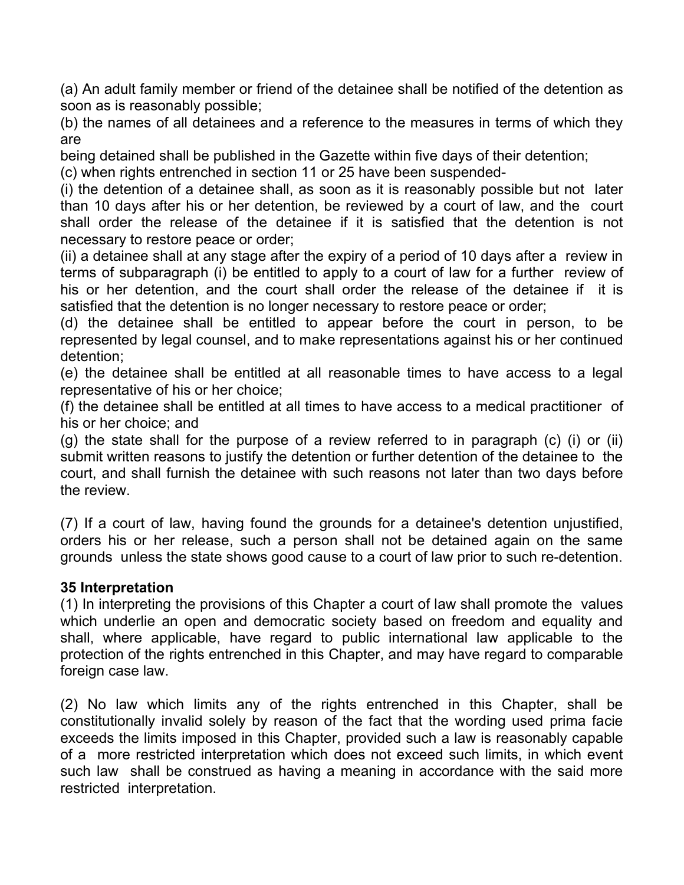(a) An adult family member or friend of the detainee shall be notified of the detention as soon as is reasonably possible;

(b) the names of all detainees and a reference to the measures in terms of which they are

being detained shall be published in the Gazette within five days of their detention;

(c) when rights entrenched in section 11 or 25 have been suspended-

(i) the detention of a detainee shall, as soon as it is reasonably possible but not later than 10 days after his or her detention, be reviewed by a court of law, and the court shall order the release of the detainee if it is satisfied that the detention is not necessary to restore peace or order;

(ii) a detainee shall at any stage after the expiry of a period of 10 days after a review in terms of subparagraph (i) be entitled to apply to a court of law for a further review of his or her detention, and the court shall order the release of the detainee if it is satisfied that the detention is no longer necessary to restore peace or order;

(d) the detainee shall be entitled to appear before the court in person, to be represented by legal counsel, and to make representations against his or her continued detention;

(e) the detainee shall be entitled at all reasonable times to have access to a legal representative of his or her choice;

(f) the detainee shall be entitled at all times to have access to a medical practitioner of his or her choice; and

(g) the state shall for the purpose of a review referred to in paragraph (c) (i) or (ii) submit written reasons to justify the detention or further detention of the detainee to the court, and shall furnish the detainee with such reasons not later than two days before the review.

(7) If a court of law, having found the grounds for a detainee's detention unjustified, orders his or her release, such a person shall not be detained again on the same grounds unless the state shows good cause to a court of law prior to such re-detention.

## **35 Interpretation**

(1) In interpreting the provisions of this Chapter a court of law shall promote the values which underlie an open and democratic society based on freedom and equality and shall, where applicable, have regard to public international law applicable to the protection of the rights entrenched in this Chapter, and may have regard to comparable foreign case law.

(2) No law which limits any of the rights entrenched in this Chapter, shall be constitutionally invalid solely by reason of the fact that the wording used prima facie exceeds the limits imposed in this Chapter, provided such a law is reasonably capable of a more restricted interpretation which does not exceed such limits, in which event such law shall be construed as having a meaning in accordance with the said more restricted interpretation.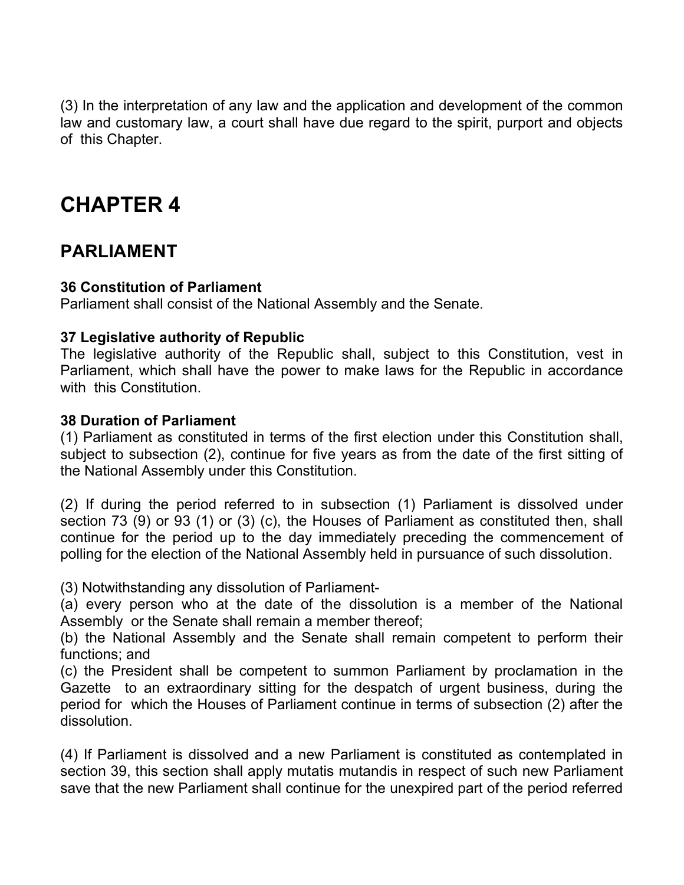(3) In the interpretation of any law and the application and development of the common law and customary law, a court shall have due regard to the spirit, purport and objects of this Chapter.

# **CHAPTER 4**

# **PARLIAMENT**

## **36 Constitution of Parliament**

Parliament shall consist of the National Assembly and the Senate.

## **37 Legislative authority of Republic**

The legislative authority of the Republic shall, subject to this Constitution, vest in Parliament, which shall have the power to make laws for the Republic in accordance with this Constitution.

## **38 Duration of Parliament**

(1) Parliament as constituted in terms of the first election under this Constitution shall, subject to subsection (2), continue for five years as from the date of the first sitting of the National Assembly under this Constitution.

(2) If during the period referred to in subsection (1) Parliament is dissolved under section 73 (9) or 93 (1) or (3) (c), the Houses of Parliament as constituted then, shall continue for the period up to the day immediately preceding the commencement of polling for the election of the National Assembly held in pursuance of such dissolution.

(3) Notwithstanding any dissolution of Parliament-

(a) every person who at the date of the dissolution is a member of the National Assembly or the Senate shall remain a member thereof;

(b) the National Assembly and the Senate shall remain competent to perform their functions; and

(c) the President shall be competent to summon Parliament by proclamation in the Gazette to an extraordinary sitting for the despatch of urgent business, during the period for which the Houses of Parliament continue in terms of subsection (2) after the dissolution.

(4) If Parliament is dissolved and a new Parliament is constituted as contemplated in section 39, this section shall apply mutatis mutandis in respect of such new Parliament save that the new Parliament shall continue for the unexpired part of the period referred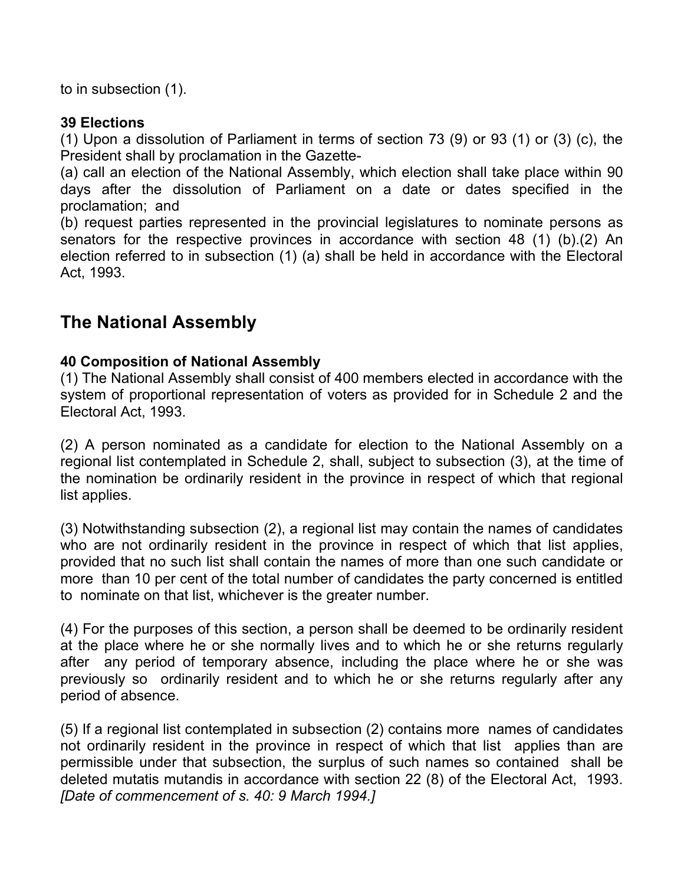to in subsection (1).

## **39 Elections**

(1) Upon a dissolution of Parliament in terms of section 73 (9) or 93 (1) or (3) (c), the President shall by proclamation in the Gazette-

(a) call an election of the National Assembly, which election shall take place within 90 days after the dissolution of Parliament on a date or dates specified in the proclamation; and

(b) request parties represented in the provincial legislatures to nominate persons as senators for the respective provinces in accordance with section 48 (1) (b).(2) An election referred to in subsection (1) (a) shall be held in accordance with the Electoral Act, 1993.

# **The National Assembly**

## **40 Composition of National Assembly**

(1) The National Assembly shall consist of 400 members elected in accordance with the system of proportional representation of voters as provided for in Schedule 2 and the Electoral Act, 1993.

(2) A person nominated as a candidate for election to the National Assembly on a regional list contemplated in Schedule 2, shall, subject to subsection (3), at the time of the nomination be ordinarily resident in the province in respect of which that regional list applies.

(3) Notwithstanding subsection (2), a regional list may contain the names of candidates who are not ordinarily resident in the province in respect of which that list applies, provided that no such list shall contain the names of more than one such candidate or more than 10 per cent of the total number of candidates the party concerned is entitled to nominate on that list, whichever is the greater number.

(4) For the purposes of this section, a person shall be deemed to be ordinarily resident at the place where he or she normally lives and to which he or she returns regularly after any period of temporary absence, including the place where he or she was previously so ordinarily resident and to which he or she returns regularly after any period of absence.

(5) If a regional list contemplated in subsection (2) contains more names of candidates not ordinarily resident in the province in respect of which that list applies than are permissible under that subsection, the surplus of such names so contained shall be deleted mutatis mutandis in accordance with section 22 (8) of the Electoral Act, 1993. *[Date of commencement of s. 40: 9 March 1994.]*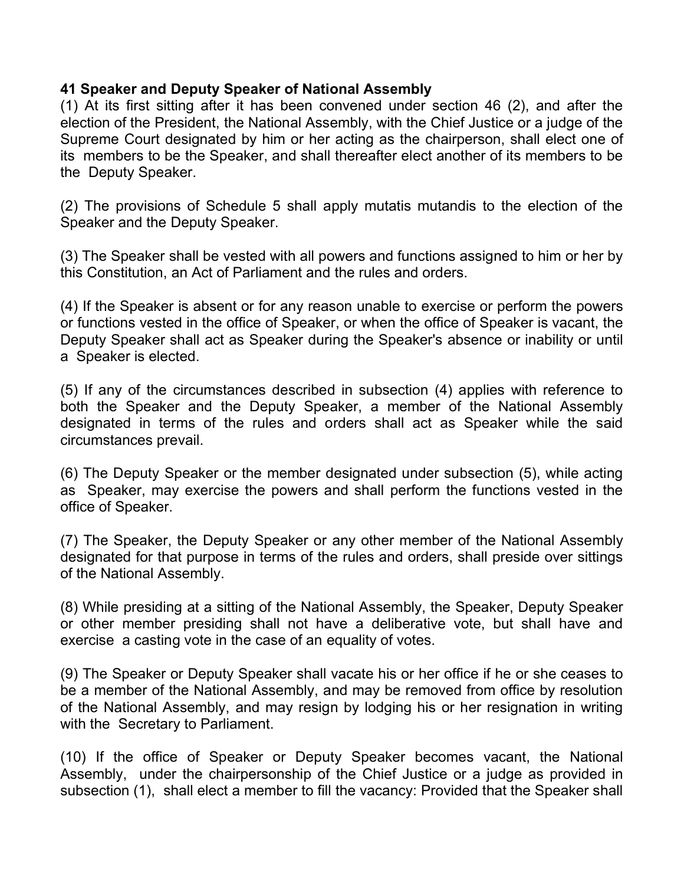#### **41 Speaker and Deputy Speaker of National Assembly**

(1) At its first sitting after it has been convened under section 46 (2), and after the election of the President, the National Assembly, with the Chief Justice or a judge of the Supreme Court designated by him or her acting as the chairperson, shall elect one of its members to be the Speaker, and shall thereafter elect another of its members to be the Deputy Speaker.

(2) The provisions of Schedule 5 shall apply mutatis mutandis to the election of the Speaker and the Deputy Speaker.

(3) The Speaker shall be vested with all powers and functions assigned to him or her by this Constitution, an Act of Parliament and the rules and orders.

(4) If the Speaker is absent or for any reason unable to exercise or perform the powers or functions vested in the office of Speaker, or when the office of Speaker is vacant, the Deputy Speaker shall act as Speaker during the Speaker's absence or inability or until a Speaker is elected.

(5) If any of the circumstances described in subsection (4) applies with reference to both the Speaker and the Deputy Speaker, a member of the National Assembly designated in terms of the rules and orders shall act as Speaker while the said circumstances prevail.

(6) The Deputy Speaker or the member designated under subsection (5), while acting as Speaker, may exercise the powers and shall perform the functions vested in the office of Speaker.

(7) The Speaker, the Deputy Speaker or any other member of the National Assembly designated for that purpose in terms of the rules and orders, shall preside over sittings of the National Assembly.

(8) While presiding at a sitting of the National Assembly, the Speaker, Deputy Speaker or other member presiding shall not have a deliberative vote, but shall have and exercise a casting vote in the case of an equality of votes.

(9) The Speaker or Deputy Speaker shall vacate his or her office if he or she ceases to be a member of the National Assembly, and may be removed from office by resolution of the National Assembly, and may resign by lodging his or her resignation in writing with the Secretary to Parliament.

(10) If the office of Speaker or Deputy Speaker becomes vacant, the National Assembly, under the chairpersonship of the Chief Justice or a judge as provided in subsection (1), shall elect a member to fill the vacancy: Provided that the Speaker shall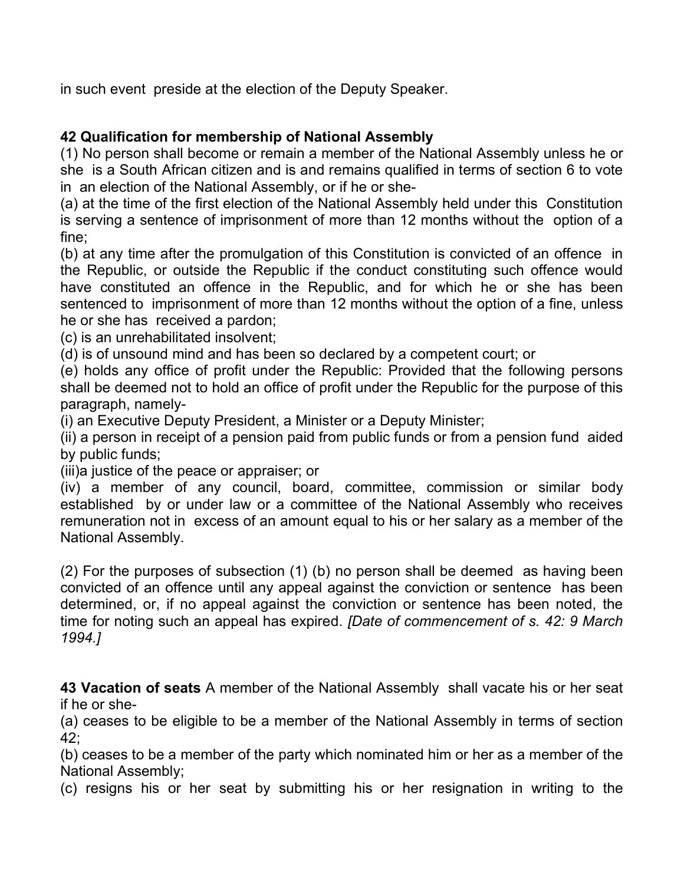in such event preside at the election of the Deputy Speaker.

# **42 Qualification for membership of National Assembly**

(1) No person shall become or remain a member of the National Assembly unless he or she is a South African citizen and is and remains qualified in terms of section 6 to vote in an election of the National Assembly, or if he or she-

(a) at the time of the first election of the National Assembly held under this Constitution is serving a sentence of imprisonment of more than 12 months without the option of a fine;

(b) at any time after the promulgation of this Constitution is convicted of an offence in the Republic, or outside the Republic if the conduct constituting such offence would have constituted an offence in the Republic, and for which he or she has been sentenced to imprisonment of more than 12 months without the option of a fine, unless he or she has received a pardon;

(c) is an unrehabilitated insolvent;

(d) is of unsound mind and has been so declared by a competent court; or

(e) holds any office of profit under the Republic: Provided that the following persons shall be deemed not to hold an office of profit under the Republic for the purpose of this paragraph, namely-

(i) an Executive Deputy President, a Minister or a Deputy Minister;

(ii) a person in receipt of a pension paid from public funds or from a pension fund aided by public funds;

(iii)a justice of the peace or appraiser; or

(iv) a member of any council, board, committee, commission or similar body established by or under law or a committee of the National Assembly who receives remuneration not in excess of an amount equal to his or her salary as a member of the National Assembly.

(2) For the purposes of subsection (1) (b) no person shall be deemed as having been convicted of an offence until any appeal against the conviction or sentence has been determined, or, if no appeal against the conviction or sentence has been noted, the time for noting such an appeal has expired. *[Date of commencement of s. 42: 9 March 1994.]*

**43 Vacation of seats** A member of the National Assembly shall vacate his or her seat if he or she-

(a) ceases to be eligible to be a member of the National Assembly in terms of section 42;

(b) ceases to be a member of the party which nominated him or her as a member of the National Assembly;

(c) resigns his or her seat by submitting his or her resignation in writing to the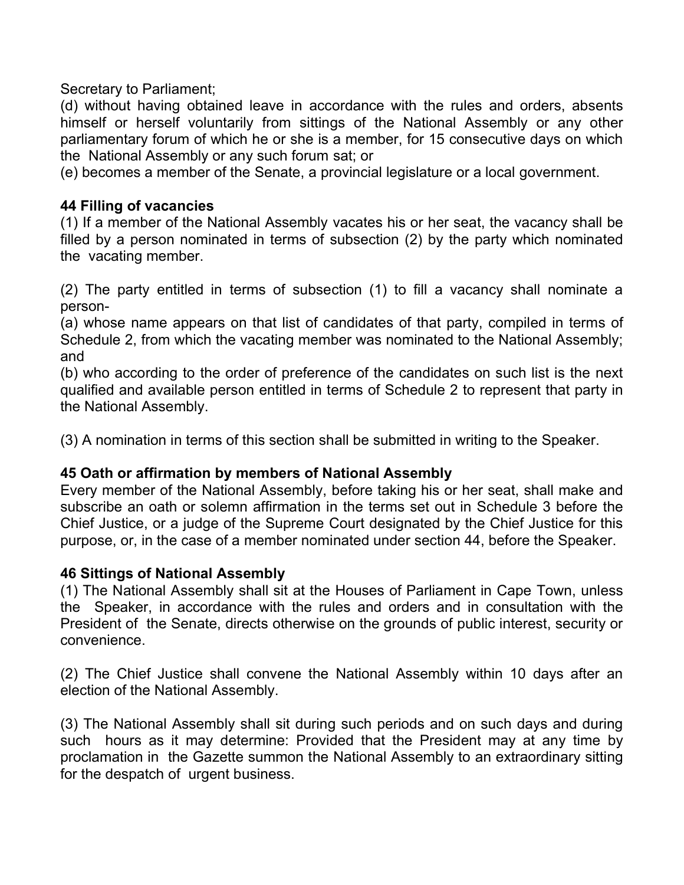Secretary to Parliament;

(d) without having obtained leave in accordance with the rules and orders, absents himself or herself voluntarily from sittings of the National Assembly or any other parliamentary forum of which he or she is a member, for 15 consecutive days on which the National Assembly or any such forum sat; or

(e) becomes a member of the Senate, a provincial legislature or a local government.

# **44 Filling of vacancies**

(1) If a member of the National Assembly vacates his or her seat, the vacancy shall be filled by a person nominated in terms of subsection (2) by the party which nominated the vacating member.

(2) The party entitled in terms of subsection (1) to fill a vacancy shall nominate a person-

(a) whose name appears on that list of candidates of that party, compiled in terms of Schedule 2, from which the vacating member was nominated to the National Assembly; and

(b) who according to the order of preference of the candidates on such list is the next qualified and available person entitled in terms of Schedule 2 to represent that party in the National Assembly.

(3) A nomination in terms of this section shall be submitted in writing to the Speaker.

## **45 Oath or affirmation by members of National Assembly**

Every member of the National Assembly, before taking his or her seat, shall make and subscribe an oath or solemn affirmation in the terms set out in Schedule 3 before the Chief Justice, or a judge of the Supreme Court designated by the Chief Justice for this purpose, or, in the case of a member nominated under section 44, before the Speaker.

## **46 Sittings of National Assembly**

(1) The National Assembly shall sit at the Houses of Parliament in Cape Town, unless the Speaker, in accordance with the rules and orders and in consultation with the President of the Senate, directs otherwise on the grounds of public interest, security or convenience.

(2) The Chief Justice shall convene the National Assembly within 10 days after an election of the National Assembly.

(3) The National Assembly shall sit during such periods and on such days and during such hours as it may determine: Provided that the President may at any time by proclamation in the Gazette summon the National Assembly to an extraordinary sitting for the despatch of urgent business.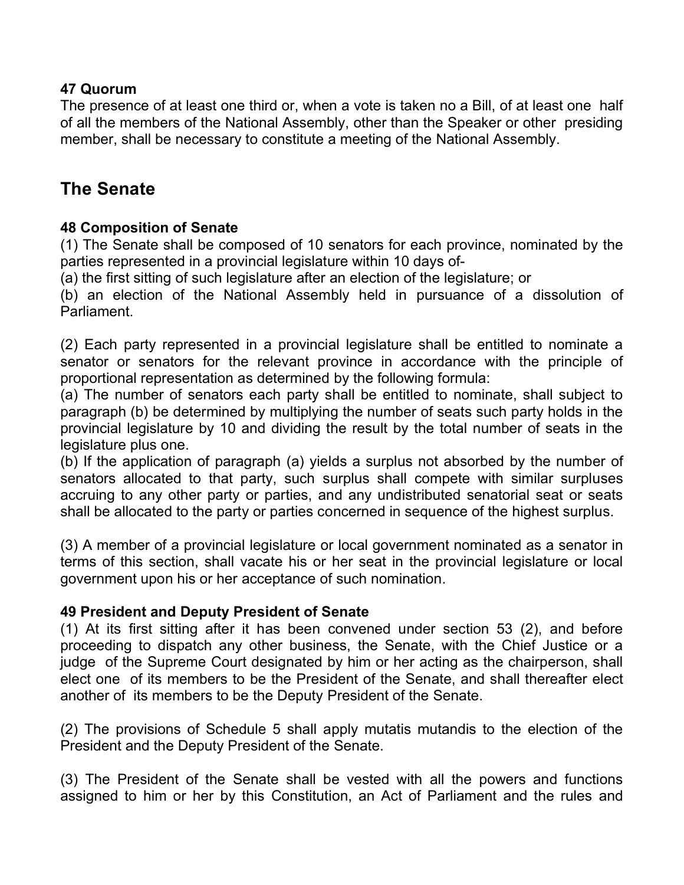## **47 Quorum**

The presence of at least one third or, when a vote is taken no a Bill, of at least one half of all the members of the National Assembly, other than the Speaker or other presiding member, shall be necessary to constitute a meeting of the National Assembly.

# **The Senate**

## **48 Composition of Senate**

(1) The Senate shall be composed of 10 senators for each province, nominated by the parties represented in a provincial legislature within 10 days of-

(a) the first sitting of such legislature after an election of the legislature; or

(b) an election of the National Assembly held in pursuance of a dissolution of Parliament.

(2) Each party represented in a provincial legislature shall be entitled to nominate a senator or senators for the relevant province in accordance with the principle of proportional representation as determined by the following formula:

(a) The number of senators each party shall be entitled to nominate, shall subject to paragraph (b) be determined by multiplying the number of seats such party holds in the provincial legislature by 10 and dividing the result by the total number of seats in the legislature plus one.

(b) If the application of paragraph (a) yields a surplus not absorbed by the number of senators allocated to that party, such surplus shall compete with similar surpluses accruing to any other party or parties, and any undistributed senatorial seat or seats shall be allocated to the party or parties concerned in sequence of the highest surplus.

(3) A member of a provincial legislature or local government nominated as a senator in terms of this section, shall vacate his or her seat in the provincial legislature or local government upon his or her acceptance of such nomination.

## **49 President and Deputy President of Senate**

(1) At its first sitting after it has been convened under section 53 (2), and before proceeding to dispatch any other business, the Senate, with the Chief Justice or a judge of the Supreme Court designated by him or her acting as the chairperson, shall elect one of its members to be the President of the Senate, and shall thereafter elect another of its members to be the Deputy President of the Senate.

(2) The provisions of Schedule 5 shall apply mutatis mutandis to the election of the President and the Deputy President of the Senate.

(3) The President of the Senate shall be vested with all the powers and functions assigned to him or her by this Constitution, an Act of Parliament and the rules and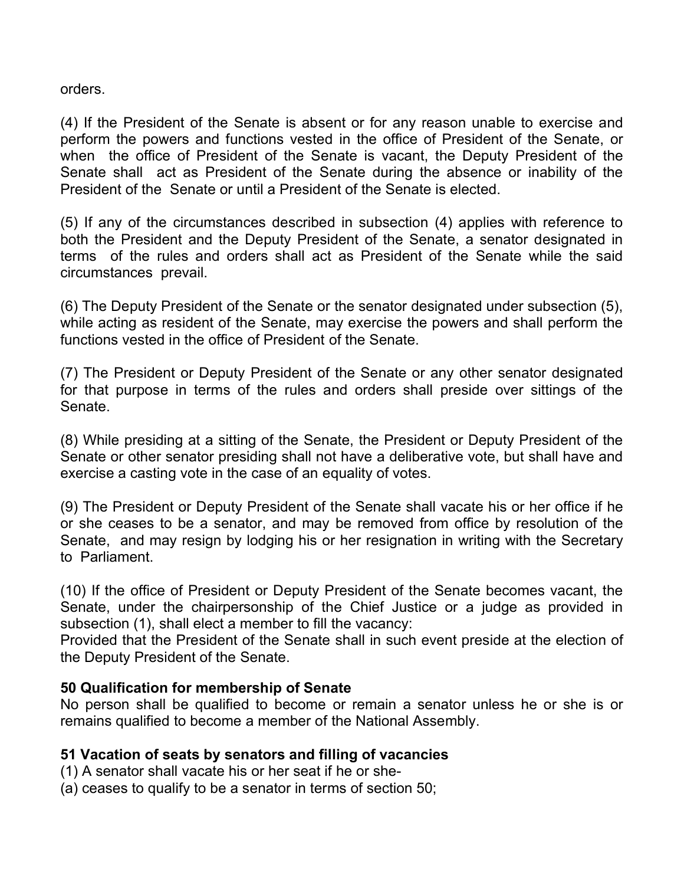orders.

(4) If the President of the Senate is absent or for any reason unable to exercise and perform the powers and functions vested in the office of President of the Senate, or when the office of President of the Senate is vacant, the Deputy President of the Senate shall act as President of the Senate during the absence or inability of the President of the Senate or until a President of the Senate is elected.

(5) If any of the circumstances described in subsection (4) applies with reference to both the President and the Deputy President of the Senate, a senator designated in terms of the rules and orders shall act as President of the Senate while the said circumstances prevail.

(6) The Deputy President of the Senate or the senator designated under subsection (5), while acting as resident of the Senate, may exercise the powers and shall perform the functions vested in the office of President of the Senate.

(7) The President or Deputy President of the Senate or any other senator designated for that purpose in terms of the rules and orders shall preside over sittings of the Senate.

(8) While presiding at a sitting of the Senate, the President or Deputy President of the Senate or other senator presiding shall not have a deliberative vote, but shall have and exercise a casting vote in the case of an equality of votes.

(9) The President or Deputy President of the Senate shall vacate his or her office if he or she ceases to be a senator, and may be removed from office by resolution of the Senate, and may resign by lodging his or her resignation in writing with the Secretary to Parliament.

(10) If the office of President or Deputy President of the Senate becomes vacant, the Senate, under the chairpersonship of the Chief Justice or a judge as provided in subsection (1), shall elect a member to fill the vacancy:

Provided that the President of the Senate shall in such event preside at the election of the Deputy President of the Senate.

#### **50 Qualification for membership of Senate**

No person shall be qualified to become or remain a senator unless he or she is or remains qualified to become a member of the National Assembly.

## **51 Vacation of seats by senators and filling of vacancies**

- (1) A senator shall vacate his or her seat if he or she-
- (a) ceases to qualify to be a senator in terms of section 50;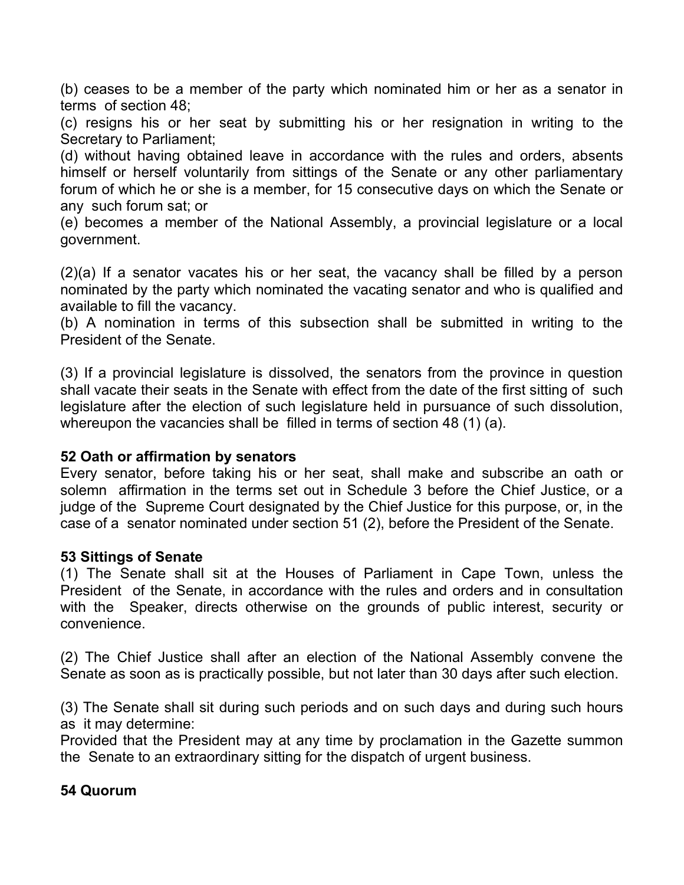(b) ceases to be a member of the party which nominated him or her as a senator in terms of section 48;

(c) resigns his or her seat by submitting his or her resignation in writing to the Secretary to Parliament;

(d) without having obtained leave in accordance with the rules and orders, absents himself or herself voluntarily from sittings of the Senate or any other parliamentary forum of which he or she is a member, for 15 consecutive days on which the Senate or any such forum sat; or

(e) becomes a member of the National Assembly, a provincial legislature or a local government.

(2)(a) If a senator vacates his or her seat, the vacancy shall be filled by a person nominated by the party which nominated the vacating senator and who is qualified and available to fill the vacancy.

(b) A nomination in terms of this subsection shall be submitted in writing to the President of the Senate.

(3) If a provincial legislature is dissolved, the senators from the province in question shall vacate their seats in the Senate with effect from the date of the first sitting of such legislature after the election of such legislature held in pursuance of such dissolution, whereupon the vacancies shall be filled in terms of section 48 (1) (a).

#### **52 Oath or affirmation by senators**

Every senator, before taking his or her seat, shall make and subscribe an oath or solemn affirmation in the terms set out in Schedule 3 before the Chief Justice, or a judge of the Supreme Court designated by the Chief Justice for this purpose, or, in the case of a senator nominated under section 51 (2), before the President of the Senate.

#### **53 Sittings of Senate**

(1) The Senate shall sit at the Houses of Parliament in Cape Town, unless the President of the Senate, in accordance with the rules and orders and in consultation with the Speaker, directs otherwise on the grounds of public interest, security or convenience.

(2) The Chief Justice shall after an election of the National Assembly convene the Senate as soon as is practically possible, but not later than 30 days after such election.

(3) The Senate shall sit during such periods and on such days and during such hours as it may determine:

Provided that the President may at any time by proclamation in the Gazette summon the Senate to an extraordinary sitting for the dispatch of urgent business.

#### **54 Quorum**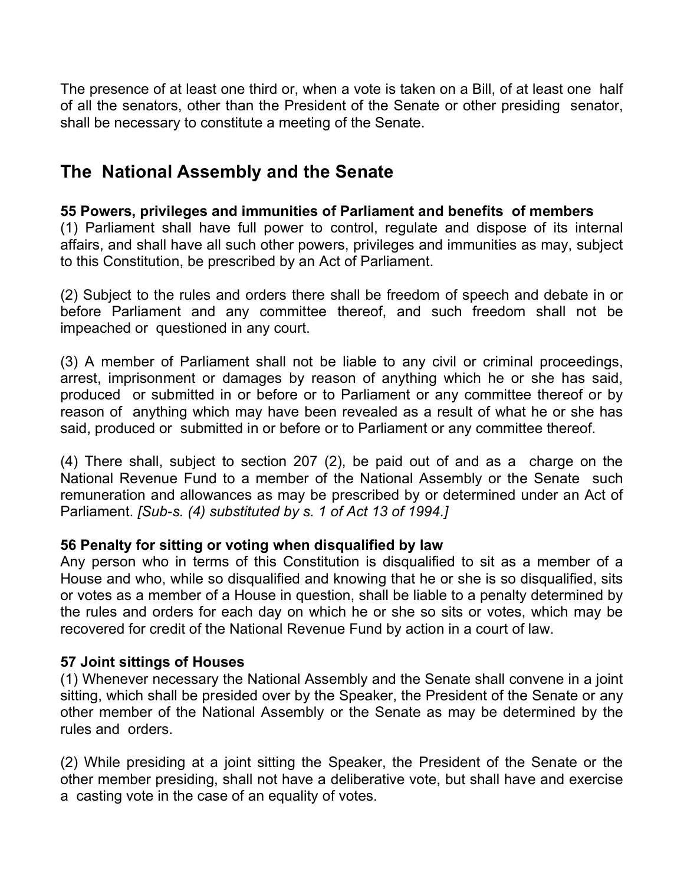The presence of at least one third or, when a vote is taken on a Bill, of at least one half of all the senators, other than the President of the Senate or other presiding senator, shall be necessary to constitute a meeting of the Senate.

# **The National Assembly and the Senate**

# **55 Powers, privileges and immunities of Parliament and benefits of members**

(1) Parliament shall have full power to control, regulate and dispose of its internal affairs, and shall have all such other powers, privileges and immunities as may, subject to this Constitution, be prescribed by an Act of Parliament.

(2) Subject to the rules and orders there shall be freedom of speech and debate in or before Parliament and any committee thereof, and such freedom shall not be impeached or questioned in any court.

(3) A member of Parliament shall not be liable to any civil or criminal proceedings, arrest, imprisonment or damages by reason of anything which he or she has said, produced or submitted in or before or to Parliament or any committee thereof or by reason of anything which may have been revealed as a result of what he or she has said, produced or submitted in or before or to Parliament or any committee thereof.

(4) There shall, subject to section 207 (2), be paid out of and as a charge on the National Revenue Fund to a member of the National Assembly or the Senate such remuneration and allowances as may be prescribed by or determined under an Act of Parliament. *[Sub-s. (4) substituted by s. 1 of Act 13 of 1994.]*

## **56 Penalty for sitting or voting when disqualified by law**

Any person who in terms of this Constitution is disqualified to sit as a member of a House and who, while so disqualified and knowing that he or she is so disqualified, sits or votes as a member of a House in question, shall be liable to a penalty determined by the rules and orders for each day on which he or she so sits or votes, which may be recovered for credit of the National Revenue Fund by action in a court of law.

## **57 Joint sittings of Houses**

(1) Whenever necessary the National Assembly and the Senate shall convene in a joint sitting, which shall be presided over by the Speaker, the President of the Senate or any other member of the National Assembly or the Senate as may be determined by the rules and orders.

(2) While presiding at a joint sitting the Speaker, the President of the Senate or the other member presiding, shall not have a deliberative vote, but shall have and exercise a casting vote in the case of an equality of votes.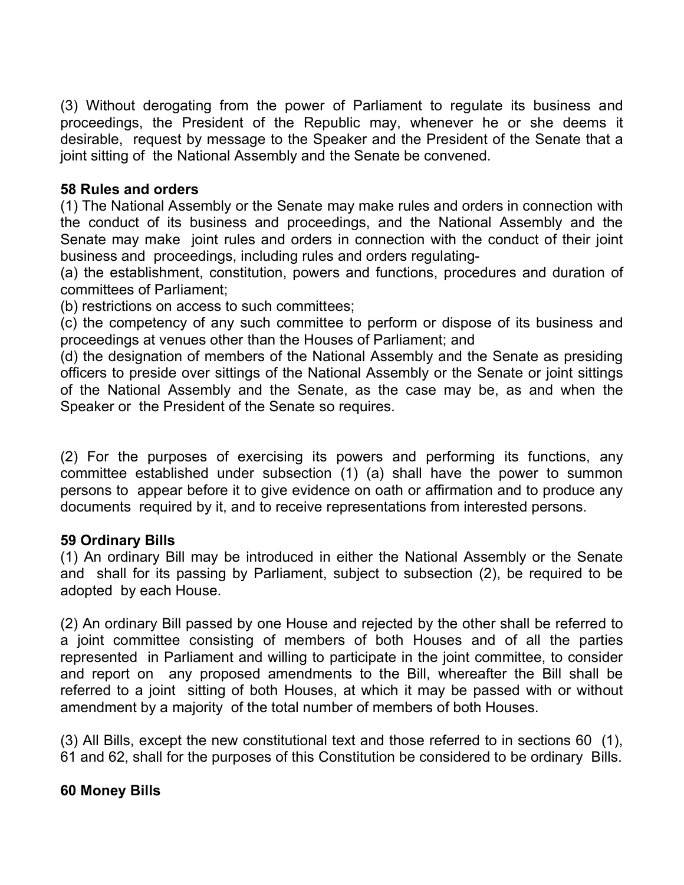(3) Without derogating from the power of Parliament to regulate its business and proceedings, the President of the Republic may, whenever he or she deems it desirable, request by message to the Speaker and the President of the Senate that a joint sitting of the National Assembly and the Senate be convened.

#### **58 Rules and orders**

(1) The National Assembly or the Senate may make rules and orders in connection with the conduct of its business and proceedings, and the National Assembly and the Senate may make joint rules and orders in connection with the conduct of their joint business and proceedings, including rules and orders regulating-

(a) the establishment, constitution, powers and functions, procedures and duration of committees of Parliament;

(b) restrictions on access to such committees;

(c) the competency of any such committee to perform or dispose of its business and proceedings at venues other than the Houses of Parliament; and

(d) the designation of members of the National Assembly and the Senate as presiding officers to preside over sittings of the National Assembly or the Senate or joint sittings of the National Assembly and the Senate, as the case may be, as and when the Speaker or the President of the Senate so requires.

(2) For the purposes of exercising its powers and performing its functions, any committee established under subsection (1) (a) shall have the power to summon persons to appear before it to give evidence on oath or affirmation and to produce any documents required by it, and to receive representations from interested persons.

#### **59 Ordinary Bills**

(1) An ordinary Bill may be introduced in either the National Assembly or the Senate and shall for its passing by Parliament, subject to subsection (2), be required to be adopted by each House.

(2) An ordinary Bill passed by one House and rejected by the other shall be referred to a joint committee consisting of members of both Houses and of all the parties represented in Parliament and willing to participate in the joint committee, to consider and report on any proposed amendments to the Bill, whereafter the Bill shall be referred to a joint sitting of both Houses, at which it may be passed with or without amendment by a majority of the total number of members of both Houses.

(3) All Bills, except the new constitutional text and those referred to in sections 60 (1), 61 and 62, shall for the purposes of this Constitution be considered to be ordinary Bills.

## **60 Money Bills**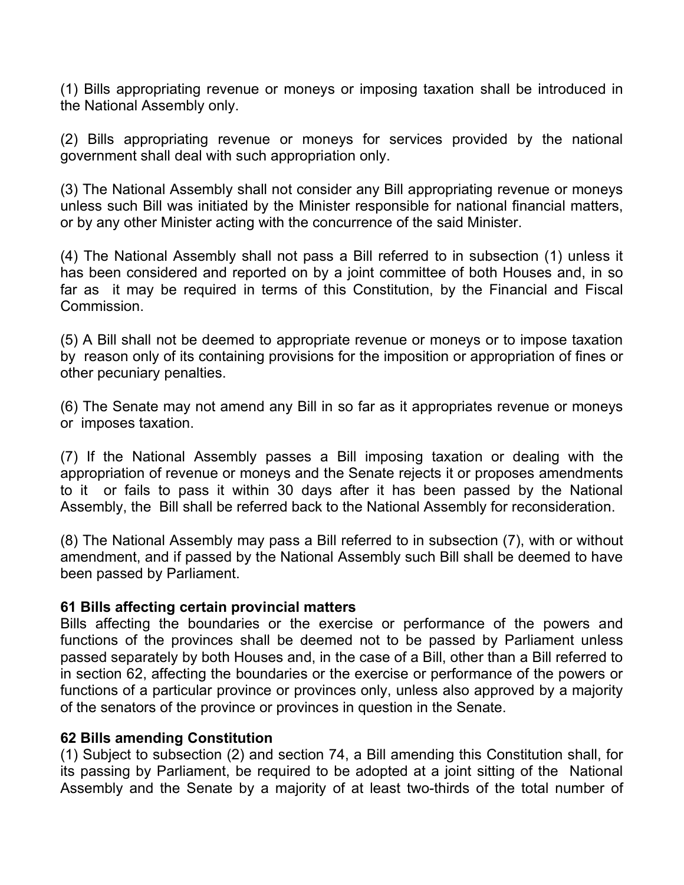(1) Bills appropriating revenue or moneys or imposing taxation shall be introduced in the National Assembly only.

(2) Bills appropriating revenue or moneys for services provided by the national government shall deal with such appropriation only.

(3) The National Assembly shall not consider any Bill appropriating revenue or moneys unless such Bill was initiated by the Minister responsible for national financial matters, or by any other Minister acting with the concurrence of the said Minister.

(4) The National Assembly shall not pass a Bill referred to in subsection (1) unless it has been considered and reported on by a joint committee of both Houses and, in so far as it may be required in terms of this Constitution, by the Financial and Fiscal Commission.

(5) A Bill shall not be deemed to appropriate revenue or moneys or to impose taxation by reason only of its containing provisions for the imposition or appropriation of fines or other pecuniary penalties.

(6) The Senate may not amend any Bill in so far as it appropriates revenue or moneys or imposes taxation.

(7) If the National Assembly passes a Bill imposing taxation or dealing with the appropriation of revenue or moneys and the Senate rejects it or proposes amendments to it or fails to pass it within 30 days after it has been passed by the National Assembly, the Bill shall be referred back to the National Assembly for reconsideration.

(8) The National Assembly may pass a Bill referred to in subsection (7), with or without amendment, and if passed by the National Assembly such Bill shall be deemed to have been passed by Parliament.

#### **61 Bills affecting certain provincial matters**

Bills affecting the boundaries or the exercise or performance of the powers and functions of the provinces shall be deemed not to be passed by Parliament unless passed separately by both Houses and, in the case of a Bill, other than a Bill referred to in section 62, affecting the boundaries or the exercise or performance of the powers or functions of a particular province or provinces only, unless also approved by a majority of the senators of the province or provinces in question in the Senate.

#### **62 Bills amending Constitution**

(1) Subject to subsection (2) and section 74, a Bill amending this Constitution shall, for its passing by Parliament, be required to be adopted at a joint sitting of the National Assembly and the Senate by a majority of at least two-thirds of the total number of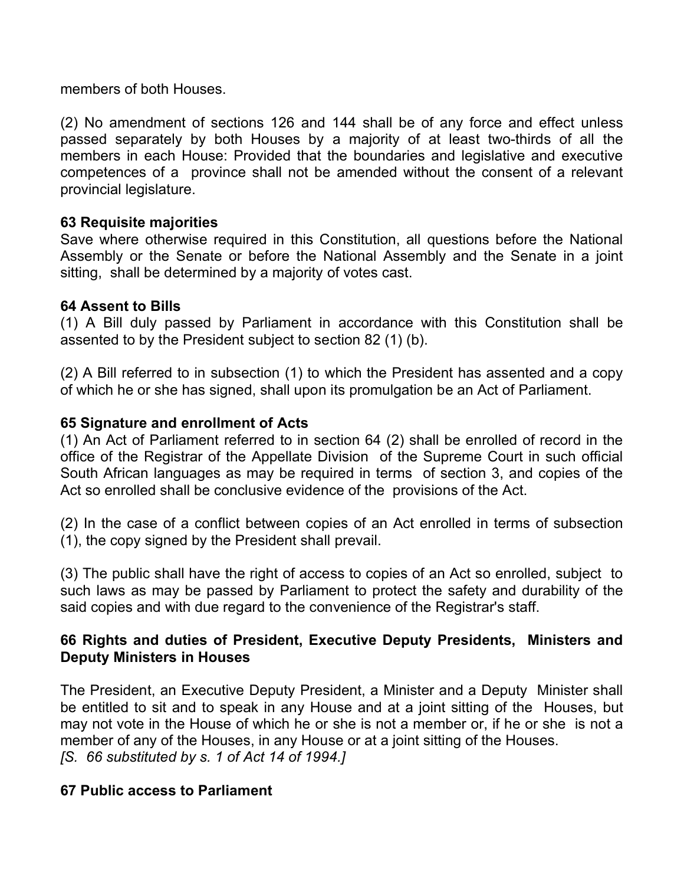members of both Houses.

(2) No amendment of sections 126 and 144 shall be of any force and effect unless passed separately by both Houses by a majority of at least two-thirds of all the members in each House: Provided that the boundaries and legislative and executive competences of a province shall not be amended without the consent of a relevant provincial legislature.

#### **63 Requisite majorities**

Save where otherwise required in this Constitution, all questions before the National Assembly or the Senate or before the National Assembly and the Senate in a joint sitting, shall be determined by a majority of votes cast.

#### **64 Assent to Bills**

(1) A Bill duly passed by Parliament in accordance with this Constitution shall be assented to by the President subject to section 82 (1) (b).

(2) A Bill referred to in subsection (1) to which the President has assented and a copy of which he or she has signed, shall upon its promulgation be an Act of Parliament.

#### **65 Signature and enrollment of Acts**

(1) An Act of Parliament referred to in section 64 (2) shall be enrolled of record in the office of the Registrar of the Appellate Division of the Supreme Court in such official South African languages as may be required in terms of section 3, and copies of the Act so enrolled shall be conclusive evidence of the provisions of the Act.

(2) In the case of a conflict between copies of an Act enrolled in terms of subsection (1), the copy signed by the President shall prevail.

(3) The public shall have the right of access to copies of an Act so enrolled, subject to such laws as may be passed by Parliament to protect the safety and durability of the said copies and with due regard to the convenience of the Registrar's staff.

#### **66 Rights and duties of President, Executive Deputy Presidents, Ministers and Deputy Ministers in Houses**

The President, an Executive Deputy President, a Minister and a Deputy Minister shall be entitled to sit and to speak in any House and at a joint sitting of the Houses, but may not vote in the House of which he or she is not a member or, if he or she is not a member of any of the Houses, in any House or at a joint sitting of the Houses. *[S. 66 substituted by s. 1 of Act 14 of 1994.]*

## **67 Public access to Parliament**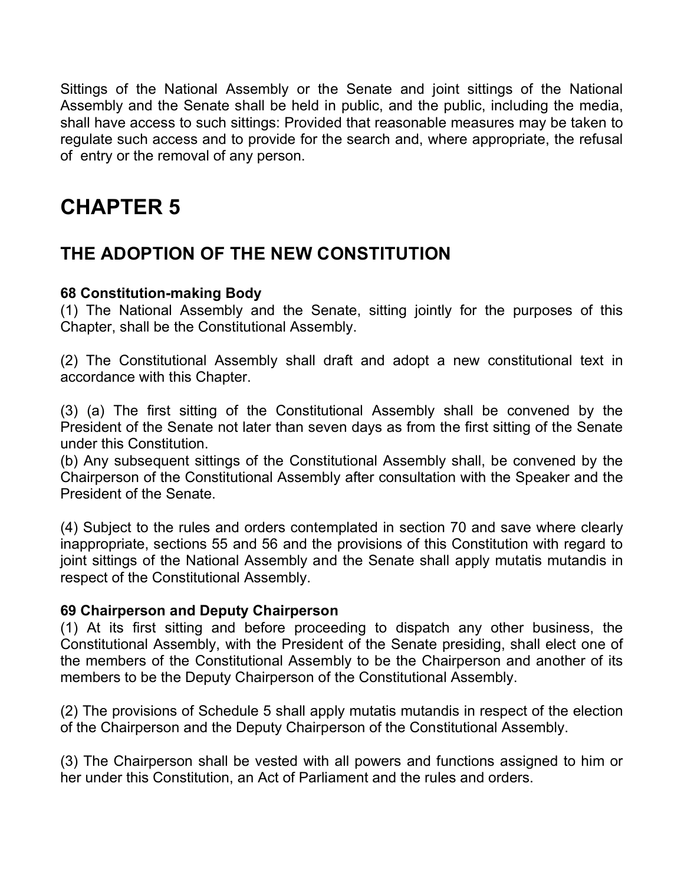Sittings of the National Assembly or the Senate and joint sittings of the National Assembly and the Senate shall be held in public, and the public, including the media, shall have access to such sittings: Provided that reasonable measures may be taken to regulate such access and to provide for the search and, where appropriate, the refusal of entry or the removal of any person.

# **CHAPTER 5**

# **THE ADOPTION OF THE NEW CONSTITUTION**

## **68 Constitution-making Body**

(1) The National Assembly and the Senate, sitting jointly for the purposes of this Chapter, shall be the Constitutional Assembly.

(2) The Constitutional Assembly shall draft and adopt a new constitutional text in accordance with this Chapter.

(3) (a) The first sitting of the Constitutional Assembly shall be convened by the President of the Senate not later than seven days as from the first sitting of the Senate under this Constitution.

(b) Any subsequent sittings of the Constitutional Assembly shall, be convened by the Chairperson of the Constitutional Assembly after consultation with the Speaker and the President of the Senate.

(4) Subject to the rules and orders contemplated in section 70 and save where clearly inappropriate, sections 55 and 56 and the provisions of this Constitution with regard to joint sittings of the National Assembly and the Senate shall apply mutatis mutandis in respect of the Constitutional Assembly.

## **69 Chairperson and Deputy Chairperson**

(1) At its first sitting and before proceeding to dispatch any other business, the Constitutional Assembly, with the President of the Senate presiding, shall elect one of the members of the Constitutional Assembly to be the Chairperson and another of its members to be the Deputy Chairperson of the Constitutional Assembly.

(2) The provisions of Schedule 5 shall apply mutatis mutandis in respect of the election of the Chairperson and the Deputy Chairperson of the Constitutional Assembly.

(3) The Chairperson shall be vested with all powers and functions assigned to him or her under this Constitution, an Act of Parliament and the rules and orders.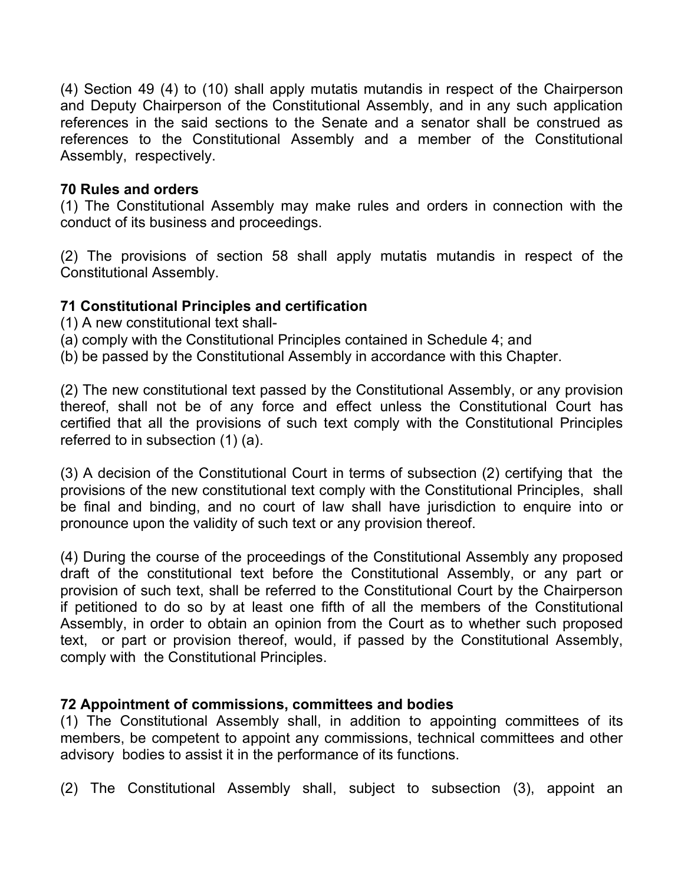(4) Section 49 (4) to (10) shall apply mutatis mutandis in respect of the Chairperson and Deputy Chairperson of the Constitutional Assembly, and in any such application references in the said sections to the Senate and a senator shall be construed as references to the Constitutional Assembly and a member of the Constitutional Assembly, respectively.

#### **70 Rules and orders**

(1) The Constitutional Assembly may make rules and orders in connection with the conduct of its business and proceedings.

(2) The provisions of section 58 shall apply mutatis mutandis in respect of the Constitutional Assembly.

## **71 Constitutional Principles and certification**

- (1) A new constitutional text shall-
- (a) comply with the Constitutional Principles contained in Schedule 4; and
- (b) be passed by the Constitutional Assembly in accordance with this Chapter.

(2) The new constitutional text passed by the Constitutional Assembly, or any provision thereof, shall not be of any force and effect unless the Constitutional Court has certified that all the provisions of such text comply with the Constitutional Principles referred to in subsection (1) (a).

(3) A decision of the Constitutional Court in terms of subsection (2) certifying that the provisions of the new constitutional text comply with the Constitutional Principles, shall be final and binding, and no court of law shall have jurisdiction to enquire into or pronounce upon the validity of such text or any provision thereof.

(4) During the course of the proceedings of the Constitutional Assembly any proposed draft of the constitutional text before the Constitutional Assembly, or any part or provision of such text, shall be referred to the Constitutional Court by the Chairperson if petitioned to do so by at least one fifth of all the members of the Constitutional Assembly, in order to obtain an opinion from the Court as to whether such proposed text, or part or provision thereof, would, if passed by the Constitutional Assembly, comply with the Constitutional Principles.

## **72 Appointment of commissions, committees and bodies**

(1) The Constitutional Assembly shall, in addition to appointing committees of its members, be competent to appoint any commissions, technical committees and other advisory bodies to assist it in the performance of its functions.

(2) The Constitutional Assembly shall, subject to subsection (3), appoint an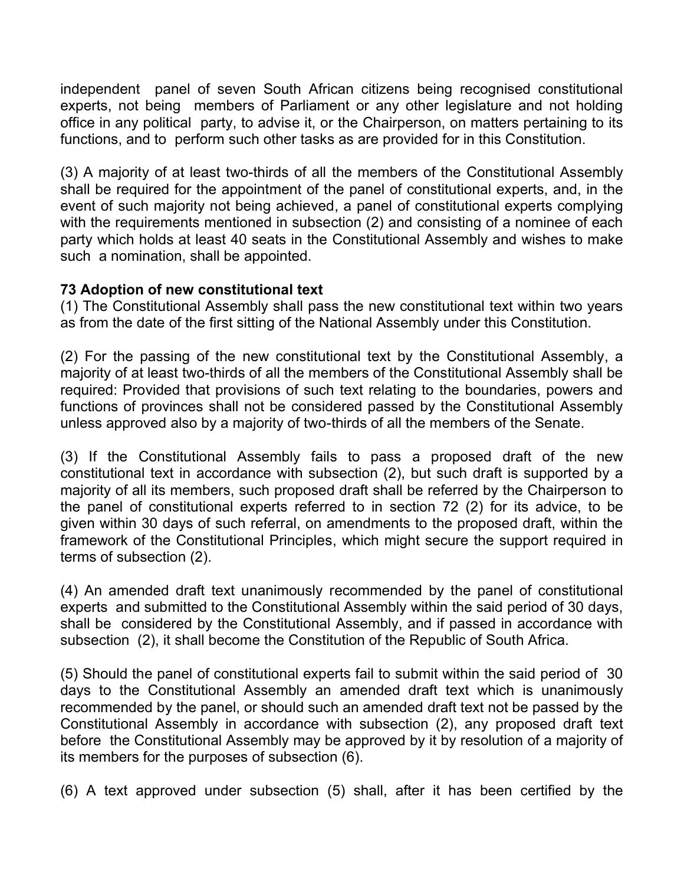independent panel of seven South African citizens being recognised constitutional experts, not being members of Parliament or any other legislature and not holding office in any political party, to advise it, or the Chairperson, on matters pertaining to its functions, and to perform such other tasks as are provided for in this Constitution.

(3) A majority of at least two-thirds of all the members of the Constitutional Assembly shall be required for the appointment of the panel of constitutional experts, and, in the event of such majority not being achieved, a panel of constitutional experts complying with the requirements mentioned in subsection (2) and consisting of a nominee of each party which holds at least 40 seats in the Constitutional Assembly and wishes to make such a nomination, shall be appointed.

## **73 Adoption of new constitutional text**

(1) The Constitutional Assembly shall pass the new constitutional text within two years as from the date of the first sitting of the National Assembly under this Constitution.

(2) For the passing of the new constitutional text by the Constitutional Assembly, a majority of at least two-thirds of all the members of the Constitutional Assembly shall be required: Provided that provisions of such text relating to the boundaries, powers and functions of provinces shall not be considered passed by the Constitutional Assembly unless approved also by a majority of two-thirds of all the members of the Senate.

(3) If the Constitutional Assembly fails to pass a proposed draft of the new constitutional text in accordance with subsection (2), but such draft is supported by a majority of all its members, such proposed draft shall be referred by the Chairperson to the panel of constitutional experts referred to in section 72 (2) for its advice, to be given within 30 days of such referral, on amendments to the proposed draft, within the framework of the Constitutional Principles, which might secure the support required in terms of subsection (2).

(4) An amended draft text unanimously recommended by the panel of constitutional experts and submitted to the Constitutional Assembly within the said period of 30 days, shall be considered by the Constitutional Assembly, and if passed in accordance with subsection (2), it shall become the Constitution of the Republic of South Africa.

(5) Should the panel of constitutional experts fail to submit within the said period of 30 days to the Constitutional Assembly an amended draft text which is unanimously recommended by the panel, or should such an amended draft text not be passed by the Constitutional Assembly in accordance with subsection (2), any proposed draft text before the Constitutional Assembly may be approved by it by resolution of a majority of its members for the purposes of subsection (6).

(6) A text approved under subsection (5) shall, after it has been certified by the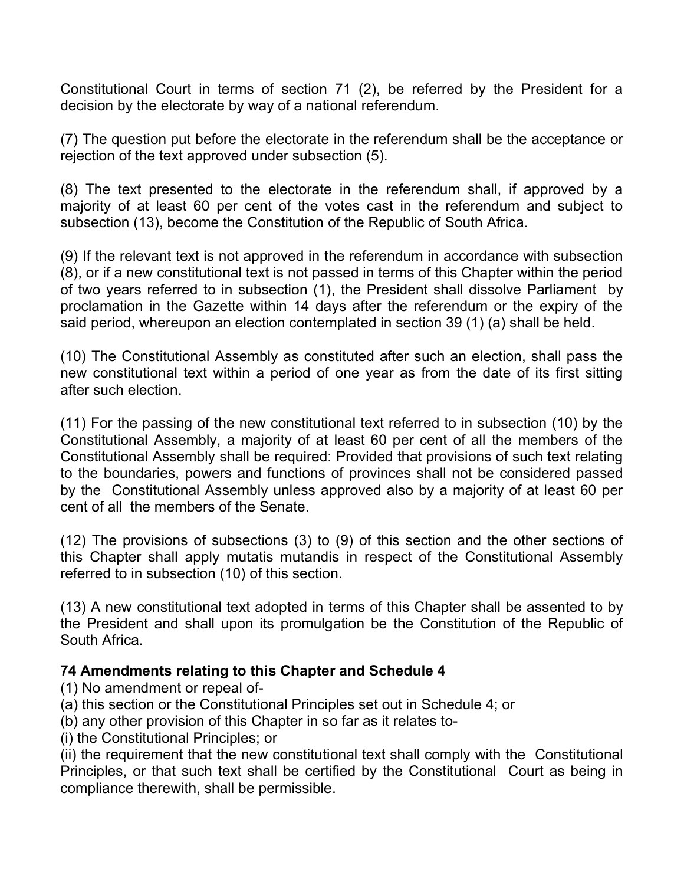Constitutional Court in terms of section 71 (2), be referred by the President for a decision by the electorate by way of a national referendum.

(7) The question put before the electorate in the referendum shall be the acceptance or rejection of the text approved under subsection (5).

(8) The text presented to the electorate in the referendum shall, if approved by a majority of at least 60 per cent of the votes cast in the referendum and subject to subsection (13), become the Constitution of the Republic of South Africa.

(9) If the relevant text is not approved in the referendum in accordance with subsection (8), or if a new constitutional text is not passed in terms of this Chapter within the period of two years referred to in subsection (1), the President shall dissolve Parliament by proclamation in the Gazette within 14 days after the referendum or the expiry of the said period, whereupon an election contemplated in section 39 (1) (a) shall be held.

(10) The Constitutional Assembly as constituted after such an election, shall pass the new constitutional text within a period of one year as from the date of its first sitting after such election.

(11) For the passing of the new constitutional text referred to in subsection (10) by the Constitutional Assembly, a majority of at least 60 per cent of all the members of the Constitutional Assembly shall be required: Provided that provisions of such text relating to the boundaries, powers and functions of provinces shall not be considered passed by the Constitutional Assembly unless approved also by a majority of at least 60 per cent of all the members of the Senate.

(12) The provisions of subsections (3) to (9) of this section and the other sections of this Chapter shall apply mutatis mutandis in respect of the Constitutional Assembly referred to in subsection (10) of this section.

(13) A new constitutional text adopted in terms of this Chapter shall be assented to by the President and shall upon its promulgation be the Constitution of the Republic of South Africa.

## **74 Amendments relating to this Chapter and Schedule 4**

(1) No amendment or repeal of-

(a) this section or the Constitutional Principles set out in Schedule 4; or

(b) any other provision of this Chapter in so far as it relates to-

(i) the Constitutional Principles; or

(ii) the requirement that the new constitutional text shall comply with the Constitutional Principles, or that such text shall be certified by the Constitutional Court as being in compliance therewith, shall be permissible.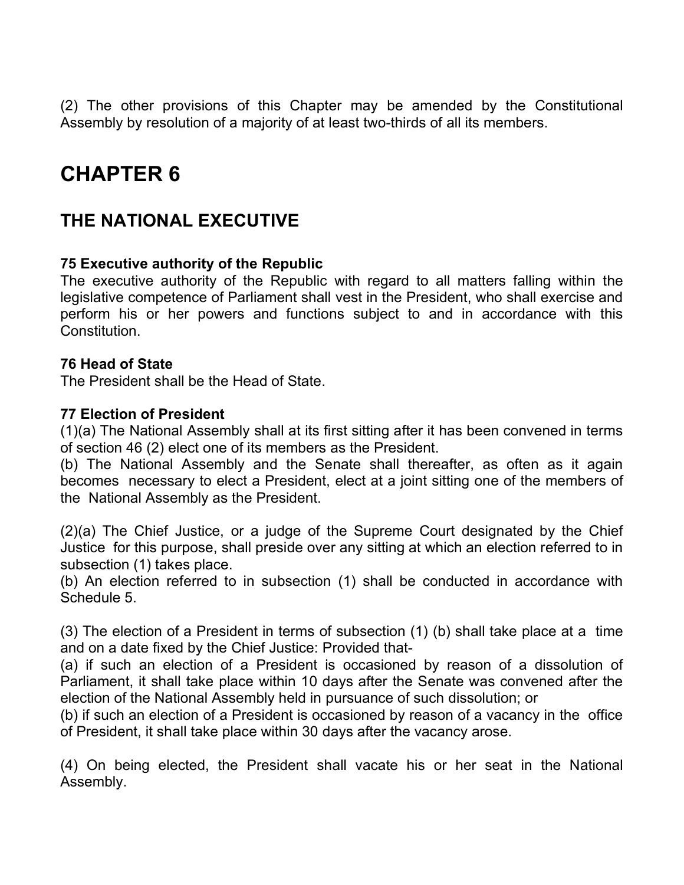(2) The other provisions of this Chapter may be amended by the Constitutional Assembly by resolution of a majority of at least two-thirds of all its members.

# **CHAPTER 6**

# **THE NATIONAL EXECUTIVE**

#### **75 Executive authority of the Republic**

The executive authority of the Republic with regard to all matters falling within the legislative competence of Parliament shall vest in the President, who shall exercise and perform his or her powers and functions subject to and in accordance with this Constitution.

#### **76 Head of State**

The President shall be the Head of State.

#### **77 Election of President**

(1)(a) The National Assembly shall at its first sitting after it has been convened in terms of section 46 (2) elect one of its members as the President.

(b) The National Assembly and the Senate shall thereafter, as often as it again becomes necessary to elect a President, elect at a joint sitting one of the members of the National Assembly as the President.

(2)(a) The Chief Justice, or a judge of the Supreme Court designated by the Chief Justice for this purpose, shall preside over any sitting at which an election referred to in subsection (1) takes place.

(b) An election referred to in subsection (1) shall be conducted in accordance with Schedule 5.

(3) The election of a President in terms of subsection (1) (b) shall take place at a time and on a date fixed by the Chief Justice: Provided that-

(a) if such an election of a President is occasioned by reason of a dissolution of Parliament, it shall take place within 10 days after the Senate was convened after the election of the National Assembly held in pursuance of such dissolution; or

(b) if such an election of a President is occasioned by reason of a vacancy in the office of President, it shall take place within 30 days after the vacancy arose.

(4) On being elected, the President shall vacate his or her seat in the National Assembly.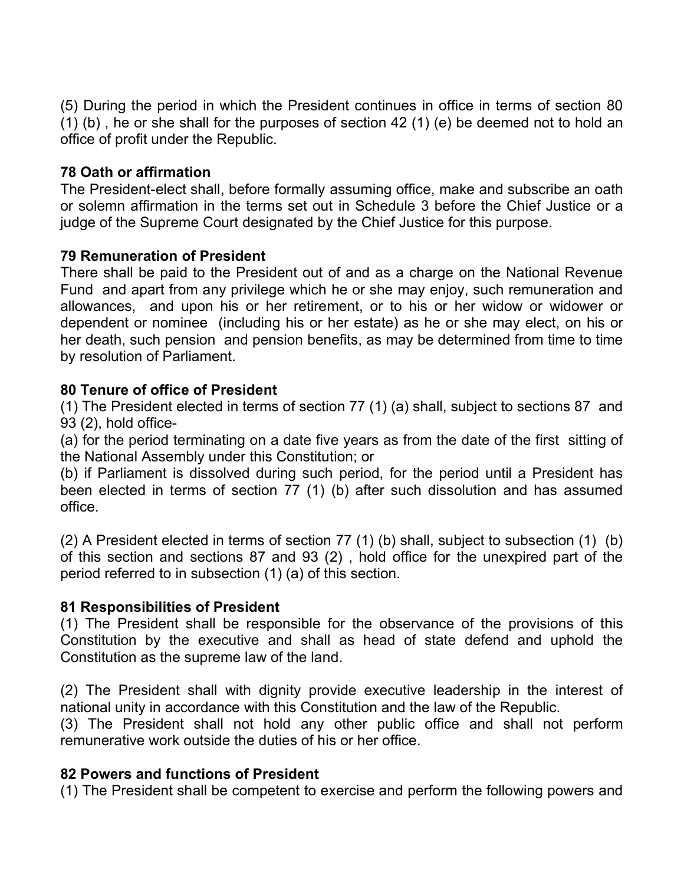(5) During the period in which the President continues in office in terms of section 80 (1) (b) , he or she shall for the purposes of section 42 (1) (e) be deemed not to hold an office of profit under the Republic.

#### **78 Oath or affirmation**

The President-elect shall, before formally assuming office, make and subscribe an oath or solemn affirmation in the terms set out in Schedule 3 before the Chief Justice or a judge of the Supreme Court designated by the Chief Justice for this purpose.

#### **79 Remuneration of President**

There shall be paid to the President out of and as a charge on the National Revenue Fund and apart from any privilege which he or she may enjoy, such remuneration and allowances, and upon his or her retirement, or to his or her widow or widower or dependent or nominee (including his or her estate) as he or she may elect, on his or her death, such pension and pension benefits, as may be determined from time to time by resolution of Parliament.

#### **80 Tenure of office of President**

(1) The President elected in terms of section 77 (1) (a) shall, subject to sections 87 and 93 (2), hold office-

(a) for the period terminating on a date five years as from the date of the first sitting of the National Assembly under this Constitution; or

(b) if Parliament is dissolved during such period, for the period until a President has been elected in terms of section 77 (1) (b) after such dissolution and has assumed office.

(2) A President elected in terms of section 77 (1) (b) shall, subject to subsection (1) (b) of this section and sections 87 and 93 (2) , hold office for the unexpired part of the period referred to in subsection (1) (a) of this section.

#### **81 Responsibilities of President**

(1) The President shall be responsible for the observance of the provisions of this Constitution by the executive and shall as head of state defend and uphold the Constitution as the supreme law of the land.

(2) The President shall with dignity provide executive leadership in the interest of national unity in accordance with this Constitution and the law of the Republic.

(3) The President shall not hold any other public office and shall not perform remunerative work outside the duties of his or her office.

#### **82 Powers and functions of President**

(1) The President shall be competent to exercise and perform the following powers and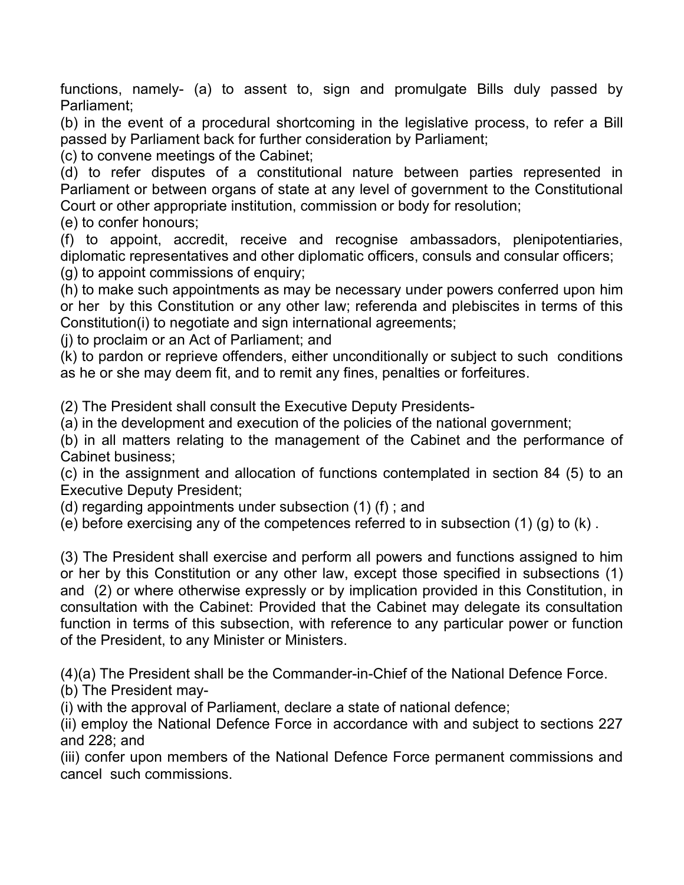functions, namely- (a) to assent to, sign and promulgate Bills duly passed by Parliament;

(b) in the event of a procedural shortcoming in the legislative process, to refer a Bill passed by Parliament back for further consideration by Parliament;

(c) to convene meetings of the Cabinet;

(d) to refer disputes of a constitutional nature between parties represented in Parliament or between organs of state at any level of government to the Constitutional Court or other appropriate institution, commission or body for resolution;

(e) to confer honours;

(f) to appoint, accredit, receive and recognise ambassadors, plenipotentiaries, diplomatic representatives and other diplomatic officers, consuls and consular officers; (g) to appoint commissions of enquiry;

(h) to make such appointments as may be necessary under powers conferred upon him or her by this Constitution or any other law; referenda and plebiscites in terms of this Constitution(i) to negotiate and sign international agreements;

(j) to proclaim or an Act of Parliament; and

(k) to pardon or reprieve offenders, either unconditionally or subject to such conditions as he or she may deem fit, and to remit any fines, penalties or forfeitures.

(2) The President shall consult the Executive Deputy Presidents-

(a) in the development and execution of the policies of the national government;

(b) in all matters relating to the management of the Cabinet and the performance of Cabinet business;

(c) in the assignment and allocation of functions contemplated in section 84 (5) to an Executive Deputy President;

(d) regarding appointments under subsection (1) (f) ; and

(e) before exercising any of the competences referred to in subsection (1) (g) to (k) .

(3) The President shall exercise and perform all powers and functions assigned to him or her by this Constitution or any other law, except those specified in subsections (1) and (2) or where otherwise expressly or by implication provided in this Constitution, in consultation with the Cabinet: Provided that the Cabinet may delegate its consultation function in terms of this subsection, with reference to any particular power or function of the President, to any Minister or Ministers.

(4)(a) The President shall be the Commander-in-Chief of the National Defence Force.

(b) The President may-

(i) with the approval of Parliament, declare a state of national defence;

(ii) employ the National Defence Force in accordance with and subject to sections 227 and 228; and

(iii) confer upon members of the National Defence Force permanent commissions and cancel such commissions.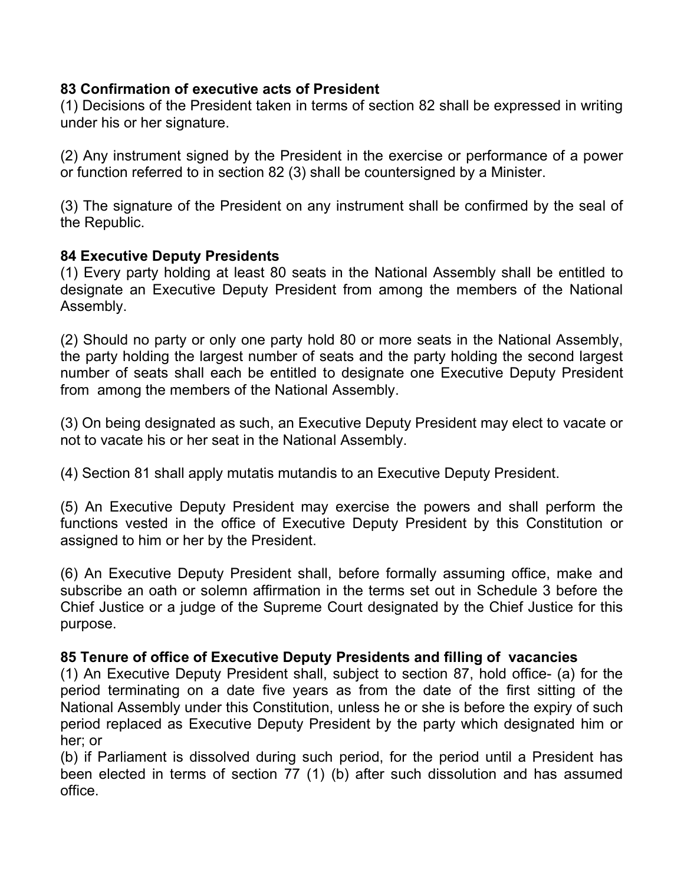# **83 Confirmation of executive acts of President**

(1) Decisions of the President taken in terms of section 82 shall be expressed in writing under his or her signature.

(2) Any instrument signed by the President in the exercise or performance of a power or function referred to in section 82 (3) shall be countersigned by a Minister.

(3) The signature of the President on any instrument shall be confirmed by the seal of the Republic.

## **84 Executive Deputy Presidents**

(1) Every party holding at least 80 seats in the National Assembly shall be entitled to designate an Executive Deputy President from among the members of the National Assembly.

(2) Should no party or only one party hold 80 or more seats in the National Assembly, the party holding the largest number of seats and the party holding the second largest number of seats shall each be entitled to designate one Executive Deputy President from among the members of the National Assembly.

(3) On being designated as such, an Executive Deputy President may elect to vacate or not to vacate his or her seat in the National Assembly.

(4) Section 81 shall apply mutatis mutandis to an Executive Deputy President.

(5) An Executive Deputy President may exercise the powers and shall perform the functions vested in the office of Executive Deputy President by this Constitution or assigned to him or her by the President.

(6) An Executive Deputy President shall, before formally assuming office, make and subscribe an oath or solemn affirmation in the terms set out in Schedule 3 before the Chief Justice or a judge of the Supreme Court designated by the Chief Justice for this purpose.

## **85 Tenure of office of Executive Deputy Presidents and filling of vacancies**

(1) An Executive Deputy President shall, subject to section 87, hold office- (a) for the period terminating on a date five years as from the date of the first sitting of the National Assembly under this Constitution, unless he or she is before the expiry of such period replaced as Executive Deputy President by the party which designated him or her; or

(b) if Parliament is dissolved during such period, for the period until a President has been elected in terms of section 77 (1) (b) after such dissolution and has assumed office.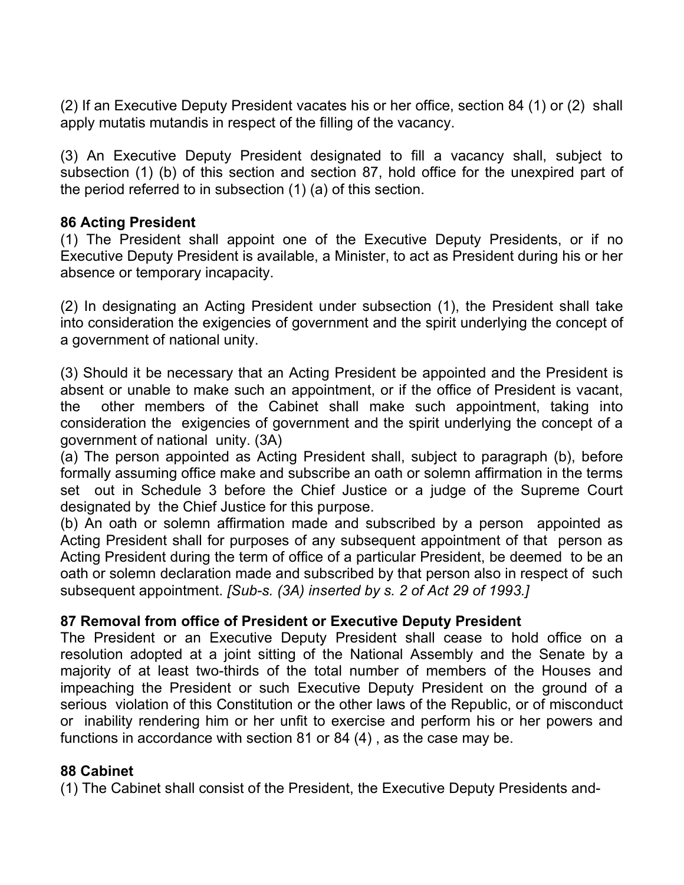(2) If an Executive Deputy President vacates his or her office, section 84 (1) or (2) shall apply mutatis mutandis in respect of the filling of the vacancy.

(3) An Executive Deputy President designated to fill a vacancy shall, subject to subsection (1) (b) of this section and section 87, hold office for the unexpired part of the period referred to in subsection (1) (a) of this section.

#### **86 Acting President**

(1) The President shall appoint one of the Executive Deputy Presidents, or if no Executive Deputy President is available, a Minister, to act as President during his or her absence or temporary incapacity.

(2) In designating an Acting President under subsection (1), the President shall take into consideration the exigencies of government and the spirit underlying the concept of a government of national unity.

(3) Should it be necessary that an Acting President be appointed and the President is absent or unable to make such an appointment, or if the office of President is vacant, the other members of the Cabinet shall make such appointment, taking into consideration the exigencies of government and the spirit underlying the concept of a government of national unity. (3A)

(a) The person appointed as Acting President shall, subject to paragraph (b), before formally assuming office make and subscribe an oath or solemn affirmation in the terms set out in Schedule 3 before the Chief Justice or a judge of the Supreme Court designated by the Chief Justice for this purpose.

(b) An oath or solemn affirmation made and subscribed by a person appointed as Acting President shall for purposes of any subsequent appointment of that person as Acting President during the term of office of a particular President, be deemed to be an oath or solemn declaration made and subscribed by that person also in respect of such subsequent appointment. *[Sub-s. (3A) inserted by s. 2 of Act 29 of 1993.]*

## **87 Removal from office of President or Executive Deputy President**

The President or an Executive Deputy President shall cease to hold office on a resolution adopted at a joint sitting of the National Assembly and the Senate by a majority of at least two-thirds of the total number of members of the Houses and impeaching the President or such Executive Deputy President on the ground of a serious violation of this Constitution or the other laws of the Republic, or of misconduct or inability rendering him or her unfit to exercise and perform his or her powers and functions in accordance with section 81 or 84 (4) , as the case may be.

## **88 Cabinet**

(1) The Cabinet shall consist of the President, the Executive Deputy Presidents and-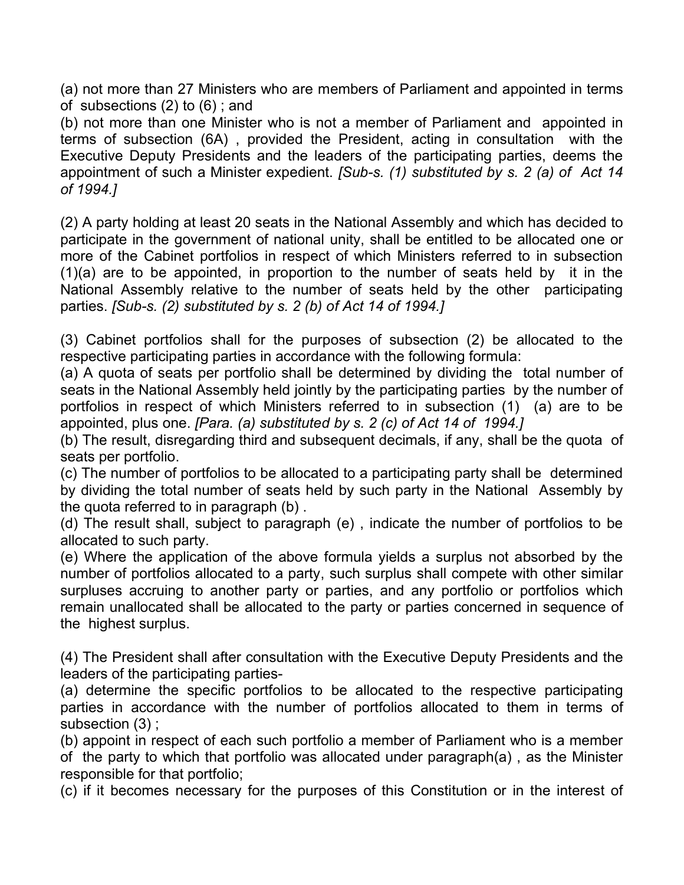(a) not more than 27 Ministers who are members of Parliament and appointed in terms of subsections (2) to (6) ; and

(b) not more than one Minister who is not a member of Parliament and appointed in terms of subsection (6A) , provided the President, acting in consultation with the Executive Deputy Presidents and the leaders of the participating parties, deems the appointment of such a Minister expedient. *[Sub-s. (1) substituted by s. 2 (a) of Act 14 of 1994.]*

(2) A party holding at least 20 seats in the National Assembly and which has decided to participate in the government of national unity, shall be entitled to be allocated one or more of the Cabinet portfolios in respect of which Ministers referred to in subsection (1)(a) are to be appointed, in proportion to the number of seats held by it in the National Assembly relative to the number of seats held by the other participating parties. *[Sub-s. (2) substituted by s. 2 (b) of Act 14 of 1994.]*

(3) Cabinet portfolios shall for the purposes of subsection (2) be allocated to the respective participating parties in accordance with the following formula:

(a) A quota of seats per portfolio shall be determined by dividing the total number of seats in the National Assembly held jointly by the participating parties by the number of portfolios in respect of which Ministers referred to in subsection (1) (a) are to be appointed, plus one. *[Para. (a) substituted by s. 2 (c) of Act 14 of 1994.]*

(b) The result, disregarding third and subsequent decimals, if any, shall be the quota of seats per portfolio.

(c) The number of portfolios to be allocated to a participating party shall be determined by dividing the total number of seats held by such party in the National Assembly by the quota referred to in paragraph (b) .

(d) The result shall, subject to paragraph (e) , indicate the number of portfolios to be allocated to such party.

(e) Where the application of the above formula yields a surplus not absorbed by the number of portfolios allocated to a party, such surplus shall compete with other similar surpluses accruing to another party or parties, and any portfolio or portfolios which remain unallocated shall be allocated to the party or parties concerned in sequence of the highest surplus.

(4) The President shall after consultation with the Executive Deputy Presidents and the leaders of the participating parties-

(a) determine the specific portfolios to be allocated to the respective participating parties in accordance with the number of portfolios allocated to them in terms of subsection (3) ;

(b) appoint in respect of each such portfolio a member of Parliament who is a member of the party to which that portfolio was allocated under paragraph(a) , as the Minister responsible for that portfolio;

(c) if it becomes necessary for the purposes of this Constitution or in the interest of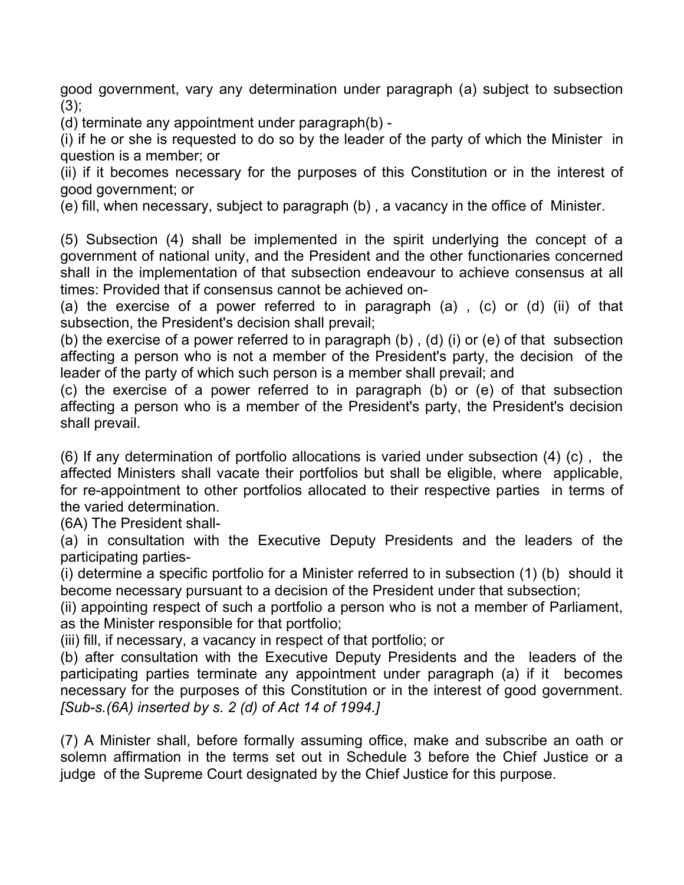good government, vary any determination under paragraph (a) subject to subsection  $(3)$ ;

(d) terminate any appointment under paragraph(b) -

(i) if he or she is requested to do so by the leader of the party of which the Minister in question is a member; or

(ii) if it becomes necessary for the purposes of this Constitution or in the interest of good government; or

(e) fill, when necessary, subject to paragraph (b) , a vacancy in the office of Minister.

(5) Subsection (4) shall be implemented in the spirit underlying the concept of a government of national unity, and the President and the other functionaries concerned shall in the implementation of that subsection endeavour to achieve consensus at all times: Provided that if consensus cannot be achieved on-

(a) the exercise of a power referred to in paragraph (a) , (c) or (d) (ii) of that subsection, the President's decision shall prevail;

(b) the exercise of a power referred to in paragraph (b) , (d) (i) or (e) of that subsection affecting a person who is not a member of the President's party, the decision of the leader of the party of which such person is a member shall prevail; and

(c) the exercise of a power referred to in paragraph (b) or (e) of that subsection affecting a person who is a member of the President's party, the President's decision shall prevail.

(6) If any determination of portfolio allocations is varied under subsection (4) (c) , the affected Ministers shall vacate their portfolios but shall be eligible, where applicable, for re-appointment to other portfolios allocated to their respective parties in terms of the varied determination.

(6A) The President shall-

(a) in consultation with the Executive Deputy Presidents and the leaders of the participating parties-

(i) determine a specific portfolio for a Minister referred to in subsection (1) (b) should it become necessary pursuant to a decision of the President under that subsection;

(ii) appointing respect of such a portfolio a person who is not a member of Parliament, as the Minister responsible for that portfolio;

(iii) fill, if necessary, a vacancy in respect of that portfolio; or

(b) after consultation with the Executive Deputy Presidents and the leaders of the participating parties terminate any appointment under paragraph (a) if it becomes necessary for the purposes of this Constitution or in the interest of good government. *[Sub-s.(6A) inserted by s. 2 (d) of Act 14 of 1994.]*

(7) A Minister shall, before formally assuming office, make and subscribe an oath or solemn affirmation in the terms set out in Schedule 3 before the Chief Justice or a judge of the Supreme Court designated by the Chief Justice for this purpose.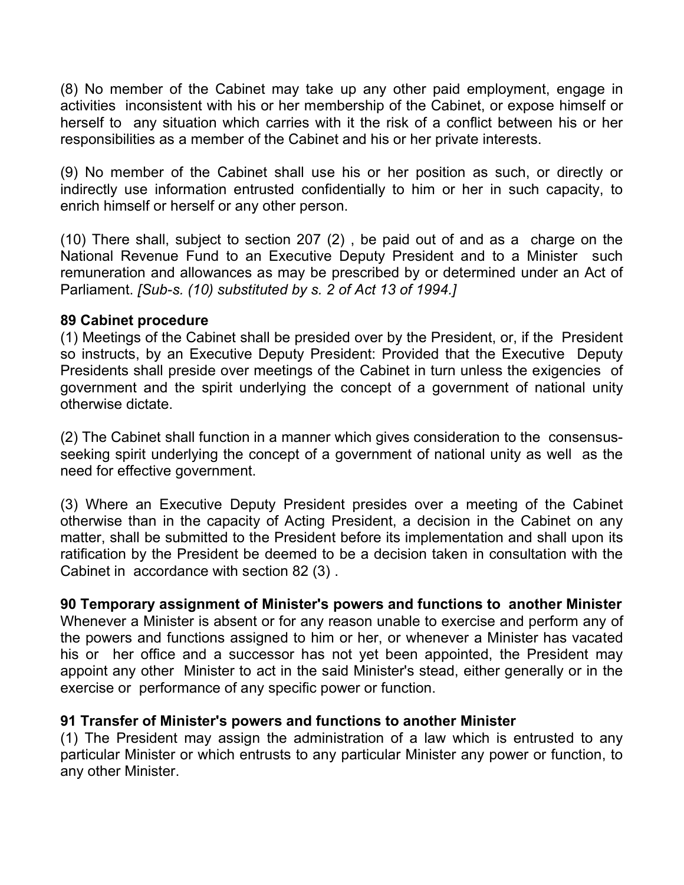(8) No member of the Cabinet may take up any other paid employment, engage in activities inconsistent with his or her membership of the Cabinet, or expose himself or herself to any situation which carries with it the risk of a conflict between his or her responsibilities as a member of the Cabinet and his or her private interests.

(9) No member of the Cabinet shall use his or her position as such, or directly or indirectly use information entrusted confidentially to him or her in such capacity, to enrich himself or herself or any other person.

(10) There shall, subject to section 207 (2) , be paid out of and as a charge on the National Revenue Fund to an Executive Deputy President and to a Minister such remuneration and allowances as may be prescribed by or determined under an Act of Parliament. *[Sub-s. (10) substituted by s. 2 of Act 13 of 1994.]*

### **89 Cabinet procedure**

(1) Meetings of the Cabinet shall be presided over by the President, or, if the President so instructs, by an Executive Deputy President: Provided that the Executive Deputy Presidents shall preside over meetings of the Cabinet in turn unless the exigencies of government and the spirit underlying the concept of a government of national unity otherwise dictate.

(2) The Cabinet shall function in a manner which gives consideration to the consensusseeking spirit underlying the concept of a government of national unity as well as the need for effective government.

(3) Where an Executive Deputy President presides over a meeting of the Cabinet otherwise than in the capacity of Acting President, a decision in the Cabinet on any matter, shall be submitted to the President before its implementation and shall upon its ratification by the President be deemed to be a decision taken in consultation with the Cabinet in accordance with section 82 (3) .

### **90 Temporary assignment of Minister's powers and functions to another Minister**

Whenever a Minister is absent or for any reason unable to exercise and perform any of the powers and functions assigned to him or her, or whenever a Minister has vacated his or her office and a successor has not yet been appointed, the President may appoint any other Minister to act in the said Minister's stead, either generally or in the exercise or performance of any specific power or function.

### **91 Transfer of Minister's powers and functions to another Minister**

(1) The President may assign the administration of a law which is entrusted to any particular Minister or which entrusts to any particular Minister any power or function, to any other Minister.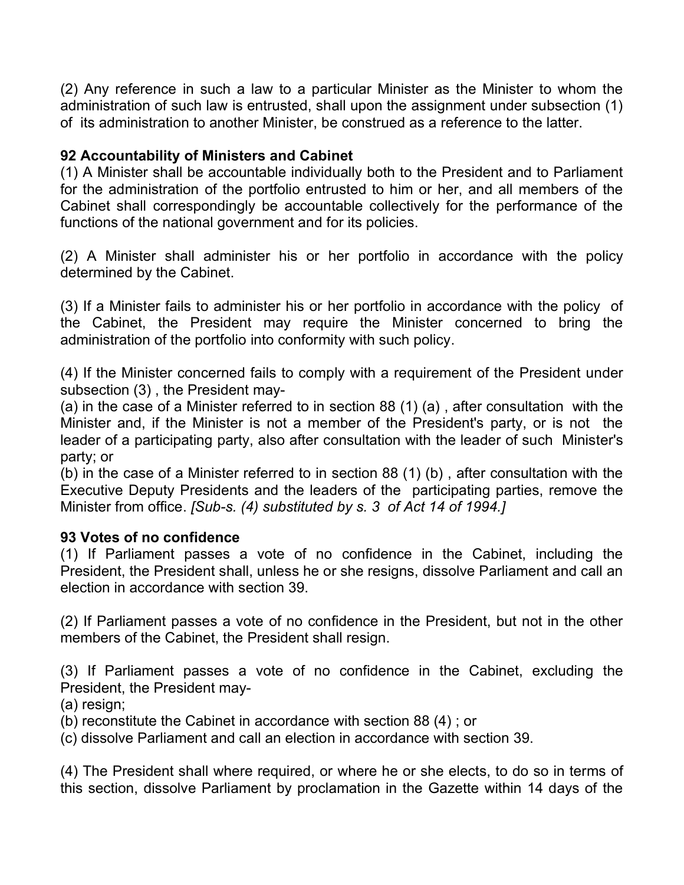(2) Any reference in such a law to a particular Minister as the Minister to whom the administration of such law is entrusted, shall upon the assignment under subsection (1) of its administration to another Minister, be construed as a reference to the latter.

### **92 Accountability of Ministers and Cabinet**

(1) A Minister shall be accountable individually both to the President and to Parliament for the administration of the portfolio entrusted to him or her, and all members of the Cabinet shall correspondingly be accountable collectively for the performance of the functions of the national government and for its policies.

(2) A Minister shall administer his or her portfolio in accordance with the policy determined by the Cabinet.

(3) If a Minister fails to administer his or her portfolio in accordance with the policy of the Cabinet, the President may require the Minister concerned to bring the administration of the portfolio into conformity with such policy.

(4) If the Minister concerned fails to comply with a requirement of the President under subsection (3) , the President may-

(a) in the case of a Minister referred to in section 88 (1) (a) , after consultation with the Minister and, if the Minister is not a member of the President's party, or is not the leader of a participating party, also after consultation with the leader of such Minister's party; or

(b) in the case of a Minister referred to in section 88 (1) (b) , after consultation with the Executive Deputy Presidents and the leaders of the participating parties, remove the Minister from office. *[Sub-s. (4) substituted by s. 3 of Act 14 of 1994.]*

### **93 Votes of no confidence**

(1) If Parliament passes a vote of no confidence in the Cabinet, including the President, the President shall, unless he or she resigns, dissolve Parliament and call an election in accordance with section 39.

(2) If Parliament passes a vote of no confidence in the President, but not in the other members of the Cabinet, the President shall resign.

(3) If Parliament passes a vote of no confidence in the Cabinet, excluding the President, the President may-

(a) resign;

(b) reconstitute the Cabinet in accordance with section 88 (4) ; or

(c) dissolve Parliament and call an election in accordance with section 39.

(4) The President shall where required, or where he or she elects, to do so in terms of this section, dissolve Parliament by proclamation in the Gazette within 14 days of the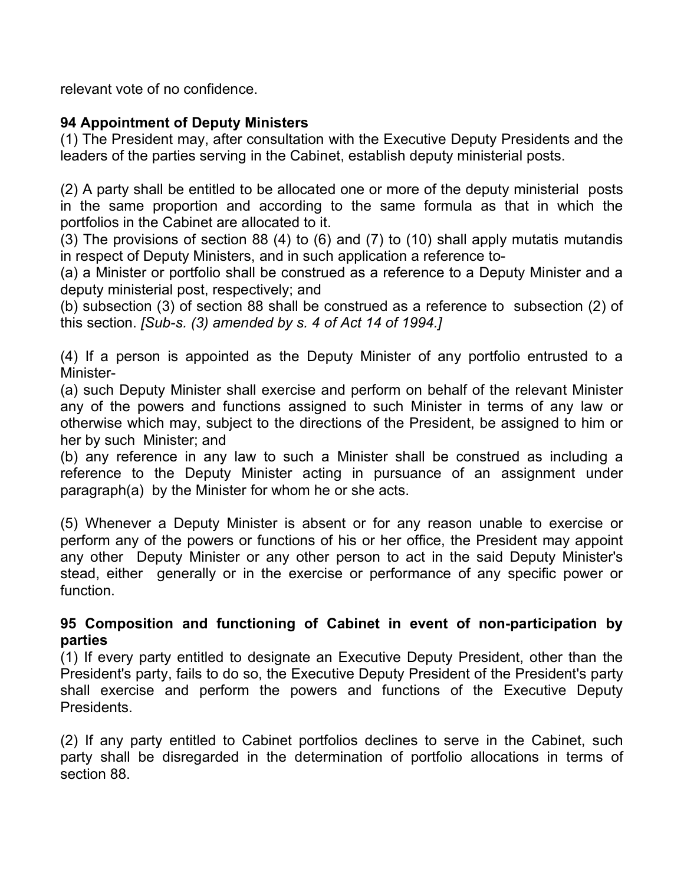relevant vote of no confidence.

### **94 Appointment of Deputy Ministers**

(1) The President may, after consultation with the Executive Deputy Presidents and the leaders of the parties serving in the Cabinet, establish deputy ministerial posts.

(2) A party shall be entitled to be allocated one or more of the deputy ministerial posts in the same proportion and according to the same formula as that in which the portfolios in the Cabinet are allocated to it.

(3) The provisions of section 88 (4) to (6) and (7) to (10) shall apply mutatis mutandis in respect of Deputy Ministers, and in such application a reference to-

(a) a Minister or portfolio shall be construed as a reference to a Deputy Minister and a deputy ministerial post, respectively; and

(b) subsection (3) of section 88 shall be construed as a reference to subsection (2) of this section. *[Sub-s. (3) amended by s. 4 of Act 14 of 1994.]*

(4) If a person is appointed as the Deputy Minister of any portfolio entrusted to a Minister-

(a) such Deputy Minister shall exercise and perform on behalf of the relevant Minister any of the powers and functions assigned to such Minister in terms of any law or otherwise which may, subject to the directions of the President, be assigned to him or her by such Minister; and

(b) any reference in any law to such a Minister shall be construed as including a reference to the Deputy Minister acting in pursuance of an assignment under paragraph(a) by the Minister for whom he or she acts.

(5) Whenever a Deputy Minister is absent or for any reason unable to exercise or perform any of the powers or functions of his or her office, the President may appoint any other Deputy Minister or any other person to act in the said Deputy Minister's stead, either generally or in the exercise or performance of any specific power or function.

### **95 Composition and functioning of Cabinet in event of non-participation by parties**

(1) If every party entitled to designate an Executive Deputy President, other than the President's party, fails to do so, the Executive Deputy President of the President's party shall exercise and perform the powers and functions of the Executive Deputy Presidents.

(2) If any party entitled to Cabinet portfolios declines to serve in the Cabinet, such party shall be disregarded in the determination of portfolio allocations in terms of section 88.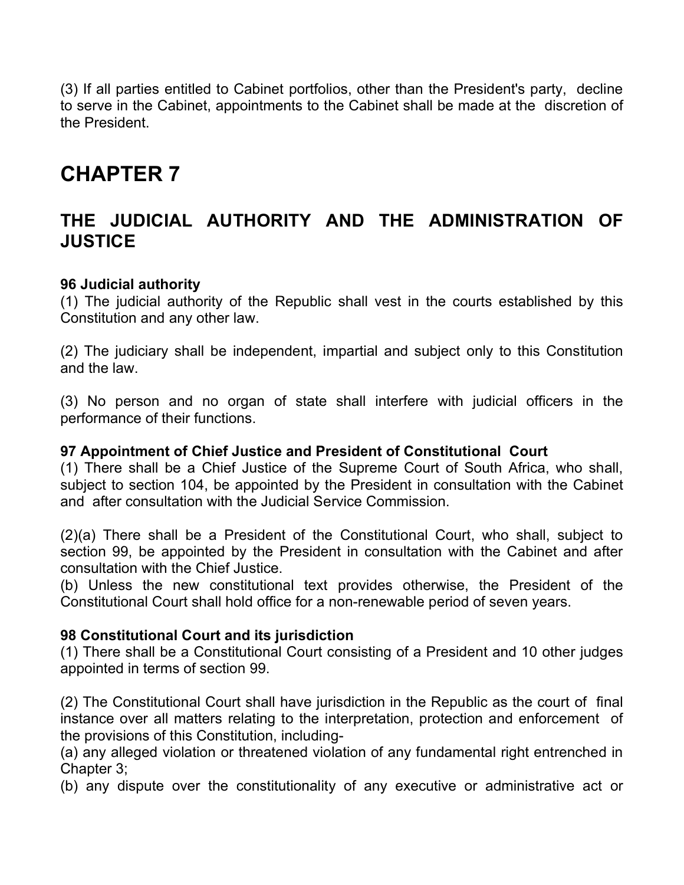(3) If all parties entitled to Cabinet portfolios, other than the President's party, decline to serve in the Cabinet, appointments to the Cabinet shall be made at the discretion of the President.

# **CHAPTER 7**

# **THE JUDICIAL AUTHORITY AND THE ADMINISTRATION OF JUSTICE**

### **96 Judicial authority**

(1) The judicial authority of the Republic shall vest in the courts established by this Constitution and any other law.

(2) The judiciary shall be independent, impartial and subject only to this Constitution and the law.

(3) No person and no organ of state shall interfere with judicial officers in the performance of their functions.

### **97 Appointment of Chief Justice and President of Constitutional Court**

(1) There shall be a Chief Justice of the Supreme Court of South Africa, who shall, subject to section 104, be appointed by the President in consultation with the Cabinet and after consultation with the Judicial Service Commission.

(2)(a) There shall be a President of the Constitutional Court, who shall, subject to section 99, be appointed by the President in consultation with the Cabinet and after consultation with the Chief Justice.

(b) Unless the new constitutional text provides otherwise, the President of the Constitutional Court shall hold office for a non-renewable period of seven years.

### **98 Constitutional Court and its jurisdiction**

(1) There shall be a Constitutional Court consisting of a President and 10 other judges appointed in terms of section 99.

(2) The Constitutional Court shall have jurisdiction in the Republic as the court of final instance over all matters relating to the interpretation, protection and enforcement of the provisions of this Constitution, including-

(a) any alleged violation or threatened violation of any fundamental right entrenched in Chapter 3;

(b) any dispute over the constitutionality of any executive or administrative act or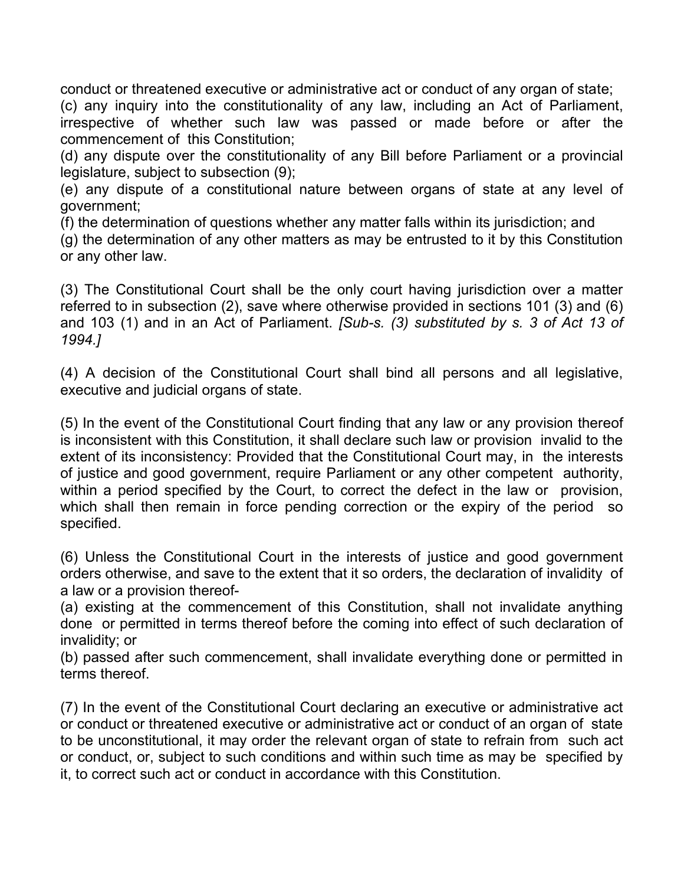conduct or threatened executive or administrative act or conduct of any organ of state;

(c) any inquiry into the constitutionality of any law, including an Act of Parliament, irrespective of whether such law was passed or made before or after the commencement of this Constitution;

(d) any dispute over the constitutionality of any Bill before Parliament or a provincial legislature, subject to subsection (9);

(e) any dispute of a constitutional nature between organs of state at any level of government;

(f) the determination of questions whether any matter falls within its jurisdiction; and

(g) the determination of any other matters as may be entrusted to it by this Constitution or any other law.

(3) The Constitutional Court shall be the only court having jurisdiction over a matter referred to in subsection (2), save where otherwise provided in sections 101 (3) and (6) and 103 (1) and in an Act of Parliament. *[Sub-s. (3) substituted by s. 3 of Act 13 of 1994.]*

(4) A decision of the Constitutional Court shall bind all persons and all legislative, executive and judicial organs of state.

(5) In the event of the Constitutional Court finding that any law or any provision thereof is inconsistent with this Constitution, it shall declare such law or provision invalid to the extent of its inconsistency: Provided that the Constitutional Court may, in the interests of justice and good government, require Parliament or any other competent authority, within a period specified by the Court, to correct the defect in the law or provision, which shall then remain in force pending correction or the expiry of the period so specified.

(6) Unless the Constitutional Court in the interests of justice and good government orders otherwise, and save to the extent that it so orders, the declaration of invalidity of a law or a provision thereof-

(a) existing at the commencement of this Constitution, shall not invalidate anything done or permitted in terms thereof before the coming into effect of such declaration of invalidity; or

(b) passed after such commencement, shall invalidate everything done or permitted in terms thereof.

(7) In the event of the Constitutional Court declaring an executive or administrative act or conduct or threatened executive or administrative act or conduct of an organ of state to be unconstitutional, it may order the relevant organ of state to refrain from such act or conduct, or, subject to such conditions and within such time as may be specified by it, to correct such act or conduct in accordance with this Constitution.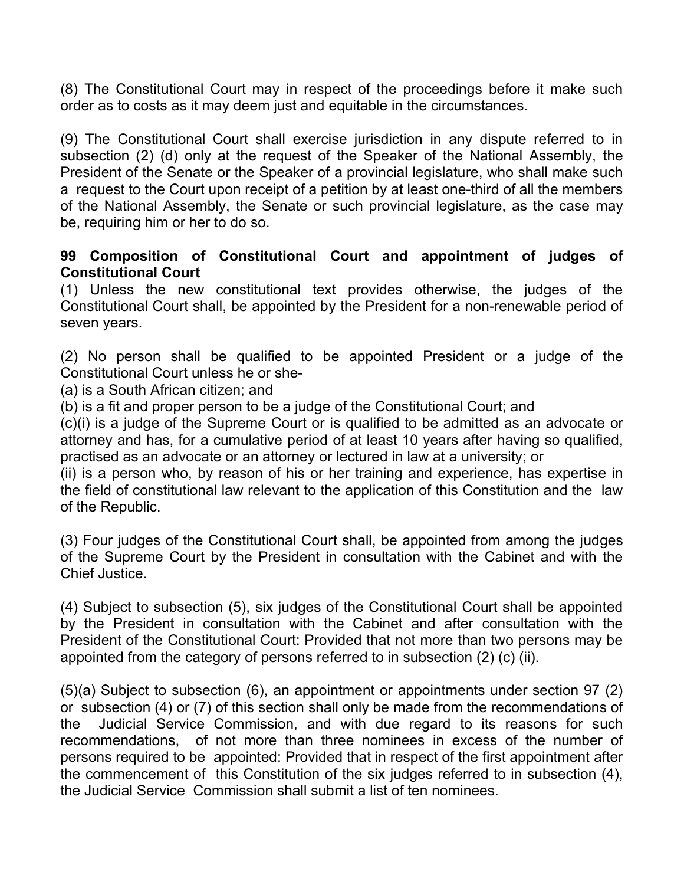(8) The Constitutional Court may in respect of the proceedings before it make such order as to costs as it may deem just and equitable in the circumstances.

(9) The Constitutional Court shall exercise jurisdiction in any dispute referred to in subsection (2) (d) only at the request of the Speaker of the National Assembly, the President of the Senate or the Speaker of a provincial legislature, who shall make such a request to the Court upon receipt of a petition by at least one-third of all the members of the National Assembly, the Senate or such provincial legislature, as the case may be, requiring him or her to do so.

### **99 Composition of Constitutional Court and appointment of judges of Constitutional Court**

(1) Unless the new constitutional text provides otherwise, the judges of the Constitutional Court shall, be appointed by the President for a non-renewable period of seven years.

(2) No person shall be qualified to be appointed President or a judge of the Constitutional Court unless he or she-

(a) is a South African citizen; and

(b) is a fit and proper person to be a judge of the Constitutional Court; and

(c)(i) is a judge of the Supreme Court or is qualified to be admitted as an advocate or attorney and has, for a cumulative period of at least 10 years after having so qualified, practised as an advocate or an attorney or lectured in law at a university; or

(ii) is a person who, by reason of his or her training and experience, has expertise in the field of constitutional law relevant to the application of this Constitution and the law of the Republic.

(3) Four judges of the Constitutional Court shall, be appointed from among the judges of the Supreme Court by the President in consultation with the Cabinet and with the Chief Justice.

(4) Subject to subsection (5), six judges of the Constitutional Court shall be appointed by the President in consultation with the Cabinet and after consultation with the President of the Constitutional Court: Provided that not more than two persons may be appointed from the category of persons referred to in subsection (2) (c) (ii).

(5)(a) Subject to subsection (6), an appointment or appointments under section 97 (2) or subsection (4) or (7) of this section shall only be made from the recommendations of the Judicial Service Commission, and with due regard to its reasons for such recommendations, of not more than three nominees in excess of the number of persons required to be appointed: Provided that in respect of the first appointment after the commencement of this Constitution of the six judges referred to in subsection (4), the Judicial Service Commission shall submit a list of ten nominees.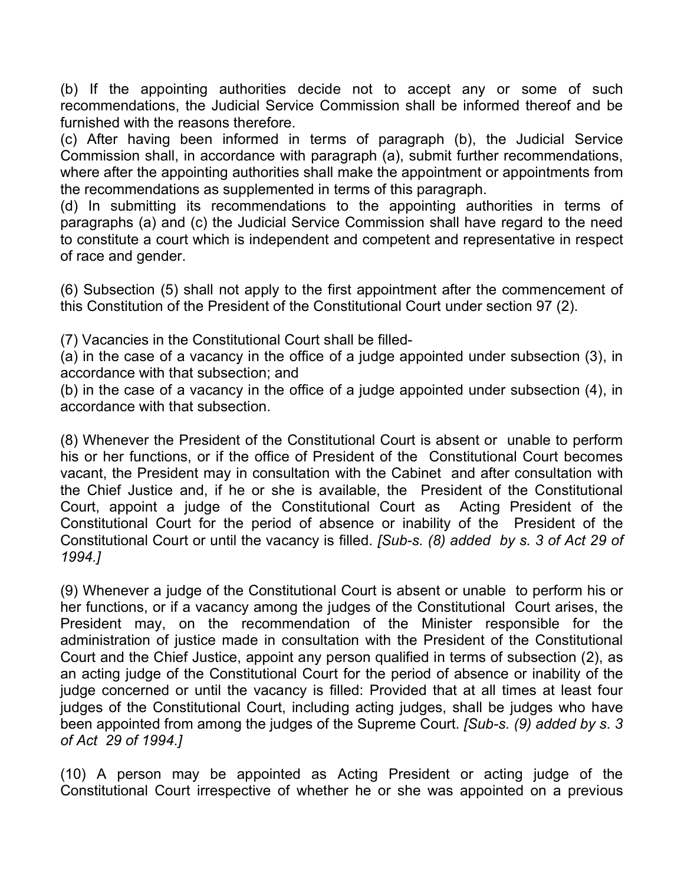(b) If the appointing authorities decide not to accept any or some of such recommendations, the Judicial Service Commission shall be informed thereof and be furnished with the reasons therefore.

(c) After having been informed in terms of paragraph (b), the Judicial Service Commission shall, in accordance with paragraph (a), submit further recommendations, where after the appointing authorities shall make the appointment or appointments from the recommendations as supplemented in terms of this paragraph.

(d) In submitting its recommendations to the appointing authorities in terms of paragraphs (a) and (c) the Judicial Service Commission shall have regard to the need to constitute a court which is independent and competent and representative in respect of race and gender.

(6) Subsection (5) shall not apply to the first appointment after the commencement of this Constitution of the President of the Constitutional Court under section 97 (2).

(7) Vacancies in the Constitutional Court shall be filled-

(a) in the case of a vacancy in the office of a judge appointed under subsection (3), in accordance with that subsection; and

(b) in the case of a vacancy in the office of a judge appointed under subsection (4), in accordance with that subsection.

(8) Whenever the President of the Constitutional Court is absent or unable to perform his or her functions, or if the office of President of the Constitutional Court becomes vacant, the President may in consultation with the Cabinet and after consultation with the Chief Justice and, if he or she is available, the President of the Constitutional Court, appoint a judge of the Constitutional Court as Acting President of the Constitutional Court for the period of absence or inability of the President of the Constitutional Court or until the vacancy is filled. *[Sub-s. (8) added by s. 3 of Act 29 of 1994.]*

(9) Whenever a judge of the Constitutional Court is absent or unable to perform his or her functions, or if a vacancy among the judges of the Constitutional Court arises, the President may, on the recommendation of the Minister responsible for the administration of justice made in consultation with the President of the Constitutional Court and the Chief Justice, appoint any person qualified in terms of subsection (2), as an acting judge of the Constitutional Court for the period of absence or inability of the judge concerned or until the vacancy is filled: Provided that at all times at least four judges of the Constitutional Court, including acting judges, shall be judges who have been appointed from among the judges of the Supreme Court. *[Sub-s. (9) added by s. 3 of Act 29 of 1994.]*

(10) A person may be appointed as Acting President or acting judge of the Constitutional Court irrespective of whether he or she was appointed on a previous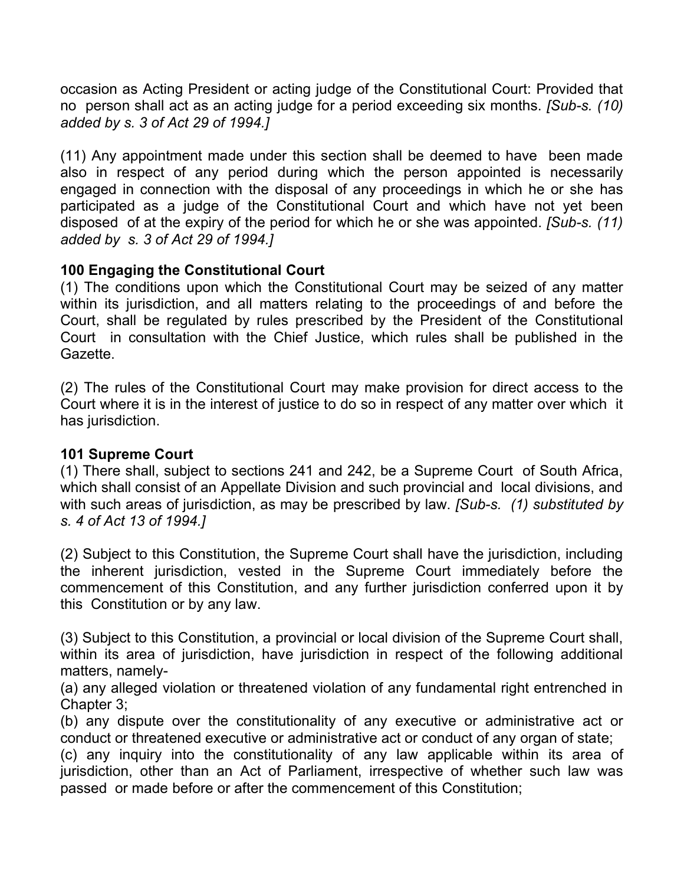occasion as Acting President or acting judge of the Constitutional Court: Provided that no person shall act as an acting judge for a period exceeding six months. *[Sub-s. (10) added by s. 3 of Act 29 of 1994.]*

(11) Any appointment made under this section shall be deemed to have been made also in respect of any period during which the person appointed is necessarily engaged in connection with the disposal of any proceedings in which he or she has participated as a judge of the Constitutional Court and which have not yet been disposed of at the expiry of the period for which he or she was appointed. *[Sub-s. (11) added by s. 3 of Act 29 of 1994.]*

### **100 Engaging the Constitutional Court**

(1) The conditions upon which the Constitutional Court may be seized of any matter within its jurisdiction, and all matters relating to the proceedings of and before the Court, shall be regulated by rules prescribed by the President of the Constitutional Court in consultation with the Chief Justice, which rules shall be published in the Gazette.

(2) The rules of the Constitutional Court may make provision for direct access to the Court where it is in the interest of justice to do so in respect of any matter over which it has jurisdiction.

### **101 Supreme Court**

(1) There shall, subject to sections 241 and 242, be a Supreme Court of South Africa, which shall consist of an Appellate Division and such provincial and local divisions, and with such areas of jurisdiction, as may be prescribed by law. *[Sub-s. (1) substituted by s. 4 of Act 13 of 1994.]*

(2) Subject to this Constitution, the Supreme Court shall have the jurisdiction, including the inherent jurisdiction, vested in the Supreme Court immediately before the commencement of this Constitution, and any further jurisdiction conferred upon it by this Constitution or by any law.

(3) Subject to this Constitution, a provincial or local division of the Supreme Court shall, within its area of jurisdiction, have jurisdiction in respect of the following additional matters, namely-

(a) any alleged violation or threatened violation of any fundamental right entrenched in Chapter 3;

(b) any dispute over the constitutionality of any executive or administrative act or conduct or threatened executive or administrative act or conduct of any organ of state;

(c) any inquiry into the constitutionality of any law applicable within its area of jurisdiction, other than an Act of Parliament, irrespective of whether such law was passed or made before or after the commencement of this Constitution;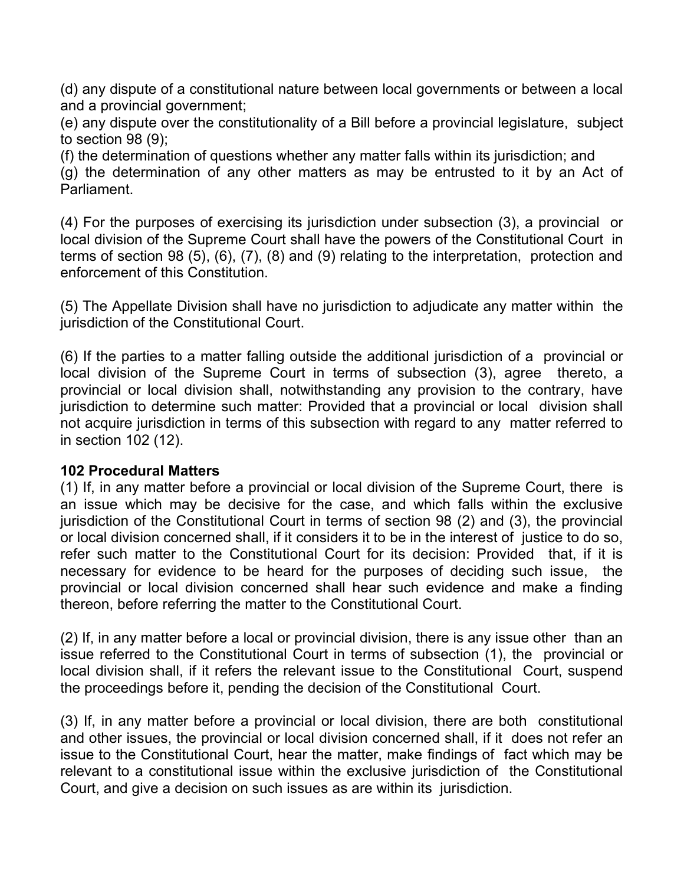(d) any dispute of a constitutional nature between local governments or between a local and a provincial government;

(e) any dispute over the constitutionality of a Bill before a provincial legislature, subject to section 98 (9);

(f) the determination of questions whether any matter falls within its jurisdiction; and

(g) the determination of any other matters as may be entrusted to it by an Act of Parliament.

(4) For the purposes of exercising its jurisdiction under subsection (3), a provincial or local division of the Supreme Court shall have the powers of the Constitutional Court in terms of section 98 (5), (6), (7), (8) and (9) relating to the interpretation, protection and enforcement of this Constitution.

(5) The Appellate Division shall have no jurisdiction to adjudicate any matter within the jurisdiction of the Constitutional Court.

(6) If the parties to a matter falling outside the additional jurisdiction of a provincial or local division of the Supreme Court in terms of subsection (3), agree thereto, a provincial or local division shall, notwithstanding any provision to the contrary, have jurisdiction to determine such matter: Provided that a provincial or local division shall not acquire jurisdiction in terms of this subsection with regard to any matter referred to in section 102 (12).

### **102 Procedural Matters**

(1) If, in any matter before a provincial or local division of the Supreme Court, there is an issue which may be decisive for the case, and which falls within the exclusive jurisdiction of the Constitutional Court in terms of section 98 (2) and (3), the provincial or local division concerned shall, if it considers it to be in the interest of justice to do so, refer such matter to the Constitutional Court for its decision: Provided that, if it is necessary for evidence to be heard for the purposes of deciding such issue, the provincial or local division concerned shall hear such evidence and make a finding thereon, before referring the matter to the Constitutional Court.

(2) If, in any matter before a local or provincial division, there is any issue other than an issue referred to the Constitutional Court in terms of subsection (1), the provincial or local division shall, if it refers the relevant issue to the Constitutional Court, suspend the proceedings before it, pending the decision of the Constitutional Court.

(3) If, in any matter before a provincial or local division, there are both constitutional and other issues, the provincial or local division concerned shall, if it does not refer an issue to the Constitutional Court, hear the matter, make findings of fact which may be relevant to a constitutional issue within the exclusive jurisdiction of the Constitutional Court, and give a decision on such issues as are within its jurisdiction.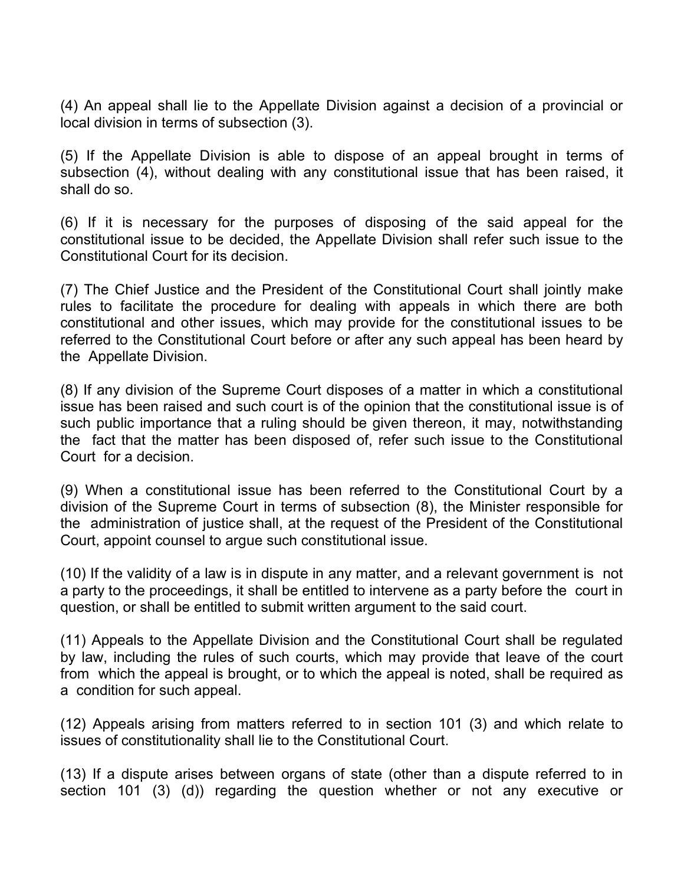(4) An appeal shall lie to the Appellate Division against a decision of a provincial or local division in terms of subsection (3).

(5) If the Appellate Division is able to dispose of an appeal brought in terms of subsection (4), without dealing with any constitutional issue that has been raised, it shall do so.

(6) If it is necessary for the purposes of disposing of the said appeal for the constitutional issue to be decided, the Appellate Division shall refer such issue to the Constitutional Court for its decision.

(7) The Chief Justice and the President of the Constitutional Court shall jointly make rules to facilitate the procedure for dealing with appeals in which there are both constitutional and other issues, which may provide for the constitutional issues to be referred to the Constitutional Court before or after any such appeal has been heard by the Appellate Division.

(8) If any division of the Supreme Court disposes of a matter in which a constitutional issue has been raised and such court is of the opinion that the constitutional issue is of such public importance that a ruling should be given thereon, it may, notwithstanding the fact that the matter has been disposed of, refer such issue to the Constitutional Court for a decision.

(9) When a constitutional issue has been referred to the Constitutional Court by a division of the Supreme Court in terms of subsection (8), the Minister responsible for the administration of justice shall, at the request of the President of the Constitutional Court, appoint counsel to argue such constitutional issue.

(10) If the validity of a law is in dispute in any matter, and a relevant government is not a party to the proceedings, it shall be entitled to intervene as a party before the court in question, or shall be entitled to submit written argument to the said court.

(11) Appeals to the Appellate Division and the Constitutional Court shall be regulated by law, including the rules of such courts, which may provide that leave of the court from which the appeal is brought, or to which the appeal is noted, shall be required as a condition for such appeal.

(12) Appeals arising from matters referred to in section 101 (3) and which relate to issues of constitutionality shall lie to the Constitutional Court.

(13) If a dispute arises between organs of state (other than a dispute referred to in section 101 (3) (d)) regarding the question whether or not any executive or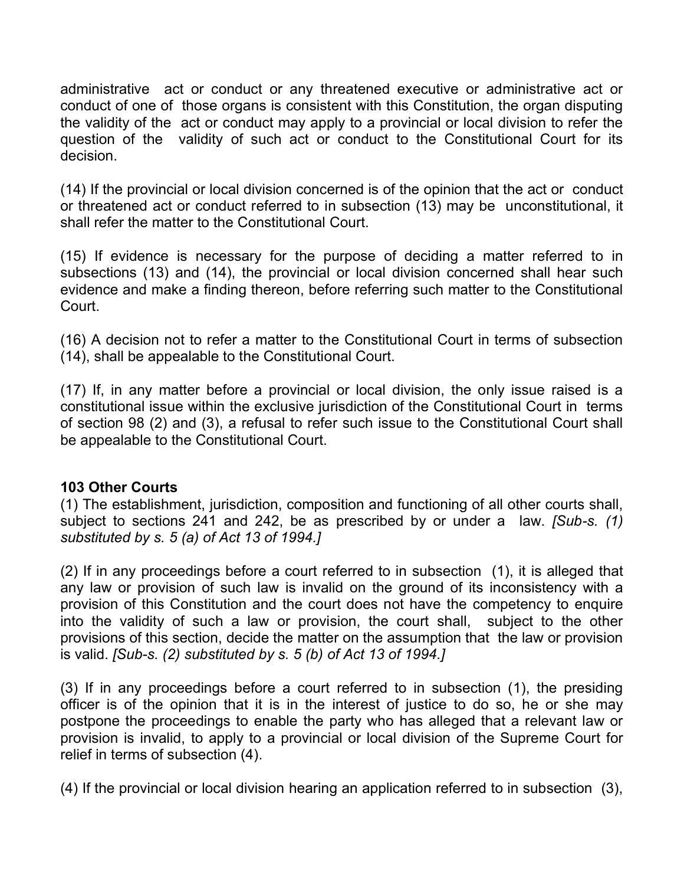administrative act or conduct or any threatened executive or administrative act or conduct of one of those organs is consistent with this Constitution, the organ disputing the validity of the act or conduct may apply to a provincial or local division to refer the question of the validity of such act or conduct to the Constitutional Court for its decision.

(14) If the provincial or local division concerned is of the opinion that the act or conduct or threatened act or conduct referred to in subsection (13) may be unconstitutional, it shall refer the matter to the Constitutional Court.

(15) If evidence is necessary for the purpose of deciding a matter referred to in subsections (13) and (14), the provincial or local division concerned shall hear such evidence and make a finding thereon, before referring such matter to the Constitutional Court.

(16) A decision not to refer a matter to the Constitutional Court in terms of subsection (14), shall be appealable to the Constitutional Court.

(17) If, in any matter before a provincial or local division, the only issue raised is a constitutional issue within the exclusive jurisdiction of the Constitutional Court in terms of section 98 (2) and (3), a refusal to refer such issue to the Constitutional Court shall be appealable to the Constitutional Court.

### **103 Other Courts**

(1) The establishment, jurisdiction, composition and functioning of all other courts shall, subject to sections 241 and 242, be as prescribed by or under a law. *[Sub-s. (1) substituted by s. 5 (a) of Act 13 of 1994.]*

(2) If in any proceedings before a court referred to in subsection (1), it is alleged that any law or provision of such law is invalid on the ground of its inconsistency with a provision of this Constitution and the court does not have the competency to enquire into the validity of such a law or provision, the court shall, subject to the other provisions of this section, decide the matter on the assumption that the law or provision is valid. *[Sub-s. (2) substituted by s. 5 (b) of Act 13 of 1994.]*

(3) If in any proceedings before a court referred to in subsection (1), the presiding officer is of the opinion that it is in the interest of justice to do so, he or she may postpone the proceedings to enable the party who has alleged that a relevant law or provision is invalid, to apply to a provincial or local division of the Supreme Court for relief in terms of subsection (4).

(4) If the provincial or local division hearing an application referred to in subsection (3),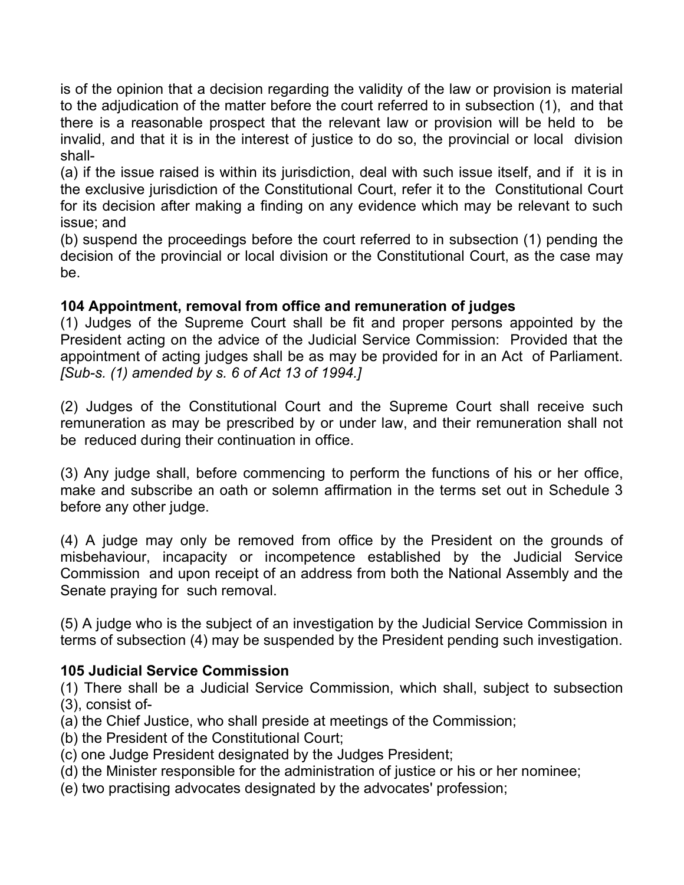is of the opinion that a decision regarding the validity of the law or provision is material to the adjudication of the matter before the court referred to in subsection (1), and that there is a reasonable prospect that the relevant law or provision will be held to be invalid, and that it is in the interest of justice to do so, the provincial or local division shall-

(a) if the issue raised is within its jurisdiction, deal with such issue itself, and if it is in the exclusive jurisdiction of the Constitutional Court, refer it to the Constitutional Court for its decision after making a finding on any evidence which may be relevant to such issue; and

(b) suspend the proceedings before the court referred to in subsection (1) pending the decision of the provincial or local division or the Constitutional Court, as the case may be.

## **104 Appointment, removal from office and remuneration of judges**

(1) Judges of the Supreme Court shall be fit and proper persons appointed by the President acting on the advice of the Judicial Service Commission: Provided that the appointment of acting judges shall be as may be provided for in an Act of Parliament. *[Sub-s. (1) amended by s. 6 of Act 13 of 1994.]*

(2) Judges of the Constitutional Court and the Supreme Court shall receive such remuneration as may be prescribed by or under law, and their remuneration shall not be reduced during their continuation in office.

(3) Any judge shall, before commencing to perform the functions of his or her office, make and subscribe an oath or solemn affirmation in the terms set out in Schedule 3 before any other judge.

(4) A judge may only be removed from office by the President on the grounds of misbehaviour, incapacity or incompetence established by the Judicial Service Commission and upon receipt of an address from both the National Assembly and the Senate praying for such removal.

(5) A judge who is the subject of an investigation by the Judicial Service Commission in terms of subsection (4) may be suspended by the President pending such investigation.

### **105 Judicial Service Commission**

(1) There shall be a Judicial Service Commission, which shall, subject to subsection (3), consist of-

- (a) the Chief Justice, who shall preside at meetings of the Commission;
- (b) the President of the Constitutional Court;
- (c) one Judge President designated by the Judges President;
- (d) the Minister responsible for the administration of justice or his or her nominee;
- (e) two practising advocates designated by the advocates' profession;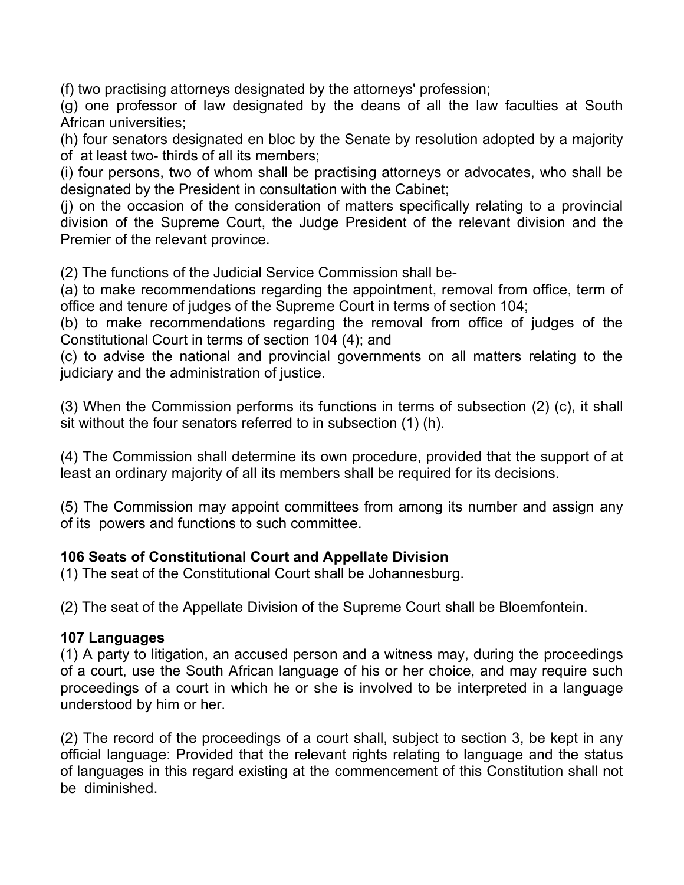(f) two practising attorneys designated by the attorneys' profession;

(g) one professor of law designated by the deans of all the law faculties at South African universities;

(h) four senators designated en bloc by the Senate by resolution adopted by a majority of at least two- thirds of all its members;

(i) four persons, two of whom shall be practising attorneys or advocates, who shall be designated by the President in consultation with the Cabinet;

(j) on the occasion of the consideration of matters specifically relating to a provincial division of the Supreme Court, the Judge President of the relevant division and the Premier of the relevant province.

(2) The functions of the Judicial Service Commission shall be-

(a) to make recommendations regarding the appointment, removal from office, term of office and tenure of judges of the Supreme Court in terms of section 104;

(b) to make recommendations regarding the removal from office of judges of the Constitutional Court in terms of section 104 (4); and

(c) to advise the national and provincial governments on all matters relating to the judiciary and the administration of justice.

(3) When the Commission performs its functions in terms of subsection (2) (c), it shall sit without the four senators referred to in subsection (1) (h).

(4) The Commission shall determine its own procedure, provided that the support of at least an ordinary majority of all its members shall be required for its decisions.

(5) The Commission may appoint committees from among its number and assign any of its powers and functions to such committee.

# **106 Seats of Constitutional Court and Appellate Division**

(1) The seat of the Constitutional Court shall be Johannesburg.

(2) The seat of the Appellate Division of the Supreme Court shall be Bloemfontein.

### **107 Languages**

(1) A party to litigation, an accused person and a witness may, during the proceedings of a court, use the South African language of his or her choice, and may require such proceedings of a court in which he or she is involved to be interpreted in a language understood by him or her.

(2) The record of the proceedings of a court shall, subject to section 3, be kept in any official language: Provided that the relevant rights relating to language and the status of languages in this regard existing at the commencement of this Constitution shall not be diminished.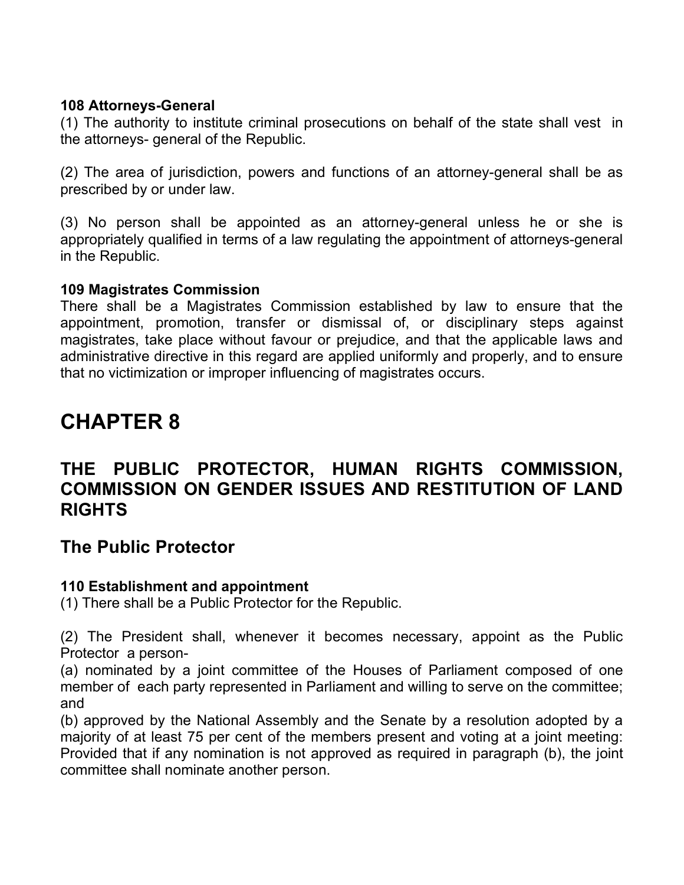### **108 Attorneys-General**

(1) The authority to institute criminal prosecutions on behalf of the state shall vest in the attorneys- general of the Republic.

(2) The area of jurisdiction, powers and functions of an attorney-general shall be as prescribed by or under law.

(3) No person shall be appointed as an attorney-general unless he or she is appropriately qualified in terms of a law regulating the appointment of attorneys-general in the Republic.

### **109 Magistrates Commission**

There shall be a Magistrates Commission established by law to ensure that the appointment, promotion, transfer or dismissal of, or disciplinary steps against magistrates, take place without favour or prejudice, and that the applicable laws and administrative directive in this regard are applied uniformly and properly, and to ensure that no victimization or improper influencing of magistrates occurs.

# **CHAPTER 8**

# **THE PUBLIC PROTECTOR, HUMAN RIGHTS COMMISSION, COMMISSION ON GENDER ISSUES AND RESTITUTION OF LAND RIGHTS**

# **The Public Protector**

### **110 Establishment and appointment**

(1) There shall be a Public Protector for the Republic.

(2) The President shall, whenever it becomes necessary, appoint as the Public Protector a person-

(a) nominated by a joint committee of the Houses of Parliament composed of one member of each party represented in Parliament and willing to serve on the committee; and

(b) approved by the National Assembly and the Senate by a resolution adopted by a majority of at least 75 per cent of the members present and voting at a joint meeting: Provided that if any nomination is not approved as required in paragraph (b), the joint committee shall nominate another person.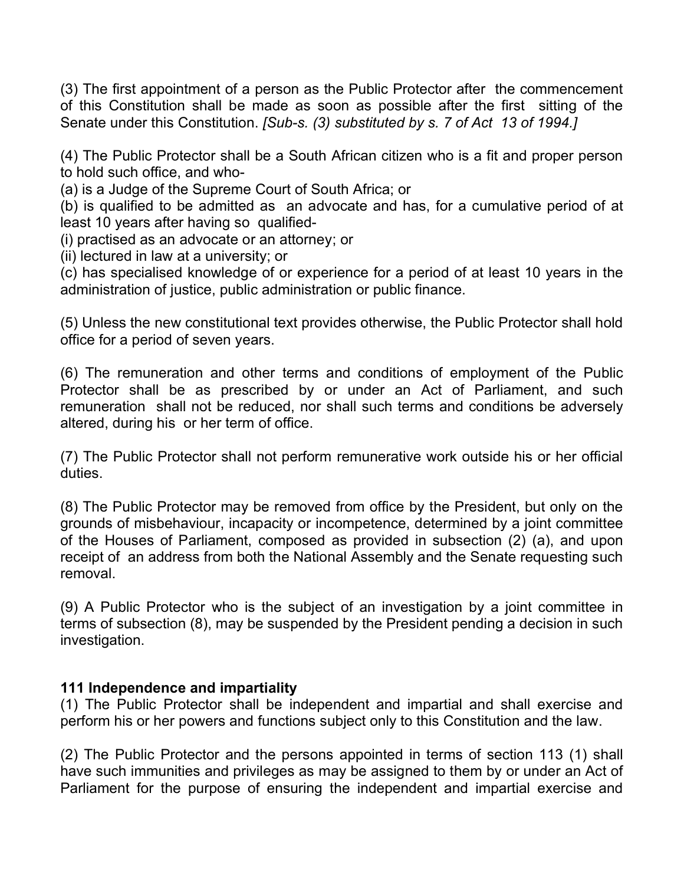(3) The first appointment of a person as the Public Protector after the commencement of this Constitution shall be made as soon as possible after the first sitting of the Senate under this Constitution. *[Sub-s. (3) substituted by s. 7 of Act 13 of 1994.]*

(4) The Public Protector shall be a South African citizen who is a fit and proper person to hold such office, and who-

(a) is a Judge of the Supreme Court of South Africa; or

(b) is qualified to be admitted as an advocate and has, for a cumulative period of at least 10 years after having so qualified-

(i) practised as an advocate or an attorney; or

(ii) lectured in law at a university; or

(c) has specialised knowledge of or experience for a period of at least 10 years in the administration of justice, public administration or public finance.

(5) Unless the new constitutional text provides otherwise, the Public Protector shall hold office for a period of seven years.

(6) The remuneration and other terms and conditions of employment of the Public Protector shall be as prescribed by or under an Act of Parliament, and such remuneration shall not be reduced, nor shall such terms and conditions be adversely altered, during his or her term of office.

(7) The Public Protector shall not perform remunerative work outside his or her official duties.

(8) The Public Protector may be removed from office by the President, but only on the grounds of misbehaviour, incapacity or incompetence, determined by a joint committee of the Houses of Parliament, composed as provided in subsection (2) (a), and upon receipt of an address from both the National Assembly and the Senate requesting such removal.

(9) A Public Protector who is the subject of an investigation by a joint committee in terms of subsection (8), may be suspended by the President pending a decision in such investigation.

### **111 Independence and impartiality**

(1) The Public Protector shall be independent and impartial and shall exercise and perform his or her powers and functions subject only to this Constitution and the law.

(2) The Public Protector and the persons appointed in terms of section 113 (1) shall have such immunities and privileges as may be assigned to them by or under an Act of Parliament for the purpose of ensuring the independent and impartial exercise and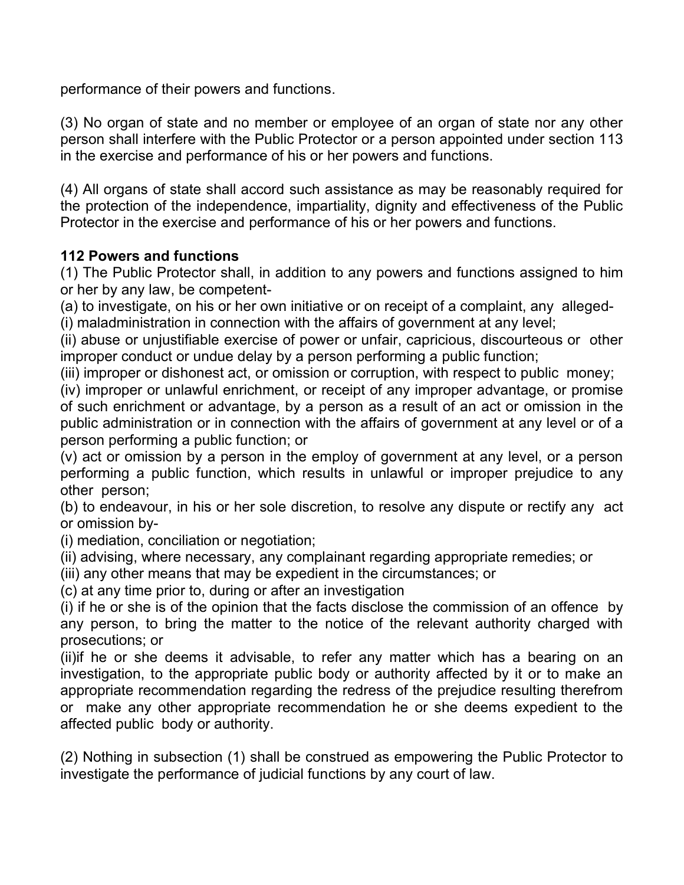performance of their powers and functions.

(3) No organ of state and no member or employee of an organ of state nor any other person shall interfere with the Public Protector or a person appointed under section 113 in the exercise and performance of his or her powers and functions.

(4) All organs of state shall accord such assistance as may be reasonably required for the protection of the independence, impartiality, dignity and effectiveness of the Public Protector in the exercise and performance of his or her powers and functions.

### **112 Powers and functions**

(1) The Public Protector shall, in addition to any powers and functions assigned to him or her by any law, be competent-

(a) to investigate, on his or her own initiative or on receipt of a complaint, any alleged-

(i) maladministration in connection with the affairs of government at any level;

(ii) abuse or unjustifiable exercise of power or unfair, capricious, discourteous or other improper conduct or undue delay by a person performing a public function;

(iii) improper or dishonest act, or omission or corruption, with respect to public money;

(iv) improper or unlawful enrichment, or receipt of any improper advantage, or promise of such enrichment or advantage, by a person as a result of an act or omission in the public administration or in connection with the affairs of government at any level or of a person performing a public function; or

(v) act or omission by a person in the employ of government at any level, or a person performing a public function, which results in unlawful or improper prejudice to any other person;

(b) to endeavour, in his or her sole discretion, to resolve any dispute or rectify any act or omission by-

(i) mediation, conciliation or negotiation;

(ii) advising, where necessary, any complainant regarding appropriate remedies; or

(iii) any other means that may be expedient in the circumstances; or

(c) at any time prior to, during or after an investigation

(i) if he or she is of the opinion that the facts disclose the commission of an offence by any person, to bring the matter to the notice of the relevant authority charged with prosecutions; or

(ii)if he or she deems it advisable, to refer any matter which has a bearing on an investigation, to the appropriate public body or authority affected by it or to make an appropriate recommendation regarding the redress of the prejudice resulting therefrom or make any other appropriate recommendation he or she deems expedient to the affected public body or authority.

(2) Nothing in subsection (1) shall be construed as empowering the Public Protector to investigate the performance of judicial functions by any court of law.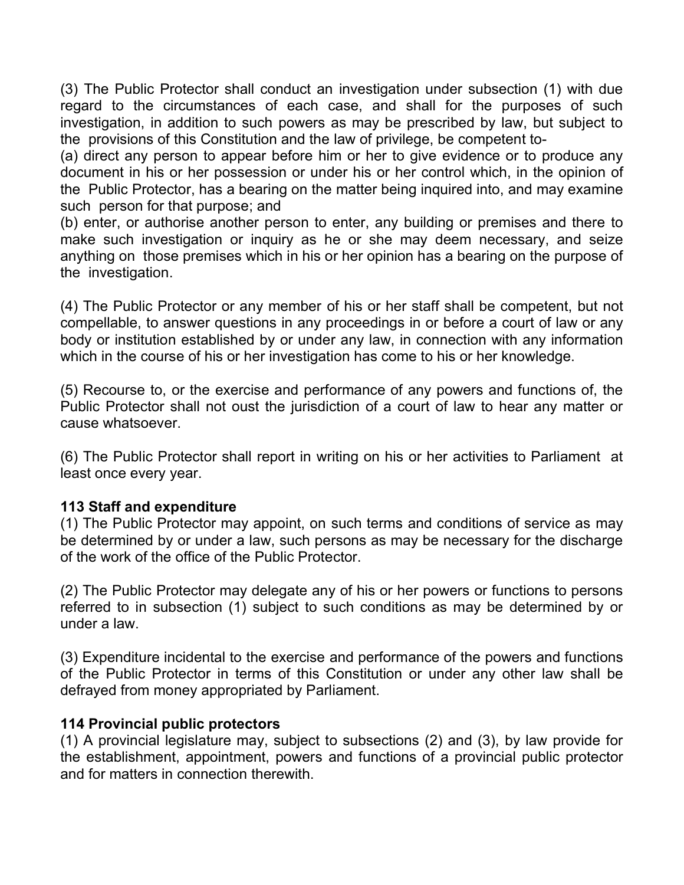(3) The Public Protector shall conduct an investigation under subsection (1) with due regard to the circumstances of each case, and shall for the purposes of such investigation, in addition to such powers as may be prescribed by law, but subject to the provisions of this Constitution and the law of privilege, be competent to-

(a) direct any person to appear before him or her to give evidence or to produce any document in his or her possession or under his or her control which, in the opinion of the Public Protector, has a bearing on the matter being inquired into, and may examine such person for that purpose; and

(b) enter, or authorise another person to enter, any building or premises and there to make such investigation or inquiry as he or she may deem necessary, and seize anything on those premises which in his or her opinion has a bearing on the purpose of the investigation.

(4) The Public Protector or any member of his or her staff shall be competent, but not compellable, to answer questions in any proceedings in or before a court of law or any body or institution established by or under any law, in connection with any information which in the course of his or her investigation has come to his or her knowledge.

(5) Recourse to, or the exercise and performance of any powers and functions of, the Public Protector shall not oust the jurisdiction of a court of law to hear any matter or cause whatsoever.

(6) The Public Protector shall report in writing on his or her activities to Parliament at least once every year.

### **113 Staff and expenditure**

(1) The Public Protector may appoint, on such terms and conditions of service as may be determined by or under a law, such persons as may be necessary for the discharge of the work of the office of the Public Protector.

(2) The Public Protector may delegate any of his or her powers or functions to persons referred to in subsection (1) subject to such conditions as may be determined by or under a law.

(3) Expenditure incidental to the exercise and performance of the powers and functions of the Public Protector in terms of this Constitution or under any other law shall be defrayed from money appropriated by Parliament.

### **114 Provincial public protectors**

(1) A provincial legislature may, subject to subsections (2) and (3), by law provide for the establishment, appointment, powers and functions of a provincial public protector and for matters in connection therewith.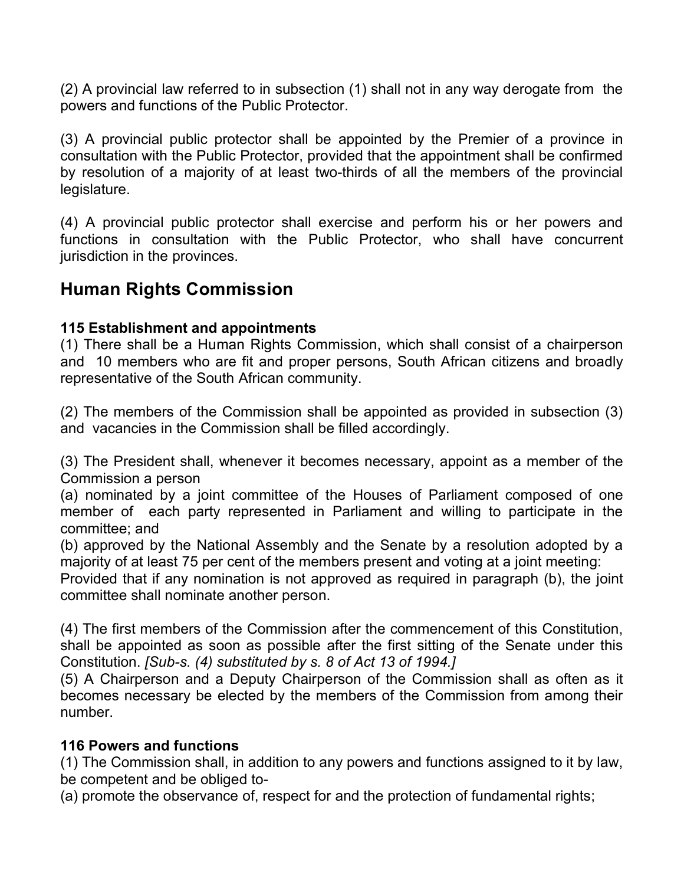(2) A provincial law referred to in subsection (1) shall not in any way derogate from the powers and functions of the Public Protector.

(3) A provincial public protector shall be appointed by the Premier of a province in consultation with the Public Protector, provided that the appointment shall be confirmed by resolution of a majority of at least two-thirds of all the members of the provincial legislature.

(4) A provincial public protector shall exercise and perform his or her powers and functions in consultation with the Public Protector, who shall have concurrent jurisdiction in the provinces.

# **Human Rights Commission**

## **115 Establishment and appointments**

(1) There shall be a Human Rights Commission, which shall consist of a chairperson and 10 members who are fit and proper persons, South African citizens and broadly representative of the South African community.

(2) The members of the Commission shall be appointed as provided in subsection (3) and vacancies in the Commission shall be filled accordingly.

(3) The President shall, whenever it becomes necessary, appoint as a member of the Commission a person

(a) nominated by a joint committee of the Houses of Parliament composed of one member of each party represented in Parliament and willing to participate in the committee; and

(b) approved by the National Assembly and the Senate by a resolution adopted by a majority of at least 75 per cent of the members present and voting at a joint meeting:

Provided that if any nomination is not approved as required in paragraph (b), the joint committee shall nominate another person.

(4) The first members of the Commission after the commencement of this Constitution, shall be appointed as soon as possible after the first sitting of the Senate under this Constitution. *[Sub-s. (4) substituted by s. 8 of Act 13 of 1994.]*

(5) A Chairperson and a Deputy Chairperson of the Commission shall as often as it becomes necessary be elected by the members of the Commission from among their number.

### **116 Powers and functions**

(1) The Commission shall, in addition to any powers and functions assigned to it by law, be competent and be obliged to-

(a) promote the observance of, respect for and the protection of fundamental rights;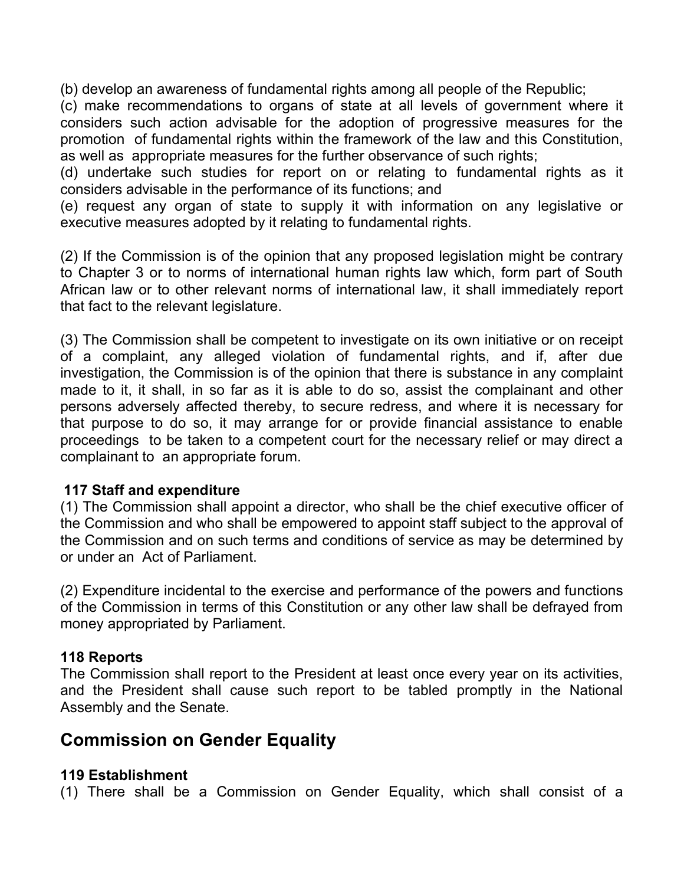(b) develop an awareness of fundamental rights among all people of the Republic;

(c) make recommendations to organs of state at all levels of government where it considers such action advisable for the adoption of progressive measures for the promotion of fundamental rights within the framework of the law and this Constitution, as well as appropriate measures for the further observance of such rights;

(d) undertake such studies for report on or relating to fundamental rights as it considers advisable in the performance of its functions; and

(e) request any organ of state to supply it with information on any legislative or executive measures adopted by it relating to fundamental rights.

(2) If the Commission is of the opinion that any proposed legislation might be contrary to Chapter 3 or to norms of international human rights law which, form part of South African law or to other relevant norms of international law, it shall immediately report that fact to the relevant legislature.

(3) The Commission shall be competent to investigate on its own initiative or on receipt of a complaint, any alleged violation of fundamental rights, and if, after due investigation, the Commission is of the opinion that there is substance in any complaint made to it, it shall, in so far as it is able to do so, assist the complainant and other persons adversely affected thereby, to secure redress, and where it is necessary for that purpose to do so, it may arrange for or provide financial assistance to enable proceedings to be taken to a competent court for the necessary relief or may direct a complainant to an appropriate forum.

### **117 Staff and expenditure**

(1) The Commission shall appoint a director, who shall be the chief executive officer of the Commission and who shall be empowered to appoint staff subject to the approval of the Commission and on such terms and conditions of service as may be determined by or under an Act of Parliament.

(2) Expenditure incidental to the exercise and performance of the powers and functions of the Commission in terms of this Constitution or any other law shall be defrayed from money appropriated by Parliament.

### **118 Reports**

The Commission shall report to the President at least once every year on its activities, and the President shall cause such report to be tabled promptly in the National Assembly and the Senate.

# **Commission on Gender Equality**

### **119 Establishment**

(1) There shall be a Commission on Gender Equality, which shall consist of a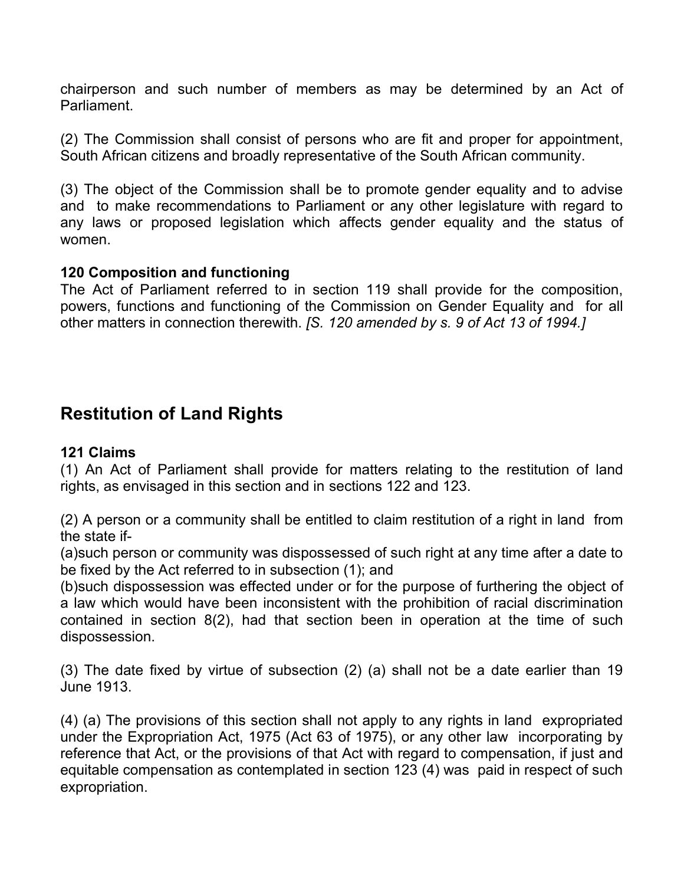chairperson and such number of members as may be determined by an Act of Parliament.

(2) The Commission shall consist of persons who are fit and proper for appointment, South African citizens and broadly representative of the South African community.

(3) The object of the Commission shall be to promote gender equality and to advise and to make recommendations to Parliament or any other legislature with regard to any laws or proposed legislation which affects gender equality and the status of women.

### **120 Composition and functioning**

The Act of Parliament referred to in section 119 shall provide for the composition, powers, functions and functioning of the Commission on Gender Equality and for all other matters in connection therewith. *[S. 120 amended by s. 9 of Act 13 of 1994.]*

# **Restitution of Land Rights**

### **121 Claims**

(1) An Act of Parliament shall provide for matters relating to the restitution of land rights, as envisaged in this section and in sections 122 and 123.

(2) A person or a community shall be entitled to claim restitution of a right in land from the state if-

(a)such person or community was dispossessed of such right at any time after a date to be fixed by the Act referred to in subsection (1); and

(b)such dispossession was effected under or for the purpose of furthering the object of a law which would have been inconsistent with the prohibition of racial discrimination contained in section 8(2), had that section been in operation at the time of such dispossession.

(3) The date fixed by virtue of subsection (2) (a) shall not be a date earlier than 19 June 1913.

(4) (a) The provisions of this section shall not apply to any rights in land expropriated under the Expropriation Act, 1975 (Act 63 of 1975), or any other law incorporating by reference that Act, or the provisions of that Act with regard to compensation, if just and equitable compensation as contemplated in section 123 (4) was paid in respect of such expropriation.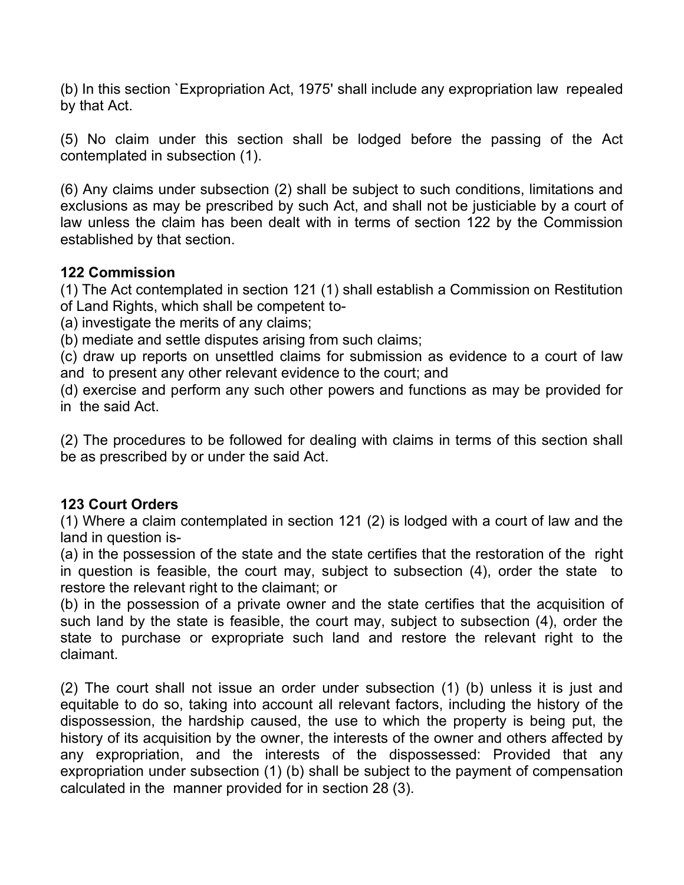(b) In this section `Expropriation Act, 1975' shall include any expropriation law repealed by that Act.

(5) No claim under this section shall be lodged before the passing of the Act contemplated in subsection (1).

(6) Any claims under subsection (2) shall be subject to such conditions, limitations and exclusions as may be prescribed by such Act, and shall not be justiciable by a court of law unless the claim has been dealt with in terms of section 122 by the Commission established by that section.

### **122 Commission**

(1) The Act contemplated in section 121 (1) shall establish a Commission on Restitution of Land Rights, which shall be competent to-

(a) investigate the merits of any claims;

(b) mediate and settle disputes arising from such claims;

(c) draw up reports on unsettled claims for submission as evidence to a court of law and to present any other relevant evidence to the court; and

(d) exercise and perform any such other powers and functions as may be provided for in the said Act.

(2) The procedures to be followed for dealing with claims in terms of this section shall be as prescribed by or under the said Act.

### **123 Court Orders**

(1) Where a claim contemplated in section 121 (2) is lodged with a court of law and the land in question is-

(a) in the possession of the state and the state certifies that the restoration of the right in question is feasible, the court may, subject to subsection (4), order the state to restore the relevant right to the claimant; or

(b) in the possession of a private owner and the state certifies that the acquisition of such land by the state is feasible, the court may, subject to subsection (4), order the state to purchase or expropriate such land and restore the relevant right to the claimant.

(2) The court shall not issue an order under subsection (1) (b) unless it is just and equitable to do so, taking into account all relevant factors, including the history of the dispossession, the hardship caused, the use to which the property is being put, the history of its acquisition by the owner, the interests of the owner and others affected by any expropriation, and the interests of the dispossessed: Provided that any expropriation under subsection (1) (b) shall be subject to the payment of compensation calculated in the manner provided for in section 28 (3).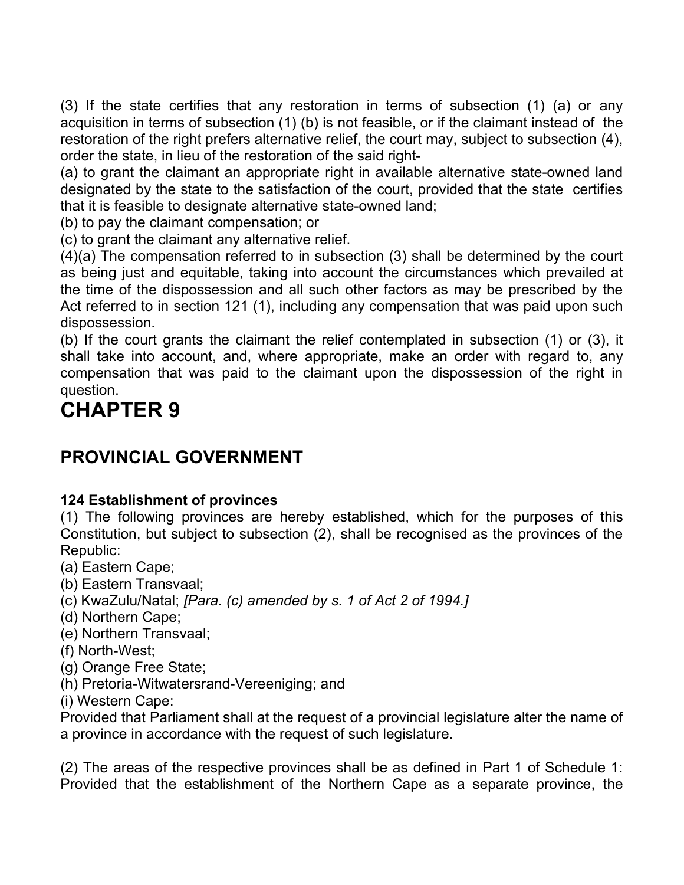(3) If the state certifies that any restoration in terms of subsection (1) (a) or any acquisition in terms of subsection (1) (b) is not feasible, or if the claimant instead of the restoration of the right prefers alternative relief, the court may, subject to subsection (4), order the state, in lieu of the restoration of the said right-

(a) to grant the claimant an appropriate right in available alternative state-owned land designated by the state to the satisfaction of the court, provided that the state certifies that it is feasible to designate alternative state-owned land;

(b) to pay the claimant compensation; or

(c) to grant the claimant any alternative relief.

(4)(a) The compensation referred to in subsection (3) shall be determined by the court as being just and equitable, taking into account the circumstances which prevailed at the time of the dispossession and all such other factors as may be prescribed by the Act referred to in section 121 (1), including any compensation that was paid upon such dispossession.

(b) If the court grants the claimant the relief contemplated in subsection (1) or (3), it shall take into account, and, where appropriate, make an order with regard to, any compensation that was paid to the claimant upon the dispossession of the right in question.

# **CHAPTER 9**

# **PROVINCIAL GOVERNMENT**

# **124 Establishment of provinces**

(1) The following provinces are hereby established, which for the purposes of this Constitution, but subject to subsection (2), shall be recognised as the provinces of the Republic:

(a) Eastern Cape;

- (b) Eastern Transvaal;
- (c) KwaZulu/Natal; *[Para. (c) amended by s. 1 of Act 2 of 1994.]*
- (d) Northern Cape;

(e) Northern Transvaal;

- (f) North-West;
- (g) Orange Free State;
- (h) Pretoria-Witwatersrand-Vereeniging; and

(i) Western Cape:

Provided that Parliament shall at the request of a provincial legislature alter the name of a province in accordance with the request of such legislature.

(2) The areas of the respective provinces shall be as defined in Part 1 of Schedule 1: Provided that the establishment of the Northern Cape as a separate province, the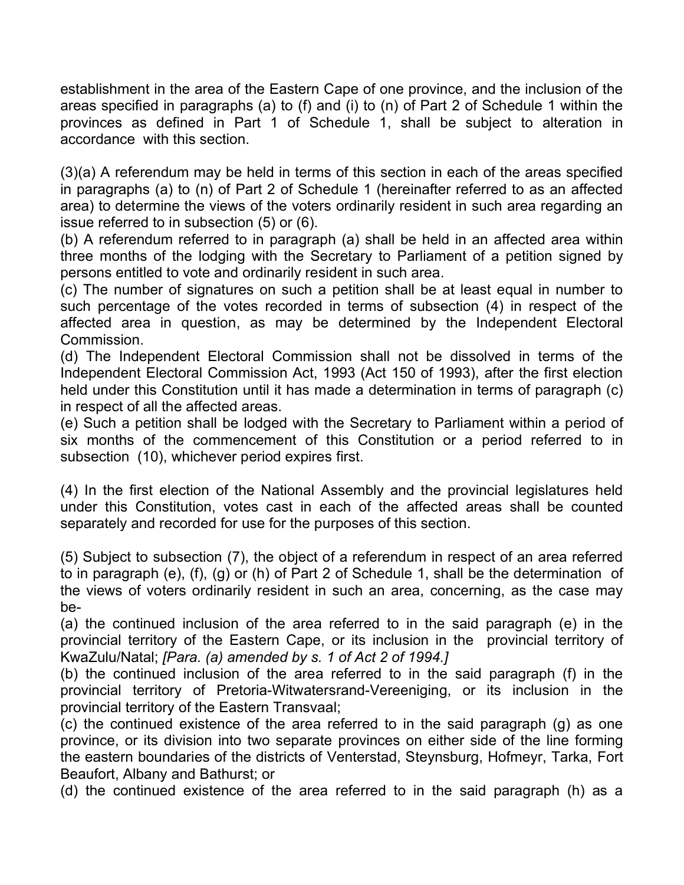establishment in the area of the Eastern Cape of one province, and the inclusion of the areas specified in paragraphs (a) to (f) and (i) to (n) of Part 2 of Schedule 1 within the provinces as defined in Part 1 of Schedule 1, shall be subject to alteration in accordance with this section.

(3)(a) A referendum may be held in terms of this section in each of the areas specified in paragraphs (a) to (n) of Part 2 of Schedule 1 (hereinafter referred to as an affected area) to determine the views of the voters ordinarily resident in such area regarding an issue referred to in subsection (5) or (6).

(b) A referendum referred to in paragraph (a) shall be held in an affected area within three months of the lodging with the Secretary to Parliament of a petition signed by persons entitled to vote and ordinarily resident in such area.

(c) The number of signatures on such a petition shall be at least equal in number to such percentage of the votes recorded in terms of subsection (4) in respect of the affected area in question, as may be determined by the Independent Electoral Commission.

(d) The Independent Electoral Commission shall not be dissolved in terms of the Independent Electoral Commission Act, 1993 (Act 150 of 1993), after the first election held under this Constitution until it has made a determination in terms of paragraph (c) in respect of all the affected areas.

(e) Such a petition shall be lodged with the Secretary to Parliament within a period of six months of the commencement of this Constitution or a period referred to in subsection (10), whichever period expires first.

(4) In the first election of the National Assembly and the provincial legislatures held under this Constitution, votes cast in each of the affected areas shall be counted separately and recorded for use for the purposes of this section.

(5) Subject to subsection (7), the object of a referendum in respect of an area referred to in paragraph (e), (f), (g) or (h) of Part 2 of Schedule 1, shall be the determination of the views of voters ordinarily resident in such an area, concerning, as the case may be-

(a) the continued inclusion of the area referred to in the said paragraph (e) in the provincial territory of the Eastern Cape, or its inclusion in the provincial territory of KwaZulu/Natal; *[Para. (a) amended by s. 1 of Act 2 of 1994.]*

(b) the continued inclusion of the area referred to in the said paragraph (f) in the provincial territory of Pretoria-Witwatersrand-Vereeniging, or its inclusion in the provincial territory of the Eastern Transvaal;

(c) the continued existence of the area referred to in the said paragraph (g) as one province, or its division into two separate provinces on either side of the line forming the eastern boundaries of the districts of Venterstad, Steynsburg, Hofmeyr, Tarka, Fort Beaufort, Albany and Bathurst; or

(d) the continued existence of the area referred to in the said paragraph (h) as a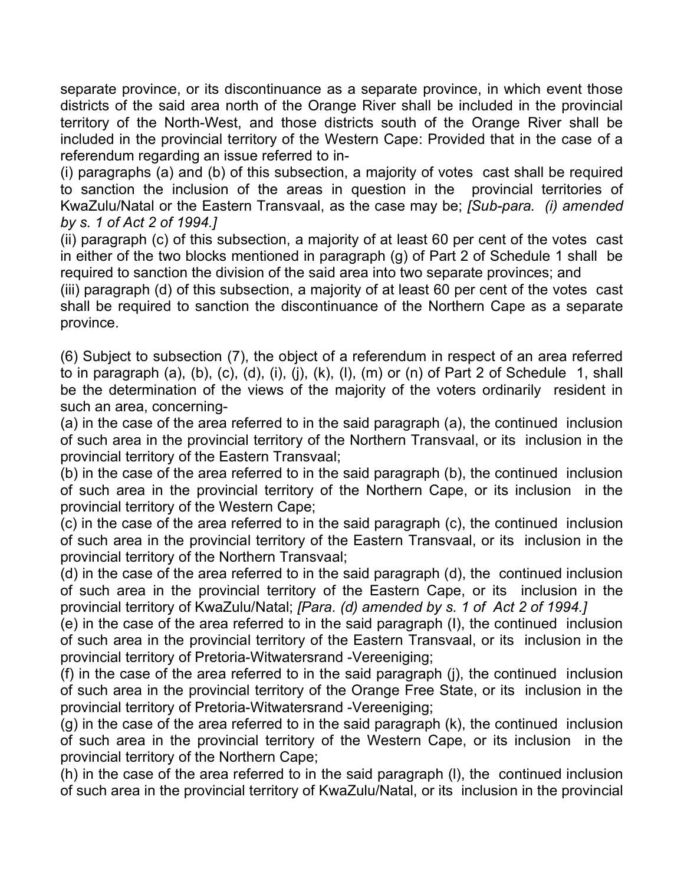separate province, or its discontinuance as a separate province, in which event those districts of the said area north of the Orange River shall be included in the provincial territory of the North-West, and those districts south of the Orange River shall be included in the provincial territory of the Western Cape: Provided that in the case of a referendum regarding an issue referred to in-

(i) paragraphs (a) and (b) of this subsection, a majority of votes cast shall be required to sanction the inclusion of the areas in question in the provincial territories of KwaZulu/Natal or the Eastern Transvaal, as the case may be; *[Sub-para. (i) amended by s. 1 of Act 2 of 1994.]*

(ii) paragraph (c) of this subsection, a majority of at least 60 per cent of the votes cast in either of the two blocks mentioned in paragraph (g) of Part 2 of Schedule 1 shall be required to sanction the division of the said area into two separate provinces; and

(iii) paragraph (d) of this subsection, a majority of at least 60 per cent of the votes cast shall be required to sanction the discontinuance of the Northern Cape as a separate province.

(6) Subject to subsection (7), the object of a referendum in respect of an area referred to in paragraph (a), (b), (c), (d), (i), (j), (k), (l), (m) or (n) of Part 2 of Schedule 1, shall be the determination of the views of the majority of the voters ordinarily resident in such an area, concerning-

(a) in the case of the area referred to in the said paragraph (a), the continued inclusion of such area in the provincial territory of the Northern Transvaal, or its inclusion in the provincial territory of the Eastern Transvaal;

(b) in the case of the area referred to in the said paragraph (b), the continued inclusion of such area in the provincial territory of the Northern Cape, or its inclusion in the provincial territory of the Western Cape;

(c) in the case of the area referred to in the said paragraph (c), the continued inclusion of such area in the provincial territory of the Eastern Transvaal, or its inclusion in the provincial territory of the Northern Transvaal;

(d) in the case of the area referred to in the said paragraph (d), the continued inclusion of such area in the provincial territory of the Eastern Cape, or its inclusion in the provincial territory of KwaZulu/Natal; *[Para. (d) amended by s. 1 of Act 2 of 1994.]*

(e) in the case of the area referred to in the said paragraph (I), the continued inclusion of such area in the provincial territory of the Eastern Transvaal, or its inclusion in the provincial territory of Pretoria-Witwatersrand -Vereeniging;

(f) in the case of the area referred to in the said paragraph (j), the continued inclusion of such area in the provincial territory of the Orange Free State, or its inclusion in the provincial territory of Pretoria-Witwatersrand -Vereeniging;

(g) in the case of the area referred to in the said paragraph (k), the continued inclusion of such area in the provincial territory of the Western Cape, or its inclusion in the provincial territory of the Northern Cape;

(h) in the case of the area referred to in the said paragraph (l), the continued inclusion of such area in the provincial territory of KwaZulu/Natal, or its inclusion in the provincial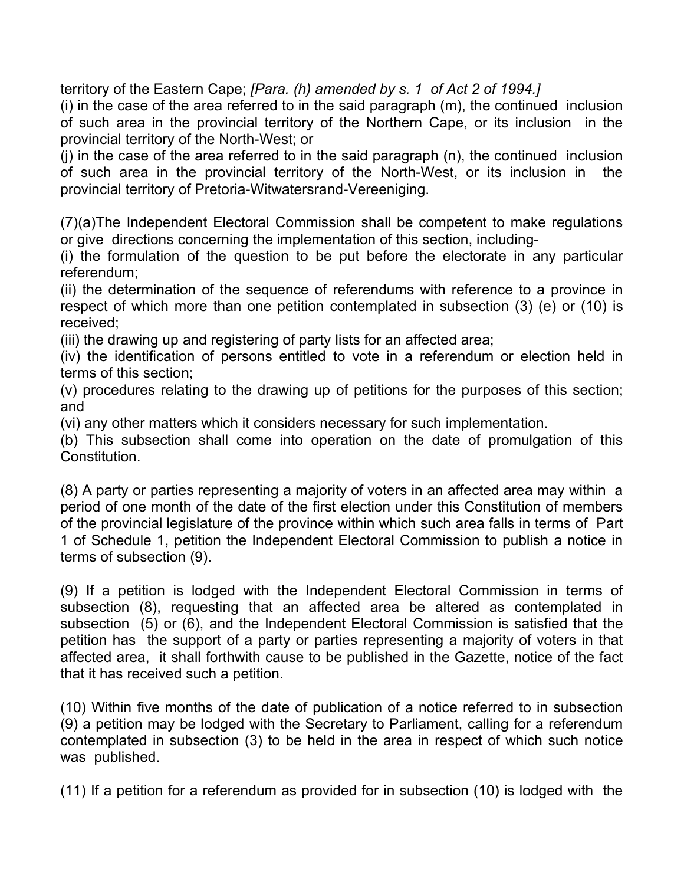territory of the Eastern Cape; *[Para. (h) amended by s. 1 of Act 2 of 1994.]*

(i) in the case of the area referred to in the said paragraph (m), the continued inclusion of such area in the provincial territory of the Northern Cape, or its inclusion in the provincial territory of the North-West; or

(j) in the case of the area referred to in the said paragraph (n), the continued inclusion of such area in the provincial territory of the North-West, or its inclusion in the provincial territory of Pretoria-Witwatersrand-Vereeniging.

(7)(a)The Independent Electoral Commission shall be competent to make regulations or give directions concerning the implementation of this section, including-

(i) the formulation of the question to be put before the electorate in any particular referendum;

(ii) the determination of the sequence of referendums with reference to a province in respect of which more than one petition contemplated in subsection (3) (e) or (10) is received;

(iii) the drawing up and registering of party lists for an affected area;

(iv) the identification of persons entitled to vote in a referendum or election held in terms of this section;

(v) procedures relating to the drawing up of petitions for the purposes of this section; and

(vi) any other matters which it considers necessary for such implementation.

(b) This subsection shall come into operation on the date of promulgation of this Constitution.

(8) A party or parties representing a majority of voters in an affected area may within a period of one month of the date of the first election under this Constitution of members of the provincial legislature of the province within which such area falls in terms of Part 1 of Schedule 1, petition the Independent Electoral Commission to publish a notice in terms of subsection (9).

(9) If a petition is lodged with the Independent Electoral Commission in terms of subsection (8), requesting that an affected area be altered as contemplated in subsection (5) or (6), and the Independent Electoral Commission is satisfied that the petition has the support of a party or parties representing a majority of voters in that affected area, it shall forthwith cause to be published in the Gazette, notice of the fact that it has received such a petition.

(10) Within five months of the date of publication of a notice referred to in subsection (9) a petition may be lodged with the Secretary to Parliament, calling for a referendum contemplated in subsection (3) to be held in the area in respect of which such notice was published.

(11) If a petition for a referendum as provided for in subsection (10) is lodged with the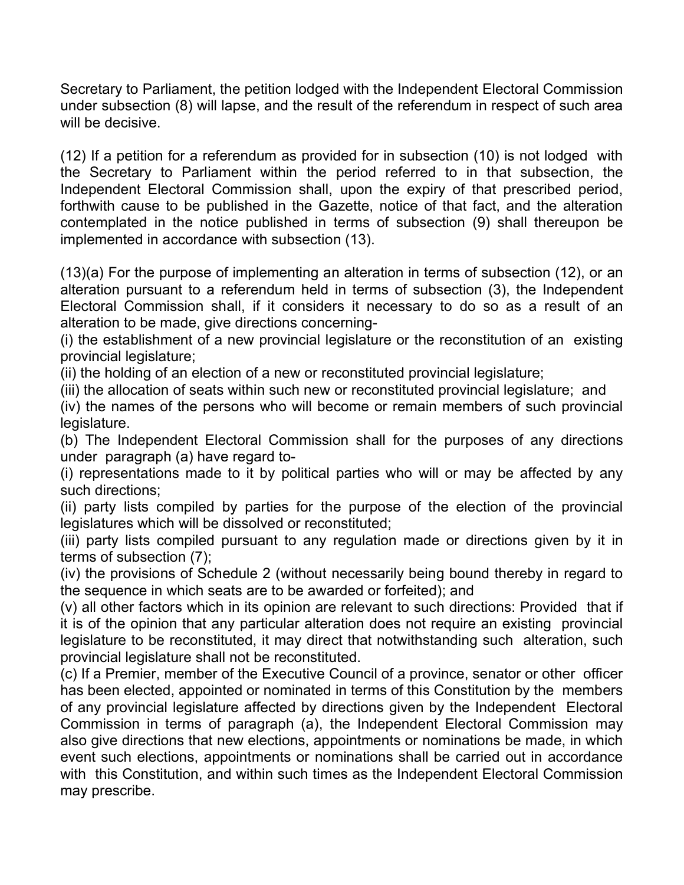Secretary to Parliament, the petition lodged with the Independent Electoral Commission under subsection (8) will lapse, and the result of the referendum in respect of such area will be decisive.

(12) If a petition for a referendum as provided for in subsection (10) is not lodged with the Secretary to Parliament within the period referred to in that subsection, the Independent Electoral Commission shall, upon the expiry of that prescribed period, forthwith cause to be published in the Gazette, notice of that fact, and the alteration contemplated in the notice published in terms of subsection (9) shall thereupon be implemented in accordance with subsection (13).

(13)(a) For the purpose of implementing an alteration in terms of subsection (12), or an alteration pursuant to a referendum held in terms of subsection (3), the Independent Electoral Commission shall, if it considers it necessary to do so as a result of an alteration to be made, give directions concerning-

(i) the establishment of a new provincial legislature or the reconstitution of an existing provincial legislature;

(ii) the holding of an election of a new or reconstituted provincial legislature;

(iii) the allocation of seats within such new or reconstituted provincial legislature; and

(iv) the names of the persons who will become or remain members of such provincial legislature.

(b) The Independent Electoral Commission shall for the purposes of any directions under paragraph (a) have regard to-

(i) representations made to it by political parties who will or may be affected by any such directions;

(ii) party lists compiled by parties for the purpose of the election of the provincial legislatures which will be dissolved or reconstituted;

(iii) party lists compiled pursuant to any regulation made or directions given by it in terms of subsection (7);

(iv) the provisions of Schedule 2 (without necessarily being bound thereby in regard to the sequence in which seats are to be awarded or forfeited); and

(v) all other factors which in its opinion are relevant to such directions: Provided that if it is of the opinion that any particular alteration does not require an existing provincial legislature to be reconstituted, it may direct that notwithstanding such alteration, such provincial legislature shall not be reconstituted.

(c) If a Premier, member of the Executive Council of a province, senator or other officer has been elected, appointed or nominated in terms of this Constitution by the members of any provincial legislature affected by directions given by the Independent Electoral Commission in terms of paragraph (a), the Independent Electoral Commission may also give directions that new elections, appointments or nominations be made, in which event such elections, appointments or nominations shall be carried out in accordance with this Constitution, and within such times as the Independent Electoral Commission may prescribe.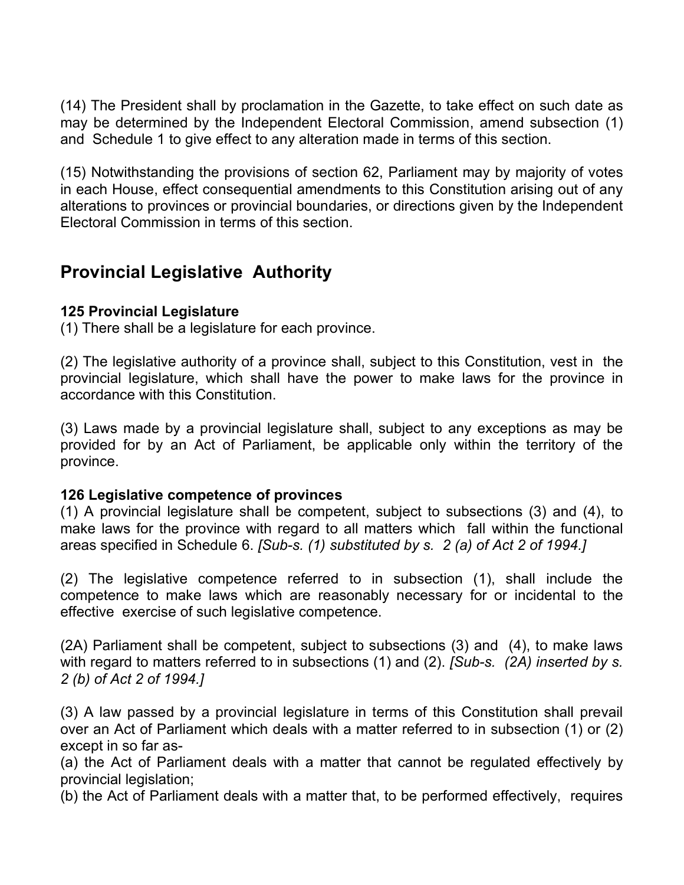(14) The President shall by proclamation in the Gazette, to take effect on such date as may be determined by the Independent Electoral Commission, amend subsection (1) and Schedule 1 to give effect to any alteration made in terms of this section.

(15) Notwithstanding the provisions of section 62, Parliament may by majority of votes in each House, effect consequential amendments to this Constitution arising out of any alterations to provinces or provincial boundaries, or directions given by the Independent Electoral Commission in terms of this section.

# **Provincial Legislative Authority**

### **125 Provincial Legislature**

(1) There shall be a legislature for each province.

(2) The legislative authority of a province shall, subject to this Constitution, vest in the provincial legislature, which shall have the power to make laws for the province in accordance with this Constitution.

(3) Laws made by a provincial legislature shall, subject to any exceptions as may be provided for by an Act of Parliament, be applicable only within the territory of the province.

### **126 Legislative competence of provinces**

(1) A provincial legislature shall be competent, subject to subsections (3) and (4), to make laws for the province with regard to all matters which fall within the functional areas specified in Schedule 6. *[Sub-s. (1) substituted by s. 2 (a) of Act 2 of 1994.]*

(2) The legislative competence referred to in subsection (1), shall include the competence to make laws which are reasonably necessary for or incidental to the effective exercise of such legislative competence.

(2A) Parliament shall be competent, subject to subsections (3) and (4), to make laws with regard to matters referred to in subsections (1) and (2). *[Sub-s. (2A) inserted by s. 2 (b) of Act 2 of 1994.]*

(3) A law passed by a provincial legislature in terms of this Constitution shall prevail over an Act of Parliament which deals with a matter referred to in subsection (1) or (2) except in so far as-

(a) the Act of Parliament deals with a matter that cannot be regulated effectively by provincial legislation;

(b) the Act of Parliament deals with a matter that, to be performed effectively, requires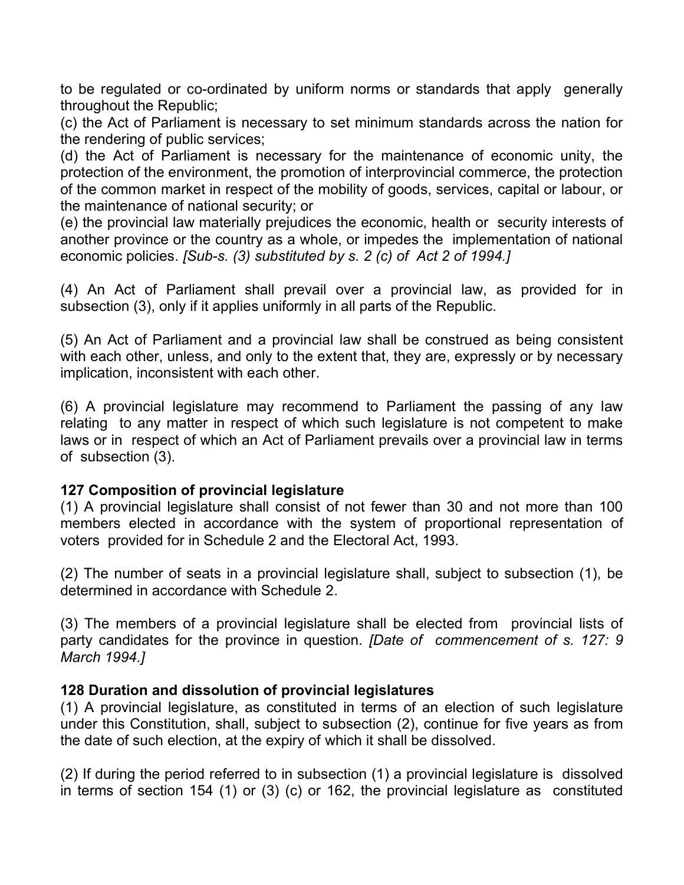to be regulated or co-ordinated by uniform norms or standards that apply generally throughout the Republic;

(c) the Act of Parliament is necessary to set minimum standards across the nation for the rendering of public services;

(d) the Act of Parliament is necessary for the maintenance of economic unity, the protection of the environment, the promotion of interprovincial commerce, the protection of the common market in respect of the mobility of goods, services, capital or labour, or the maintenance of national security; or

(e) the provincial law materially prejudices the economic, health or security interests of another province or the country as a whole, or impedes the implementation of national economic policies. *[Sub-s. (3) substituted by s. 2 (c) of Act 2 of 1994.]*

(4) An Act of Parliament shall prevail over a provincial law, as provided for in subsection (3), only if it applies uniformly in all parts of the Republic.

(5) An Act of Parliament and a provincial law shall be construed as being consistent with each other, unless, and only to the extent that, they are, expressly or by necessary implication, inconsistent with each other.

(6) A provincial legislature may recommend to Parliament the passing of any law relating to any matter in respect of which such legislature is not competent to make laws or in respect of which an Act of Parliament prevails over a provincial law in terms of subsection (3).

### **127 Composition of provincial legislature**

(1) A provincial legislature shall consist of not fewer than 30 and not more than 100 members elected in accordance with the system of proportional representation of voters provided for in Schedule 2 and the Electoral Act, 1993.

(2) The number of seats in a provincial legislature shall, subject to subsection (1), be determined in accordance with Schedule 2.

(3) The members of a provincial legislature shall be elected from provincial lists of party candidates for the province in question. *[Date of commencement of s. 127: 9 March 1994.]*

### **128 Duration and dissolution of provincial legislatures**

(1) A provincial legislature, as constituted in terms of an election of such legislature under this Constitution, shall, subject to subsection (2), continue for five years as from the date of such election, at the expiry of which it shall be dissolved.

(2) If during the period referred to in subsection (1) a provincial legislature is dissolved in terms of section 154 (1) or (3) (c) or 162, the provincial legislature as constituted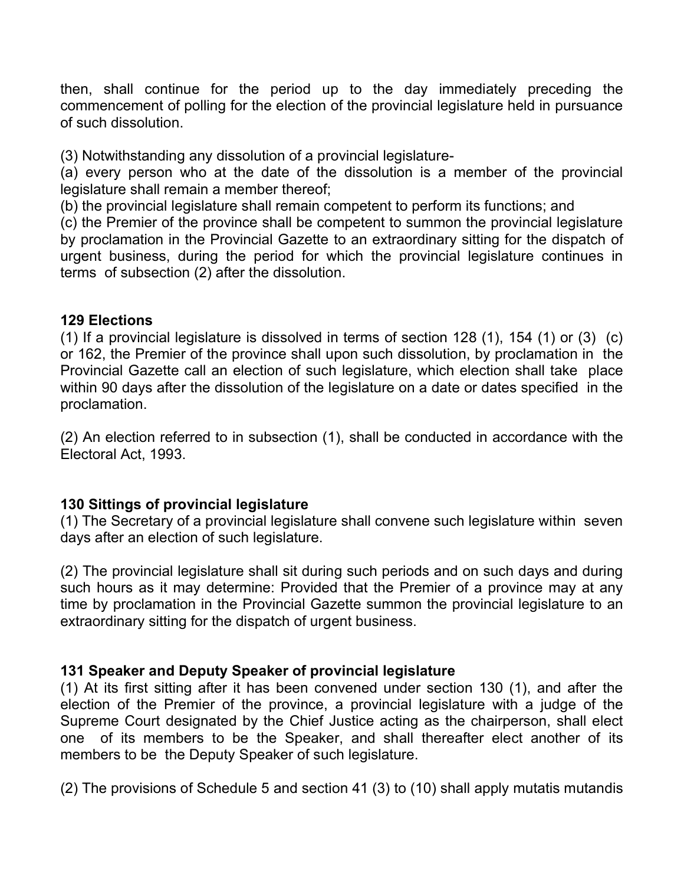then, shall continue for the period up to the day immediately preceding the commencement of polling for the election of the provincial legislature held in pursuance of such dissolution.

(3) Notwithstanding any dissolution of a provincial legislature-

(a) every person who at the date of the dissolution is a member of the provincial legislature shall remain a member thereof;

(b) the provincial legislature shall remain competent to perform its functions; and

(c) the Premier of the province shall be competent to summon the provincial legislature by proclamation in the Provincial Gazette to an extraordinary sitting for the dispatch of urgent business, during the period for which the provincial legislature continues in terms of subsection (2) after the dissolution.

### **129 Elections**

(1) If a provincial legislature is dissolved in terms of section 128 (1), 154 (1) or (3) (c) or 162, the Premier of the province shall upon such dissolution, by proclamation in the Provincial Gazette call an election of such legislature, which election shall take place within 90 days after the dissolution of the legislature on a date or dates specified in the proclamation.

(2) An election referred to in subsection (1), shall be conducted in accordance with the Electoral Act, 1993.

### **130 Sittings of provincial legislature**

(1) The Secretary of a provincial legislature shall convene such legislature within seven days after an election of such legislature.

(2) The provincial legislature shall sit during such periods and on such days and during such hours as it may determine: Provided that the Premier of a province may at any time by proclamation in the Provincial Gazette summon the provincial legislature to an extraordinary sitting for the dispatch of urgent business.

### **131 Speaker and Deputy Speaker of provincial legislature**

(1) At its first sitting after it has been convened under section 130 (1), and after the election of the Premier of the province, a provincial legislature with a judge of the Supreme Court designated by the Chief Justice acting as the chairperson, shall elect one of its members to be the Speaker, and shall thereafter elect another of its members to be the Deputy Speaker of such legislature.

(2) The provisions of Schedule 5 and section 41 (3) to (10) shall apply mutatis mutandis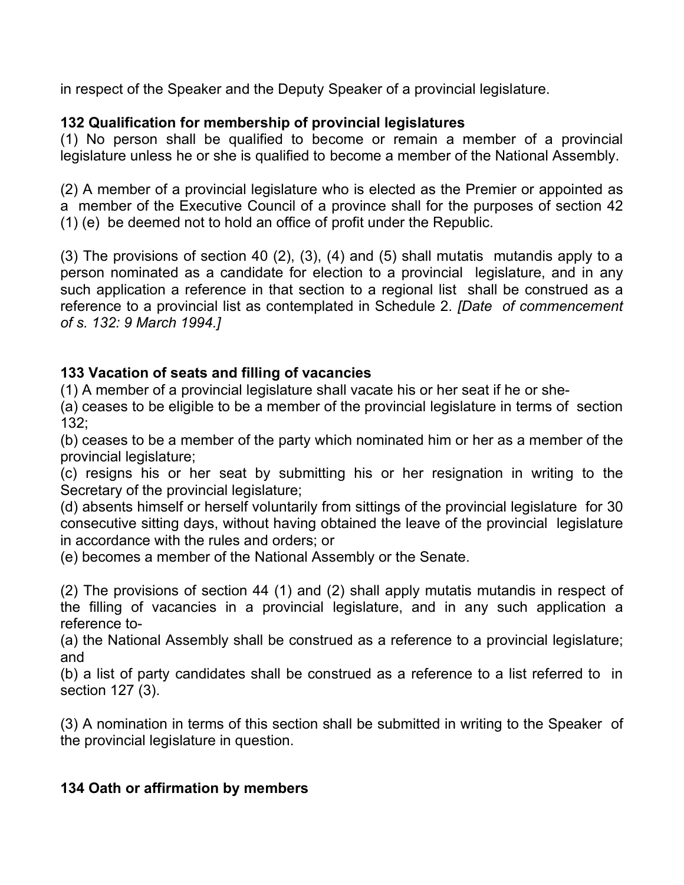in respect of the Speaker and the Deputy Speaker of a provincial legislature.

# **132 Qualification for membership of provincial legislatures**

(1) No person shall be qualified to become or remain a member of a provincial legislature unless he or she is qualified to become a member of the National Assembly.

(2) A member of a provincial legislature who is elected as the Premier or appointed as a member of the Executive Council of a province shall for the purposes of section 42 (1) (e) be deemed not to hold an office of profit under the Republic.

(3) The provisions of section 40 (2), (3), (4) and (5) shall mutatis mutandis apply to a person nominated as a candidate for election to a provincial legislature, and in any such application a reference in that section to a regional list shall be construed as a reference to a provincial list as contemplated in Schedule 2. *[Date of commencement of s. 132: 9 March 1994.]*

# **133 Vacation of seats and filling of vacancies**

(1) A member of a provincial legislature shall vacate his or her seat if he or she-

(a) ceases to be eligible to be a member of the provincial legislature in terms of section 132;

(b) ceases to be a member of the party which nominated him or her as a member of the provincial legislature;

(c) resigns his or her seat by submitting his or her resignation in writing to the Secretary of the provincial legislature;

(d) absents himself or herself voluntarily from sittings of the provincial legislature for 30 consecutive sitting days, without having obtained the leave of the provincial legislature in accordance with the rules and orders; or

(e) becomes a member of the National Assembly or the Senate.

(2) The provisions of section 44 (1) and (2) shall apply mutatis mutandis in respect of the filling of vacancies in a provincial legislature, and in any such application a reference to-

(a) the National Assembly shall be construed as a reference to a provincial legislature; and

(b) a list of party candidates shall be construed as a reference to a list referred to in section 127 (3).

(3) A nomination in terms of this section shall be submitted in writing to the Speaker of the provincial legislature in question.

# **134 Oath or affirmation by members**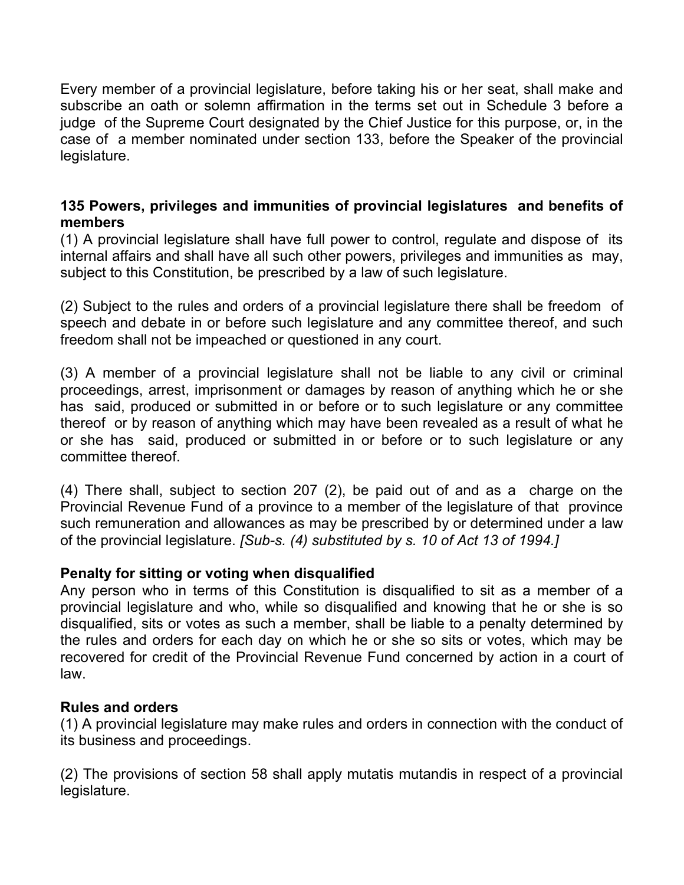Every member of a provincial legislature, before taking his or her seat, shall make and subscribe an oath or solemn affirmation in the terms set out in Schedule 3 before a judge of the Supreme Court designated by the Chief Justice for this purpose, or, in the case of a member nominated under section 133, before the Speaker of the provincial legislature.

### **135 Powers, privileges and immunities of provincial legislatures and benefits of members**

(1) A provincial legislature shall have full power to control, regulate and dispose of its internal affairs and shall have all such other powers, privileges and immunities as may, subject to this Constitution, be prescribed by a law of such legislature.

(2) Subject to the rules and orders of a provincial legislature there shall be freedom of speech and debate in or before such legislature and any committee thereof, and such freedom shall not be impeached or questioned in any court.

(3) A member of a provincial legislature shall not be liable to any civil or criminal proceedings, arrest, imprisonment or damages by reason of anything which he or she has said, produced or submitted in or before or to such legislature or any committee thereof or by reason of anything which may have been revealed as a result of what he or she has said, produced or submitted in or before or to such legislature or any committee thereof.

(4) There shall, subject to section 207 (2), be paid out of and as a charge on the Provincial Revenue Fund of a province to a member of the legislature of that province such remuneration and allowances as may be prescribed by or determined under a law of the provincial legislature. *[Sub-s. (4) substituted by s. 10 of Act 13 of 1994.]*

### **Penalty for sitting or voting when disqualified**

Any person who in terms of this Constitution is disqualified to sit as a member of a provincial legislature and who, while so disqualified and knowing that he or she is so disqualified, sits or votes as such a member, shall be liable to a penalty determined by the rules and orders for each day on which he or she so sits or votes, which may be recovered for credit of the Provincial Revenue Fund concerned by action in a court of law.

### **Rules and orders**

(1) A provincial legislature may make rules and orders in connection with the conduct of its business and proceedings.

(2) The provisions of section 58 shall apply mutatis mutandis in respect of a provincial legislature.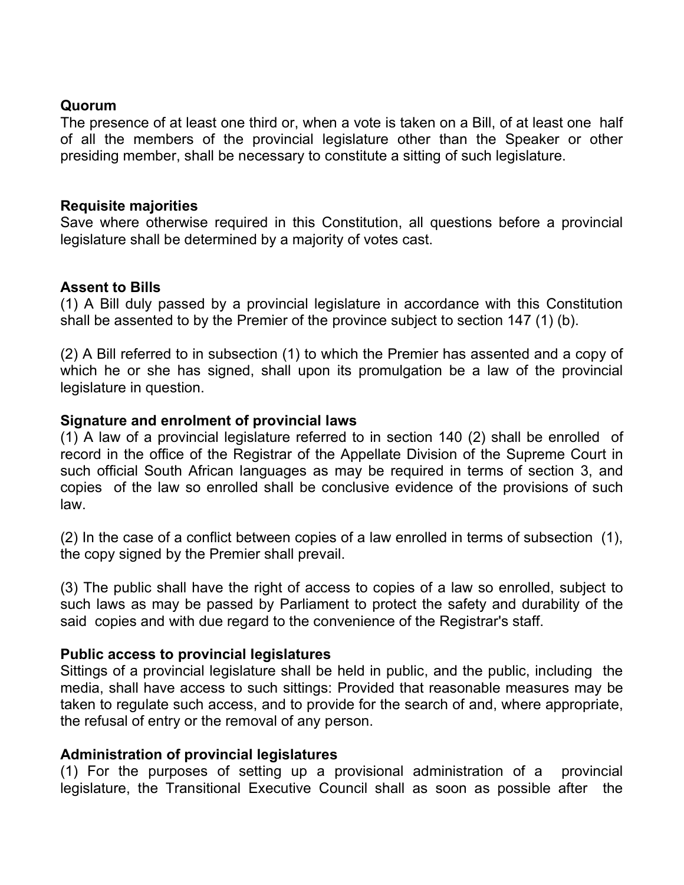### **Quorum**

The presence of at least one third or, when a vote is taken on a Bill, of at least one half of all the members of the provincial legislature other than the Speaker or other presiding member, shall be necessary to constitute a sitting of such legislature.

#### **Requisite majorities**

Save where otherwise required in this Constitution, all questions before a provincial legislature shall be determined by a majority of votes cast.

#### **Assent to Bills**

(1) A Bill duly passed by a provincial legislature in accordance with this Constitution shall be assented to by the Premier of the province subject to section 147 (1) (b).

(2) A Bill referred to in subsection (1) to which the Premier has assented and a copy of which he or she has signed, shall upon its promulgation be a law of the provincial legislature in question.

#### **Signature and enrolment of provincial laws**

(1) A law of a provincial legislature referred to in section 140 (2) shall be enrolled of record in the office of the Registrar of the Appellate Division of the Supreme Court in such official South African languages as may be required in terms of section 3, and copies of the law so enrolled shall be conclusive evidence of the provisions of such law.

(2) In the case of a conflict between copies of a law enrolled in terms of subsection (1), the copy signed by the Premier shall prevail.

(3) The public shall have the right of access to copies of a law so enrolled, subject to such laws as may be passed by Parliament to protect the safety and durability of the said copies and with due regard to the convenience of the Registrar's staff.

### **Public access to provincial legislatures**

Sittings of a provincial legislature shall be held in public, and the public, including the media, shall have access to such sittings: Provided that reasonable measures may be taken to regulate such access, and to provide for the search of and, where appropriate, the refusal of entry or the removal of any person.

#### **Administration of provincial legislatures**

(1) For the purposes of setting up a provisional administration of a provincial legislature, the Transitional Executive Council shall as soon as possible after the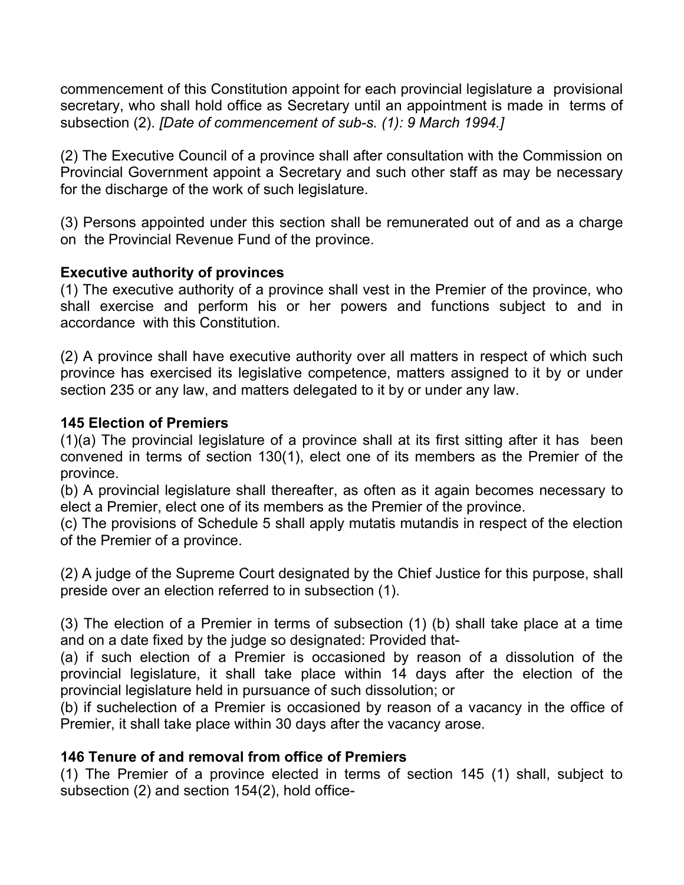commencement of this Constitution appoint for each provincial legislature a provisional secretary, who shall hold office as Secretary until an appointment is made in terms of subsection (2). *[Date of commencement of sub-s. (1): 9 March 1994.]*

(2) The Executive Council of a province shall after consultation with the Commission on Provincial Government appoint a Secretary and such other staff as may be necessary for the discharge of the work of such legislature.

(3) Persons appointed under this section shall be remunerated out of and as a charge on the Provincial Revenue Fund of the province.

### **Executive authority of provinces**

(1) The executive authority of a province shall vest in the Premier of the province, who shall exercise and perform his or her powers and functions subject to and in accordance with this Constitution.

(2) A province shall have executive authority over all matters in respect of which such province has exercised its legislative competence, matters assigned to it by or under section 235 or any law, and matters delegated to it by or under any law.

### **145 Election of Premiers**

(1)(a) The provincial legislature of a province shall at its first sitting after it has been convened in terms of section 130(1), elect one of its members as the Premier of the province.

(b) A provincial legislature shall thereafter, as often as it again becomes necessary to elect a Premier, elect one of its members as the Premier of the province.

(c) The provisions of Schedule 5 shall apply mutatis mutandis in respect of the election of the Premier of a province.

(2) A judge of the Supreme Court designated by the Chief Justice for this purpose, shall preside over an election referred to in subsection (1).

(3) The election of a Premier in terms of subsection (1) (b) shall take place at a time and on a date fixed by the judge so designated: Provided that-

(a) if such election of a Premier is occasioned by reason of a dissolution of the provincial legislature, it shall take place within 14 days after the election of the provincial legislature held in pursuance of such dissolution; or

(b) if suchelection of a Premier is occasioned by reason of a vacancy in the office of Premier, it shall take place within 30 days after the vacancy arose.

### **146 Tenure of and removal from office of Premiers**

(1) The Premier of a province elected in terms of section 145 (1) shall, subject to subsection (2) and section 154(2), hold office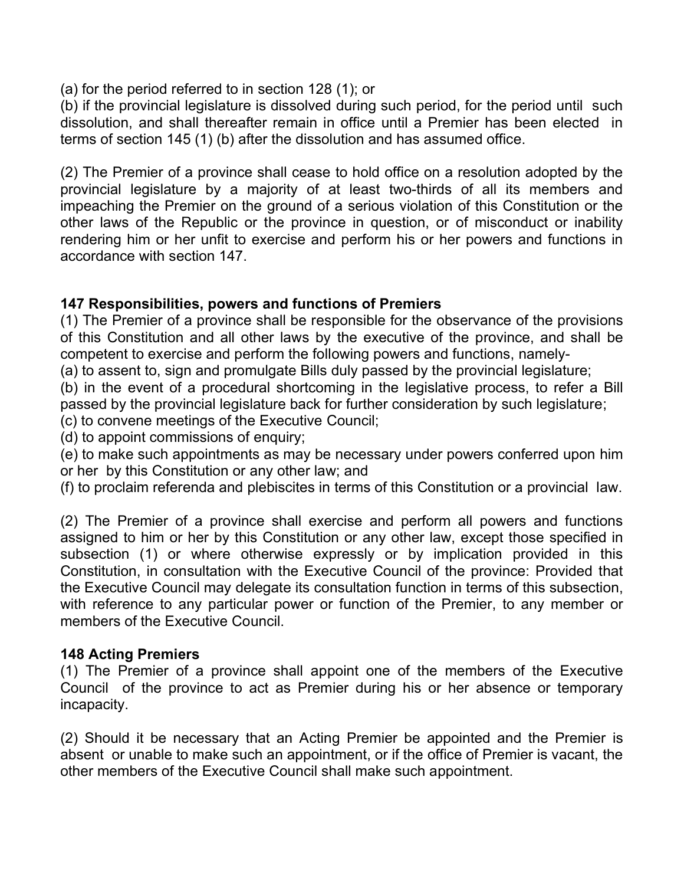(a) for the period referred to in section 128 (1); or

(b) if the provincial legislature is dissolved during such period, for the period until such dissolution, and shall thereafter remain in office until a Premier has been elected in terms of section 145 (1) (b) after the dissolution and has assumed office.

(2) The Premier of a province shall cease to hold office on a resolution adopted by the provincial legislature by a majority of at least two-thirds of all its members and impeaching the Premier on the ground of a serious violation of this Constitution or the other laws of the Republic or the province in question, or of misconduct or inability rendering him or her unfit to exercise and perform his or her powers and functions in accordance with section 147.

### **147 Responsibilities, powers and functions of Premiers**

(1) The Premier of a province shall be responsible for the observance of the provisions of this Constitution and all other laws by the executive of the province, and shall be competent to exercise and perform the following powers and functions, namely-

(a) to assent to, sign and promulgate Bills duly passed by the provincial legislature;

(b) in the event of a procedural shortcoming in the legislative process, to refer a Bill passed by the provincial legislature back for further consideration by such legislature; (c) to convene meetings of the Executive Council;

(d) to appoint commissions of enquiry;

(e) to make such appointments as may be necessary under powers conferred upon him or her by this Constitution or any other law; and

(f) to proclaim referenda and plebiscites in terms of this Constitution or a provincial law.

(2) The Premier of a province shall exercise and perform all powers and functions assigned to him or her by this Constitution or any other law, except those specified in subsection (1) or where otherwise expressly or by implication provided in this Constitution, in consultation with the Executive Council of the province: Provided that the Executive Council may delegate its consultation function in terms of this subsection, with reference to any particular power or function of the Premier, to any member or members of the Executive Council.

### **148 Acting Premiers**

(1) The Premier of a province shall appoint one of the members of the Executive Council of the province to act as Premier during his or her absence or temporary incapacity.

(2) Should it be necessary that an Acting Premier be appointed and the Premier is absent or unable to make such an appointment, or if the office of Premier is vacant, the other members of the Executive Council shall make such appointment.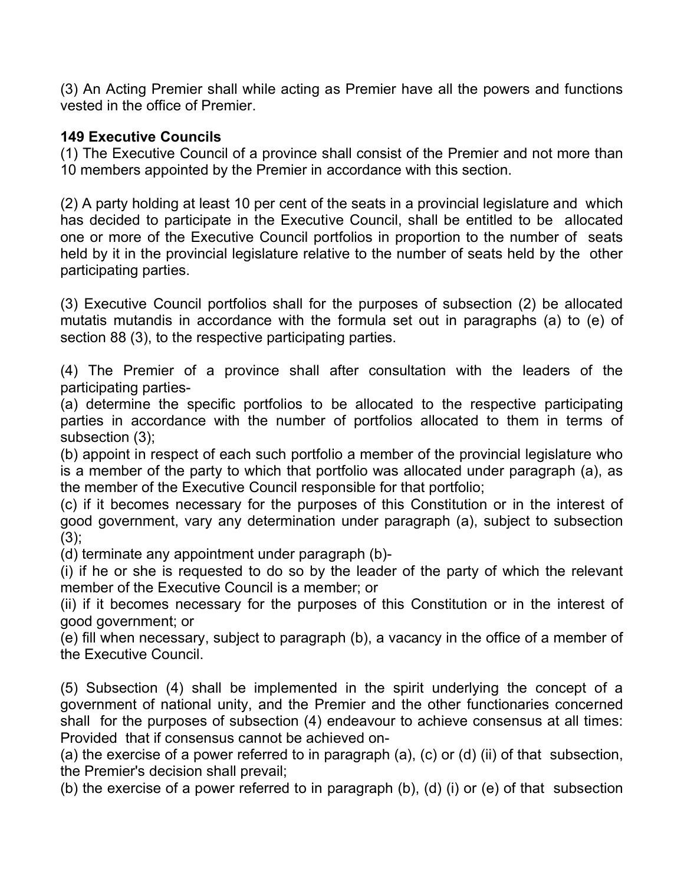(3) An Acting Premier shall while acting as Premier have all the powers and functions vested in the office of Premier.

## **149 Executive Councils**

(1) The Executive Council of a province shall consist of the Premier and not more than 10 members appointed by the Premier in accordance with this section.

(2) A party holding at least 10 per cent of the seats in a provincial legislature and which has decided to participate in the Executive Council, shall be entitled to be allocated one or more of the Executive Council portfolios in proportion to the number of seats held by it in the provincial legislature relative to the number of seats held by the other participating parties.

(3) Executive Council portfolios shall for the purposes of subsection (2) be allocated mutatis mutandis in accordance with the formula set out in paragraphs (a) to (e) of section 88 (3), to the respective participating parties.

(4) The Premier of a province shall after consultation with the leaders of the participating parties-

(a) determine the specific portfolios to be allocated to the respective participating parties in accordance with the number of portfolios allocated to them in terms of subsection (3);

(b) appoint in respect of each such portfolio a member of the provincial legislature who is a member of the party to which that portfolio was allocated under paragraph (a), as the member of the Executive Council responsible for that portfolio;

(c) if it becomes necessary for the purposes of this Constitution or in the interest of good government, vary any determination under paragraph (a), subject to subsection  $(3)$ ;

(d) terminate any appointment under paragraph (b)-

(i) if he or she is requested to do so by the leader of the party of which the relevant member of the Executive Council is a member; or

(ii) if it becomes necessary for the purposes of this Constitution or in the interest of good government; or

(e) fill when necessary, subject to paragraph (b), a vacancy in the office of a member of the Executive Council.

(5) Subsection (4) shall be implemented in the spirit underlying the concept of a government of national unity, and the Premier and the other functionaries concerned shall for the purposes of subsection (4) endeavour to achieve consensus at all times: Provided that if consensus cannot be achieved on-

(a) the exercise of a power referred to in paragraph (a), (c) or (d) (ii) of that subsection, the Premier's decision shall prevail;

(b) the exercise of a power referred to in paragraph (b), (d) (i) or (e) of that subsection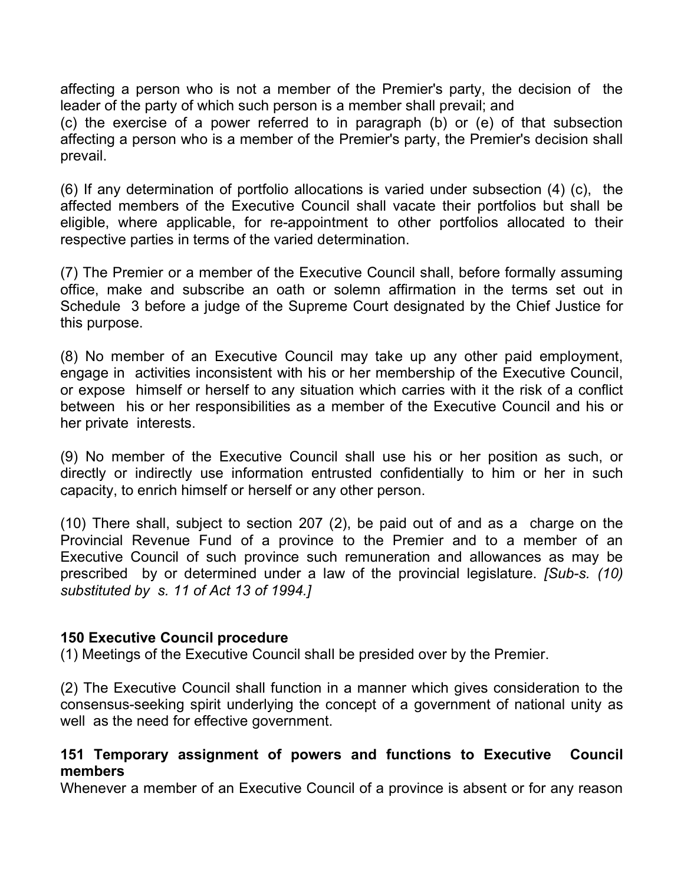affecting a person who is not a member of the Premier's party, the decision of the leader of the party of which such person is a member shall prevail; and

(c) the exercise of a power referred to in paragraph (b) or (e) of that subsection affecting a person who is a member of the Premier's party, the Premier's decision shall prevail.

(6) If any determination of portfolio allocations is varied under subsection (4) (c), the affected members of the Executive Council shall vacate their portfolios but shall be eligible, where applicable, for re-appointment to other portfolios allocated to their respective parties in terms of the varied determination.

(7) The Premier or a member of the Executive Council shall, before formally assuming office, make and subscribe an oath or solemn affirmation in the terms set out in Schedule 3 before a judge of the Supreme Court designated by the Chief Justice for this purpose.

(8) No member of an Executive Council may take up any other paid employment, engage in activities inconsistent with his or her membership of the Executive Council, or expose himself or herself to any situation which carries with it the risk of a conflict between his or her responsibilities as a member of the Executive Council and his or her private interests.

(9) No member of the Executive Council shall use his or her position as such, or directly or indirectly use information entrusted confidentially to him or her in such capacity, to enrich himself or herself or any other person.

(10) There shall, subject to section 207 (2), be paid out of and as a charge on the Provincial Revenue Fund of a province to the Premier and to a member of an Executive Council of such province such remuneration and allowances as may be prescribed by or determined under a law of the provincial legislature. *[Sub-s. (10) substituted by s. 11 of Act 13 of 1994.]*

#### **150 Executive Council procedure**

(1) Meetings of the Executive Council shall be presided over by the Premier.

(2) The Executive Council shall function in a manner which gives consideration to the consensus-seeking spirit underlying the concept of a government of national unity as well as the need for effective government.

#### **151 Temporary assignment of powers and functions to Executive Council members**

Whenever a member of an Executive Council of a province is absent or for any reason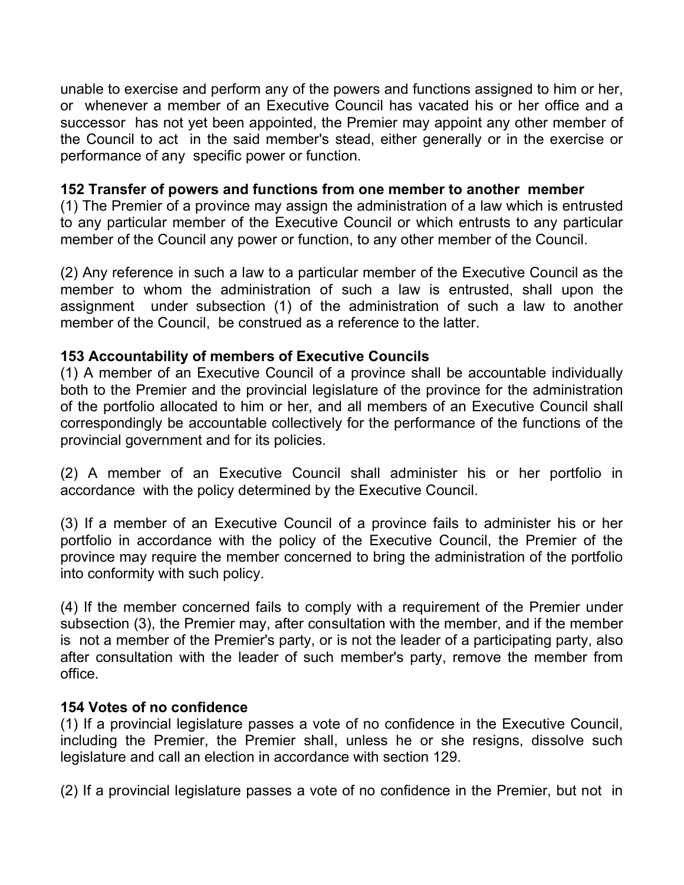unable to exercise and perform any of the powers and functions assigned to him or her, or whenever a member of an Executive Council has vacated his or her office and a successor has not yet been appointed, the Premier may appoint any other member of the Council to act in the said member's stead, either generally or in the exercise or performance of any specific power or function.

## **152 Transfer of powers and functions from one member to another member**

(1) The Premier of a province may assign the administration of a law which is entrusted to any particular member of the Executive Council or which entrusts to any particular member of the Council any power or function, to any other member of the Council.

(2) Any reference in such a law to a particular member of the Executive Council as the member to whom the administration of such a law is entrusted, shall upon the assignment under subsection (1) of the administration of such a law to another member of the Council, be construed as a reference to the latter.

#### **153 Accountability of members of Executive Councils**

(1) A member of an Executive Council of a province shall be accountable individually both to the Premier and the provincial legislature of the province for the administration of the portfolio allocated to him or her, and all members of an Executive Council shall correspondingly be accountable collectively for the performance of the functions of the provincial government and for its policies.

(2) A member of an Executive Council shall administer his or her portfolio in accordance with the policy determined by the Executive Council.

(3) If a member of an Executive Council of a province fails to administer his or her portfolio in accordance with the policy of the Executive Council, the Premier of the province may require the member concerned to bring the administration of the portfolio into conformity with such policy.

(4) If the member concerned fails to comply with a requirement of the Premier under subsection (3), the Premier may, after consultation with the member, and if the member is not a member of the Premier's party, or is not the leader of a participating party, also after consultation with the leader of such member's party, remove the member from office.

#### **154 Votes of no confidence**

(1) If a provincial legislature passes a vote of no confidence in the Executive Council, including the Premier, the Premier shall, unless he or she resigns, dissolve such legislature and call an election in accordance with section 129.

(2) If a provincial legislature passes a vote of no confidence in the Premier, but not in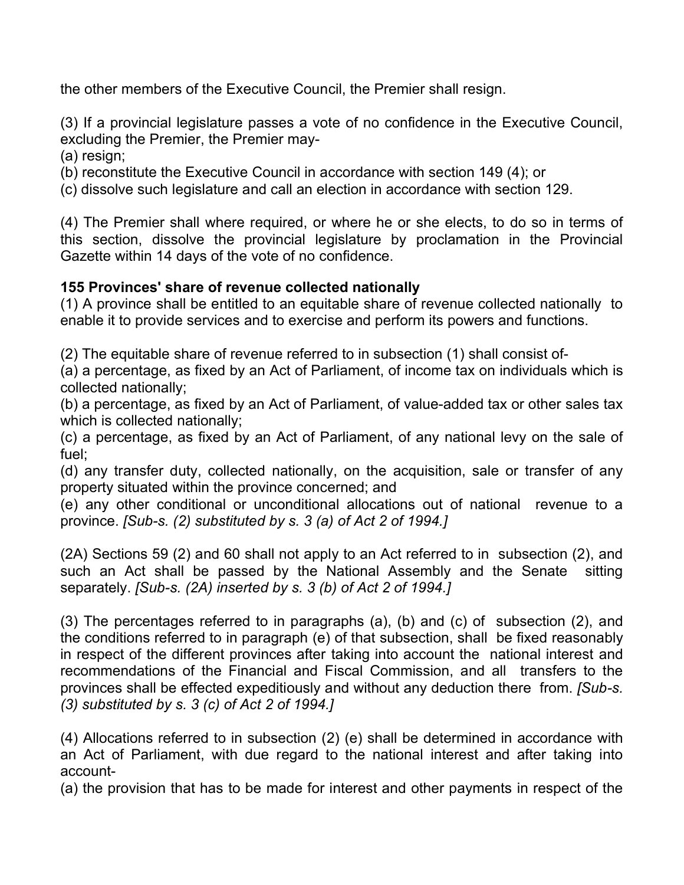the other members of the Executive Council, the Premier shall resign.

(3) If a provincial legislature passes a vote of no confidence in the Executive Council, excluding the Premier, the Premier may-

(a) resign;

(b) reconstitute the Executive Council in accordance with section 149 (4); or

(c) dissolve such legislature and call an election in accordance with section 129.

(4) The Premier shall where required, or where he or she elects, to do so in terms of this section, dissolve the provincial legislature by proclamation in the Provincial Gazette within 14 days of the vote of no confidence.

# **155 Provinces' share of revenue collected nationally**

(1) A province shall be entitled to an equitable share of revenue collected nationally to enable it to provide services and to exercise and perform its powers and functions.

(2) The equitable share of revenue referred to in subsection (1) shall consist of-

(a) a percentage, as fixed by an Act of Parliament, of income tax on individuals which is collected nationally;

(b) a percentage, as fixed by an Act of Parliament, of value-added tax or other sales tax which is collected nationally;

(c) a percentage, as fixed by an Act of Parliament, of any national levy on the sale of fuel;

(d) any transfer duty, collected nationally, on the acquisition, sale or transfer of any property situated within the province concerned; and

(e) any other conditional or unconditional allocations out of national revenue to a province. *[Sub-s. (2) substituted by s. 3 (a) of Act 2 of 1994.]*

(2A) Sections 59 (2) and 60 shall not apply to an Act referred to in subsection (2), and such an Act shall be passed by the National Assembly and the Senate sitting separately. *[Sub-s. (2A) inserted by s. 3 (b) of Act 2 of 1994.]*

(3) The percentages referred to in paragraphs (a), (b) and (c) of subsection (2), and the conditions referred to in paragraph (e) of that subsection, shall be fixed reasonably in respect of the different provinces after taking into account the national interest and recommendations of the Financial and Fiscal Commission, and all transfers to the provinces shall be effected expeditiously and without any deduction there from. *[Sub-s. (3) substituted by s. 3 (c) of Act 2 of 1994.]*

(4) Allocations referred to in subsection (2) (e) shall be determined in accordance with an Act of Parliament, with due regard to the national interest and after taking into account-

(a) the provision that has to be made for interest and other payments in respect of the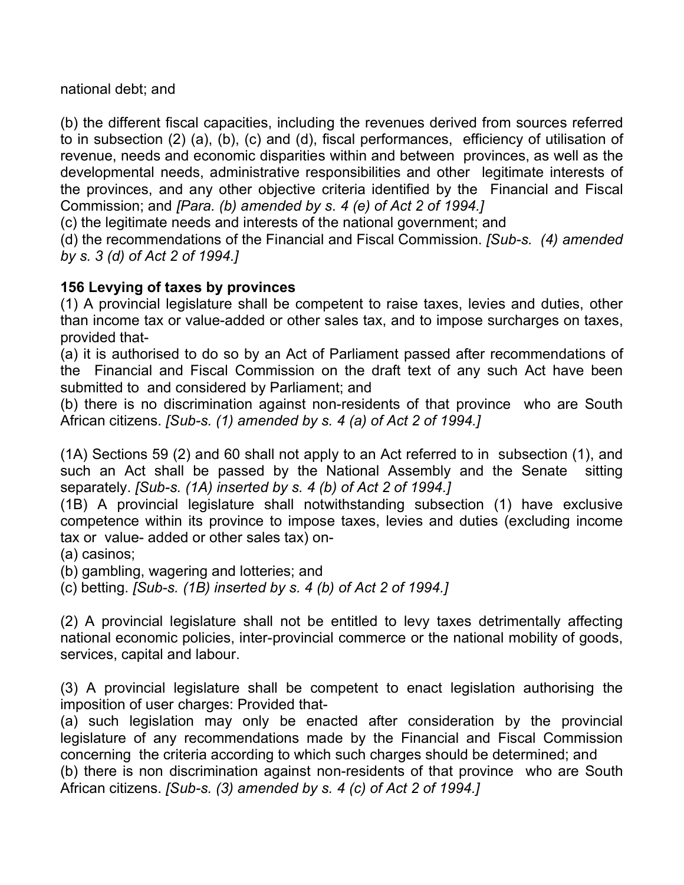national debt; and

(b) the different fiscal capacities, including the revenues derived from sources referred to in subsection (2) (a), (b), (c) and (d), fiscal performances, efficiency of utilisation of revenue, needs and economic disparities within and between provinces, as well as the developmental needs, administrative responsibilities and other legitimate interests of the provinces, and any other objective criteria identified by the Financial and Fiscal Commission; and *[Para. (b) amended by s. 4 (e) of Act 2 of 1994.]*

(c) the legitimate needs and interests of the national government; and

(d) the recommendations of the Financial and Fiscal Commission. *[Sub-s. (4) amended by s. 3 (d) of Act 2 of 1994.]*

## **156 Levying of taxes by provinces**

(1) A provincial legislature shall be competent to raise taxes, levies and duties, other than income tax or value-added or other sales tax, and to impose surcharges on taxes, provided that-

(a) it is authorised to do so by an Act of Parliament passed after recommendations of the Financial and Fiscal Commission on the draft text of any such Act have been submitted to and considered by Parliament; and

(b) there is no discrimination against non-residents of that province who are South African citizens. *[Sub-s. (1) amended by s. 4 (a) of Act 2 of 1994.]*

(1A) Sections 59 (2) and 60 shall not apply to an Act referred to in subsection (1), and such an Act shall be passed by the National Assembly and the Senate sitting separately. *[Sub-s. (1A) inserted by s. 4 (b) of Act 2 of 1994.]*

(1B) A provincial legislature shall notwithstanding subsection (1) have exclusive competence within its province to impose taxes, levies and duties (excluding income tax or value- added or other sales tax) on-

(a) casinos;

(b) gambling, wagering and lotteries; and

(c) betting. *[Sub-s. (1B) inserted by s. 4 (b) of Act 2 of 1994.]*

(2) A provincial legislature shall not be entitled to levy taxes detrimentally affecting national economic policies, inter-provincial commerce or the national mobility of goods, services, capital and labour.

(3) A provincial legislature shall be competent to enact legislation authorising the imposition of user charges: Provided that-

(a) such legislation may only be enacted after consideration by the provincial legislature of any recommendations made by the Financial and Fiscal Commission concerning the criteria according to which such charges should be determined; and (b) there is non discrimination against non-residents of that province who are South African citizens. *[Sub-s. (3) amended by s. 4 (c) of Act 2 of 1994.]*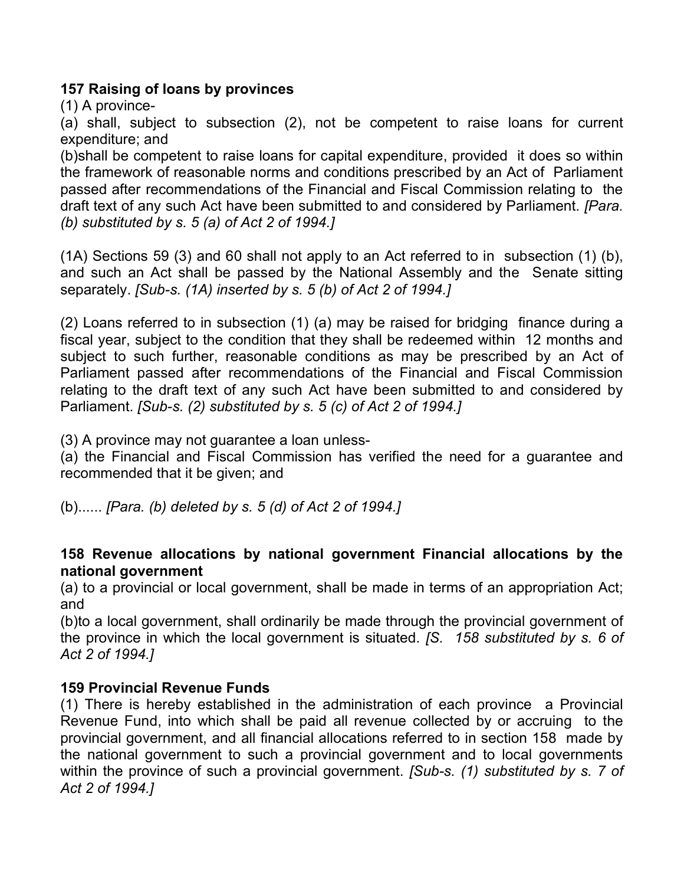## **157 Raising of loans by provinces**

(1) A province-

(a) shall, subject to subsection (2), not be competent to raise loans for current expenditure; and

(b)shall be competent to raise loans for capital expenditure, provided it does so within the framework of reasonable norms and conditions prescribed by an Act of Parliament passed after recommendations of the Financial and Fiscal Commission relating to the draft text of any such Act have been submitted to and considered by Parliament. *[Para. (b) substituted by s. 5 (a) of Act 2 of 1994.]*

(1A) Sections 59 (3) and 60 shall not apply to an Act referred to in subsection (1) (b), and such an Act shall be passed by the National Assembly and the Senate sitting separately. *[Sub-s. (1A) inserted by s. 5 (b) of Act 2 of 1994.]*

(2) Loans referred to in subsection (1) (a) may be raised for bridging finance during a fiscal year, subject to the condition that they shall be redeemed within 12 months and subject to such further, reasonable conditions as may be prescribed by an Act of Parliament passed after recommendations of the Financial and Fiscal Commission relating to the draft text of any such Act have been submitted to and considered by Parliament. *[Sub-s. (2) substituted by s. 5 (c) of Act 2 of 1994.]*

(3) A province may not guarantee a loan unless-

(a) the Financial and Fiscal Commission has verified the need for a guarantee and recommended that it be given; and

(b)...... *[Para. (b) deleted by s. 5 (d) of Act 2 of 1994.]*

#### **158 Revenue allocations by national government Financial allocations by the national government**

(a) to a provincial or local government, shall be made in terms of an appropriation Act; and

(b)to a local government, shall ordinarily be made through the provincial government of the province in which the local government is situated. *[S. 158 substituted by s. 6 of Act 2 of 1994.]*

#### **159 Provincial Revenue Funds**

(1) There is hereby established in the administration of each province a Provincial Revenue Fund, into which shall be paid all revenue collected by or accruing to the provincial government, and all financial allocations referred to in section 158 made by the national government to such a provincial government and to local governments within the province of such a provincial government. *[Sub-s. (1) substituted by s. 7 of Act 2 of 1994.]*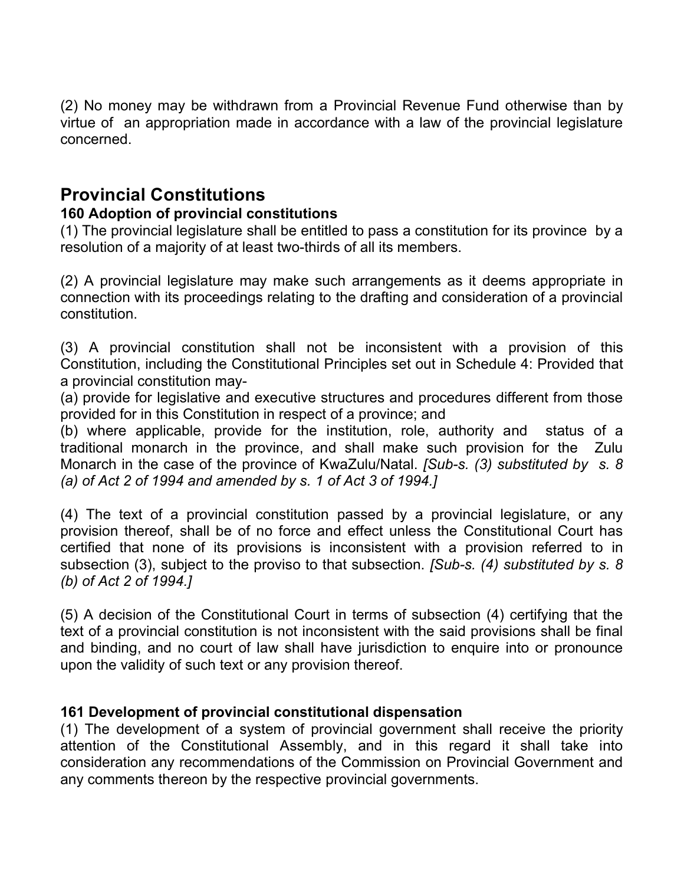(2) No money may be withdrawn from a Provincial Revenue Fund otherwise than by virtue of an appropriation made in accordance with a law of the provincial legislature concerned.

# **Provincial Constitutions**

#### **160 Adoption of provincial constitutions**

(1) The provincial legislature shall be entitled to pass a constitution for its province by a resolution of a majority of at least two-thirds of all its members.

(2) A provincial legislature may make such arrangements as it deems appropriate in connection with its proceedings relating to the drafting and consideration of a provincial constitution.

(3) A provincial constitution shall not be inconsistent with a provision of this Constitution, including the Constitutional Principles set out in Schedule 4: Provided that a provincial constitution may-

(a) provide for legislative and executive structures and procedures different from those provided for in this Constitution in respect of a province; and

(b) where applicable, provide for the institution, role, authority and status of a traditional monarch in the province, and shall make such provision for the Zulu Monarch in the case of the province of KwaZulu/Natal. *[Sub-s. (3) substituted by s. 8 (a) of Act 2 of 1994 and amended by s. 1 of Act 3 of 1994.]*

(4) The text of a provincial constitution passed by a provincial legislature, or any provision thereof, shall be of no force and effect unless the Constitutional Court has certified that none of its provisions is inconsistent with a provision referred to in subsection (3), subject to the proviso to that subsection. *[Sub-s. (4) substituted by s. 8 (b) of Act 2 of 1994.]*

(5) A decision of the Constitutional Court in terms of subsection (4) certifying that the text of a provincial constitution is not inconsistent with the said provisions shall be final and binding, and no court of law shall have jurisdiction to enquire into or pronounce upon the validity of such text or any provision thereof.

## **161 Development of provincial constitutional dispensation**

(1) The development of a system of provincial government shall receive the priority attention of the Constitutional Assembly, and in this regard it shall take into consideration any recommendations of the Commission on Provincial Government and any comments thereon by the respective provincial governments.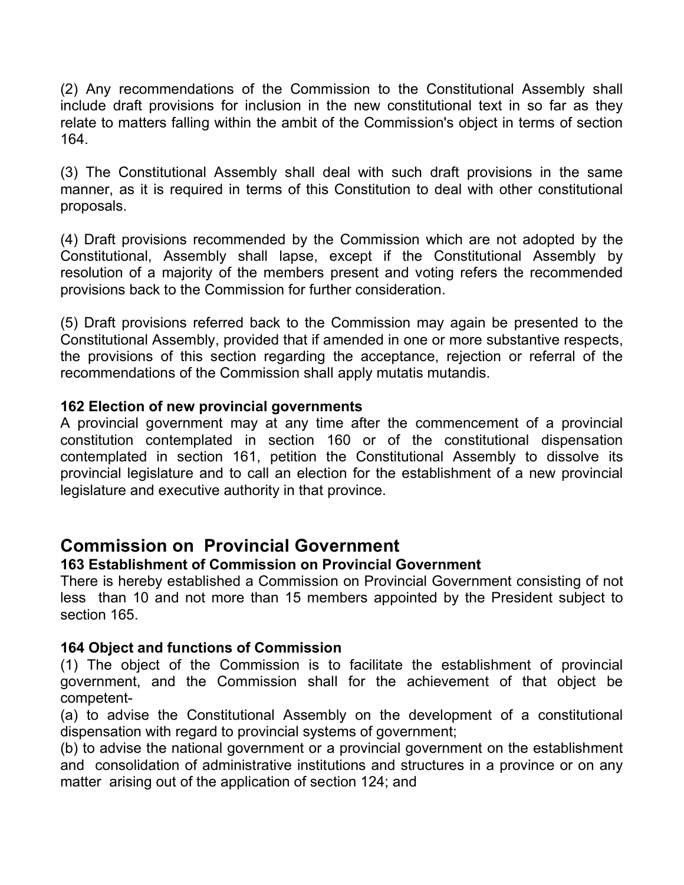(2) Any recommendations of the Commission to the Constitutional Assembly shall include draft provisions for inclusion in the new constitutional text in so far as they relate to matters falling within the ambit of the Commission's object in terms of section 164.

(3) The Constitutional Assembly shall deal with such draft provisions in the same manner, as it is required in terms of this Constitution to deal with other constitutional proposals.

(4) Draft provisions recommended by the Commission which are not adopted by the Constitutional, Assembly shall lapse, except if the Constitutional Assembly by resolution of a majority of the members present and voting refers the recommended provisions back to the Commission for further consideration.

(5) Draft provisions referred back to the Commission may again be presented to the Constitutional Assembly, provided that if amended in one or more substantive respects, the provisions of this section regarding the acceptance, rejection or referral of the recommendations of the Commission shall apply mutatis mutandis.

#### **162 Election of new provincial governments**

A provincial government may at any time after the commencement of a provincial constitution contemplated in section 160 or of the constitutional dispensation contemplated in section 161, petition the Constitutional Assembly to dissolve its provincial legislature and to call an election for the establishment of a new provincial legislature and executive authority in that province.

# **Commission on Provincial Government**

## **163 Establishment of Commission on Provincial Government**

There is hereby established a Commission on Provincial Government consisting of not less than 10 and not more than 15 members appointed by the President subject to section 165.

## **164 Object and functions of Commission**

(1) The object of the Commission is to facilitate the establishment of provincial government, and the Commission shall for the achievement of that object be competent-

(a) to advise the Constitutional Assembly on the development of a constitutional dispensation with regard to provincial systems of government;

(b) to advise the national government or a provincial government on the establishment and consolidation of administrative institutions and structures in a province or on any matter arising out of the application of section 124; and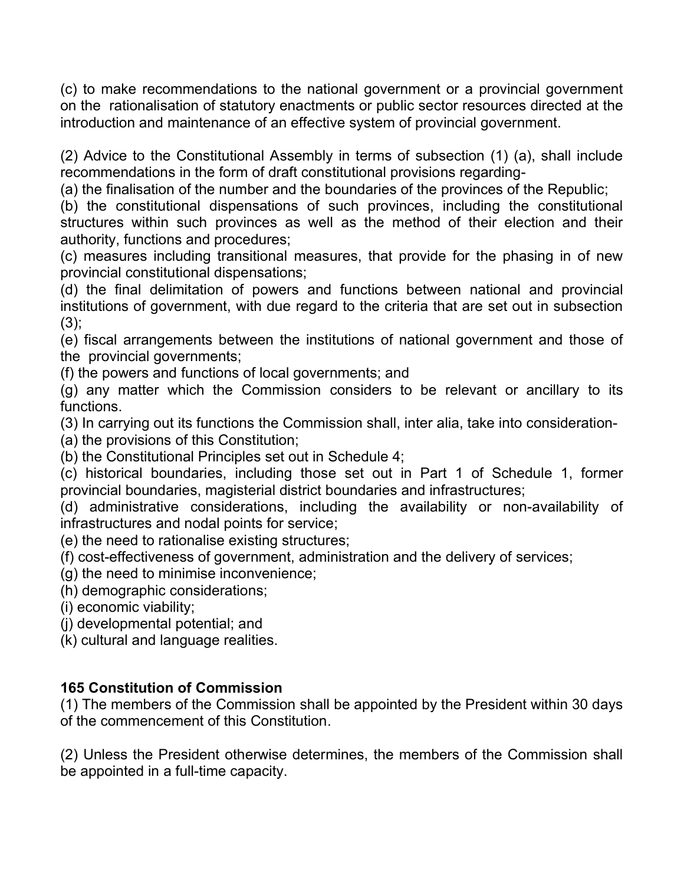(c) to make recommendations to the national government or a provincial government on the rationalisation of statutory enactments or public sector resources directed at the introduction and maintenance of an effective system of provincial government.

(2) Advice to the Constitutional Assembly in terms of subsection (1) (a), shall include recommendations in the form of draft constitutional provisions regarding-

(a) the finalisation of the number and the boundaries of the provinces of the Republic;

(b) the constitutional dispensations of such provinces, including the constitutional structures within such provinces as well as the method of their election and their authority, functions and procedures;

(c) measures including transitional measures, that provide for the phasing in of new provincial constitutional dispensations;

(d) the final delimitation of powers and functions between national and provincial institutions of government, with due regard to the criteria that are set out in subsection  $(3)$ ;

(e) fiscal arrangements between the institutions of national government and those of the provincial governments;

(f) the powers and functions of local governments; and

(g) any matter which the Commission considers to be relevant or ancillary to its functions.

(3) In carrying out its functions the Commission shall, inter alia, take into consideration-

(a) the provisions of this Constitution;

(b) the Constitutional Principles set out in Schedule 4;

(c) historical boundaries, including those set out in Part 1 of Schedule 1, former provincial boundaries, magisterial district boundaries and infrastructures;

(d) administrative considerations, including the availability or non-availability of infrastructures and nodal points for service;

(e) the need to rationalise existing structures;

- (f) cost-effectiveness of government, administration and the delivery of services;
- (g) the need to minimise inconvenience;
- (h) demographic considerations;

(i) economic viability;

(j) developmental potential; and

(k) cultural and language realities.

## **165 Constitution of Commission**

(1) The members of the Commission shall be appointed by the President within 30 days of the commencement of this Constitution.

(2) Unless the President otherwise determines, the members of the Commission shall be appointed in a full-time capacity.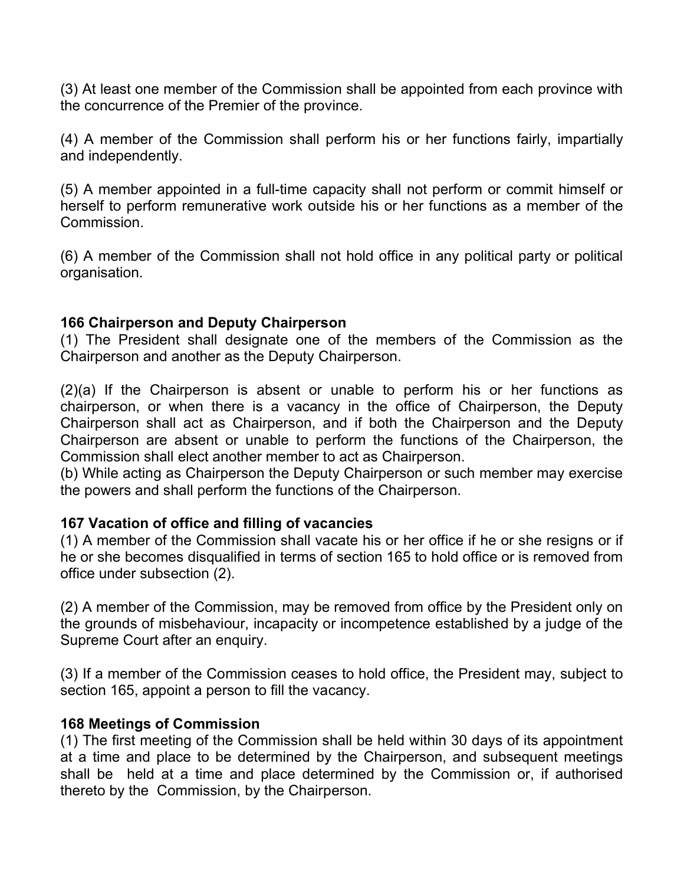(3) At least one member of the Commission shall be appointed from each province with the concurrence of the Premier of the province.

(4) A member of the Commission shall perform his or her functions fairly, impartially and independently.

(5) A member appointed in a full-time capacity shall not perform or commit himself or herself to perform remunerative work outside his or her functions as a member of the Commission.

(6) A member of the Commission shall not hold office in any political party or political organisation.

## **166 Chairperson and Deputy Chairperson**

(1) The President shall designate one of the members of the Commission as the Chairperson and another as the Deputy Chairperson.

(2)(a) If the Chairperson is absent or unable to perform his or her functions as chairperson, or when there is a vacancy in the office of Chairperson, the Deputy Chairperson shall act as Chairperson, and if both the Chairperson and the Deputy Chairperson are absent or unable to perform the functions of the Chairperson, the Commission shall elect another member to act as Chairperson.

(b) While acting as Chairperson the Deputy Chairperson or such member may exercise the powers and shall perform the functions of the Chairperson.

## **167 Vacation of office and filling of vacancies**

(1) A member of the Commission shall vacate his or her office if he or she resigns or if he or she becomes disqualified in terms of section 165 to hold office or is removed from office under subsection (2).

(2) A member of the Commission, may be removed from office by the President only on the grounds of misbehaviour, incapacity or incompetence established by a judge of the Supreme Court after an enquiry.

(3) If a member of the Commission ceases to hold office, the President may, subject to section 165, appoint a person to fill the vacancy.

## **168 Meetings of Commission**

(1) The first meeting of the Commission shall be held within 30 days of its appointment at a time and place to be determined by the Chairperson, and subsequent meetings shall be held at a time and place determined by the Commission or, if authorised thereto by the Commission, by the Chairperson.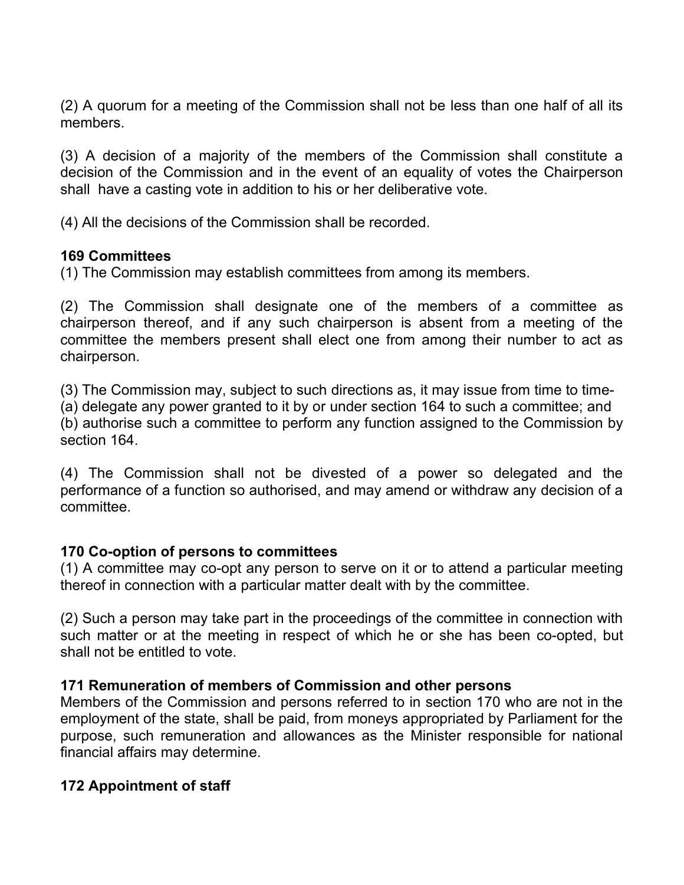(2) A quorum for a meeting of the Commission shall not be less than one half of all its members.

(3) A decision of a majority of the members of the Commission shall constitute a decision of the Commission and in the event of an equality of votes the Chairperson shall have a casting vote in addition to his or her deliberative vote.

(4) All the decisions of the Commission shall be recorded.

#### **169 Committees**

(1) The Commission may establish committees from among its members.

(2) The Commission shall designate one of the members of a committee as chairperson thereof, and if any such chairperson is absent from a meeting of the committee the members present shall elect one from among their number to act as chairperson.

(3) The Commission may, subject to such directions as, it may issue from time to time- (a) delegate any power granted to it by or under section 164 to such a committee; and (b) authorise such a committee to perform any function assigned to the Commission by section 164.

(4) The Commission shall not be divested of a power so delegated and the performance of a function so authorised, and may amend or withdraw any decision of a committee.

#### **170 Co-option of persons to committees**

(1) A committee may co-opt any person to serve on it or to attend a particular meeting thereof in connection with a particular matter dealt with by the committee.

(2) Such a person may take part in the proceedings of the committee in connection with such matter or at the meeting in respect of which he or she has been co-opted, but shall not be entitled to vote.

#### **171 Remuneration of members of Commission and other persons**

Members of the Commission and persons referred to in section 170 who are not in the employment of the state, shall be paid, from moneys appropriated by Parliament for the purpose, such remuneration and allowances as the Minister responsible for national financial affairs may determine.

#### **172 Appointment of staff**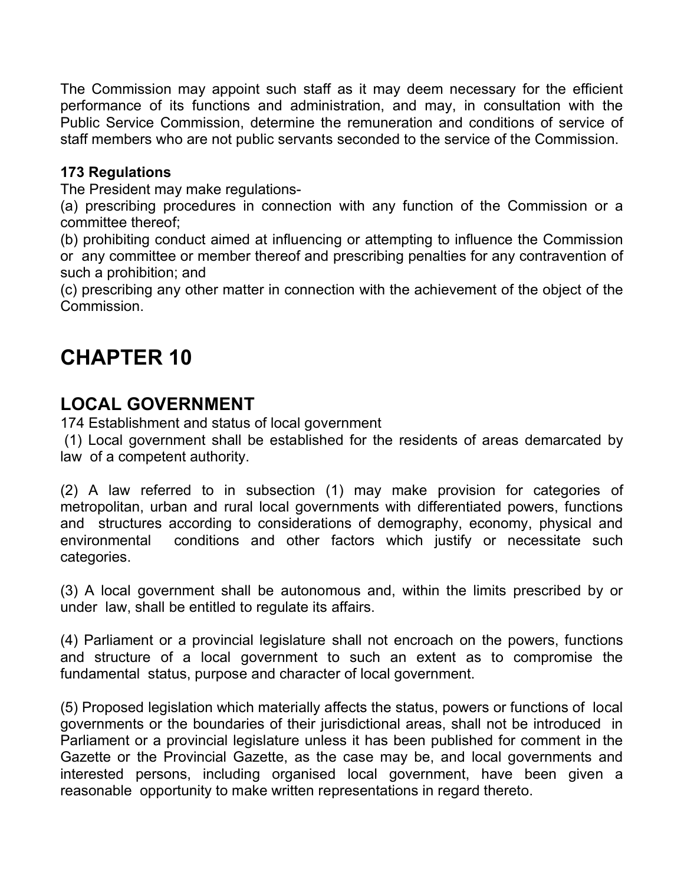The Commission may appoint such staff as it may deem necessary for the efficient performance of its functions and administration, and may, in consultation with the Public Service Commission, determine the remuneration and conditions of service of staff members who are not public servants seconded to the service of the Commission.

## **173 Regulations**

The President may make regulations-

(a) prescribing procedures in connection with any function of the Commission or a committee thereof;

(b) prohibiting conduct aimed at influencing or attempting to influence the Commission or any committee or member thereof and prescribing penalties for any contravention of such a prohibition; and

(c) prescribing any other matter in connection with the achievement of the object of the Commission.

# **CHAPTER 10**

# **LOCAL GOVERNMENT**

174 Establishment and status of local government

 (1) Local government shall be established for the residents of areas demarcated by law of a competent authority.

(2) A law referred to in subsection (1) may make provision for categories of metropolitan, urban and rural local governments with differentiated powers, functions and structures according to considerations of demography, economy, physical and environmental conditions and other factors which justify or necessitate such categories.

(3) A local government shall be autonomous and, within the limits prescribed by or under law, shall be entitled to regulate its affairs.

(4) Parliament or a provincial legislature shall not encroach on the powers, functions and structure of a local government to such an extent as to compromise the fundamental status, purpose and character of local government.

(5) Proposed legislation which materially affects the status, powers or functions of local governments or the boundaries of their jurisdictional areas, shall not be introduced in Parliament or a provincial legislature unless it has been published for comment in the Gazette or the Provincial Gazette, as the case may be, and local governments and interested persons, including organised local government, have been given a reasonable opportunity to make written representations in regard thereto.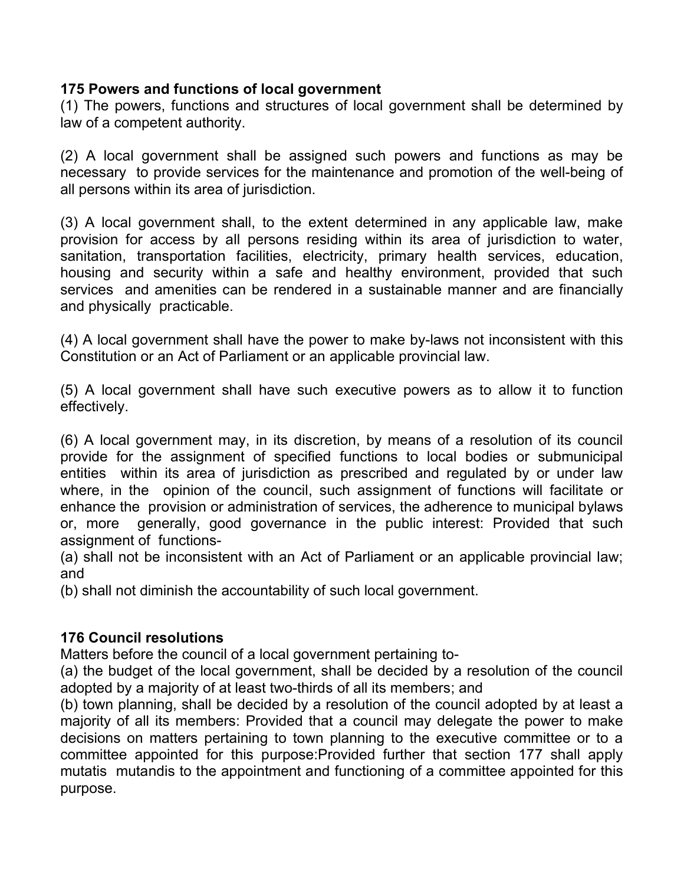#### **175 Powers and functions of local government**

(1) The powers, functions and structures of local government shall be determined by law of a competent authority.

(2) A local government shall be assigned such powers and functions as may be necessary to provide services for the maintenance and promotion of the well-being of all persons within its area of jurisdiction.

(3) A local government shall, to the extent determined in any applicable law, make provision for access by all persons residing within its area of jurisdiction to water, sanitation, transportation facilities, electricity, primary health services, education, housing and security within a safe and healthy environment, provided that such services and amenities can be rendered in a sustainable manner and are financially and physically practicable.

(4) A local government shall have the power to make by-laws not inconsistent with this Constitution or an Act of Parliament or an applicable provincial law.

(5) A local government shall have such executive powers as to allow it to function effectively.

(6) A local government may, in its discretion, by means of a resolution of its council provide for the assignment of specified functions to local bodies or submunicipal entities within its area of jurisdiction as prescribed and regulated by or under law where, in the opinion of the council, such assignment of functions will facilitate or enhance the provision or administration of services, the adherence to municipal bylaws or, more generally, good governance in the public interest: Provided that such assignment of functions-

(a) shall not be inconsistent with an Act of Parliament or an applicable provincial law; and

(b) shall not diminish the accountability of such local government.

## **176 Council resolutions**

Matters before the council of a local government pertaining to-

(a) the budget of the local government, shall be decided by a resolution of the council adopted by a majority of at least two-thirds of all its members; and

(b) town planning, shall be decided by a resolution of the council adopted by at least a majority of all its members: Provided that a council may delegate the power to make decisions on matters pertaining to town planning to the executive committee or to a committee appointed for this purpose:Provided further that section 177 shall apply mutatis mutandis to the appointment and functioning of a committee appointed for this purpose.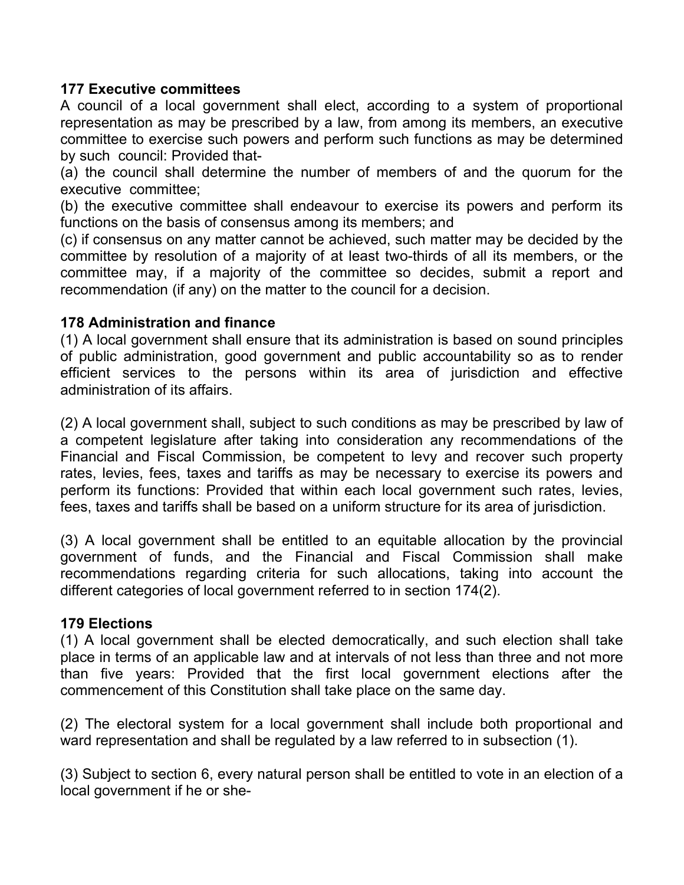#### **177 Executive committees**

A council of a local government shall elect, according to a system of proportional representation as may be prescribed by a law, from among its members, an executive committee to exercise such powers and perform such functions as may be determined by such council: Provided that-

(a) the council shall determine the number of members of and the quorum for the executive committee;

(b) the executive committee shall endeavour to exercise its powers and perform its functions on the basis of consensus among its members; and

(c) if consensus on any matter cannot be achieved, such matter may be decided by the committee by resolution of a majority of at least two-thirds of all its members, or the committee may, if a majority of the committee so decides, submit a report and recommendation (if any) on the matter to the council for a decision.

#### **178 Administration and finance**

(1) A local government shall ensure that its administration is based on sound principles of public administration, good government and public accountability so as to render efficient services to the persons within its area of jurisdiction and effective administration of its affairs.

(2) A local government shall, subject to such conditions as may be prescribed by law of a competent legislature after taking into consideration any recommendations of the Financial and Fiscal Commission, be competent to levy and recover such property rates, levies, fees, taxes and tariffs as may be necessary to exercise its powers and perform its functions: Provided that within each local government such rates, levies, fees, taxes and tariffs shall be based on a uniform structure for its area of jurisdiction.

(3) A local government shall be entitled to an equitable allocation by the provincial government of funds, and the Financial and Fiscal Commission shall make recommendations regarding criteria for such allocations, taking into account the different categories of local government referred to in section 174(2).

## **179 Elections**

(1) A local government shall be elected democratically, and such election shall take place in terms of an applicable law and at intervals of not less than three and not more than five years: Provided that the first local government elections after the commencement of this Constitution shall take place on the same day.

(2) The electoral system for a local government shall include both proportional and ward representation and shall be regulated by a law referred to in subsection (1).

(3) Subject to section 6, every natural person shall be entitled to vote in an election of a local government if he or she-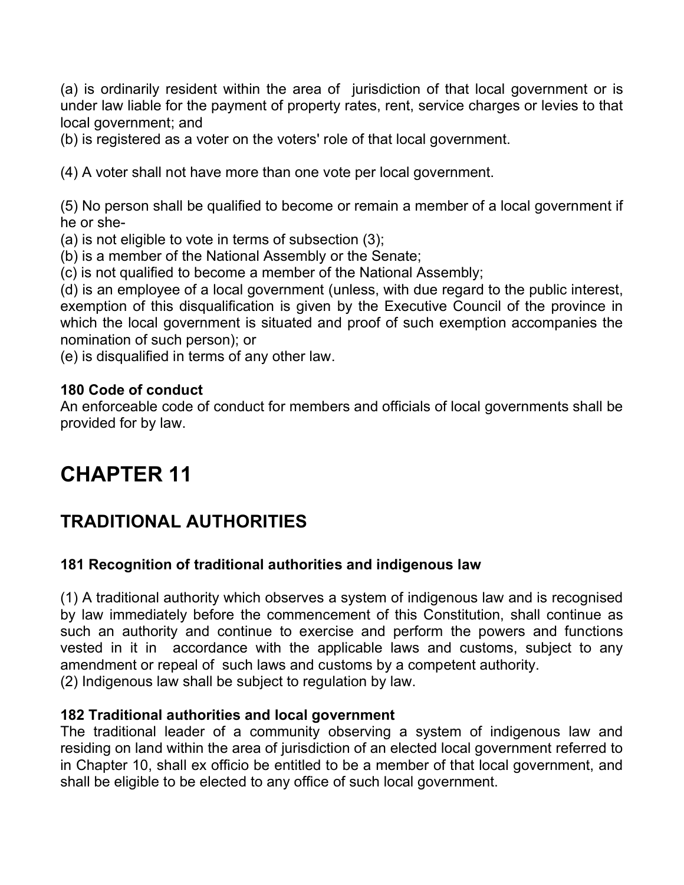(a) is ordinarily resident within the area of jurisdiction of that local government or is under law liable for the payment of property rates, rent, service charges or levies to that local government; and

(b) is registered as a voter on the voters' role of that local government.

(4) A voter shall not have more than one vote per local government.

(5) No person shall be qualified to become or remain a member of a local government if he or she-

(a) is not eligible to vote in terms of subsection (3);

(b) is a member of the National Assembly or the Senate;

(c) is not qualified to become a member of the National Assembly;

(d) is an employee of a local government (unless, with due regard to the public interest, exemption of this disqualification is given by the Executive Council of the province in which the local government is situated and proof of such exemption accompanies the nomination of such person); or

(e) is disqualified in terms of any other law.

#### **180 Code of conduct**

An enforceable code of conduct for members and officials of local governments shall be provided for by law.

# **CHAPTER 11**

# **TRADITIONAL AUTHORITIES**

# **181 Recognition of traditional authorities and indigenous law**

(1) A traditional authority which observes a system of indigenous law and is recognised by law immediately before the commencement of this Constitution, shall continue as such an authority and continue to exercise and perform the powers and functions vested in it in accordance with the applicable laws and customs, subject to any amendment or repeal of such laws and customs by a competent authority. (2) Indigenous law shall be subject to regulation by law.

## **182 Traditional authorities and local government**

The traditional leader of a community observing a system of indigenous law and residing on land within the area of jurisdiction of an elected local government referred to in Chapter 10, shall ex officio be entitled to be a member of that local government, and shall be eligible to be elected to any office of such local government.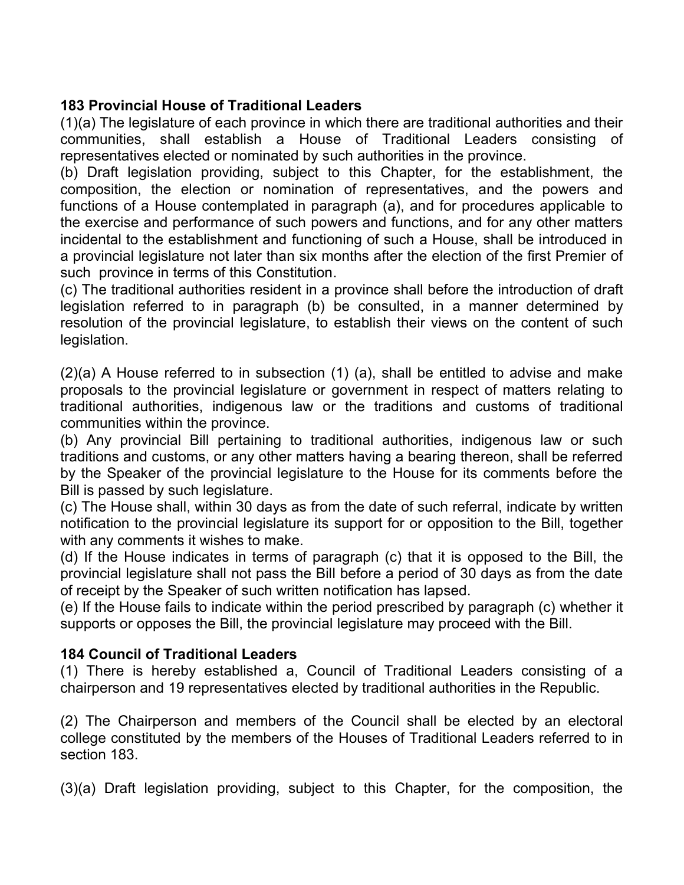## **183 Provincial House of Traditional Leaders**

(1)(a) The legislature of each province in which there are traditional authorities and their communities, shall establish a House of Traditional Leaders consisting of representatives elected or nominated by such authorities in the province.

(b) Draft legislation providing, subject to this Chapter, for the establishment, the composition, the election or nomination of representatives, and the powers and functions of a House contemplated in paragraph (a), and for procedures applicable to the exercise and performance of such powers and functions, and for any other matters incidental to the establishment and functioning of such a House, shall be introduced in a provincial legislature not later than six months after the election of the first Premier of such province in terms of this Constitution.

(c) The traditional authorities resident in a province shall before the introduction of draft legislation referred to in paragraph (b) be consulted, in a manner determined by resolution of the provincial legislature, to establish their views on the content of such legislation.

(2)(a) A House referred to in subsection (1) (a), shall be entitled to advise and make proposals to the provincial legislature or government in respect of matters relating to traditional authorities, indigenous law or the traditions and customs of traditional communities within the province.

(b) Any provincial Bill pertaining to traditional authorities, indigenous law or such traditions and customs, or any other matters having a bearing thereon, shall be referred by the Speaker of the provincial legislature to the House for its comments before the Bill is passed by such legislature.

(c) The House shall, within 30 days as from the date of such referral, indicate by written notification to the provincial legislature its support for or opposition to the Bill, together with any comments it wishes to make.

(d) If the House indicates in terms of paragraph (c) that it is opposed to the Bill, the provincial legislature shall not pass the Bill before a period of 30 days as from the date of receipt by the Speaker of such written notification has lapsed.

(e) If the House fails to indicate within the period prescribed by paragraph (c) whether it supports or opposes the Bill, the provincial legislature may proceed with the Bill.

## **184 Council of Traditional Leaders**

(1) There is hereby established a, Council of Traditional Leaders consisting of a chairperson and 19 representatives elected by traditional authorities in the Republic.

(2) The Chairperson and members of the Council shall be elected by an electoral college constituted by the members of the Houses of Traditional Leaders referred to in section 183.

(3)(a) Draft legislation providing, subject to this Chapter, for the composition, the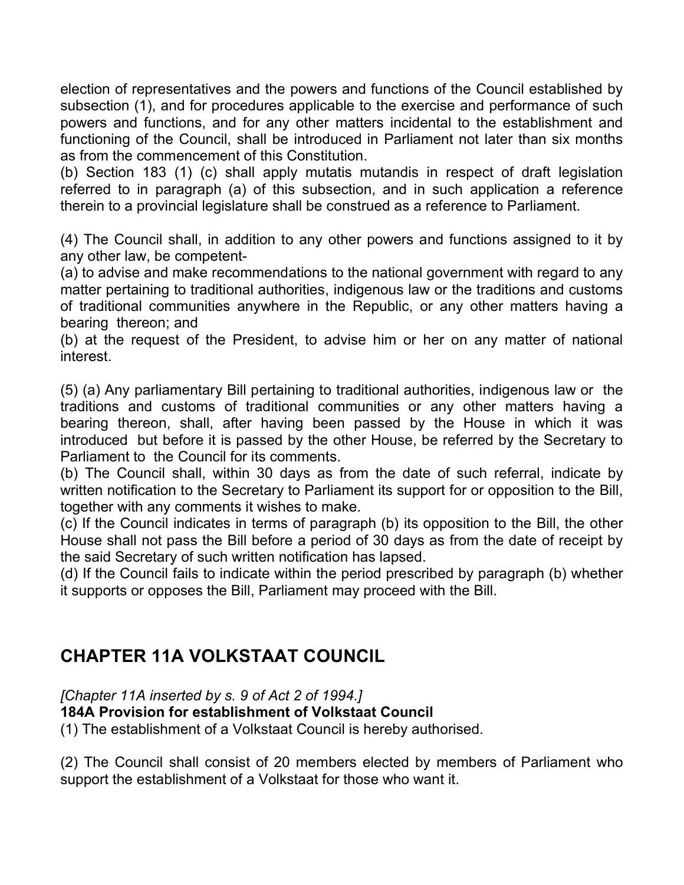election of representatives and the powers and functions of the Council established by subsection (1), and for procedures applicable to the exercise and performance of such powers and functions, and for any other matters incidental to the establishment and functioning of the Council, shall be introduced in Parliament not later than six months as from the commencement of this Constitution.

(b) Section 183 (1) (c) shall apply mutatis mutandis in respect of draft legislation referred to in paragraph (a) of this subsection, and in such application a reference therein to a provincial legislature shall be construed as a reference to Parliament.

(4) The Council shall, in addition to any other powers and functions assigned to it by any other law, be competent-

(a) to advise and make recommendations to the national government with regard to any matter pertaining to traditional authorities, indigenous law or the traditions and customs of traditional communities anywhere in the Republic, or any other matters having a bearing thereon; and

(b) at the request of the President, to advise him or her on any matter of national interest.

(5) (a) Any parliamentary Bill pertaining to traditional authorities, indigenous law or the traditions and customs of traditional communities or any other matters having a bearing thereon, shall, after having been passed by the House in which it was introduced but before it is passed by the other House, be referred by the Secretary to Parliament to the Council for its comments.

(b) The Council shall, within 30 days as from the date of such referral, indicate by written notification to the Secretary to Parliament its support for or opposition to the Bill, together with any comments it wishes to make.

(c) If the Council indicates in terms of paragraph (b) its opposition to the Bill, the other House shall not pass the Bill before a period of 30 days as from the date of receipt by the said Secretary of such written notification has lapsed.

(d) If the Council fails to indicate within the period prescribed by paragraph (b) whether it supports or opposes the Bill, Parliament may proceed with the Bill.

# **CHAPTER 11A VOLKSTAAT COUNCIL**

*[Chapter 11A inserted by s. 9 of Act 2 of 1994.]*

# **184A Provision for establishment of Volkstaat Council**

(1) The establishment of a Volkstaat Council is hereby authorised.

(2) The Council shall consist of 20 members elected by members of Parliament who support the establishment of a Volkstaat for those who want it.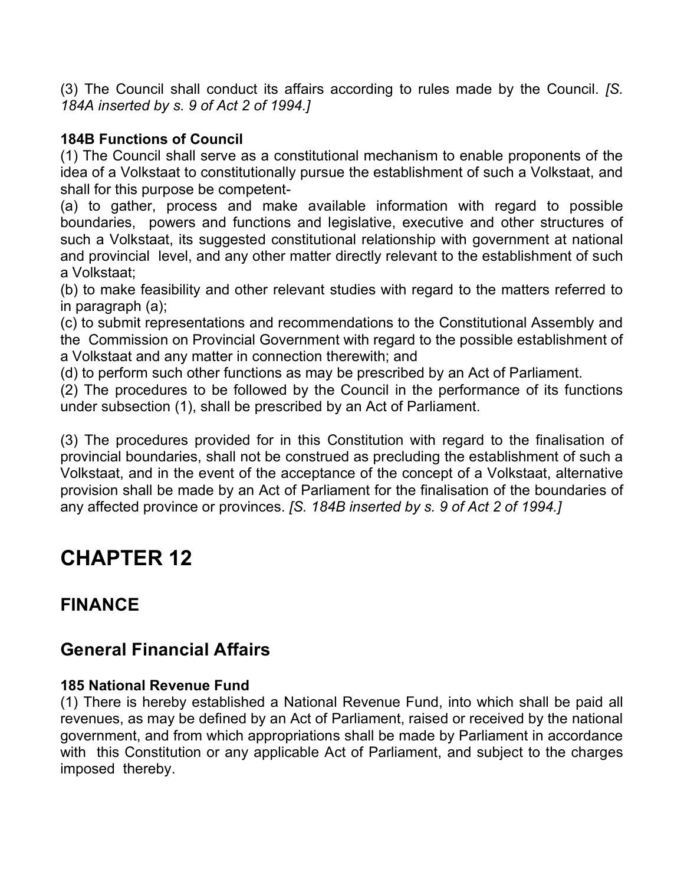(3) The Council shall conduct its affairs according to rules made by the Council. *[S. 184A inserted by s. 9 of Act 2 of 1994.]*

# **184B Functions of Council**

(1) The Council shall serve as a constitutional mechanism to enable proponents of the idea of a Volkstaat to constitutionally pursue the establishment of such a Volkstaat, and shall for this purpose be competent-

(a) to gather, process and make available information with regard to possible boundaries, powers and functions and legislative, executive and other structures of such a Volkstaat, its suggested constitutional relationship with government at national and provincial level, and any other matter directly relevant to the establishment of such a Volkstaat;

(b) to make feasibility and other relevant studies with regard to the matters referred to in paragraph (a);

(c) to submit representations and recommendations to the Constitutional Assembly and the Commission on Provincial Government with regard to the possible establishment of a Volkstaat and any matter in connection therewith; and

(d) to perform such other functions as may be prescribed by an Act of Parliament.

(2) The procedures to be followed by the Council in the performance of its functions under subsection (1), shall be prescribed by an Act of Parliament.

(3) The procedures provided for in this Constitution with regard to the finalisation of provincial boundaries, shall not be construed as precluding the establishment of such a Volkstaat, and in the event of the acceptance of the concept of a Volkstaat, alternative provision shall be made by an Act of Parliament for the finalisation of the boundaries of any affected province or provinces. *[S. 184B inserted by s. 9 of Act 2 of 1994.]*

# **CHAPTER 12**

# **FINANCE**

# **General Financial Affairs**

## **185 National Revenue Fund**

(1) There is hereby established a National Revenue Fund, into which shall be paid all revenues, as may be defined by an Act of Parliament, raised or received by the national government, and from which appropriations shall be made by Parliament in accordance with this Constitution or any applicable Act of Parliament, and subject to the charges imposed thereby.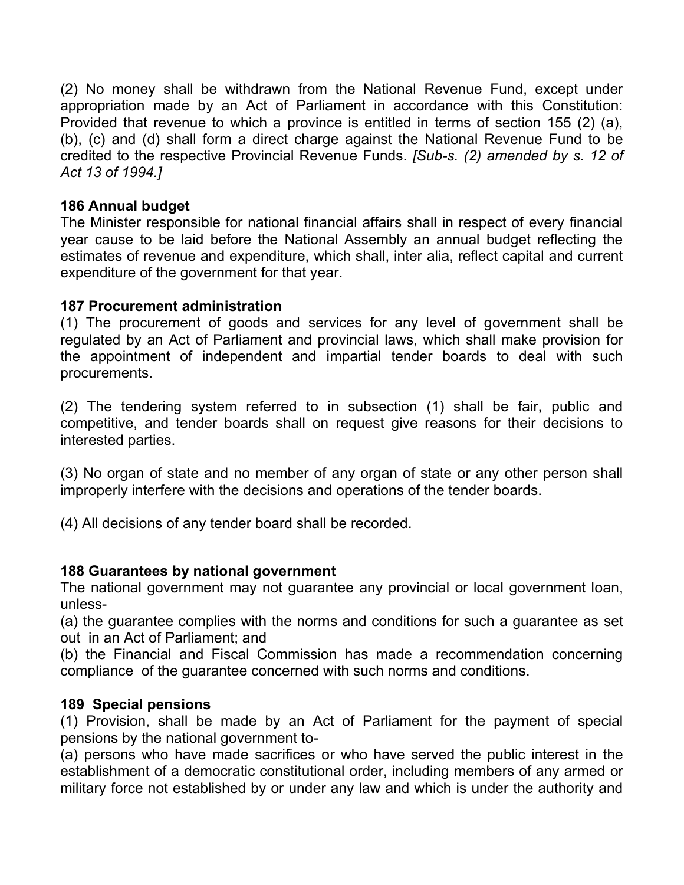(2) No money shall be withdrawn from the National Revenue Fund, except under appropriation made by an Act of Parliament in accordance with this Constitution: Provided that revenue to which a province is entitled in terms of section 155 (2) (a), (b), (c) and (d) shall form a direct charge against the National Revenue Fund to be credited to the respective Provincial Revenue Funds. *[Sub-s. (2) amended by s. 12 of Act 13 of 1994.]*

## **186 Annual budget**

The Minister responsible for national financial affairs shall in respect of every financial year cause to be laid before the National Assembly an annual budget reflecting the estimates of revenue and expenditure, which shall, inter alia, reflect capital and current expenditure of the government for that year.

## **187 Procurement administration**

(1) The procurement of goods and services for any level of government shall be regulated by an Act of Parliament and provincial laws, which shall make provision for the appointment of independent and impartial tender boards to deal with such procurements.

(2) The tendering system referred to in subsection (1) shall be fair, public and competitive, and tender boards shall on request give reasons for their decisions to interested parties.

(3) No organ of state and no member of any organ of state or any other person shall improperly interfere with the decisions and operations of the tender boards.

(4) All decisions of any tender board shall be recorded.

# **188 Guarantees by national government**

The national government may not guarantee any provincial or local government loan, unless-

(a) the guarantee complies with the norms and conditions for such a guarantee as set out in an Act of Parliament; and

(b) the Financial and Fiscal Commission has made a recommendation concerning compliance of the guarantee concerned with such norms and conditions.

## **189 Special pensions**

(1) Provision, shall be made by an Act of Parliament for the payment of special pensions by the national government to-

(a) persons who have made sacrifices or who have served the public interest in the establishment of a democratic constitutional order, including members of any armed or military force not established by or under any law and which is under the authority and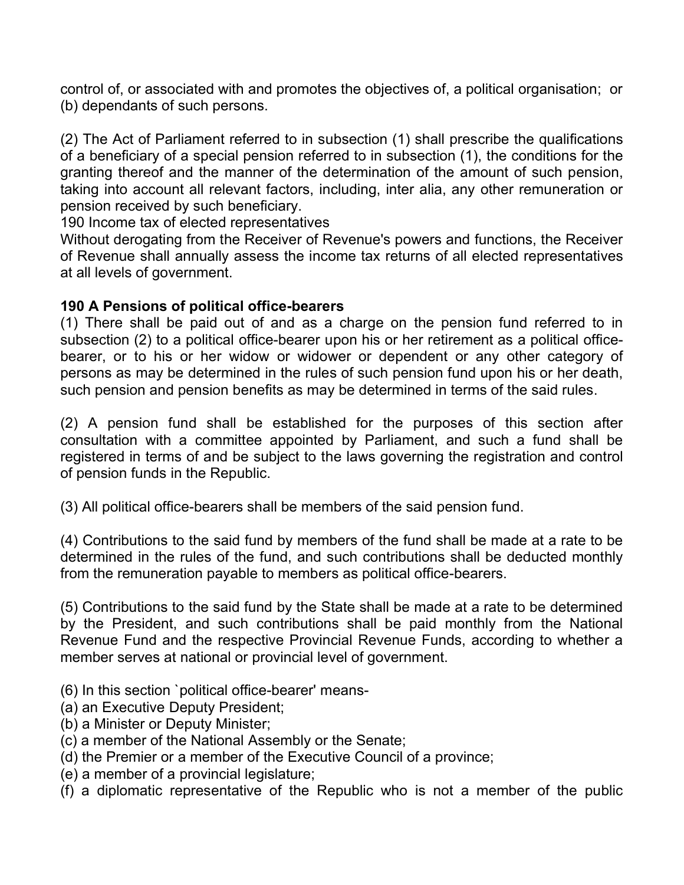control of, or associated with and promotes the objectives of, a political organisation; or (b) dependants of such persons.

(2) The Act of Parliament referred to in subsection (1) shall prescribe the qualifications of a beneficiary of a special pension referred to in subsection (1), the conditions for the granting thereof and the manner of the determination of the amount of such pension, taking into account all relevant factors, including, inter alia, any other remuneration or pension received by such beneficiary.

190 Income tax of elected representatives

Without derogating from the Receiver of Revenue's powers and functions, the Receiver of Revenue shall annually assess the income tax returns of all elected representatives at all levels of government.

## **190 A Pensions of political office-bearers**

(1) There shall be paid out of and as a charge on the pension fund referred to in subsection (2) to a political office-bearer upon his or her retirement as a political officebearer, or to his or her widow or widower or dependent or any other category of persons as may be determined in the rules of such pension fund upon his or her death, such pension and pension benefits as may be determined in terms of the said rules.

(2) A pension fund shall be established for the purposes of this section after consultation with a committee appointed by Parliament, and such a fund shall be registered in terms of and be subject to the laws governing the registration and control of pension funds in the Republic.

(3) All political office-bearers shall be members of the said pension fund.

(4) Contributions to the said fund by members of the fund shall be made at a rate to be determined in the rules of the fund, and such contributions shall be deducted monthly from the remuneration payable to members as political office-bearers.

(5) Contributions to the said fund by the State shall be made at a rate to be determined by the President, and such contributions shall be paid monthly from the National Revenue Fund and the respective Provincial Revenue Funds, according to whether a member serves at national or provincial level of government.

(6) In this section `political office-bearer' means-

(a) an Executive Deputy President;

- (b) a Minister or Deputy Minister;
- (c) a member of the National Assembly or the Senate;
- (d) the Premier or a member of the Executive Council of a province;
- (e) a member of a provincial legislature;
- (f) a diplomatic representative of the Republic who is not a member of the public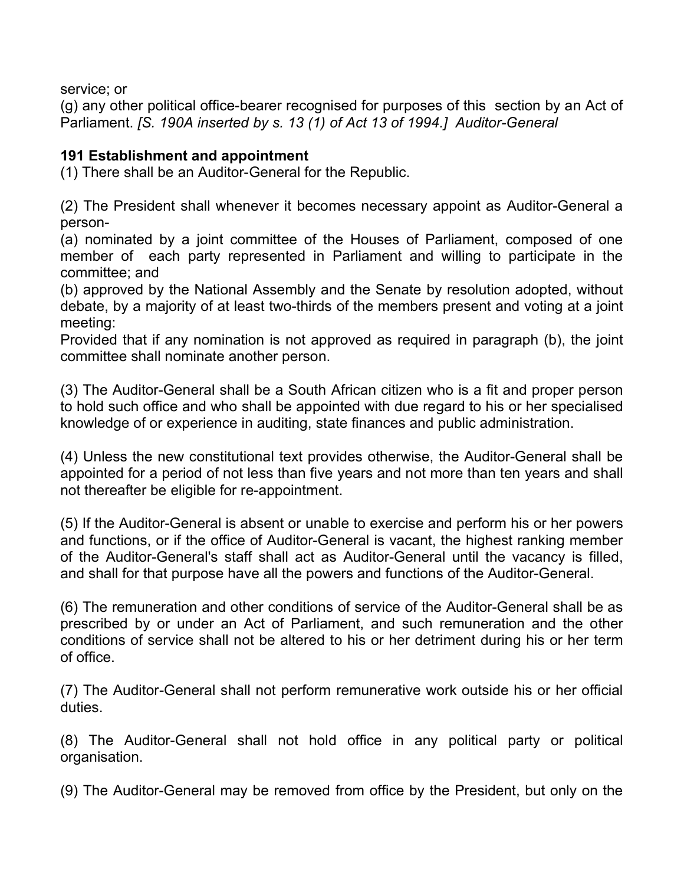service; or

(g) any other political office-bearer recognised for purposes of this section by an Act of Parliament. *[S. 190A inserted by s. 13 (1) of Act 13 of 1994.] Auditor-General*

#### **191 Establishment and appointment**

(1) There shall be an Auditor-General for the Republic.

(2) The President shall whenever it becomes necessary appoint as Auditor-General a person-

(a) nominated by a joint committee of the Houses of Parliament, composed of one member of each party represented in Parliament and willing to participate in the committee; and

(b) approved by the National Assembly and the Senate by resolution adopted, without debate, by a majority of at least two-thirds of the members present and voting at a joint meeting:

Provided that if any nomination is not approved as required in paragraph (b), the joint committee shall nominate another person.

(3) The Auditor-General shall be a South African citizen who is a fit and proper person to hold such office and who shall be appointed with due regard to his or her specialised knowledge of or experience in auditing, state finances and public administration.

(4) Unless the new constitutional text provides otherwise, the Auditor-General shall be appointed for a period of not less than five years and not more than ten years and shall not thereafter be eligible for re-appointment.

(5) If the Auditor-General is absent or unable to exercise and perform his or her powers and functions, or if the office of Auditor-General is vacant, the highest ranking member of the Auditor-General's staff shall act as Auditor-General until the vacancy is filled, and shall for that purpose have all the powers and functions of the Auditor-General.

(6) The remuneration and other conditions of service of the Auditor-General shall be as prescribed by or under an Act of Parliament, and such remuneration and the other conditions of service shall not be altered to his or her detriment during his or her term of office.

(7) The Auditor-General shall not perform remunerative work outside his or her official duties.

(8) The Auditor-General shall not hold office in any political party or political organisation.

(9) The Auditor-General may be removed from office by the President, but only on the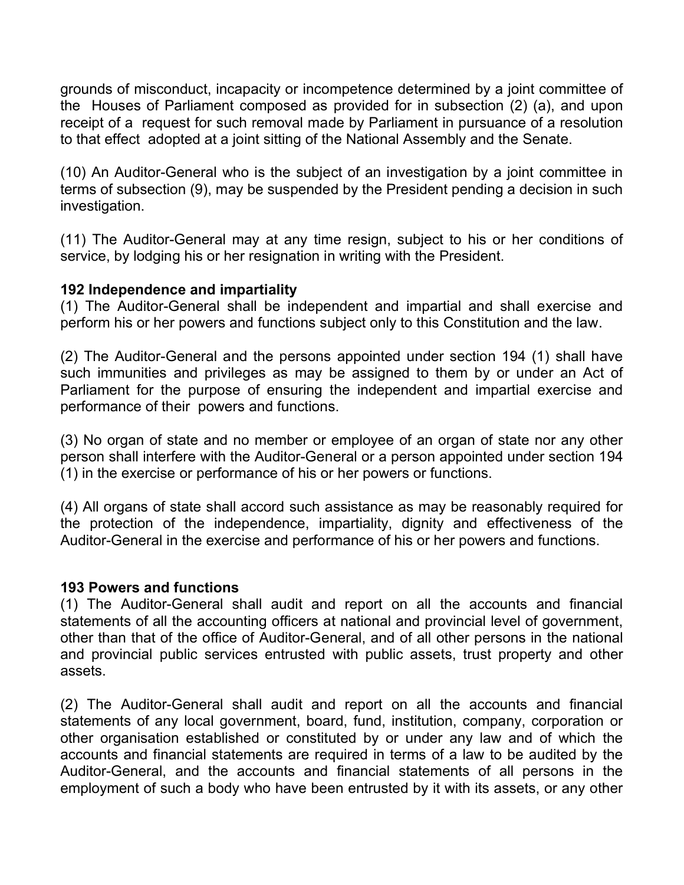grounds of misconduct, incapacity or incompetence determined by a joint committee of the Houses of Parliament composed as provided for in subsection (2) (a), and upon receipt of a request for such removal made by Parliament in pursuance of a resolution to that effect adopted at a joint sitting of the National Assembly and the Senate.

(10) An Auditor-General who is the subject of an investigation by a joint committee in terms of subsection (9), may be suspended by the President pending a decision in such investigation.

(11) The Auditor-General may at any time resign, subject to his or her conditions of service, by lodging his or her resignation in writing with the President.

## **192 Independence and impartiality**

(1) The Auditor-General shall be independent and impartial and shall exercise and perform his or her powers and functions subject only to this Constitution and the law.

(2) The Auditor-General and the persons appointed under section 194 (1) shall have such immunities and privileges as may be assigned to them by or under an Act of Parliament for the purpose of ensuring the independent and impartial exercise and performance of their powers and functions.

(3) No organ of state and no member or employee of an organ of state nor any other person shall interfere with the Auditor-General or a person appointed under section 194 (1) in the exercise or performance of his or her powers or functions.

(4) All organs of state shall accord such assistance as may be reasonably required for the protection of the independence, impartiality, dignity and effectiveness of the Auditor-General in the exercise and performance of his or her powers and functions.

#### **193 Powers and functions**

(1) The Auditor-General shall audit and report on all the accounts and financial statements of all the accounting officers at national and provincial level of government, other than that of the office of Auditor-General, and of all other persons in the national and provincial public services entrusted with public assets, trust property and other assets.

(2) The Auditor-General shall audit and report on all the accounts and financial statements of any local government, board, fund, institution, company, corporation or other organisation established or constituted by or under any law and of which the accounts and financial statements are required in terms of a law to be audited by the Auditor-General, and the accounts and financial statements of all persons in the employment of such a body who have been entrusted by it with its assets, or any other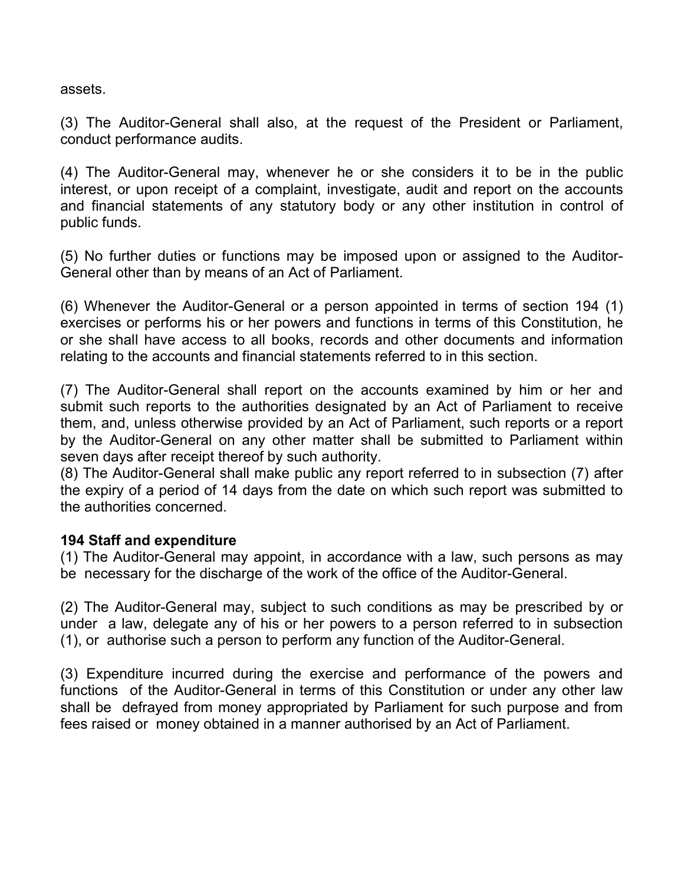assets.

(3) The Auditor-General shall also, at the request of the President or Parliament, conduct performance audits.

(4) The Auditor-General may, whenever he or she considers it to be in the public interest, or upon receipt of a complaint, investigate, audit and report on the accounts and financial statements of any statutory body or any other institution in control of public funds.

(5) No further duties or functions may be imposed upon or assigned to the Auditor-General other than by means of an Act of Parliament.

(6) Whenever the Auditor-General or a person appointed in terms of section 194 (1) exercises or performs his or her powers and functions in terms of this Constitution, he or she shall have access to all books, records and other documents and information relating to the accounts and financial statements referred to in this section.

(7) The Auditor-General shall report on the accounts examined by him or her and submit such reports to the authorities designated by an Act of Parliament to receive them, and, unless otherwise provided by an Act of Parliament, such reports or a report by the Auditor-General on any other matter shall be submitted to Parliament within seven days after receipt thereof by such authority.

(8) The Auditor-General shall make public any report referred to in subsection (7) after the expiry of a period of 14 days from the date on which such report was submitted to the authorities concerned.

## **194 Staff and expenditure**

(1) The Auditor-General may appoint, in accordance with a law, such persons as may be necessary for the discharge of the work of the office of the Auditor-General.

(2) The Auditor-General may, subject to such conditions as may be prescribed by or under a law, delegate any of his or her powers to a person referred to in subsection (1), or authorise such a person to perform any function of the Auditor-General.

(3) Expenditure incurred during the exercise and performance of the powers and functions of the Auditor-General in terms of this Constitution or under any other law shall be defrayed from money appropriated by Parliament for such purpose and from fees raised or money obtained in a manner authorised by an Act of Parliament.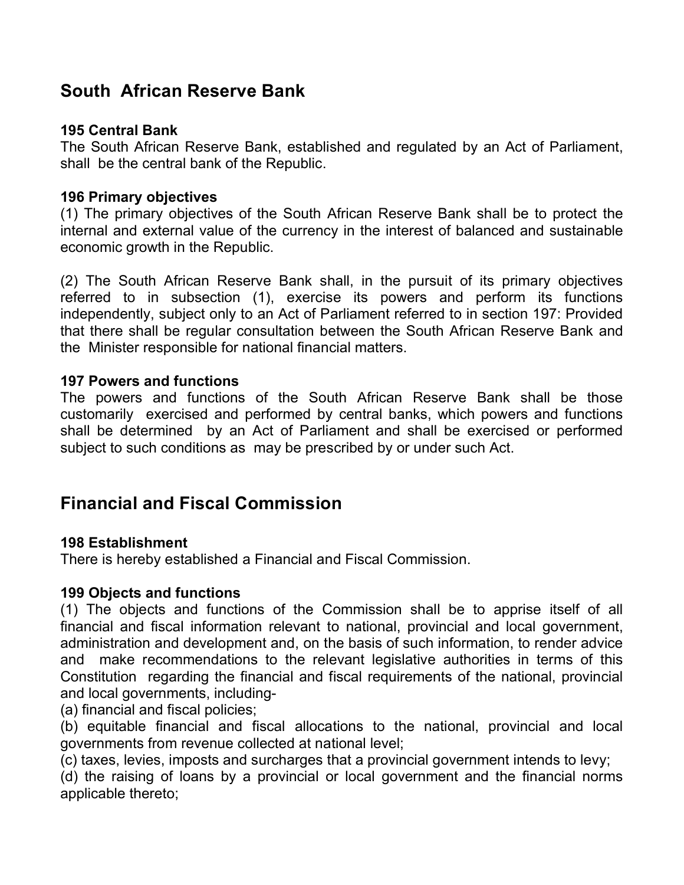# **South African Reserve Bank**

#### **195 Central Bank**

The South African Reserve Bank, established and regulated by an Act of Parliament, shall be the central bank of the Republic.

#### **196 Primary objectives**

(1) The primary objectives of the South African Reserve Bank shall be to protect the internal and external value of the currency in the interest of balanced and sustainable economic growth in the Republic.

(2) The South African Reserve Bank shall, in the pursuit of its primary objectives referred to in subsection (1), exercise its powers and perform its functions independently, subject only to an Act of Parliament referred to in section 197: Provided that there shall be regular consultation between the South African Reserve Bank and the Minister responsible for national financial matters.

#### **197 Powers and functions**

The powers and functions of the South African Reserve Bank shall be those customarily exercised and performed by central banks, which powers and functions shall be determined by an Act of Parliament and shall be exercised or performed subject to such conditions as may be prescribed by or under such Act.

# **Financial and Fiscal Commission**

#### **198 Establishment**

There is hereby established a Financial and Fiscal Commission.

#### **199 Objects and functions**

(1) The objects and functions of the Commission shall be to apprise itself of all financial and fiscal information relevant to national, provincial and local government, administration and development and, on the basis of such information, to render advice and make recommendations to the relevant legislative authorities in terms of this Constitution regarding the financial and fiscal requirements of the national, provincial and local governments, including-

(a) financial and fiscal policies;

(b) equitable financial and fiscal allocations to the national, provincial and local governments from revenue collected at national level;

(c) taxes, levies, imposts and surcharges that a provincial government intends to levy;

(d) the raising of loans by a provincial or local government and the financial norms applicable thereto;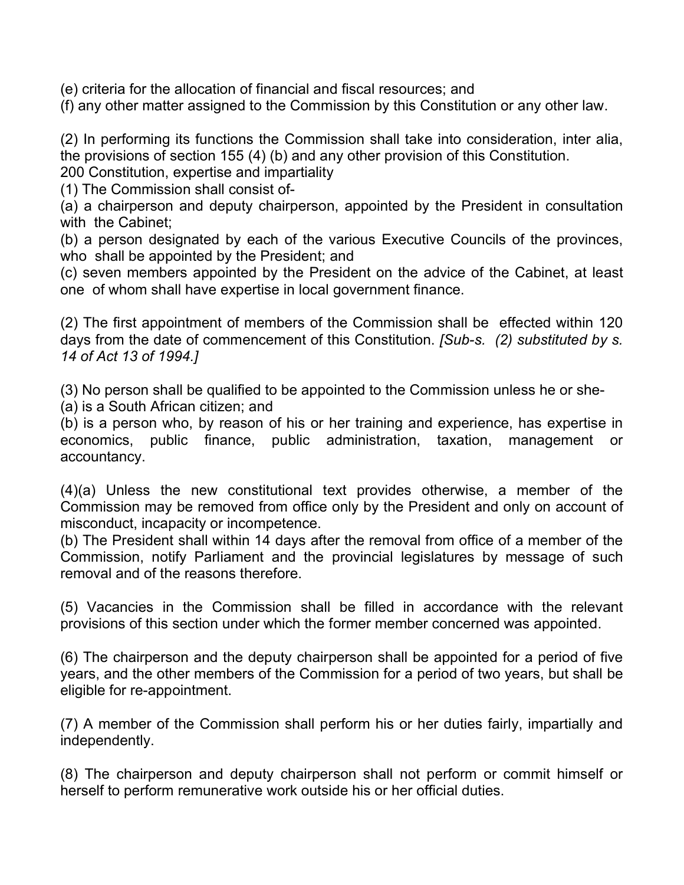(e) criteria for the allocation of financial and fiscal resources; and

(f) any other matter assigned to the Commission by this Constitution or any other law.

(2) In performing its functions the Commission shall take into consideration, inter alia, the provisions of section 155 (4) (b) and any other provision of this Constitution.

200 Constitution, expertise and impartiality

(1) The Commission shall consist of-

(a) a chairperson and deputy chairperson, appointed by the President in consultation with the Cabinet;

(b) a person designated by each of the various Executive Councils of the provinces, who shall be appointed by the President; and

(c) seven members appointed by the President on the advice of the Cabinet, at least one of whom shall have expertise in local government finance.

(2) The first appointment of members of the Commission shall be effected within 120 days from the date of commencement of this Constitution. *[Sub-s. (2) substituted by s. 14 of Act 13 of 1994.]*

(3) No person shall be qualified to be appointed to the Commission unless he or she-

(a) is a South African citizen; and

(b) is a person who, by reason of his or her training and experience, has expertise in economics, public finance, public administration, taxation, management or accountancy.

(4)(a) Unless the new constitutional text provides otherwise, a member of the Commission may be removed from office only by the President and only on account of misconduct, incapacity or incompetence.

(b) The President shall within 14 days after the removal from office of a member of the Commission, notify Parliament and the provincial legislatures by message of such removal and of the reasons therefore.

(5) Vacancies in the Commission shall be filled in accordance with the relevant provisions of this section under which the former member concerned was appointed.

(6) The chairperson and the deputy chairperson shall be appointed for a period of five years, and the other members of the Commission for a period of two years, but shall be eligible for re-appointment.

(7) A member of the Commission shall perform his or her duties fairly, impartially and independently.

(8) The chairperson and deputy chairperson shall not perform or commit himself or herself to perform remunerative work outside his or her official duties.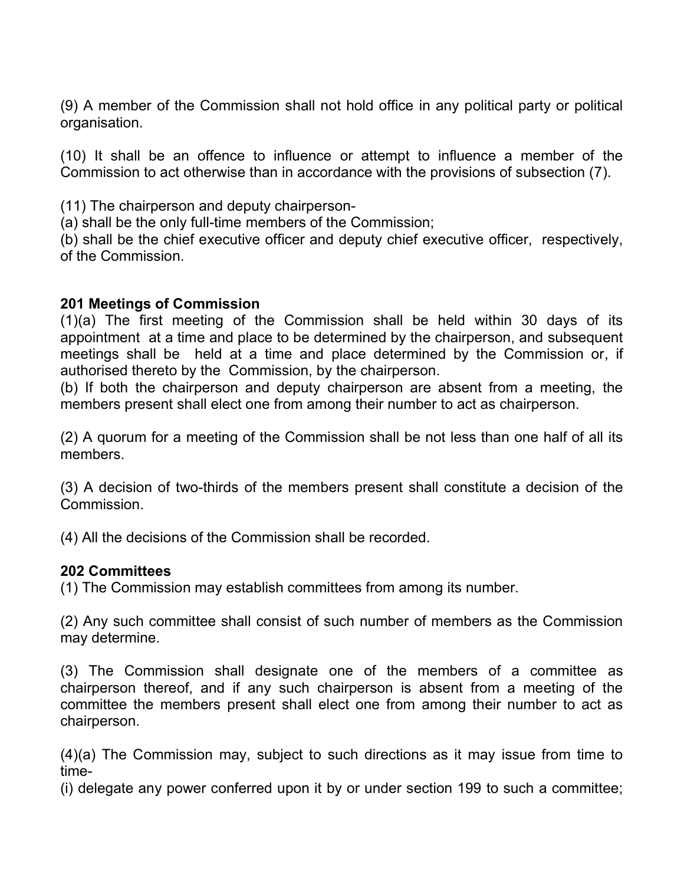(9) A member of the Commission shall not hold office in any political party or political organisation.

(10) It shall be an offence to influence or attempt to influence a member of the Commission to act otherwise than in accordance with the provisions of subsection (7).

(11) The chairperson and deputy chairperson-

(a) shall be the only full-time members of the Commission;

(b) shall be the chief executive officer and deputy chief executive officer, respectively, of the Commission.

#### **201 Meetings of Commission**

(1)(a) The first meeting of the Commission shall be held within 30 days of its appointment at a time and place to be determined by the chairperson, and subsequent meetings shall be held at a time and place determined by the Commission or, if authorised thereto by the Commission, by the chairperson.

(b) If both the chairperson and deputy chairperson are absent from a meeting, the members present shall elect one from among their number to act as chairperson.

(2) A quorum for a meeting of the Commission shall be not less than one half of all its members.

(3) A decision of two-thirds of the members present shall constitute a decision of the Commission.

(4) All the decisions of the Commission shall be recorded.

#### **202 Committees**

(1) The Commission may establish committees from among its number.

(2) Any such committee shall consist of such number of members as the Commission may determine.

(3) The Commission shall designate one of the members of a committee as chairperson thereof, and if any such chairperson is absent from a meeting of the committee the members present shall elect one from among their number to act as chairperson.

(4)(a) The Commission may, subject to such directions as it may issue from time to time-

(i) delegate any power conferred upon it by or under section 199 to such a committee;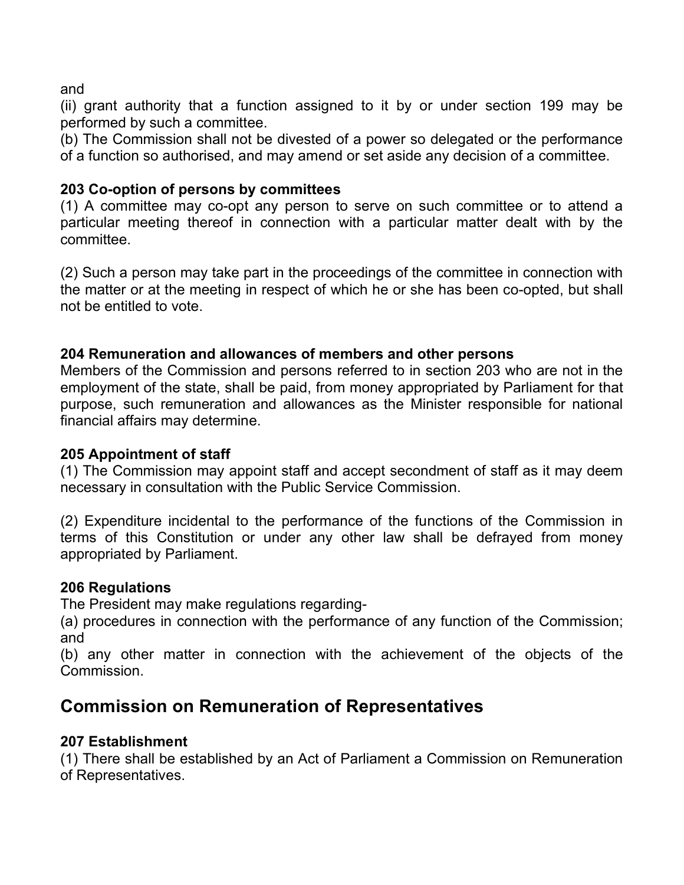and

(ii) grant authority that a function assigned to it by or under section 199 may be performed by such a committee.

(b) The Commission shall not be divested of a power so delegated or the performance of a function so authorised, and may amend or set aside any decision of a committee.

## **203 Co-option of persons by committees**

(1) A committee may co-opt any person to serve on such committee or to attend a particular meeting thereof in connection with a particular matter dealt with by the committee.

(2) Such a person may take part in the proceedings of the committee in connection with the matter or at the meeting in respect of which he or she has been co-opted, but shall not be entitled to vote.

#### **204 Remuneration and allowances of members and other persons**

Members of the Commission and persons referred to in section 203 who are not in the employment of the state, shall be paid, from money appropriated by Parliament for that purpose, such remuneration and allowances as the Minister responsible for national financial affairs may determine.

#### **205 Appointment of staff**

(1) The Commission may appoint staff and accept secondment of staff as it may deem necessary in consultation with the Public Service Commission.

(2) Expenditure incidental to the performance of the functions of the Commission in terms of this Constitution or under any other law shall be defrayed from money appropriated by Parliament.

## **206 Regulations**

The President may make regulations regarding-

(a) procedures in connection with the performance of any function of the Commission; and

(b) any other matter in connection with the achievement of the objects of the Commission.

# **Commission on Remuneration of Representatives**

## **207 Establishment**

(1) There shall be established by an Act of Parliament a Commission on Remuneration of Representatives.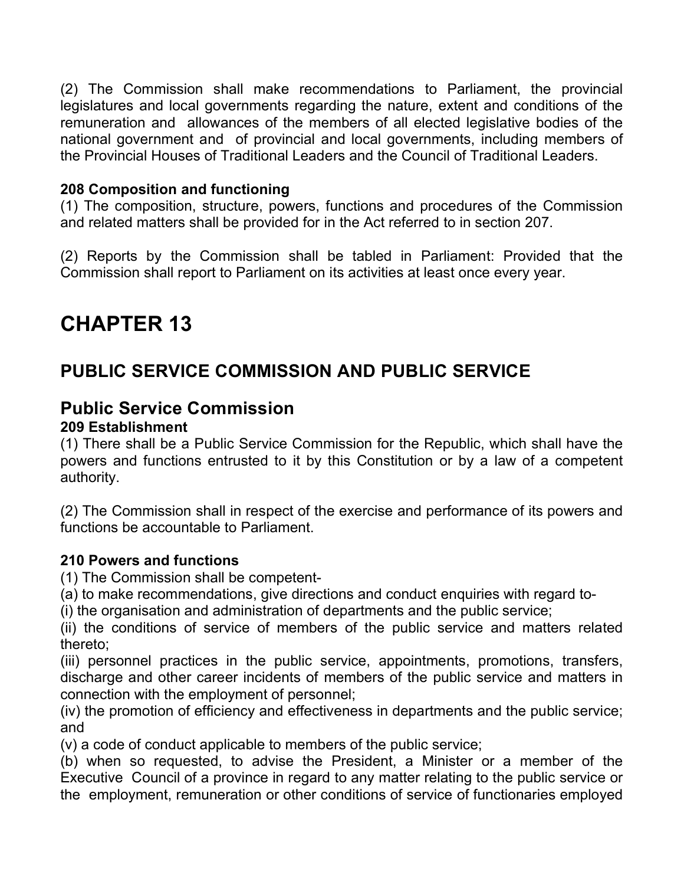(2) The Commission shall make recommendations to Parliament, the provincial legislatures and local governments regarding the nature, extent and conditions of the remuneration and allowances of the members of all elected legislative bodies of the national government and of provincial and local governments, including members of the Provincial Houses of Traditional Leaders and the Council of Traditional Leaders.

# **208 Composition and functioning**

(1) The composition, structure, powers, functions and procedures of the Commission and related matters shall be provided for in the Act referred to in section 207.

(2) Reports by the Commission shall be tabled in Parliament: Provided that the Commission shall report to Parliament on its activities at least once every year.

# **CHAPTER 13**

# **PUBLIC SERVICE COMMISSION AND PUBLIC SERVICE**

# **Public Service Commission**

#### **209 Establishment**

(1) There shall be a Public Service Commission for the Republic, which shall have the powers and functions entrusted to it by this Constitution or by a law of a competent authority.

(2) The Commission shall in respect of the exercise and performance of its powers and functions be accountable to Parliament.

## **210 Powers and functions**

(1) The Commission shall be competent-

(a) to make recommendations, give directions and conduct enquiries with regard to-

(i) the organisation and administration of departments and the public service;

(ii) the conditions of service of members of the public service and matters related thereto;

(iii) personnel practices in the public service, appointments, promotions, transfers, discharge and other career incidents of members of the public service and matters in connection with the employment of personnel;

(iv) the promotion of efficiency and effectiveness in departments and the public service; and

(v) a code of conduct applicable to members of the public service;

(b) when so requested, to advise the President, a Minister or a member of the Executive Council of a province in regard to any matter relating to the public service or the employment, remuneration or other conditions of service of functionaries employed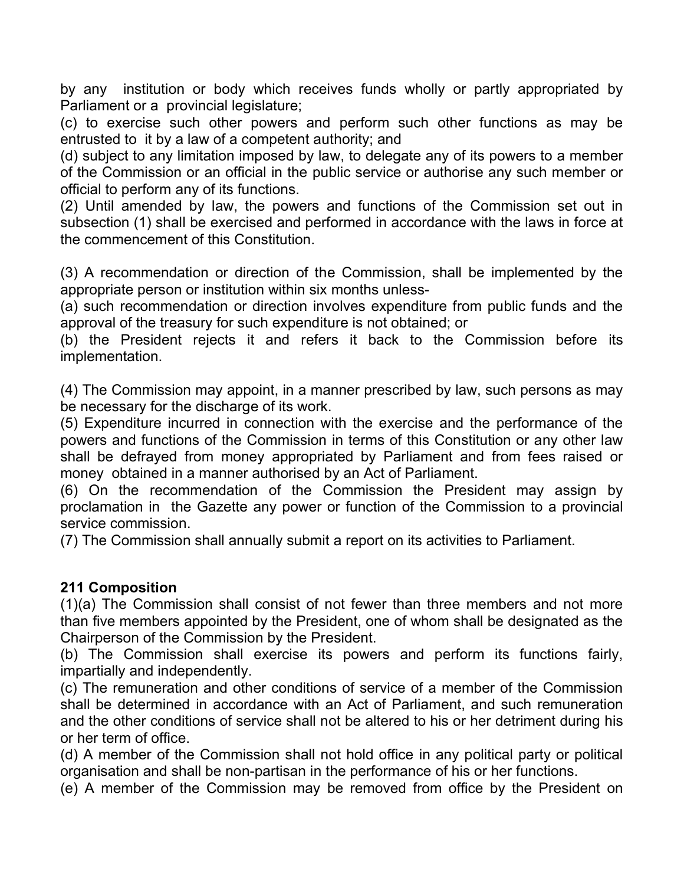by any institution or body which receives funds wholly or partly appropriated by Parliament or a provincial legislature;

(c) to exercise such other powers and perform such other functions as may be entrusted to it by a law of a competent authority; and

(d) subject to any limitation imposed by law, to delegate any of its powers to a member of the Commission or an official in the public service or authorise any such member or official to perform any of its functions.

(2) Until amended by law, the powers and functions of the Commission set out in subsection (1) shall be exercised and performed in accordance with the laws in force at the commencement of this Constitution.

(3) A recommendation or direction of the Commission, shall be implemented by the appropriate person or institution within six months unless-

(a) such recommendation or direction involves expenditure from public funds and the approval of the treasury for such expenditure is not obtained; or

(b) the President rejects it and refers it back to the Commission before its implementation.

(4) The Commission may appoint, in a manner prescribed by law, such persons as may be necessary for the discharge of its work.

(5) Expenditure incurred in connection with the exercise and the performance of the powers and functions of the Commission in terms of this Constitution or any other law shall be defrayed from money appropriated by Parliament and from fees raised or money obtained in a manner authorised by an Act of Parliament.

(6) On the recommendation of the Commission the President may assign by proclamation in the Gazette any power or function of the Commission to a provincial service commission.

(7) The Commission shall annually submit a report on its activities to Parliament.

#### **211 Composition**

(1)(a) The Commission shall consist of not fewer than three members and not more than five members appointed by the President, one of whom shall be designated as the Chairperson of the Commission by the President.

(b) The Commission shall exercise its powers and perform its functions fairly, impartially and independently.

(c) The remuneration and other conditions of service of a member of the Commission shall be determined in accordance with an Act of Parliament, and such remuneration and the other conditions of service shall not be altered to his or her detriment during his or her term of office.

(d) A member of the Commission shall not hold office in any political party or political organisation and shall be non-partisan in the performance of his or her functions.

(e) A member of the Commission may be removed from office by the President on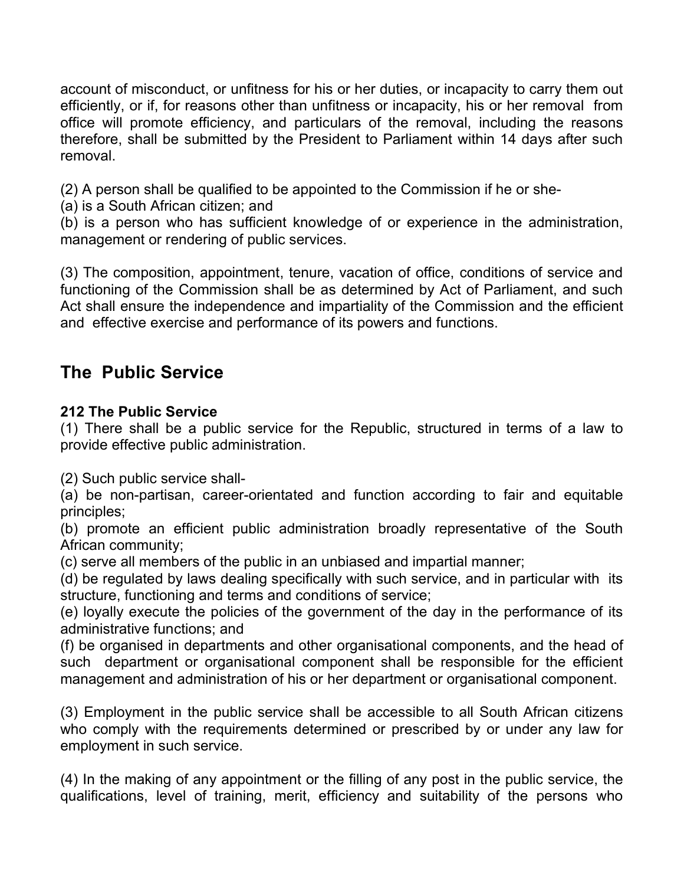account of misconduct, or unfitness for his or her duties, or incapacity to carry them out efficiently, or if, for reasons other than unfitness or incapacity, his or her removal from office will promote efficiency, and particulars of the removal, including the reasons therefore, shall be submitted by the President to Parliament within 14 days after such removal.

(2) A person shall be qualified to be appointed to the Commission if he or she-

(a) is a South African citizen; and

(b) is a person who has sufficient knowledge of or experience in the administration, management or rendering of public services.

(3) The composition, appointment, tenure, vacation of office, conditions of service and functioning of the Commission shall be as determined by Act of Parliament, and such Act shall ensure the independence and impartiality of the Commission and the efficient and effective exercise and performance of its powers and functions.

# **The Public Service**

# **212 The Public Service**

(1) There shall be a public service for the Republic, structured in terms of a law to provide effective public administration.

(2) Such public service shall-

(a) be non-partisan, career-orientated and function according to fair and equitable principles;

(b) promote an efficient public administration broadly representative of the South African community;

(c) serve all members of the public in an unbiased and impartial manner;

(d) be regulated by laws dealing specifically with such service, and in particular with its structure, functioning and terms and conditions of service;

(e) loyally execute the policies of the government of the day in the performance of its administrative functions; and

(f) be organised in departments and other organisational components, and the head of such department or organisational component shall be responsible for the efficient management and administration of his or her department or organisational component.

(3) Employment in the public service shall be accessible to all South African citizens who comply with the requirements determined or prescribed by or under any law for employment in such service.

(4) In the making of any appointment or the filling of any post in the public service, the qualifications, level of training, merit, efficiency and suitability of the persons who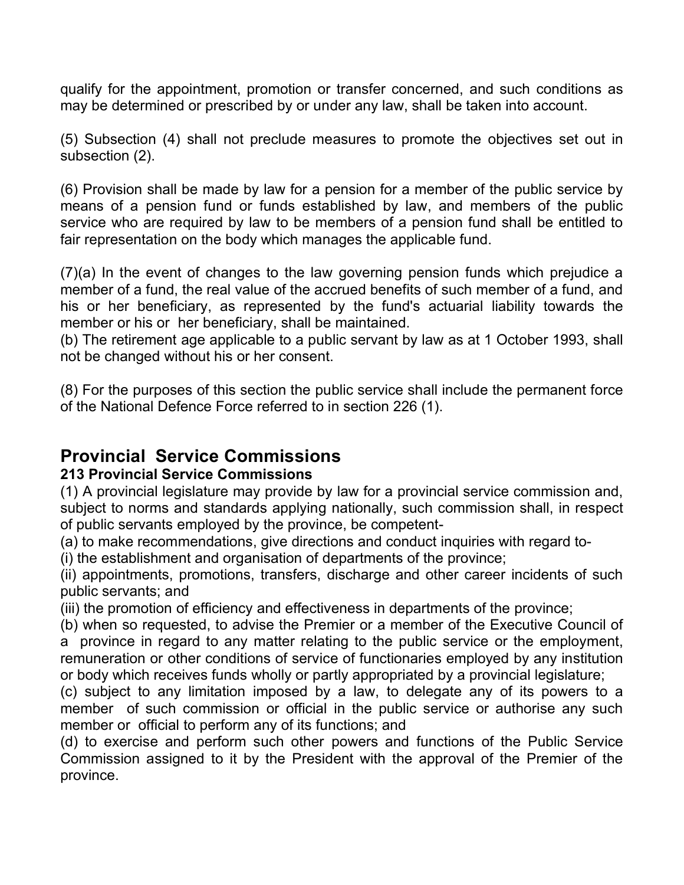qualify for the appointment, promotion or transfer concerned, and such conditions as may be determined or prescribed by or under any law, shall be taken into account.

(5) Subsection (4) shall not preclude measures to promote the objectives set out in subsection (2).

(6) Provision shall be made by law for a pension for a member of the public service by means of a pension fund or funds established by law, and members of the public service who are required by law to be members of a pension fund shall be entitled to fair representation on the body which manages the applicable fund.

(7)(a) In the event of changes to the law governing pension funds which prejudice a member of a fund, the real value of the accrued benefits of such member of a fund, and his or her beneficiary, as represented by the fund's actuarial liability towards the member or his or her beneficiary, shall be maintained.

(b) The retirement age applicable to a public servant by law as at 1 October 1993, shall not be changed without his or her consent.

(8) For the purposes of this section the public service shall include the permanent force of the National Defence Force referred to in section 226 (1).

# **Provincial Service Commissions**

## **213 Provincial Service Commissions**

(1) A provincial legislature may provide by law for a provincial service commission and, subject to norms and standards applying nationally, such commission shall, in respect of public servants employed by the province, be competent-

(a) to make recommendations, give directions and conduct inquiries with regard to-

(i) the establishment and organisation of departments of the province;

(ii) appointments, promotions, transfers, discharge and other career incidents of such public servants; and

(iii) the promotion of efficiency and effectiveness in departments of the province;

(b) when so requested, to advise the Premier or a member of the Executive Council of a province in regard to any matter relating to the public service or the employment, remuneration or other conditions of service of functionaries employed by any institution or body which receives funds wholly or partly appropriated by a provincial legislature;

(c) subject to any limitation imposed by a law, to delegate any of its powers to a member of such commission or official in the public service or authorise any such member or official to perform any of its functions; and

(d) to exercise and perform such other powers and functions of the Public Service Commission assigned to it by the President with the approval of the Premier of the province.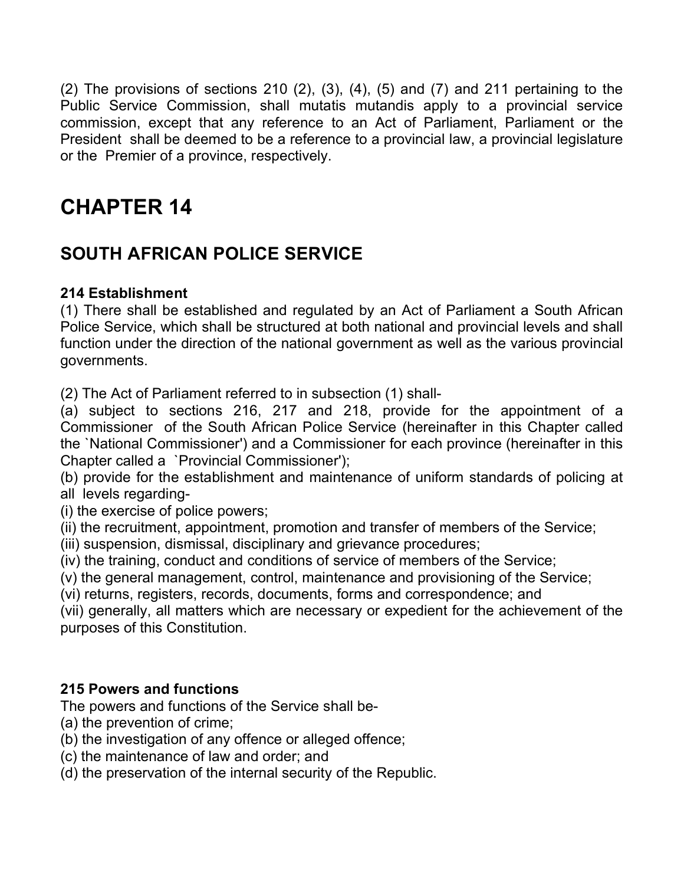$(2)$  The provisions of sections 210  $(2)$ ,  $(3)$ ,  $(4)$ ,  $(5)$  and  $(7)$  and 211 pertaining to the Public Service Commission, shall mutatis mutandis apply to a provincial service commission, except that any reference to an Act of Parliament, Parliament or the President shall be deemed to be a reference to a provincial law, a provincial legislature or the Premier of a province, respectively.

# **CHAPTER 14**

# **SOUTH AFRICAN POLICE SERVICE**

# **214 Establishment**

(1) There shall be established and regulated by an Act of Parliament a South African Police Service, which shall be structured at both national and provincial levels and shall function under the direction of the national government as well as the various provincial governments.

(2) The Act of Parliament referred to in subsection (1) shall-

(a) subject to sections 216, 217 and 218, provide for the appointment of a Commissioner of the South African Police Service (hereinafter in this Chapter called the `National Commissioner') and a Commissioner for each province (hereinafter in this Chapter called a `Provincial Commissioner');

(b) provide for the establishment and maintenance of uniform standards of policing at all levels regarding-

(i) the exercise of police powers;

(ii) the recruitment, appointment, promotion and transfer of members of the Service;

(iii) suspension, dismissal, disciplinary and grievance procedures;

(iv) the training, conduct and conditions of service of members of the Service;

(v) the general management, control, maintenance and provisioning of the Service;

(vi) returns, registers, records, documents, forms and correspondence; and

(vii) generally, all matters which are necessary or expedient for the achievement of the purposes of this Constitution.

# **215 Powers and functions**

The powers and functions of the Service shall be-

- (a) the prevention of crime;
- (b) the investigation of any offence or alleged offence;
- (c) the maintenance of law and order; and
- (d) the preservation of the internal security of the Republic.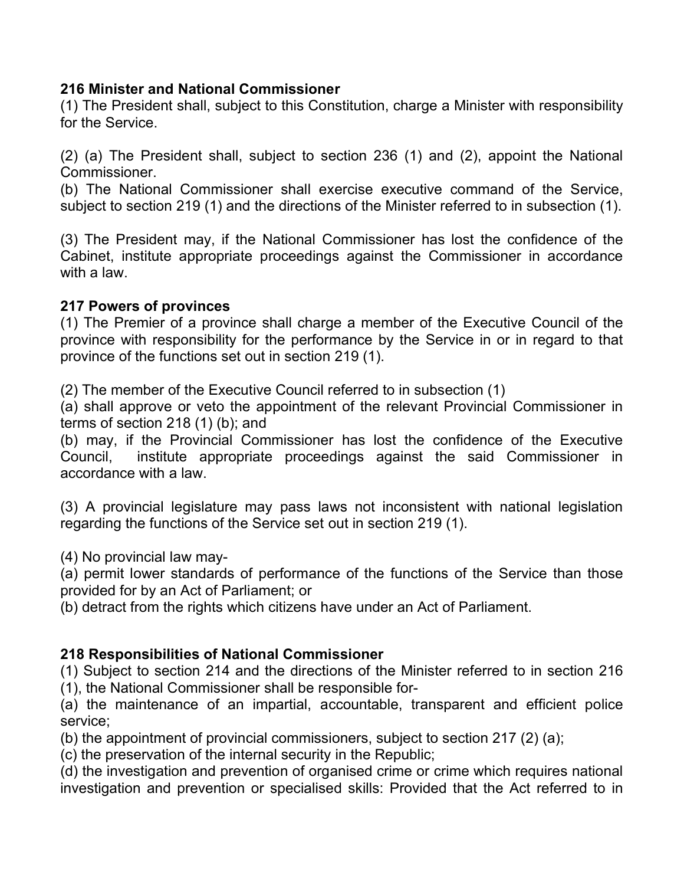#### **216 Minister and National Commissioner**

(1) The President shall, subject to this Constitution, charge a Minister with responsibility for the Service.

(2) (a) The President shall, subject to section 236 (1) and (2), appoint the National Commissioner.

(b) The National Commissioner shall exercise executive command of the Service, subject to section 219 (1) and the directions of the Minister referred to in subsection (1).

(3) The President may, if the National Commissioner has lost the confidence of the Cabinet, institute appropriate proceedings against the Commissioner in accordance with a law.

#### **217 Powers of provinces**

(1) The Premier of a province shall charge a member of the Executive Council of the province with responsibility for the performance by the Service in or in regard to that province of the functions set out in section 219 (1).

(2) The member of the Executive Council referred to in subsection (1)

(a) shall approve or veto the appointment of the relevant Provincial Commissioner in terms of section 218 (1) (b); and

(b) may, if the Provincial Commissioner has lost the confidence of the Executive Council, institute appropriate proceedings against the said Commissioner in accordance with a law.

(3) A provincial legislature may pass laws not inconsistent with national legislation regarding the functions of the Service set out in section 219 (1).

(4) No provincial law may-

(a) permit lower standards of performance of the functions of the Service than those provided for by an Act of Parliament; or

(b) detract from the rights which citizens have under an Act of Parliament.

## **218 Responsibilities of National Commissioner**

(1) Subject to section 214 and the directions of the Minister referred to in section 216

(1), the National Commissioner shall be responsible for-

(a) the maintenance of an impartial, accountable, transparent and efficient police service;

(b) the appointment of provincial commissioners, subject to section 217 (2) (a);

(c) the preservation of the internal security in the Republic;

(d) the investigation and prevention of organised crime or crime which requires national investigation and prevention or specialised skills: Provided that the Act referred to in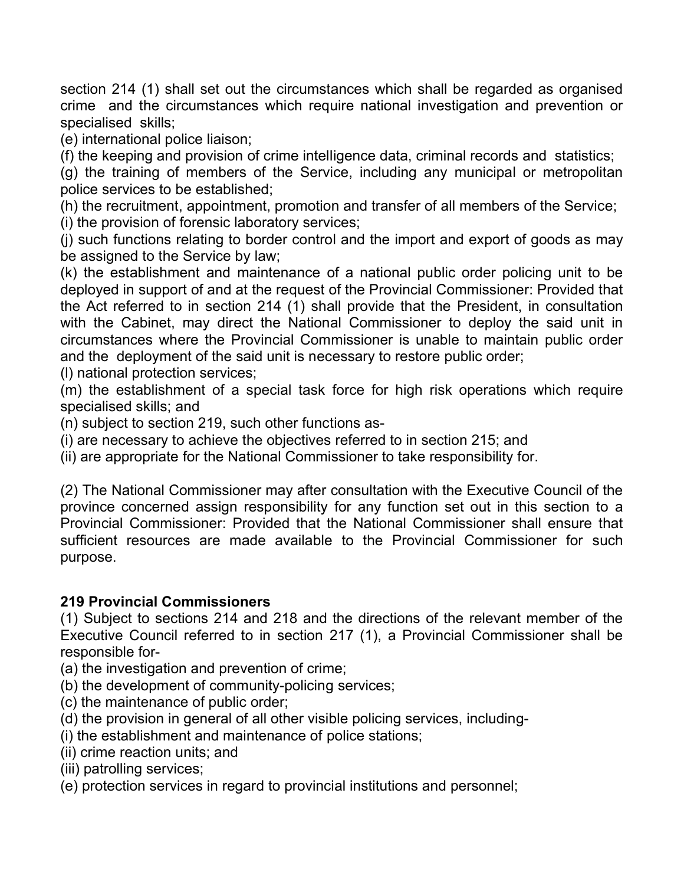section 214 (1) shall set out the circumstances which shall be regarded as organised crime and the circumstances which require national investigation and prevention or specialised skills;

(e) international police liaison;

(f) the keeping and provision of crime intelligence data, criminal records and statistics;

(g) the training of members of the Service, including any municipal or metropolitan police services to be established;

(h) the recruitment, appointment, promotion and transfer of all members of the Service; (i) the provision of forensic laboratory services;

(j) such functions relating to border control and the import and export of goods as may be assigned to the Service by law;

(k) the establishment and maintenance of a national public order policing unit to be deployed in support of and at the request of the Provincial Commissioner: Provided that the Act referred to in section 214 (1) shall provide that the President, in consultation with the Cabinet, may direct the National Commissioner to deploy the said unit in circumstances where the Provincial Commissioner is unable to maintain public order and the deployment of the said unit is necessary to restore public order;

(l) national protection services;

(m) the establishment of a special task force for high risk operations which require specialised skills; and

(n) subject to section 219, such other functions as-

(i) are necessary to achieve the objectives referred to in section 215; and

(ii) are appropriate for the National Commissioner to take responsibility for.

(2) The National Commissioner may after consultation with the Executive Council of the province concerned assign responsibility for any function set out in this section to a Provincial Commissioner: Provided that the National Commissioner shall ensure that sufficient resources are made available to the Provincial Commissioner for such purpose.

## **219 Provincial Commissioners**

(1) Subject to sections 214 and 218 and the directions of the relevant member of the Executive Council referred to in section 217 (1), a Provincial Commissioner shall be responsible for-

(a) the investigation and prevention of crime;

(b) the development of community-policing services;

- (c) the maintenance of public order;
- (d) the provision in general of all other visible policing services, including-

(i) the establishment and maintenance of police stations;

- (ii) crime reaction units; and
- (iii) patrolling services;
- (e) protection services in regard to provincial institutions and personnel;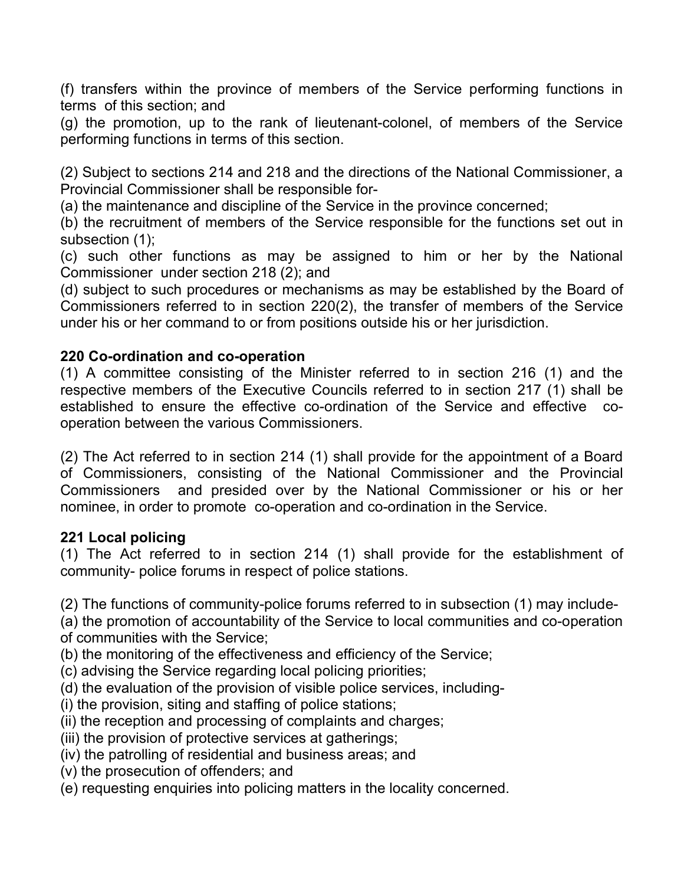(f) transfers within the province of members of the Service performing functions in terms of this section; and

(g) the promotion, up to the rank of lieutenant-colonel, of members of the Service performing functions in terms of this section.

(2) Subject to sections 214 and 218 and the directions of the National Commissioner, a Provincial Commissioner shall be responsible for-

(a) the maintenance and discipline of the Service in the province concerned;

(b) the recruitment of members of the Service responsible for the functions set out in subsection (1);

(c) such other functions as may be assigned to him or her by the National Commissioner under section 218 (2); and

(d) subject to such procedures or mechanisms as may be established by the Board of Commissioners referred to in section 220(2), the transfer of members of the Service under his or her command to or from positions outside his or her jurisdiction.

## **220 Co-ordination and co-operation**

(1) A committee consisting of the Minister referred to in section 216 (1) and the respective members of the Executive Councils referred to in section 217 (1) shall be established to ensure the effective co-ordination of the Service and effective cooperation between the various Commissioners.

(2) The Act referred to in section 214 (1) shall provide for the appointment of a Board of Commissioners, consisting of the National Commissioner and the Provincial Commissioners and presided over by the National Commissioner or his or her nominee, in order to promote co-operation and co-ordination in the Service.

## **221 Local policing**

(1) The Act referred to in section 214 (1) shall provide for the establishment of community- police forums in respect of police stations.

(2) The functions of community-police forums referred to in subsection (1) may include-

(a) the promotion of accountability of the Service to local communities and co-operation of communities with the Service;

(b) the monitoring of the effectiveness and efficiency of the Service;

(c) advising the Service regarding local policing priorities;

(d) the evaluation of the provision of visible police services, including-

(i) the provision, siting and staffing of police stations;

- (ii) the reception and processing of complaints and charges;
- (iii) the provision of protective services at gatherings;
- (iv) the patrolling of residential and business areas; and
- (v) the prosecution of offenders; and
- (e) requesting enquiries into policing matters in the locality concerned.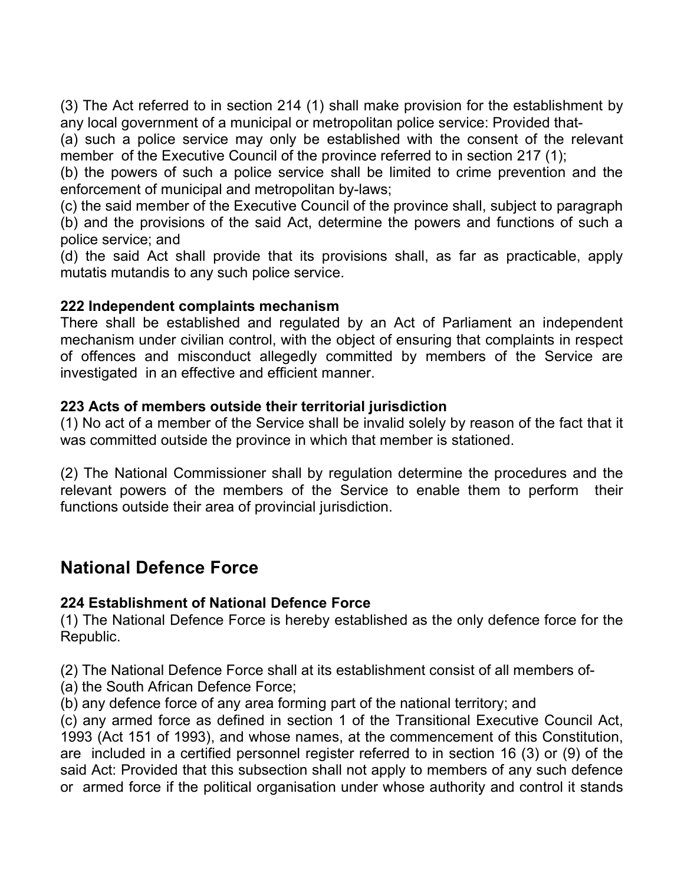(3) The Act referred to in section 214 (1) shall make provision for the establishment by any local government of a municipal or metropolitan police service: Provided that-

(a) such a police service may only be established with the consent of the relevant member of the Executive Council of the province referred to in section 217 (1);

(b) the powers of such a police service shall be limited to crime prevention and the enforcement of municipal and metropolitan by-laws;

(c) the said member of the Executive Council of the province shall, subject to paragraph (b) and the provisions of the said Act, determine the powers and functions of such a police service; and

(d) the said Act shall provide that its provisions shall, as far as practicable, apply mutatis mutandis to any such police service.

#### **222 Independent complaints mechanism**

There shall be established and regulated by an Act of Parliament an independent mechanism under civilian control, with the object of ensuring that complaints in respect of offences and misconduct allegedly committed by members of the Service are investigated in an effective and efficient manner.

#### **223 Acts of members outside their territorial jurisdiction**

(1) No act of a member of the Service shall be invalid solely by reason of the fact that it was committed outside the province in which that member is stationed.

(2) The National Commissioner shall by regulation determine the procedures and the relevant powers of the members of the Service to enable them to perform their functions outside their area of provincial jurisdiction.

# **National Defence Force**

## **224 Establishment of National Defence Force**

(1) The National Defence Force is hereby established as the only defence force for the Republic.

(2) The National Defence Force shall at its establishment consist of all members of-

(a) the South African Defence Force;

(b) any defence force of any area forming part of the national territory; and

(c) any armed force as defined in section 1 of the Transitional Executive Council Act, 1993 (Act 151 of 1993), and whose names, at the commencement of this Constitution, are included in a certified personnel register referred to in section 16 (3) or (9) of the said Act: Provided that this subsection shall not apply to members of any such defence or armed force if the political organisation under whose authority and control it stands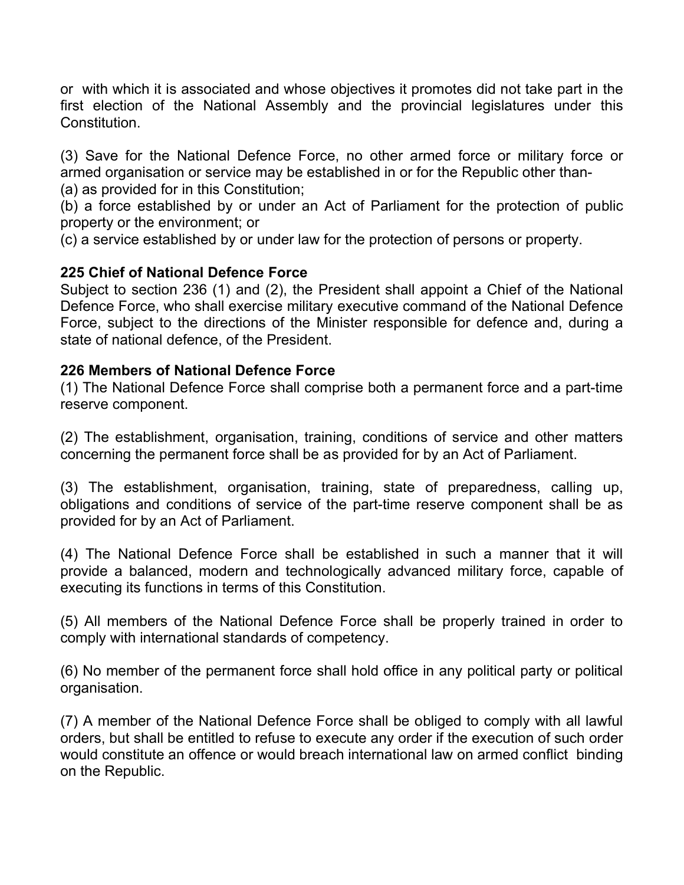or with which it is associated and whose objectives it promotes did not take part in the first election of the National Assembly and the provincial legislatures under this Constitution.

(3) Save for the National Defence Force, no other armed force or military force or armed organisation or service may be established in or for the Republic other than- (a) as provided for in this Constitution;

(b) a force established by or under an Act of Parliament for the protection of public property or the environment; or

(c) a service established by or under law for the protection of persons or property.

# **225 Chief of National Defence Force**

Subject to section 236 (1) and (2), the President shall appoint a Chief of the National Defence Force, who shall exercise military executive command of the National Defence Force, subject to the directions of the Minister responsible for defence and, during a state of national defence, of the President.

## **226 Members of National Defence Force**

(1) The National Defence Force shall comprise both a permanent force and a part-time reserve component.

(2) The establishment, organisation, training, conditions of service and other matters concerning the permanent force shall be as provided for by an Act of Parliament.

(3) The establishment, organisation, training, state of preparedness, calling up, obligations and conditions of service of the part-time reserve component shall be as provided for by an Act of Parliament.

(4) The National Defence Force shall be established in such a manner that it will provide a balanced, modern and technologically advanced military force, capable of executing its functions in terms of this Constitution.

(5) All members of the National Defence Force shall be properly trained in order to comply with international standards of competency.

(6) No member of the permanent force shall hold office in any political party or political organisation.

(7) A member of the National Defence Force shall be obliged to comply with all lawful orders, but shall be entitled to refuse to execute any order if the execution of such order would constitute an offence or would breach international law on armed conflict binding on the Republic.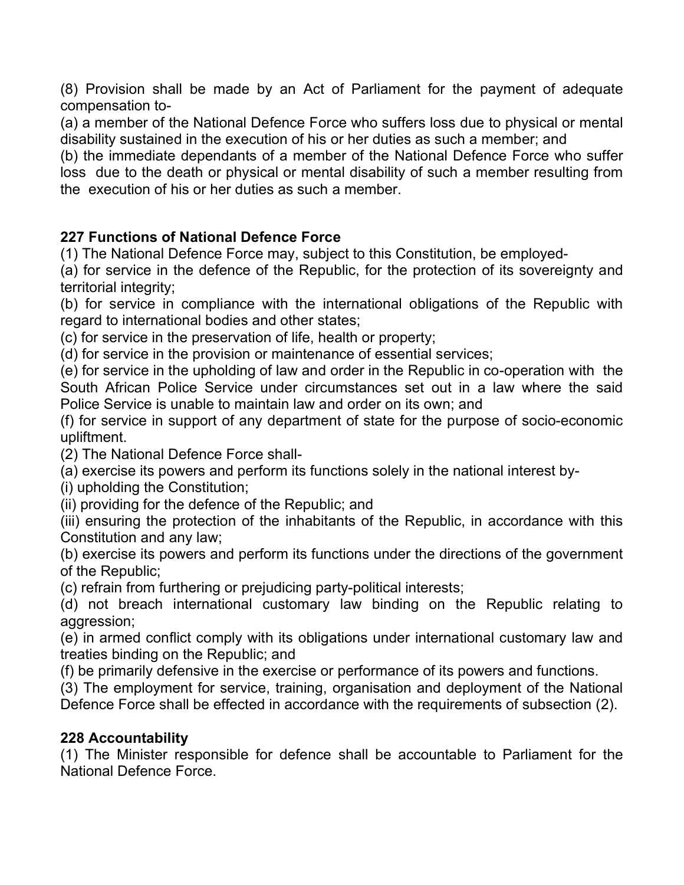(8) Provision shall be made by an Act of Parliament for the payment of adequate compensation to-

(a) a member of the National Defence Force who suffers loss due to physical or mental disability sustained in the execution of his or her duties as such a member; and

(b) the immediate dependants of a member of the National Defence Force who suffer loss due to the death or physical or mental disability of such a member resulting from the execution of his or her duties as such a member.

# **227 Functions of National Defence Force**

(1) The National Defence Force may, subject to this Constitution, be employed-

(a) for service in the defence of the Republic, for the protection of its sovereignty and territorial integrity;

(b) for service in compliance with the international obligations of the Republic with regard to international bodies and other states;

(c) for service in the preservation of life, health or property;

(d) for service in the provision or maintenance of essential services;

(e) for service in the upholding of law and order in the Republic in co-operation with the South African Police Service under circumstances set out in a law where the said Police Service is unable to maintain law and order on its own; and

(f) for service in support of any department of state for the purpose of socio-economic upliftment.

(2) The National Defence Force shall-

(a) exercise its powers and perform its functions solely in the national interest by-

(i) upholding the Constitution;

(ii) providing for the defence of the Republic; and

(iii) ensuring the protection of the inhabitants of the Republic, in accordance with this Constitution and any law;

(b) exercise its powers and perform its functions under the directions of the government of the Republic;

(c) refrain from furthering or prejudicing party-political interests;

(d) not breach international customary law binding on the Republic relating to aggression;

(e) in armed conflict comply with its obligations under international customary law and treaties binding on the Republic; and

(f) be primarily defensive in the exercise or performance of its powers and functions.

(3) The employment for service, training, organisation and deployment of the National Defence Force shall be effected in accordance with the requirements of subsection (2).

#### **228 Accountability**

(1) The Minister responsible for defence shall be accountable to Parliament for the National Defence Force.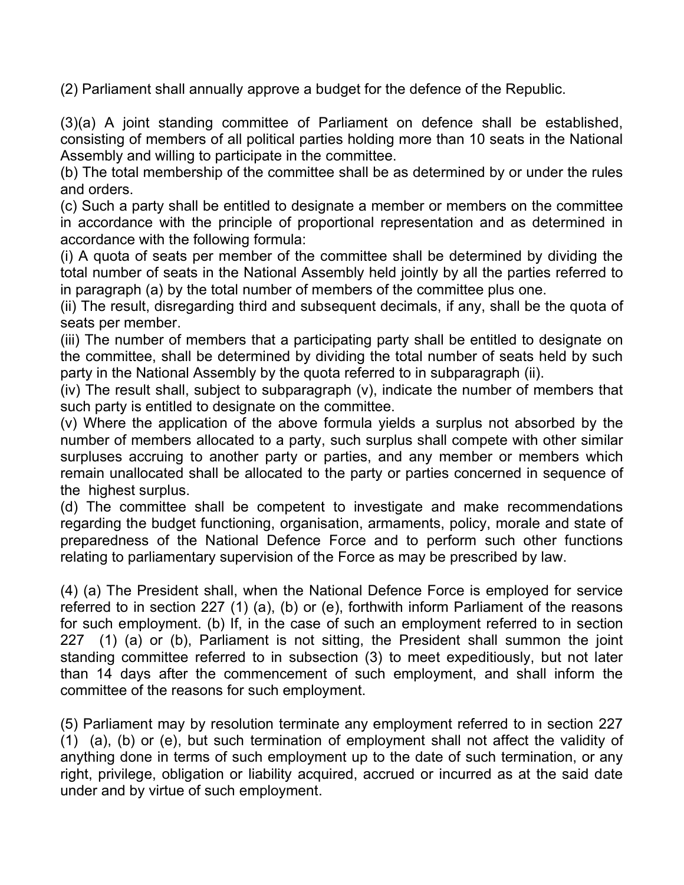(2) Parliament shall annually approve a budget for the defence of the Republic.

(3)(a) A joint standing committee of Parliament on defence shall be established, consisting of members of all political parties holding more than 10 seats in the National Assembly and willing to participate in the committee.

(b) The total membership of the committee shall be as determined by or under the rules and orders.

(c) Such a party shall be entitled to designate a member or members on the committee in accordance with the principle of proportional representation and as determined in accordance with the following formula:

(i) A quota of seats per member of the committee shall be determined by dividing the total number of seats in the National Assembly held jointly by all the parties referred to in paragraph (a) by the total number of members of the committee plus one.

(ii) The result, disregarding third and subsequent decimals, if any, shall be the quota of seats per member.

(iii) The number of members that a participating party shall be entitled to designate on the committee, shall be determined by dividing the total number of seats held by such party in the National Assembly by the quota referred to in subparagraph (ii).

(iv) The result shall, subject to subparagraph (v), indicate the number of members that such party is entitled to designate on the committee.

(v) Where the application of the above formula yields a surplus not absorbed by the number of members allocated to a party, such surplus shall compete with other similar surpluses accruing to another party or parties, and any member or members which remain unallocated shall be allocated to the party or parties concerned in sequence of the highest surplus.

(d) The committee shall be competent to investigate and make recommendations regarding the budget functioning, organisation, armaments, policy, morale and state of preparedness of the National Defence Force and to perform such other functions relating to parliamentary supervision of the Force as may be prescribed by law.

(4) (a) The President shall, when the National Defence Force is employed for service referred to in section 227 (1) (a), (b) or (e), forthwith inform Parliament of the reasons for such employment. (b) If, in the case of such an employment referred to in section 227 (1) (a) or (b), Parliament is not sitting, the President shall summon the joint standing committee referred to in subsection (3) to meet expeditiously, but not later than 14 days after the commencement of such employment, and shall inform the committee of the reasons for such employment.

(5) Parliament may by resolution terminate any employment referred to in section 227 (1) (a), (b) or (e), but such termination of employment shall not affect the validity of anything done in terms of such employment up to the date of such termination, or any right, privilege, obligation or liability acquired, accrued or incurred as at the said date under and by virtue of such employment.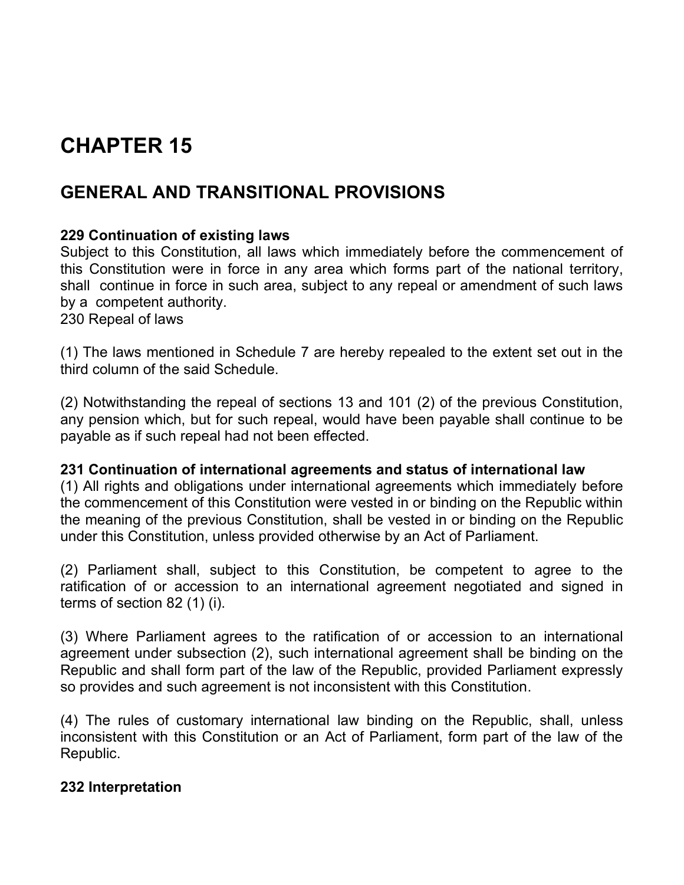# **CHAPTER 15**

# **GENERAL AND TRANSITIONAL PROVISIONS**

# **229 Continuation of existing laws**

Subject to this Constitution, all laws which immediately before the commencement of this Constitution were in force in any area which forms part of the national territory, shall continue in force in such area, subject to any repeal or amendment of such laws by a competent authority.

230 Repeal of laws

(1) The laws mentioned in Schedule 7 are hereby repealed to the extent set out in the third column of the said Schedule.

(2) Notwithstanding the repeal of sections 13 and 101 (2) of the previous Constitution, any pension which, but for such repeal, would have been payable shall continue to be payable as if such repeal had not been effected.

#### **231 Continuation of international agreements and status of international law**

(1) All rights and obligations under international agreements which immediately before the commencement of this Constitution were vested in or binding on the Republic within the meaning of the previous Constitution, shall be vested in or binding on the Republic under this Constitution, unless provided otherwise by an Act of Parliament.

(2) Parliament shall, subject to this Constitution, be competent to agree to the ratification of or accession to an international agreement negotiated and signed in terms of section 82 (1) (i).

(3) Where Parliament agrees to the ratification of or accession to an international agreement under subsection (2), such international agreement shall be binding on the Republic and shall form part of the law of the Republic, provided Parliament expressly so provides and such agreement is not inconsistent with this Constitution.

(4) The rules of customary international law binding on the Republic, shall, unless inconsistent with this Constitution or an Act of Parliament, form part of the law of the Republic.

#### **232 Interpretation**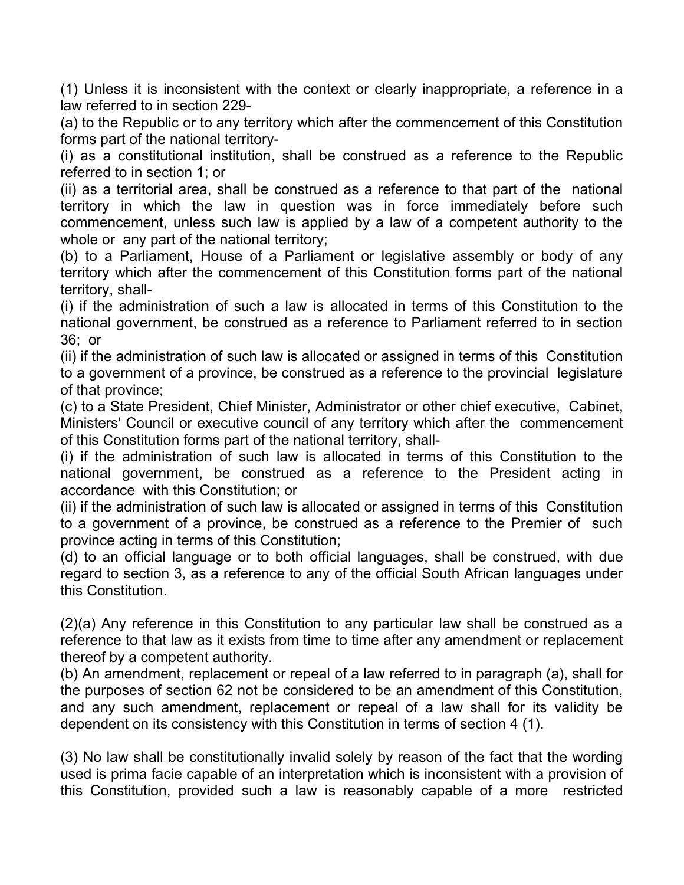(1) Unless it is inconsistent with the context or clearly inappropriate, a reference in a law referred to in section 229-

(a) to the Republic or to any territory which after the commencement of this Constitution forms part of the national territory-

(i) as a constitutional institution, shall be construed as a reference to the Republic referred to in section 1; or

(ii) as a territorial area, shall be construed as a reference to that part of the national territory in which the law in question was in force immediately before such commencement, unless such law is applied by a law of a competent authority to the whole or any part of the national territory;

(b) to a Parliament, House of a Parliament or legislative assembly or body of any territory which after the commencement of this Constitution forms part of the national territory, shall-

(i) if the administration of such a law is allocated in terms of this Constitution to the national government, be construed as a reference to Parliament referred to in section 36; or

(ii) if the administration of such law is allocated or assigned in terms of this Constitution to a government of a province, be construed as a reference to the provincial legislature of that province;

(c) to a State President, Chief Minister, Administrator or other chief executive, Cabinet, Ministers' Council or executive council of any territory which after the commencement of this Constitution forms part of the national territory, shall-

(i) if the administration of such law is allocated in terms of this Constitution to the national government, be construed as a reference to the President acting in accordance with this Constitution; or

(ii) if the administration of such law is allocated or assigned in terms of this Constitution to a government of a province, be construed as a reference to the Premier of such province acting in terms of this Constitution;

(d) to an official language or to both official languages, shall be construed, with due regard to section 3, as a reference to any of the official South African languages under this Constitution.

(2)(a) Any reference in this Constitution to any particular law shall be construed as a reference to that law as it exists from time to time after any amendment or replacement thereof by a competent authority.

(b) An amendment, replacement or repeal of a law referred to in paragraph (a), shall for the purposes of section 62 not be considered to be an amendment of this Constitution, and any such amendment, replacement or repeal of a law shall for its validity be dependent on its consistency with this Constitution in terms of section 4 (1).

(3) No law shall be constitutionally invalid solely by reason of the fact that the wording used is prima facie capable of an interpretation which is inconsistent with a provision of this Constitution, provided such a law is reasonably capable of a more restricted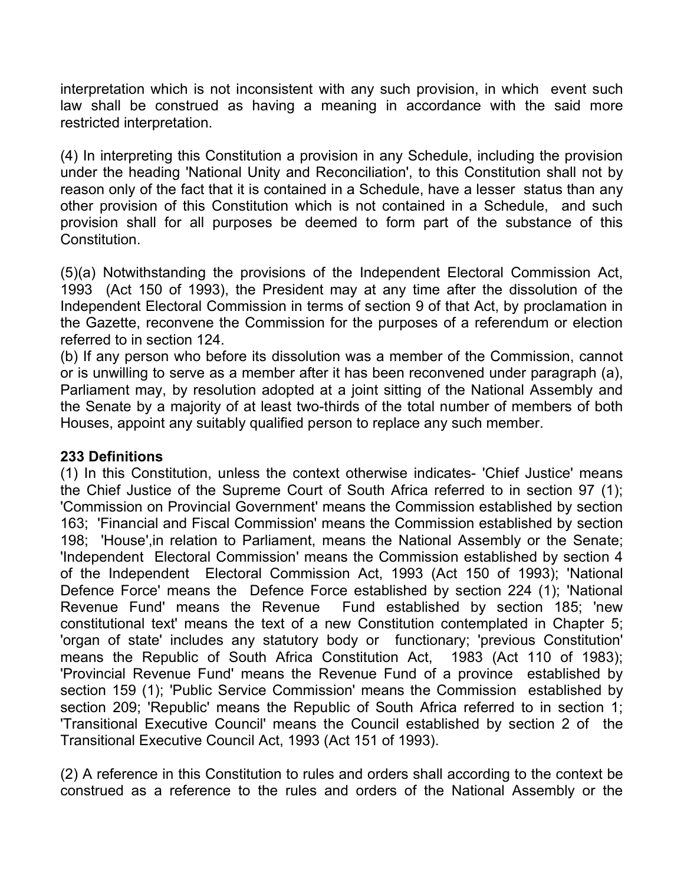interpretation which is not inconsistent with any such provision, in which event such law shall be construed as having a meaning in accordance with the said more restricted interpretation.

(4) In interpreting this Constitution a provision in any Schedule, including the provision under the heading 'National Unity and Reconciliation', to this Constitution shall not by reason only of the fact that it is contained in a Schedule, have a lesser status than any other provision of this Constitution which is not contained in a Schedule, and such provision shall for all purposes be deemed to form part of the substance of this Constitution.

(5)(a) Notwithstanding the provisions of the Independent Electoral Commission Act, 1993 (Act 150 of 1993), the President may at any time after the dissolution of the Independent Electoral Commission in terms of section 9 of that Act, by proclamation in the Gazette, reconvene the Commission for the purposes of a referendum or election referred to in section 124.

(b) If any person who before its dissolution was a member of the Commission, cannot or is unwilling to serve as a member after it has been reconvened under paragraph (a), Parliament may, by resolution adopted at a joint sitting of the National Assembly and the Senate by a majority of at least two-thirds of the total number of members of both Houses, appoint any suitably qualified person to replace any such member.

#### **233 Definitions**

(1) In this Constitution, unless the context otherwise indicates- 'Chief Justice' means the Chief Justice of the Supreme Court of South Africa referred to in section 97 (1); 'Commission on Provincial Government' means the Commission established by section 163; 'Financial and Fiscal Commission' means the Commission established by section 198; 'House',in relation to Parliament, means the National Assembly or the Senate; 'Independent Electoral Commission' means the Commission established by section 4 of the Independent Electoral Commission Act, 1993 (Act 150 of 1993); 'National Defence Force' means the Defence Force established by section 224 (1); 'National Revenue Fund' means the Revenue Fund established by section 185; 'new constitutional text' means the text of a new Constitution contemplated in Chapter 5; 'organ of state' includes any statutory body or functionary; 'previous Constitution' means the Republic of South Africa Constitution Act, 1983 (Act 110 of 1983); 'Provincial Revenue Fund' means the Revenue Fund of a province established by section 159 (1); 'Public Service Commission' means the Commission established by section 209; 'Republic' means the Republic of South Africa referred to in section 1; 'Transitional Executive Council' means the Council established by section 2 of the Transitional Executive Council Act, 1993 (Act 151 of 1993).

(2) A reference in this Constitution to rules and orders shall according to the context be construed as a reference to the rules and orders of the National Assembly or the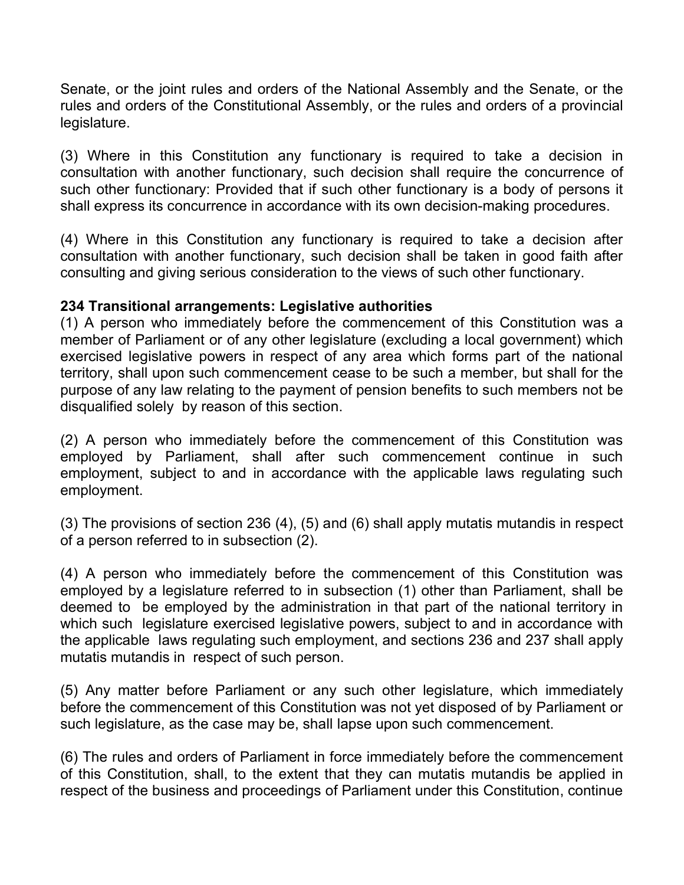Senate, or the joint rules and orders of the National Assembly and the Senate, or the rules and orders of the Constitutional Assembly, or the rules and orders of a provincial legislature.

(3) Where in this Constitution any functionary is required to take a decision in consultation with another functionary, such decision shall require the concurrence of such other functionary: Provided that if such other functionary is a body of persons it shall express its concurrence in accordance with its own decision-making procedures.

(4) Where in this Constitution any functionary is required to take a decision after consultation with another functionary, such decision shall be taken in good faith after consulting and giving serious consideration to the views of such other functionary.

#### **234 Transitional arrangements: Legislative authorities**

(1) A person who immediately before the commencement of this Constitution was a member of Parliament or of any other legislature (excluding a local government) which exercised legislative powers in respect of any area which forms part of the national territory, shall upon such commencement cease to be such a member, but shall for the purpose of any law relating to the payment of pension benefits to such members not be disqualified solely by reason of this section.

(2) A person who immediately before the commencement of this Constitution was employed by Parliament, shall after such commencement continue in such employment, subject to and in accordance with the applicable laws regulating such employment.

(3) The provisions of section 236 (4), (5) and (6) shall apply mutatis mutandis in respect of a person referred to in subsection (2).

(4) A person who immediately before the commencement of this Constitution was employed by a legislature referred to in subsection (1) other than Parliament, shall be deemed to be employed by the administration in that part of the national territory in which such legislature exercised legislative powers, subject to and in accordance with the applicable laws regulating such employment, and sections 236 and 237 shall apply mutatis mutandis in respect of such person.

(5) Any matter before Parliament or any such other legislature, which immediately before the commencement of this Constitution was not yet disposed of by Parliament or such legislature, as the case may be, shall lapse upon such commencement.

(6) The rules and orders of Parliament in force immediately before the commencement of this Constitution, shall, to the extent that they can mutatis mutandis be applied in respect of the business and proceedings of Parliament under this Constitution, continue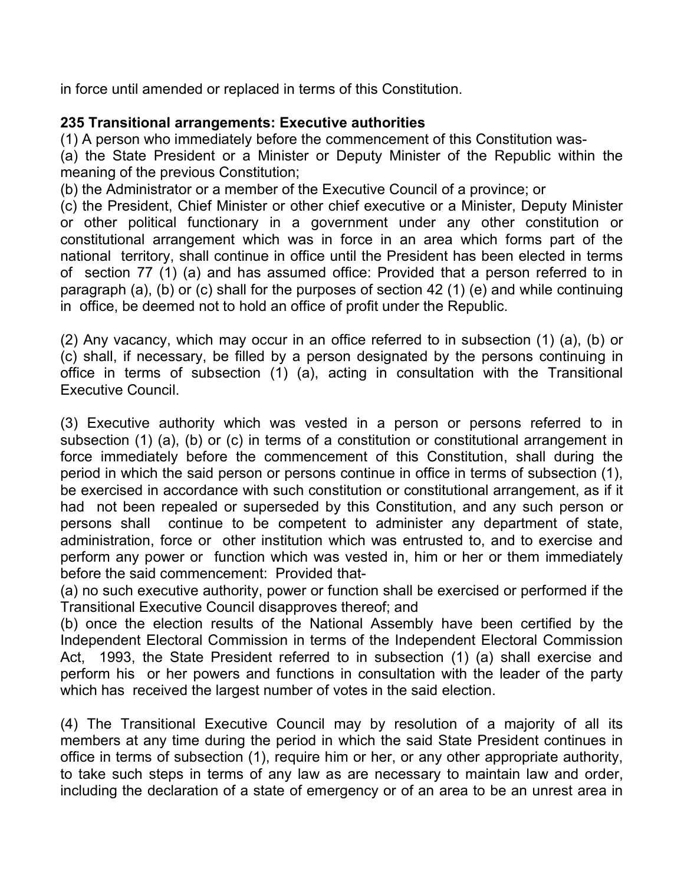in force until amended or replaced in terms of this Constitution.

#### **235 Transitional arrangements: Executive authorities**

(1) A person who immediately before the commencement of this Constitution was-

(a) the State President or a Minister or Deputy Minister of the Republic within the meaning of the previous Constitution;

(b) the Administrator or a member of the Executive Council of a province; or

(c) the President, Chief Minister or other chief executive or a Minister, Deputy Minister or other political functionary in a government under any other constitution or constitutional arrangement which was in force in an area which forms part of the national territory, shall continue in office until the President has been elected in terms of section 77 (1) (a) and has assumed office: Provided that a person referred to in paragraph (a), (b) or (c) shall for the purposes of section 42 (1) (e) and while continuing in office, be deemed not to hold an office of profit under the Republic.

(2) Any vacancy, which may occur in an office referred to in subsection (1) (a), (b) or (c) shall, if necessary, be filled by a person designated by the persons continuing in office in terms of subsection (1) (a), acting in consultation with the Transitional Executive Council.

(3) Executive authority which was vested in a person or persons referred to in subsection (1) (a), (b) or (c) in terms of a constitution or constitutional arrangement in force immediately before the commencement of this Constitution, shall during the period in which the said person or persons continue in office in terms of subsection (1), be exercised in accordance with such constitution or constitutional arrangement, as if it had not been repealed or superseded by this Constitution, and any such person or persons shall continue to be competent to administer any department of state, administration, force or other institution which was entrusted to, and to exercise and perform any power or function which was vested in, him or her or them immediately before the said commencement: Provided that-

(a) no such executive authority, power or function shall be exercised or performed if the Transitional Executive Council disapproves thereof; and

(b) once the election results of the National Assembly have been certified by the Independent Electoral Commission in terms of the Independent Electoral Commission Act, 1993, the State President referred to in subsection (1) (a) shall exercise and perform his or her powers and functions in consultation with the leader of the party which has received the largest number of votes in the said election.

(4) The Transitional Executive Council may by resolution of a majority of all its members at any time during the period in which the said State President continues in office in terms of subsection (1), require him or her, or any other appropriate authority, to take such steps in terms of any law as are necessary to maintain law and order, including the declaration of a state of emergency or of an area to be an unrest area in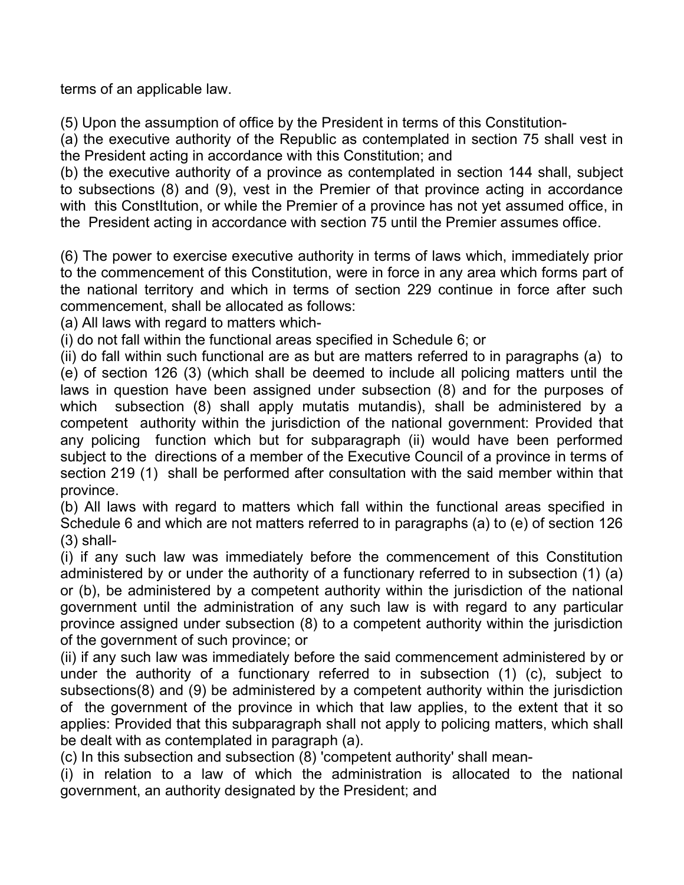terms of an applicable law.

(5) Upon the assumption of office by the President in terms of this Constitution-

(a) the executive authority of the Republic as contemplated in section 75 shall vest in the President acting in accordance with this Constitution; and

(b) the executive authority of a province as contemplated in section 144 shall, subject to subsections (8) and (9), vest in the Premier of that province acting in accordance with this ConstItution, or while the Premier of a province has not yet assumed office, in the President acting in accordance with section 75 until the Premier assumes office.

(6) The power to exercise executive authority in terms of laws which, immediately prior to the commencement of this Constitution, were in force in any area which forms part of the national territory and which in terms of section 229 continue in force after such commencement, shall be allocated as follows:

(a) All laws with regard to matters which-

(i) do not fall within the functional areas specified in Schedule 6; or

(ii) do fall within such functional are as but are matters referred to in paragraphs (a) to (e) of section 126 (3) (which shall be deemed to include all policing matters until the laws in question have been assigned under subsection (8) and for the purposes of which subsection (8) shall apply mutatis mutandis), shall be administered by a competent authority within the jurisdiction of the national government: Provided that any policing function which but for subparagraph (ii) would have been performed subject to the directions of a member of the Executive Council of a province in terms of section 219 (1) shall be performed after consultation with the said member within that province.

(b) All laws with regard to matters which fall within the functional areas specified in Schedule 6 and which are not matters referred to in paragraphs (a) to (e) of section 126  $(3)$  shall-

(i) if any such law was immediately before the commencement of this Constitution administered by or under the authority of a functionary referred to in subsection (1) (a) or (b), be administered by a competent authority within the jurisdiction of the national government until the administration of any such law is with regard to any particular province assigned under subsection (8) to a competent authority within the jurisdiction of the government of such province; or

(ii) if any such law was immediately before the said commencement administered by or under the authority of a functionary referred to in subsection (1) (c), subject to subsections(8) and (9) be administered by a competent authority within the jurisdiction of the government of the province in which that law applies, to the extent that it so applies: Provided that this subparagraph shall not apply to policing matters, which shall be dealt with as contemplated in paragraph (a).

(c) In this subsection and subsection (8) 'competent authority' shall mean-

(i) in relation to a law of which the administration is allocated to the national government, an authority designated by the President; and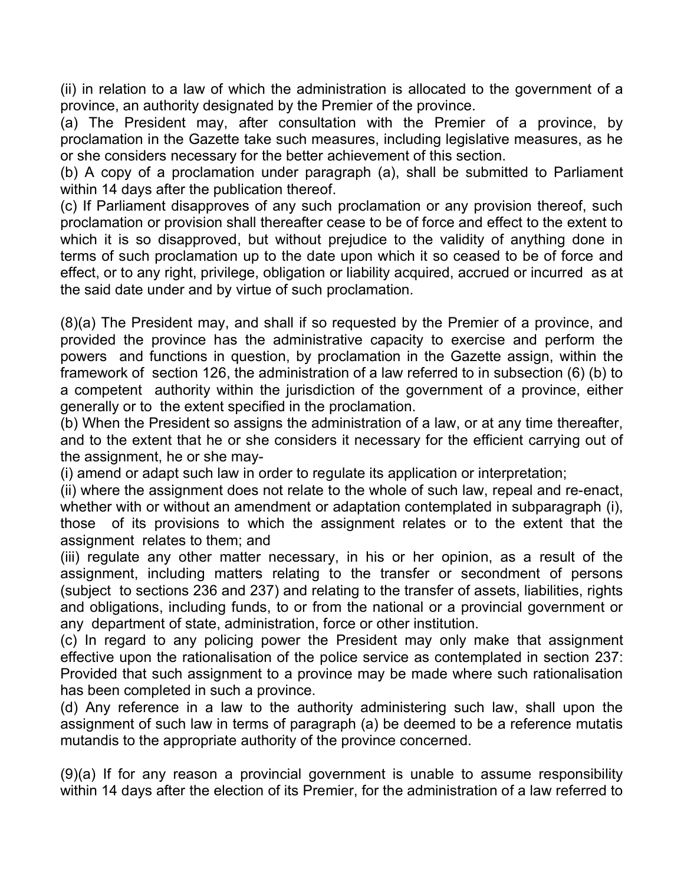(ii) in relation to a law of which the administration is allocated to the government of a province, an authority designated by the Premier of the province.

(a) The President may, after consultation with the Premier of a province, by proclamation in the Gazette take such measures, including legislative measures, as he or she considers necessary for the better achievement of this section.

(b) A copy of a proclamation under paragraph (a), shall be submitted to Parliament within 14 days after the publication thereof.

(c) If Parliament disapproves of any such proclamation or any provision thereof, such proclamation or provision shall thereafter cease to be of force and effect to the extent to which it is so disapproved, but without prejudice to the validity of anything done in terms of such proclamation up to the date upon which it so ceased to be of force and effect, or to any right, privilege, obligation or liability acquired, accrued or incurred as at the said date under and by virtue of such proclamation.

(8)(a) The President may, and shall if so requested by the Premier of a province, and provided the province has the administrative capacity to exercise and perform the powers and functions in question, by proclamation in the Gazette assign, within the framework of section 126, the administration of a law referred to in subsection (6) (b) to a competent authority within the jurisdiction of the government of a province, either generally or to the extent specified in the proclamation.

(b) When the President so assigns the administration of a law, or at any time thereafter, and to the extent that he or she considers it necessary for the efficient carrying out of the assignment, he or she may-

(i) amend or adapt such law in order to regulate its application or interpretation;

(ii) where the assignment does not relate to the whole of such law, repeal and re-enact, whether with or without an amendment or adaptation contemplated in subparagraph (i), those of its provisions to which the assignment relates or to the extent that the assignment relates to them; and

(iii) regulate any other matter necessary, in his or her opinion, as a result of the assignment, including matters relating to the transfer or secondment of persons (subject to sections 236 and 237) and relating to the transfer of assets, liabilities, rights and obligations, including funds, to or from the national or a provincial government or any department of state, administration, force or other institution.

(c) In regard to any policing power the President may only make that assignment effective upon the rationalisation of the police service as contemplated in section 237: Provided that such assignment to a province may be made where such rationalisation has been completed in such a province.

(d) Any reference in a law to the authority administering such law, shall upon the assignment of such law in terms of paragraph (a) be deemed to be a reference mutatis mutandis to the appropriate authority of the province concerned.

(9)(a) If for any reason a provincial government is unable to assume responsibility within 14 days after the election of its Premier, for the administration of a law referred to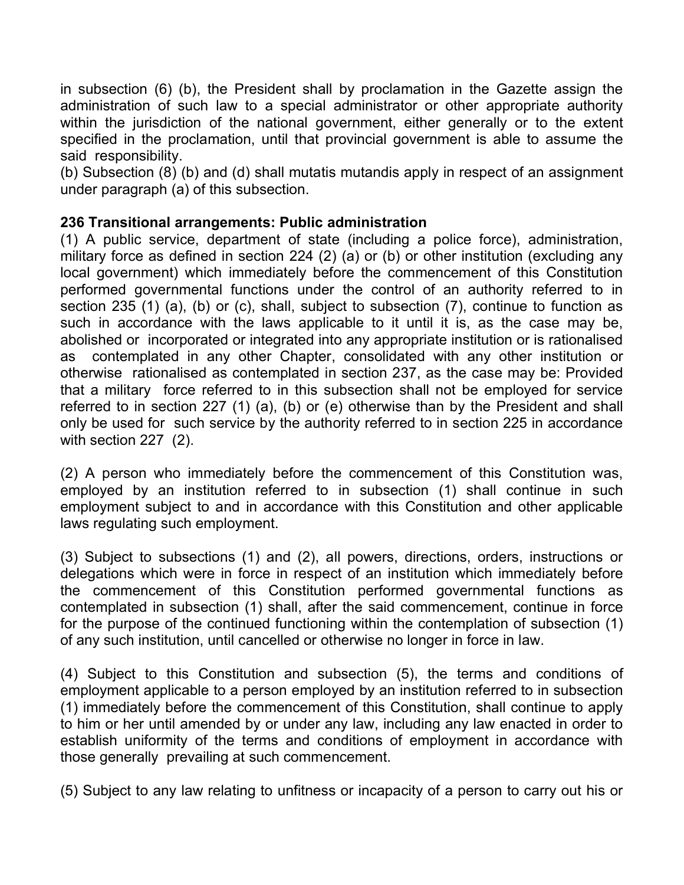in subsection (6) (b), the President shall by proclamation in the Gazette assign the administration of such law to a special administrator or other appropriate authority within the jurisdiction of the national government, either generally or to the extent specified in the proclamation, until that provincial government is able to assume the said responsibility.

(b) Subsection (8) (b) and (d) shall mutatis mutandis apply in respect of an assignment under paragraph (a) of this subsection.

#### **236 Transitional arrangements: Public administration**

(1) A public service, department of state (including a police force), administration, military force as defined in section 224 (2) (a) or (b) or other institution (excluding any local government) which immediately before the commencement of this Constitution performed governmental functions under the control of an authority referred to in section 235 (1) (a), (b) or (c), shall, subject to subsection (7), continue to function as such in accordance with the laws applicable to it until it is, as the case may be, abolished or incorporated or integrated into any appropriate institution or is rationalised as contemplated in any other Chapter, consolidated with any other institution or otherwise rationalised as contemplated in section 237, as the case may be: Provided that a military force referred to in this subsection shall not be employed for service referred to in section 227 (1) (a), (b) or (e) otherwise than by the President and shall only be used for such service by the authority referred to in section 225 in accordance with section 227 (2).

(2) A person who immediately before the commencement of this Constitution was, employed by an institution referred to in subsection (1) shall continue in such employment subject to and in accordance with this Constitution and other applicable laws regulating such employment.

(3) Subject to subsections (1) and (2), all powers, directions, orders, instructions or delegations which were in force in respect of an institution which immediately before the commencement of this Constitution performed governmental functions as contemplated in subsection (1) shall, after the said commencement, continue in force for the purpose of the continued functioning within the contemplation of subsection (1) of any such institution, until cancelled or otherwise no longer in force in law.

(4) Subject to this Constitution and subsection (5), the terms and conditions of employment applicable to a person employed by an institution referred to in subsection (1) immediately before the commencement of this Constitution, shall continue to apply to him or her until amended by or under any law, including any law enacted in order to establish uniformity of the terms and conditions of employment in accordance with those generally prevailing at such commencement.

(5) Subject to any law relating to unfitness or incapacity of a person to carry out his or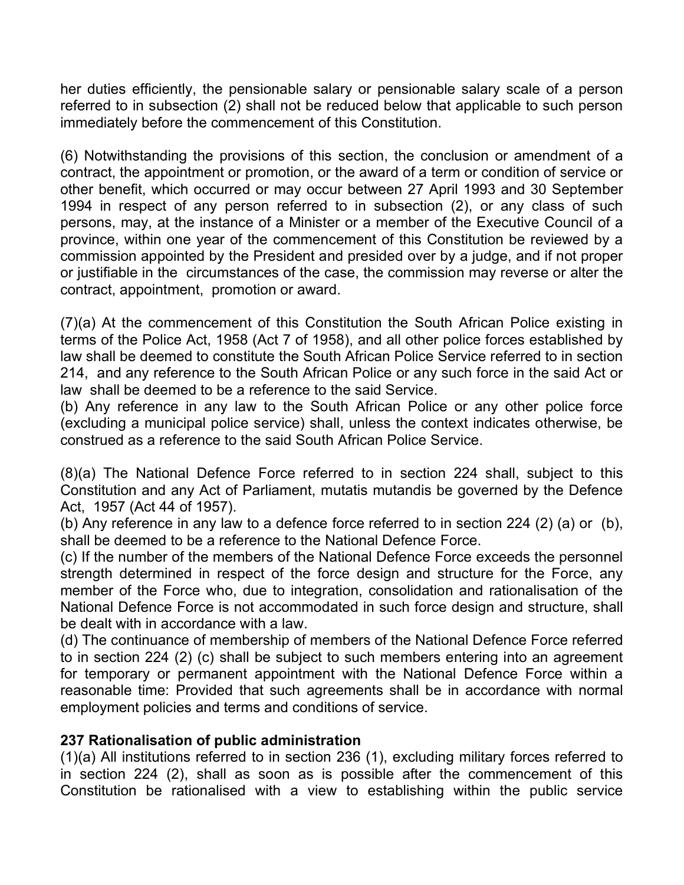her duties efficiently, the pensionable salary or pensionable salary scale of a person referred to in subsection (2) shall not be reduced below that applicable to such person immediately before the commencement of this Constitution.

(6) Notwithstanding the provisions of this section, the conclusion or amendment of a contract, the appointment or promotion, or the award of a term or condition of service or other benefit, which occurred or may occur between 27 April 1993 and 30 September 1994 in respect of any person referred to in subsection (2), or any class of such persons, may, at the instance of a Minister or a member of the Executive Council of a province, within one year of the commencement of this Constitution be reviewed by a commission appointed by the President and presided over by a judge, and if not proper or justifiable in the circumstances of the case, the commission may reverse or alter the contract, appointment, promotion or award.

(7)(a) At the commencement of this Constitution the South African Police existing in terms of the Police Act, 1958 (Act 7 of 1958), and all other police forces established by law shall be deemed to constitute the South African Police Service referred to in section 214, and any reference to the South African Police or any such force in the said Act or law shall be deemed to be a reference to the said Service.

(b) Any reference in any law to the South African Police or any other police force (excluding a municipal police service) shall, unless the context indicates otherwise, be construed as a reference to the said South African Police Service.

(8)(a) The National Defence Force referred to in section 224 shall, subject to this Constitution and any Act of Parliament, mutatis mutandis be governed by the Defence Act, 1957 (Act 44 of 1957).

(b) Any reference in any law to a defence force referred to in section 224 (2) (a) or (b), shall be deemed to be a reference to the National Defence Force.

(c) If the number of the members of the National Defence Force exceeds the personnel strength determined in respect of the force design and structure for the Force, any member of the Force who, due to integration, consolidation and rationalisation of the National Defence Force is not accommodated in such force design and structure, shall be dealt with in accordance with a law.

(d) The continuance of membership of members of the National Defence Force referred to in section 224 (2) (c) shall be subject to such members entering into an agreement for temporary or permanent appointment with the National Defence Force within a reasonable time: Provided that such agreements shall be in accordance with normal employment policies and terms and conditions of service.

#### **237 Rationalisation of public administration**

(1)(a) All institutions referred to in section 236 (1), excluding military forces referred to in section 224 (2), shall as soon as is possible after the commencement of this Constitution be rationalised with a view to establishing within the public service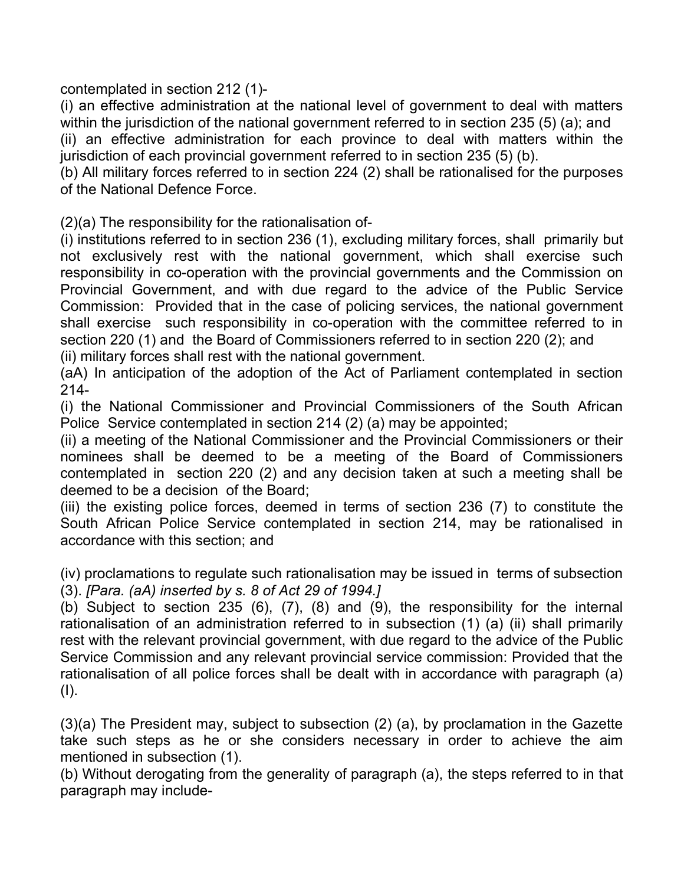contemplated in section 212 (1)-

(i) an effective administration at the national level of government to deal with matters within the jurisdiction of the national government referred to in section 235 (5) (a); and (ii) an effective administration for each province to deal with matters within the jurisdiction of each provincial government referred to in section 235 (5) (b).

(b) All military forces referred to in section 224 (2) shall be rationalised for the purposes of the National Defence Force.

(2)(a) The responsibility for the rationalisation of-

(i) institutions referred to in section 236 (1), excluding military forces, shall primarily but not exclusively rest with the national government, which shall exercise such responsibility in co-operation with the provincial governments and the Commission on Provincial Government, and with due regard to the advice of the Public Service Commission: Provided that in the case of policing services, the national government shall exercise such responsibility in co-operation with the committee referred to in section 220 (1) and the Board of Commissioners referred to in section 220 (2); and (ii) military forces shall rest with the national government.

(aA) In anticipation of the adoption of the Act of Parliament contemplated in section 214-

(i) the National Commissioner and Provincial Commissioners of the South African Police Service contemplated in section 214 (2) (a) may be appointed;

(ii) a meeting of the National Commissioner and the Provincial Commissioners or their nominees shall be deemed to be a meeting of the Board of Commissioners contemplated in section 220 (2) and any decision taken at such a meeting shall be deemed to be a decision of the Board;

(iii) the existing police forces, deemed in terms of section 236 (7) to constitute the South African Police Service contemplated in section 214, may be rationalised in accordance with this section; and

(iv) proclamations to regulate such rationalisation may be issued in terms of subsection (3). *[Para. (aA) inserted by s. 8 of Act 29 of 1994.]*

(b) Subject to section 235 (6), (7), (8) and (9), the responsibility for the internal rationalisation of an administration referred to in subsection (1) (a) (ii) shall primarily rest with the relevant provincial government, with due regard to the advice of the Public Service Commission and any relevant provincial service commission: Provided that the rationalisation of all police forces shall be dealt with in accordance with paragraph (a) (I).

(3)(a) The President may, subject to subsection (2) (a), by proclamation in the Gazette take such steps as he or she considers necessary in order to achieve the aim mentioned in subsection (1).

(b) Without derogating from the generality of paragraph (a), the steps referred to in that paragraph may include-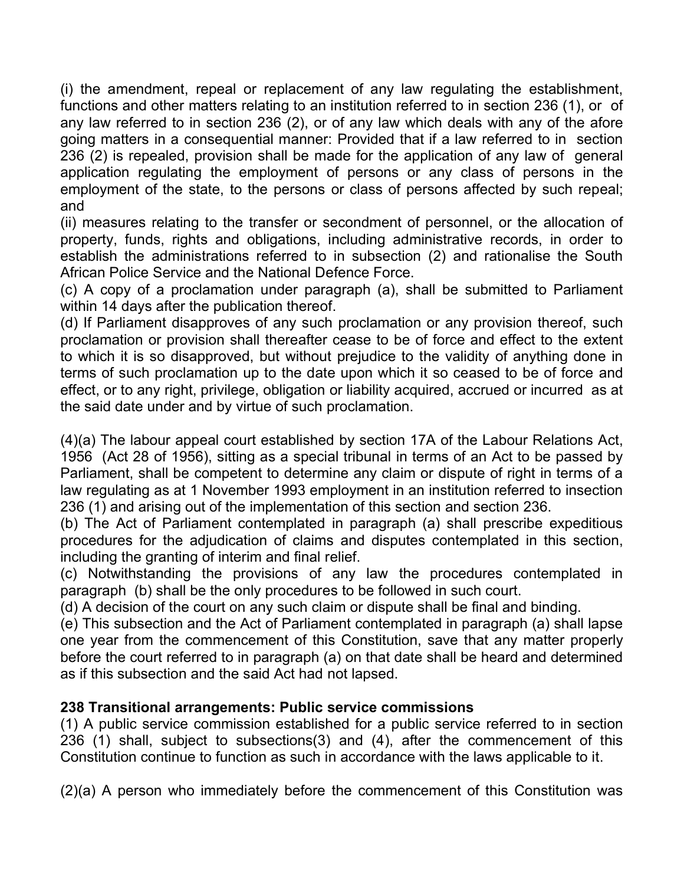(i) the amendment, repeal or replacement of any law regulating the establishment, functions and other matters relating to an institution referred to in section 236 (1), or of any law referred to in section 236 (2), or of any law which deals with any of the afore going matters in a consequential manner: Provided that if a law referred to in section 236 (2) is repealed, provision shall be made for the application of any law of general application regulating the employment of persons or any class of persons in the employment of the state, to the persons or class of persons affected by such repeal; and

(ii) measures relating to the transfer or secondment of personnel, or the allocation of property, funds, rights and obligations, including administrative records, in order to establish the administrations referred to in subsection (2) and rationalise the South African Police Service and the National Defence Force.

(c) A copy of a proclamation under paragraph (a), shall be submitted to Parliament within 14 days after the publication thereof.

(d) If Parliament disapproves of any such proclamation or any provision thereof, such proclamation or provision shall thereafter cease to be of force and effect to the extent to which it is so disapproved, but without prejudice to the validity of anything done in terms of such proclamation up to the date upon which it so ceased to be of force and effect, or to any right, privilege, obligation or liability acquired, accrued or incurred as at the said date under and by virtue of such proclamation.

(4)(a) The labour appeal court established by section 17A of the Labour Relations Act, 1956 (Act 28 of 1956), sitting as a special tribunal in terms of an Act to be passed by Parliament, shall be competent to determine any claim or dispute of right in terms of a law regulating as at 1 November 1993 employment in an institution referred to insection 236 (1) and arising out of the implementation of this section and section 236.

(b) The Act of Parliament contemplated in paragraph (a) shall prescribe expeditious procedures for the adjudication of claims and disputes contemplated in this section, including the granting of interim and final relief.

(c) Notwithstanding the provisions of any law the procedures contemplated in paragraph (b) shall be the only procedures to be followed in such court.

(d) A decision of the court on any such claim or dispute shall be final and binding.

(e) This subsection and the Act of Parliament contemplated in paragraph (a) shall lapse one year from the commencement of this Constitution, save that any matter properly before the court referred to in paragraph (a) on that date shall be heard and determined as if this subsection and the said Act had not lapsed.

# **238 Transitional arrangements: Public service commissions**

(1) A public service commission established for a public service referred to in section 236 (1) shall, subject to subsections(3) and (4), after the commencement of this Constitution continue to function as such in accordance with the laws applicable to it.

(2)(a) A person who immediately before the commencement of this Constitution was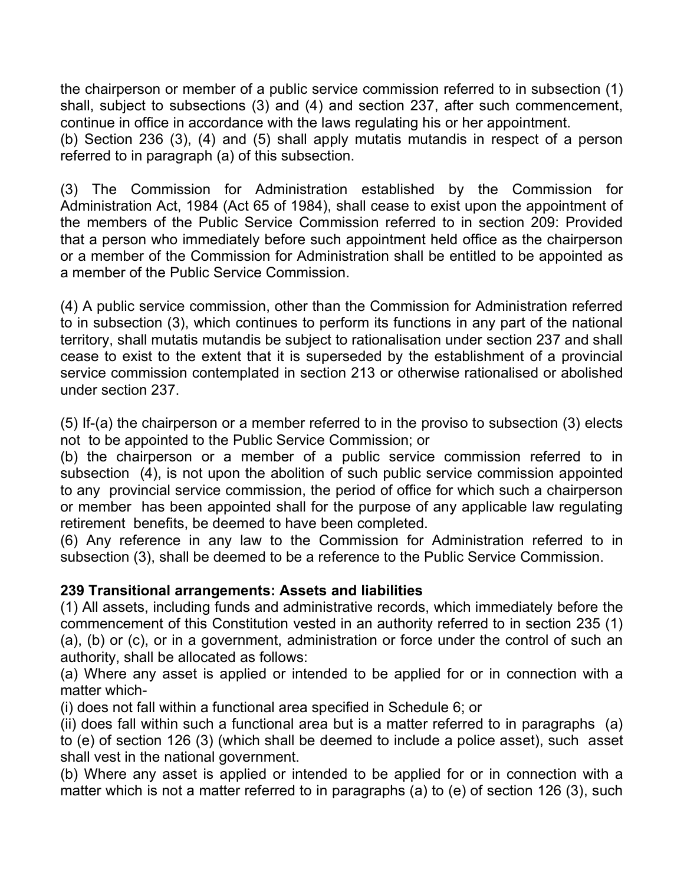the chairperson or member of a public service commission referred to in subsection (1) shall, subject to subsections (3) and (4) and section 237, after such commencement, continue in office in accordance with the laws regulating his or her appointment. (b) Section 236 (3), (4) and (5) shall apply mutatis mutandis in respect of a person referred to in paragraph (a) of this subsection.

(3) The Commission for Administration established by the Commission for Administration Act, 1984 (Act 65 of 1984), shall cease to exist upon the appointment of the members of the Public Service Commission referred to in section 209: Provided that a person who immediately before such appointment held office as the chairperson or a member of the Commission for Administration shall be entitled to be appointed as a member of the Public Service Commission.

(4) A public service commission, other than the Commission for Administration referred to in subsection (3), which continues to perform its functions in any part of the national territory, shall mutatis mutandis be subject to rationalisation under section 237 and shall cease to exist to the extent that it is superseded by the establishment of a provincial service commission contemplated in section 213 or otherwise rationalised or abolished under section 237.

(5) If-(a) the chairperson or a member referred to in the proviso to subsection (3) elects not to be appointed to the Public Service Commission; or

(b) the chairperson or a member of a public service commission referred to in subsection (4), is not upon the abolition of such public service commission appointed to any provincial service commission, the period of office for which such a chairperson or member has been appointed shall for the purpose of any applicable law regulating retirement benefits, be deemed to have been completed.

(6) Any reference in any law to the Commission for Administration referred to in subsection (3), shall be deemed to be a reference to the Public Service Commission.

#### **239 Transitional arrangements: Assets and liabilities**

(1) All assets, including funds and administrative records, which immediately before the commencement of this Constitution vested in an authority referred to in section 235 (1) (a), (b) or (c), or in a government, administration or force under the control of such an authority, shall be allocated as follows:

(a) Where any asset is applied or intended to be applied for or in connection with a matter which-

(i) does not fall within a functional area specified in Schedule 6; or

(ii) does fall within such a functional area but is a matter referred to in paragraphs (a) to (e) of section 126 (3) (which shall be deemed to include a police asset), such asset shall vest in the national government.

(b) Where any asset is applied or intended to be applied for or in connection with a matter which is not a matter referred to in paragraphs (a) to (e) of section 126 (3), such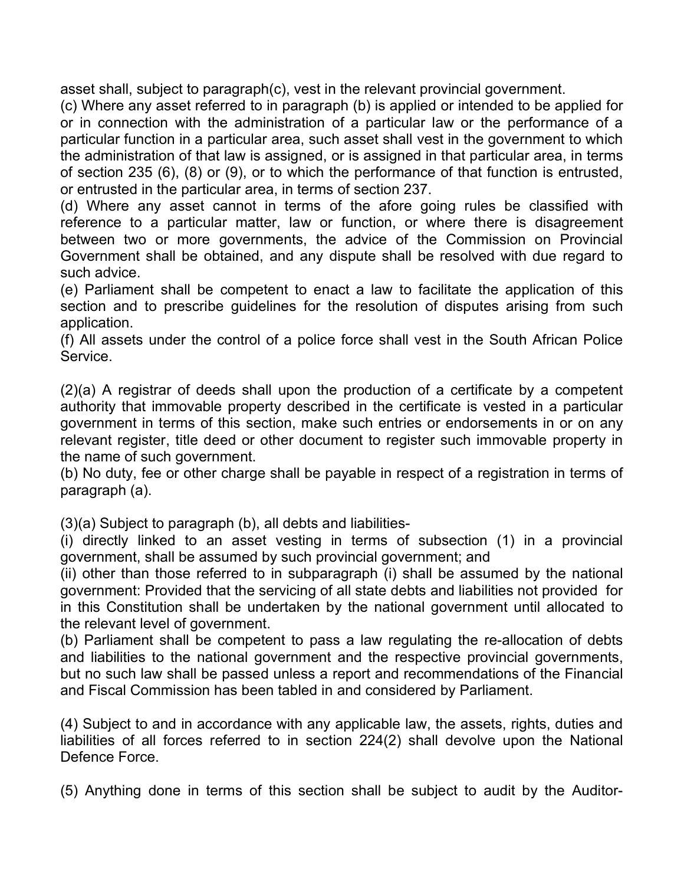asset shall, subject to paragraph(c), vest in the relevant provincial government.

(c) Where any asset referred to in paragraph (b) is applied or intended to be applied for or in connection with the administration of a particular law or the performance of a particular function in a particular area, such asset shall vest in the government to which the administration of that law is assigned, or is assigned in that particular area, in terms of section 235 (6), (8) or (9), or to which the performance of that function is entrusted, or entrusted in the particular area, in terms of section 237.

(d) Where any asset cannot in terms of the afore going rules be classified with reference to a particular matter, law or function, or where there is disagreement between two or more governments, the advice of the Commission on Provincial Government shall be obtained, and any dispute shall be resolved with due regard to such advice.

(e) Parliament shall be competent to enact a law to facilitate the application of this section and to prescribe guidelines for the resolution of disputes arising from such application.

(f) All assets under the control of a police force shall vest in the South African Police Service.

(2)(a) A registrar of deeds shall upon the production of a certificate by a competent authority that immovable property described in the certificate is vested in a particular government in terms of this section, make such entries or endorsements in or on any relevant register, title deed or other document to register such immovable property in the name of such government.

(b) No duty, fee or other charge shall be payable in respect of a registration in terms of paragraph (a).

(3)(a) Subject to paragraph (b), all debts and liabilities-

(i) directly linked to an asset vesting in terms of subsection (1) in a provincial government, shall be assumed by such provincial government; and

(ii) other than those referred to in subparagraph (i) shall be assumed by the national government: Provided that the servicing of all state debts and liabilities not provided for in this Constitution shall be undertaken by the national government until allocated to the relevant level of government.

(b) Parliament shall be competent to pass a law regulating the re-allocation of debts and liabilities to the national government and the respective provincial governments, but no such law shall be passed unless a report and recommendations of the Financial and Fiscal Commission has been tabled in and considered by Parliament.

(4) Subject to and in accordance with any applicable law, the assets, rights, duties and liabilities of all forces referred to in section 224(2) shall devolve upon the National Defence Force.

(5) Anything done in terms of this section shall be subject to audit by the Auditor-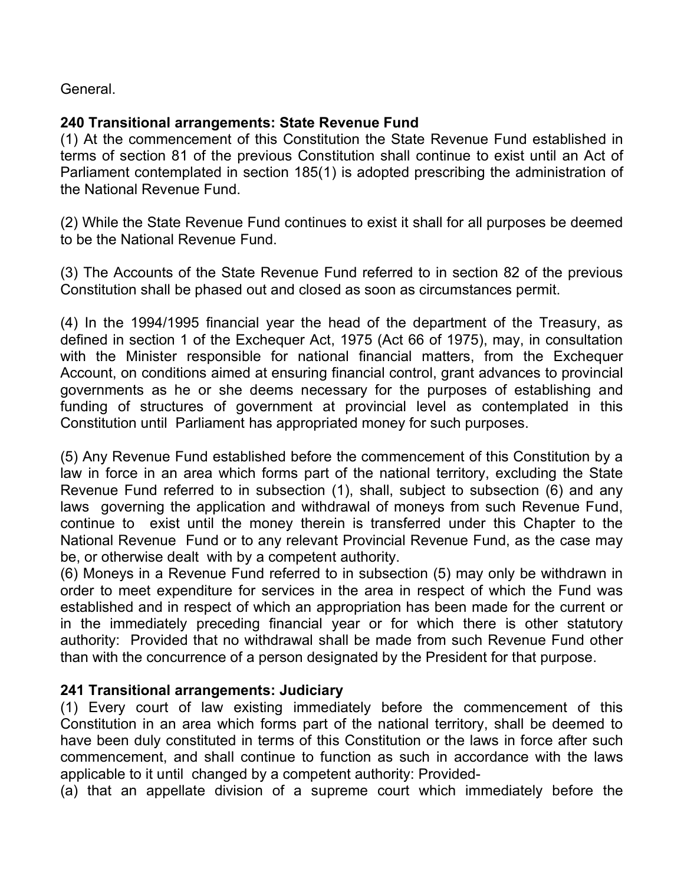General.

#### **240 Transitional arrangements: State Revenue Fund**

(1) At the commencement of this Constitution the State Revenue Fund established in terms of section 81 of the previous Constitution shall continue to exist until an Act of Parliament contemplated in section 185(1) is adopted prescribing the administration of the National Revenue Fund.

(2) While the State Revenue Fund continues to exist it shall for all purposes be deemed to be the National Revenue Fund.

(3) The Accounts of the State Revenue Fund referred to in section 82 of the previous Constitution shall be phased out and closed as soon as circumstances permit.

(4) In the 1994/1995 financial year the head of the department of the Treasury, as defined in section 1 of the Exchequer Act, 1975 (Act 66 of 1975), may, in consultation with the Minister responsible for national financial matters, from the Exchequer Account, on conditions aimed at ensuring financial control, grant advances to provincial governments as he or she deems necessary for the purposes of establishing and funding of structures of government at provincial level as contemplated in this Constitution until Parliament has appropriated money for such purposes.

(5) Any Revenue Fund established before the commencement of this Constitution by a law in force in an area which forms part of the national territory, excluding the State Revenue Fund referred to in subsection (1), shall, subject to subsection (6) and any laws governing the application and withdrawal of moneys from such Revenue Fund, continue to exist until the money therein is transferred under this Chapter to the National Revenue Fund or to any relevant Provincial Revenue Fund, as the case may be, or otherwise dealt with by a competent authority.

(6) Moneys in a Revenue Fund referred to in subsection (5) may only be withdrawn in order to meet expenditure for services in the area in respect of which the Fund was established and in respect of which an appropriation has been made for the current or in the immediately preceding financial year or for which there is other statutory authority: Provided that no withdrawal shall be made from such Revenue Fund other than with the concurrence of a person designated by the President for that purpose.

#### **241 Transitional arrangements: Judiciary**

(1) Every court of law existing immediately before the commencement of this Constitution in an area which forms part of the national territory, shall be deemed to have been duly constituted in terms of this Constitution or the laws in force after such commencement, and shall continue to function as such in accordance with the laws applicable to it until changed by a competent authority: Provided-

(a) that an appellate division of a supreme court which immediately before the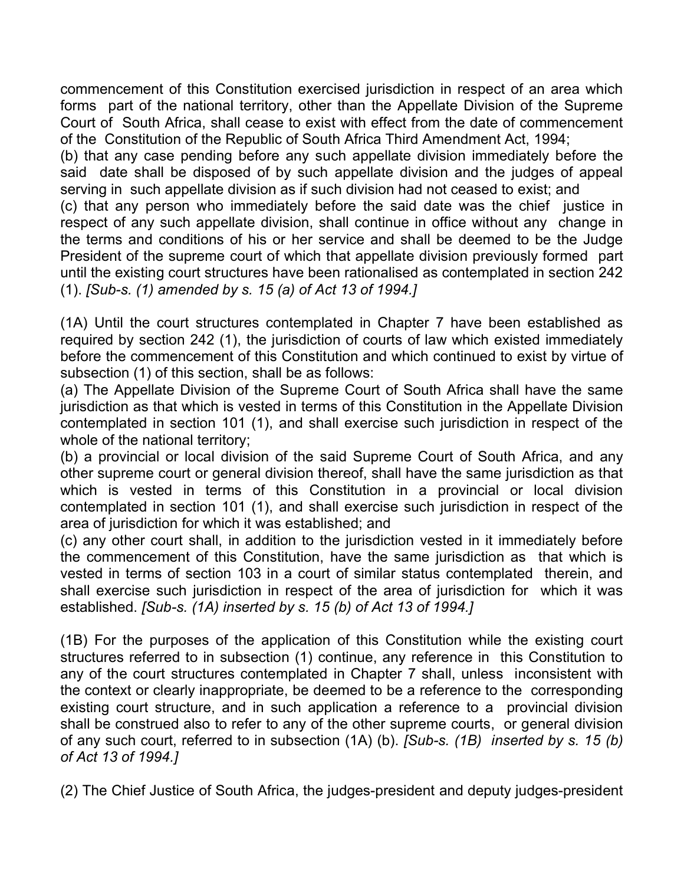commencement of this Constitution exercised jurisdiction in respect of an area which forms part of the national territory, other than the Appellate Division of the Supreme Court of South Africa, shall cease to exist with effect from the date of commencement of the Constitution of the Republic of South Africa Third Amendment Act, 1994;

(b) that any case pending before any such appellate division immediately before the said date shall be disposed of by such appellate division and the judges of appeal serving in such appellate division as if such division had not ceased to exist; and

(c) that any person who immediately before the said date was the chief justice in respect of any such appellate division, shall continue in office without any change in the terms and conditions of his or her service and shall be deemed to be the Judge President of the supreme court of which that appellate division previously formed part until the existing court structures have been rationalised as contemplated in section 242 (1). *[Sub-s. (1) amended by s. 15 (a) of Act 13 of 1994.]*

(1A) Until the court structures contemplated in Chapter 7 have been established as required by section 242 (1), the jurisdiction of courts of law which existed immediately before the commencement of this Constitution and which continued to exist by virtue of subsection (1) of this section, shall be as follows:

(a) The Appellate Division of the Supreme Court of South Africa shall have the same jurisdiction as that which is vested in terms of this Constitution in the Appellate Division contemplated in section 101 (1), and shall exercise such jurisdiction in respect of the whole of the national territory;

(b) a provincial or local division of the said Supreme Court of South Africa, and any other supreme court or general division thereof, shall have the same jurisdiction as that which is vested in terms of this Constitution in a provincial or local division contemplated in section 101 (1), and shall exercise such jurisdiction in respect of the area of jurisdiction for which it was established; and

(c) any other court shall, in addition to the jurisdiction vested in it immediately before the commencement of this Constitution, have the same jurisdiction as that which is vested in terms of section 103 in a court of similar status contemplated therein, and shall exercise such jurisdiction in respect of the area of jurisdiction for which it was established. *[Sub-s. (1A) inserted by s. 15 (b) of Act 13 of 1994.]*

(1B) For the purposes of the application of this Constitution while the existing court structures referred to in subsection (1) continue, any reference in this Constitution to any of the court structures contemplated in Chapter 7 shall, unless inconsistent with the context or clearly inappropriate, be deemed to be a reference to the corresponding existing court structure, and in such application a reference to a provincial division shall be construed also to refer to any of the other supreme courts, or general division of any such court, referred to in subsection (1A) (b). *[Sub-s. (1B) inserted by s. 15 (b) of Act 13 of 1994.]*

(2) The Chief Justice of South Africa, the judges-president and deputy judges-president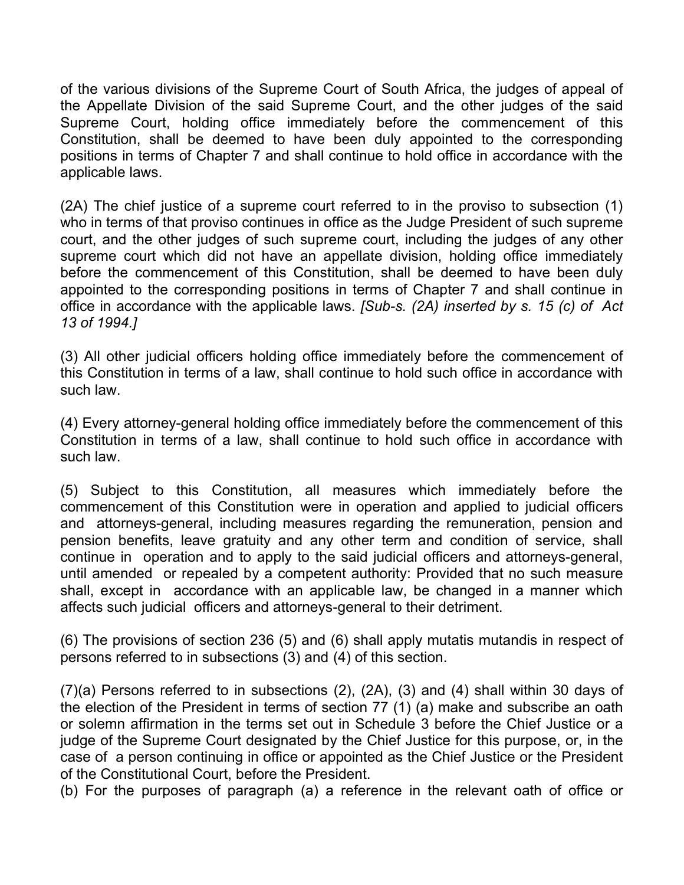of the various divisions of the Supreme Court of South Africa, the judges of appeal of the Appellate Division of the said Supreme Court, and the other judges of the said Supreme Court, holding office immediately before the commencement of this Constitution, shall be deemed to have been duly appointed to the corresponding positions in terms of Chapter 7 and shall continue to hold office in accordance with the applicable laws.

(2A) The chief justice of a supreme court referred to in the proviso to subsection (1) who in terms of that proviso continues in office as the Judge President of such supreme court, and the other judges of such supreme court, including the judges of any other supreme court which did not have an appellate division, holding office immediately before the commencement of this Constitution, shall be deemed to have been duly appointed to the corresponding positions in terms of Chapter 7 and shall continue in office in accordance with the applicable laws. *[Sub-s. (2A) inserted by s. 15 (c) of Act 13 of 1994.]*

(3) All other judicial officers holding office immediately before the commencement of this Constitution in terms of a law, shall continue to hold such office in accordance with such law.

(4) Every attorney-general holding office immediately before the commencement of this Constitution in terms of a law, shall continue to hold such office in accordance with such law.

(5) Subject to this Constitution, all measures which immediately before the commencement of this Constitution were in operation and applied to judicial officers and attorneys-general, including measures regarding the remuneration, pension and pension benefits, leave gratuity and any other term and condition of service, shall continue in operation and to apply to the said judicial officers and attorneys-general, until amended or repealed by a competent authority: Provided that no such measure shall, except in accordance with an applicable law, be changed in a manner which affects such judicial officers and attorneys-general to their detriment.

(6) The provisions of section 236 (5) and (6) shall apply mutatis mutandis in respect of persons referred to in subsections (3) and (4) of this section.

(7)(a) Persons referred to in subsections (2), (2A), (3) and (4) shall within 30 days of the election of the President in terms of section 77 (1) (a) make and subscribe an oath or solemn affirmation in the terms set out in Schedule 3 before the Chief Justice or a judge of the Supreme Court designated by the Chief Justice for this purpose, or, in the case of a person continuing in office or appointed as the Chief Justice or the President of the Constitutional Court, before the President.

(b) For the purposes of paragraph (a) a reference in the relevant oath of office or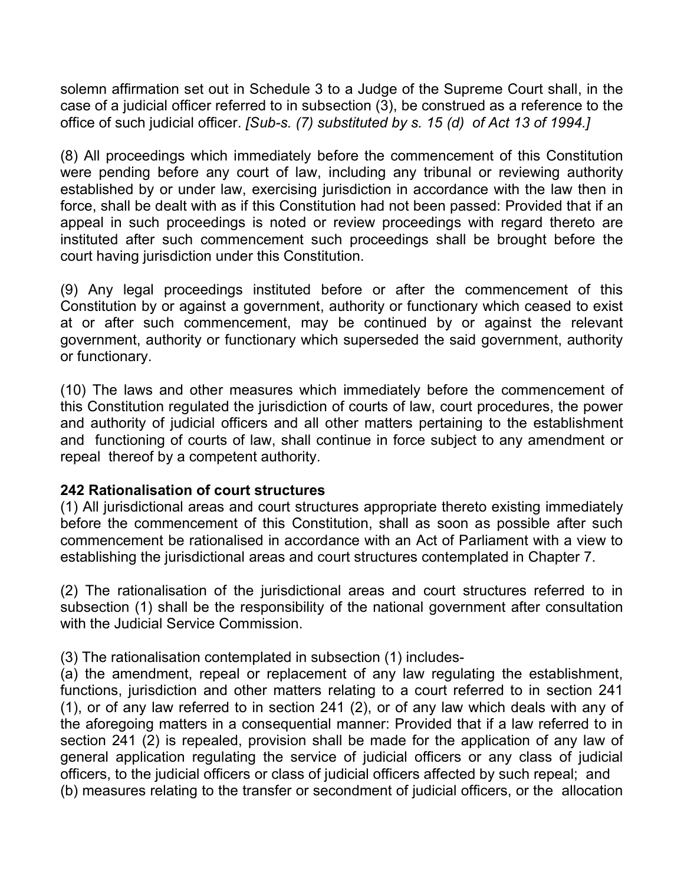solemn affirmation set out in Schedule 3 to a Judge of the Supreme Court shall, in the case of a judicial officer referred to in subsection (3), be construed as a reference to the office of such judicial officer. *[Sub-s. (7) substituted by s. 15 (d) of Act 13 of 1994.]*

(8) All proceedings which immediately before the commencement of this Constitution were pending before any court of law, including any tribunal or reviewing authority established by or under law, exercising jurisdiction in accordance with the law then in force, shall be dealt with as if this Constitution had not been passed: Provided that if an appeal in such proceedings is noted or review proceedings with regard thereto are instituted after such commencement such proceedings shall be brought before the court having jurisdiction under this Constitution.

(9) Any legal proceedings instituted before or after the commencement of this Constitution by or against a government, authority or functionary which ceased to exist at or after such commencement, may be continued by or against the relevant government, authority or functionary which superseded the said government, authority or functionary.

(10) The laws and other measures which immediately before the commencement of this Constitution regulated the jurisdiction of courts of law, court procedures, the power and authority of judicial officers and all other matters pertaining to the establishment and functioning of courts of law, shall continue in force subject to any amendment or repeal thereof by a competent authority.

#### **242 Rationalisation of court structures**

(1) All jurisdictional areas and court structures appropriate thereto existing immediately before the commencement of this Constitution, shall as soon as possible after such commencement be rationalised in accordance with an Act of Parliament with a view to establishing the jurisdictional areas and court structures contemplated in Chapter 7.

(2) The rationalisation of the jurisdictional areas and court structures referred to in subsection (1) shall be the responsibility of the national government after consultation with the Judicial Service Commission.

(3) The rationalisation contemplated in subsection (1) includes-

(a) the amendment, repeal or replacement of any law regulating the establishment, functions, jurisdiction and other matters relating to a court referred to in section 241 (1), or of any law referred to in section 241 (2), or of any law which deals with any of the aforegoing matters in a consequential manner: Provided that if a law referred to in section 241 (2) is repealed, provision shall be made for the application of any law of general application regulating the service of judicial officers or any class of judicial officers, to the judicial officers or class of judicial officers affected by such repeal; and (b) measures relating to the transfer or secondment of judicial officers, or the allocation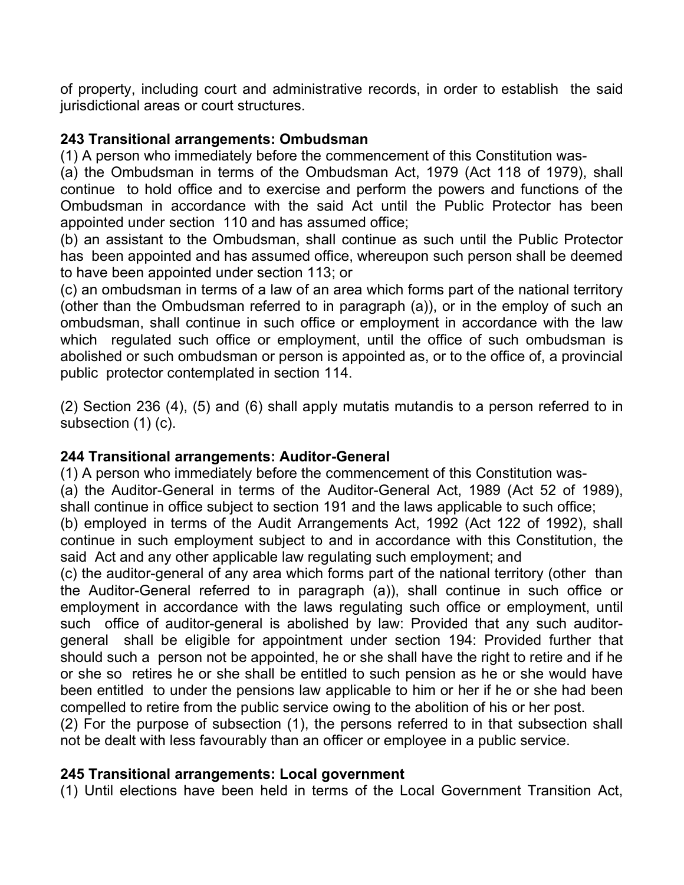of property, including court and administrative records, in order to establish the said jurisdictional areas or court structures.

#### **243 Transitional arrangements: Ombudsman**

(1) A person who immediately before the commencement of this Constitution was-

(a) the Ombudsman in terms of the Ombudsman Act, 1979 (Act 118 of 1979), shall continue to hold office and to exercise and perform the powers and functions of the Ombudsman in accordance with the said Act until the Public Protector has been appointed under section 110 and has assumed office;

(b) an assistant to the Ombudsman, shall continue as such until the Public Protector has been appointed and has assumed office, whereupon such person shall be deemed to have been appointed under section 113; or

(c) an ombudsman in terms of a law of an area which forms part of the national territory (other than the Ombudsman referred to in paragraph (a)), or in the employ of such an ombudsman, shall continue in such office or employment in accordance with the law which regulated such office or employment, until the office of such ombudsman is abolished or such ombudsman or person is appointed as, or to the office of, a provincial public protector contemplated in section 114.

(2) Section 236 (4), (5) and (6) shall apply mutatis mutandis to a person referred to in subsection (1) (c).

#### **244 Transitional arrangements: Auditor-General**

(1) A person who immediately before the commencement of this Constitution was-

(a) the Auditor-General in terms of the Auditor-General Act, 1989 (Act 52 of 1989), shall continue in office subject to section 191 and the laws applicable to such office;

(b) employed in terms of the Audit Arrangements Act, 1992 (Act 122 of 1992), shall continue in such employment subject to and in accordance with this Constitution, the said Act and any other applicable law regulating such employment; and

(c) the auditor-general of any area which forms part of the national territory (other than the Auditor-General referred to in paragraph (a)), shall continue in such office or employment in accordance with the laws regulating such office or employment, until such office of auditor-general is abolished by law: Provided that any such auditorgeneral shall be eligible for appointment under section 194: Provided further that should such a person not be appointed, he or she shall have the right to retire and if he or she so retires he or she shall be entitled to such pension as he or she would have been entitled to under the pensions law applicable to him or her if he or she had been compelled to retire from the public service owing to the abolition of his or her post.

(2) For the purpose of subsection (1), the persons referred to in that subsection shall not be dealt with less favourably than an officer or employee in a public service.

#### **245 Transitional arrangements: Local government**

(1) Until elections have been held in terms of the Local Government Transition Act,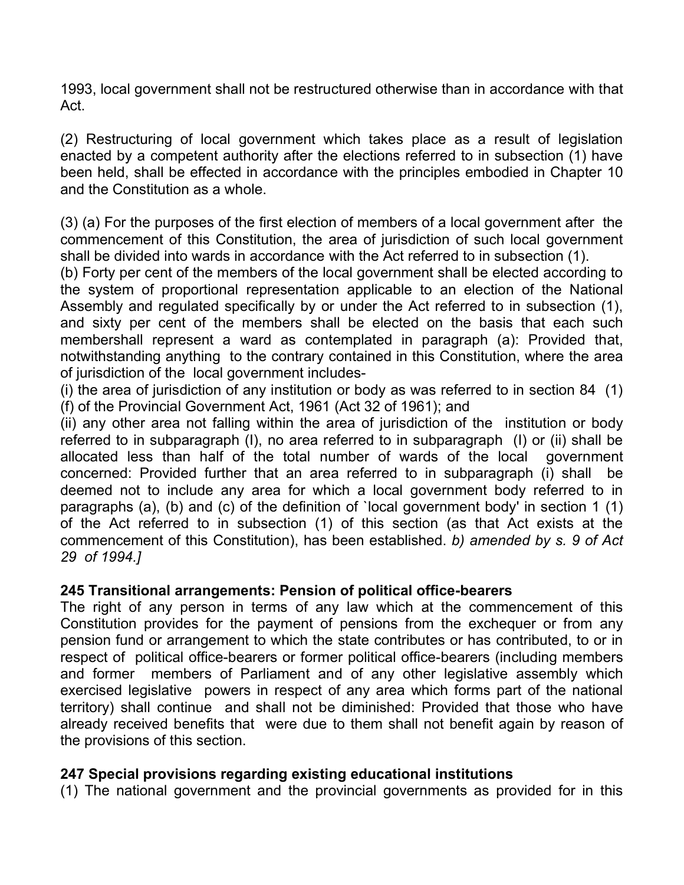1993, local government shall not be restructured otherwise than in accordance with that Act.

(2) Restructuring of local government which takes place as a result of legislation enacted by a competent authority after the elections referred to in subsection (1) have been held, shall be effected in accordance with the principles embodied in Chapter 10 and the Constitution as a whole.

(3) (a) For the purposes of the first election of members of a local government after the commencement of this Constitution, the area of jurisdiction of such local government shall be divided into wards in accordance with the Act referred to in subsection (1).

(b) Forty per cent of the members of the local government shall be elected according to the system of proportional representation applicable to an election of the National Assembly and regulated specifically by or under the Act referred to in subsection (1), and sixty per cent of the members shall be elected on the basis that each such membershall represent a ward as contemplated in paragraph (a): Provided that, notwithstanding anything to the contrary contained in this Constitution, where the area of jurisdiction of the local government includes-

(i) the area of jurisdiction of any institution or body as was referred to in section 84 (1) (f) of the Provincial Government Act, 1961 (Act 32 of 1961); and

(ii) any other area not falling within the area of jurisdiction of the institution or body referred to in subparagraph (I), no area referred to in subparagraph (I) or (ii) shall be allocated less than half of the total number of wards of the local government concerned: Provided further that an area referred to in subparagraph (i) shall be deemed not to include any area for which a local government body referred to in paragraphs (a), (b) and (c) of the definition of `local government body' in section 1 (1) of the Act referred to in subsection (1) of this section (as that Act exists at the commencement of this Constitution), has been established. *b) amended by s. 9 of Act 29 of 1994.]*

#### **245 Transitional arrangements: Pension of political office-bearers**

The right of any person in terms of any law which at the commencement of this Constitution provides for the payment of pensions from the exchequer or from any pension fund or arrangement to which the state contributes or has contributed, to or in respect of political office-bearers or former political office-bearers (including members and former members of Parliament and of any other legislative assembly which exercised legislative powers in respect of any area which forms part of the national territory) shall continue and shall not be diminished: Provided that those who have already received benefits that were due to them shall not benefit again by reason of the provisions of this section.

#### **247 Special provisions regarding existing educational institutions**

(1) The national government and the provincial governments as provided for in this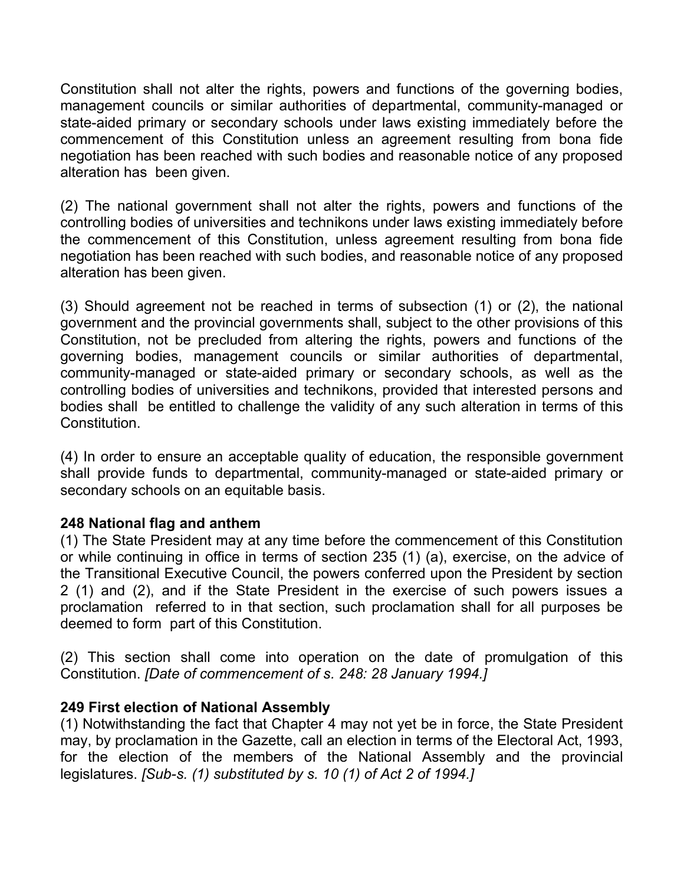Constitution shall not alter the rights, powers and functions of the governing bodies, management councils or similar authorities of departmental, community-managed or state-aided primary or secondary schools under laws existing immediately before the commencement of this Constitution unless an agreement resulting from bona fide negotiation has been reached with such bodies and reasonable notice of any proposed alteration has been given.

(2) The national government shall not alter the rights, powers and functions of the controlling bodies of universities and technikons under laws existing immediately before the commencement of this Constitution, unless agreement resulting from bona fide negotiation has been reached with such bodies, and reasonable notice of any proposed alteration has been given.

(3) Should agreement not be reached in terms of subsection (1) or (2), the national government and the provincial governments shall, subject to the other provisions of this Constitution, not be precluded from altering the rights, powers and functions of the governing bodies, management councils or similar authorities of departmental, community-managed or state-aided primary or secondary schools, as well as the controlling bodies of universities and technikons, provided that interested persons and bodies shall be entitled to challenge the validity of any such alteration in terms of this Constitution.

(4) In order to ensure an acceptable quality of education, the responsible government shall provide funds to departmental, community-managed or state-aided primary or secondary schools on an equitable basis.

#### **248 National flag and anthem**

(1) The State President may at any time before the commencement of this Constitution or while continuing in office in terms of section 235 (1) (a), exercise, on the advice of the Transitional Executive Council, the powers conferred upon the President by section 2 (1) and (2), and if the State President in the exercise of such powers issues a proclamation referred to in that section, such proclamation shall for all purposes be deemed to form part of this Constitution.

(2) This section shall come into operation on the date of promulgation of this Constitution. *[Date of commencement of s. 248: 28 January 1994.]*

#### **249 First election of National Assembly**

(1) Notwithstanding the fact that Chapter 4 may not yet be in force, the State President may, by proclamation in the Gazette, call an election in terms of the Electoral Act, 1993, for the election of the members of the National Assembly and the provincial legislatures. *[Sub-s. (1) substituted by s. 10 (1) of Act 2 of 1994.]*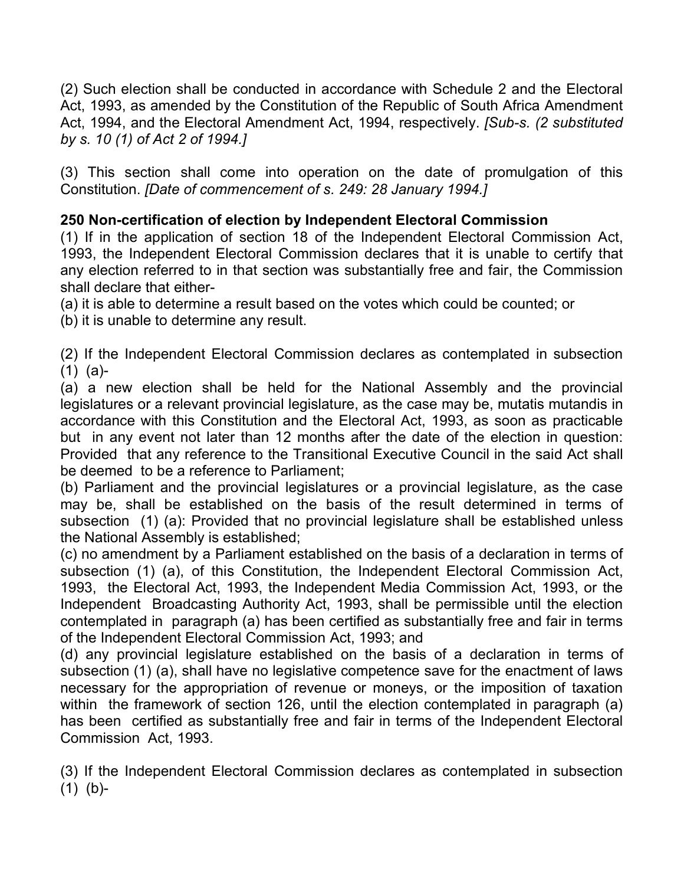(2) Such election shall be conducted in accordance with Schedule 2 and the Electoral Act, 1993, as amended by the Constitution of the Republic of South Africa Amendment Act, 1994, and the Electoral Amendment Act, 1994, respectively. *[Sub-s. (2 substituted by s. 10 (1) of Act 2 of 1994.]*

(3) This section shall come into operation on the date of promulgation of this Constitution. *[Date of commencement of s. 249: 28 January 1994.]*

# **250 Non-certification of election by Independent Electoral Commission**

(1) If in the application of section 18 of the Independent Electoral Commission Act, 1993, the Independent Electoral Commission declares that it is unable to certify that any election referred to in that section was substantially free and fair, the Commission shall declare that either-

(a) it is able to determine a result based on the votes which could be counted; or

(b) it is unable to determine any result.

(2) If the Independent Electoral Commission declares as contemplated in subsection (1) (a)-

(a) a new election shall be held for the National Assembly and the provincial legislatures or a relevant provincial legislature, as the case may be, mutatis mutandis in accordance with this Constitution and the Electoral Act, 1993, as soon as practicable but in any event not later than 12 months after the date of the election in question: Provided that any reference to the Transitional Executive Council in the said Act shall be deemed to be a reference to Parliament;

(b) Parliament and the provincial legislatures or a provincial legislature, as the case may be, shall be established on the basis of the result determined in terms of subsection (1) (a): Provided that no provincial legislature shall be established unless the National Assembly is established;

(c) no amendment by a Parliament established on the basis of a declaration in terms of subsection (1) (a), of this Constitution, the Independent Electoral Commission Act, 1993, the Electoral Act, 1993, the Independent Media Commission Act, 1993, or the Independent Broadcasting Authority Act, 1993, shall be permissible until the election contemplated in paragraph (a) has been certified as substantially free and fair in terms of the Independent Electoral Commission Act, 1993; and

(d) any provincial legislature established on the basis of a declaration in terms of subsection (1) (a), shall have no legislative competence save for the enactment of laws necessary for the appropriation of revenue or moneys, or the imposition of taxation within the framework of section 126, until the election contemplated in paragraph (a) has been certified as substantially free and fair in terms of the Independent Electoral Commission Act, 1993.

(3) If the Independent Electoral Commission declares as contemplated in subsection  $(1)$  (b)-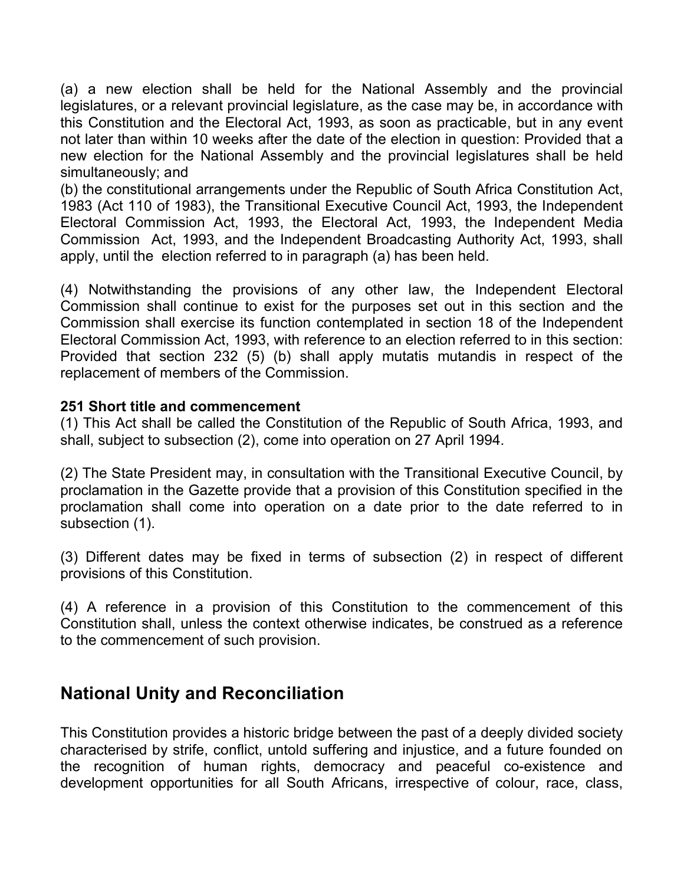(a) a new election shall be held for the National Assembly and the provincial legislatures, or a relevant provincial legislature, as the case may be, in accordance with this Constitution and the Electoral Act, 1993, as soon as practicable, but in any event not later than within 10 weeks after the date of the election in question: Provided that a new election for the National Assembly and the provincial legislatures shall be held simultaneously; and

(b) the constitutional arrangements under the Republic of South Africa Constitution Act, 1983 (Act 110 of 1983), the Transitional Executive Council Act, 1993, the Independent Electoral Commission Act, 1993, the Electoral Act, 1993, the Independent Media Commission Act, 1993, and the Independent Broadcasting Authority Act, 1993, shall apply, until the election referred to in paragraph (a) has been held.

(4) Notwithstanding the provisions of any other law, the Independent Electoral Commission shall continue to exist for the purposes set out in this section and the Commission shall exercise its function contemplated in section 18 of the Independent Electoral Commission Act, 1993, with reference to an election referred to in this section: Provided that section 232 (5) (b) shall apply mutatis mutandis in respect of the replacement of members of the Commission.

#### **251 Short title and commencement**

(1) This Act shall be called the Constitution of the Republic of South Africa, 1993, and shall, subject to subsection (2), come into operation on 27 April 1994.

(2) The State President may, in consultation with the Transitional Executive Council, by proclamation in the Gazette provide that a provision of this Constitution specified in the proclamation shall come into operation on a date prior to the date referred to in subsection (1).

(3) Different dates may be fixed in terms of subsection (2) in respect of different provisions of this Constitution.

(4) A reference in a provision of this Constitution to the commencement of this Constitution shall, unless the context otherwise indicates, be construed as a reference to the commencement of such provision.

# **National Unity and Reconciliation**

This Constitution provides a historic bridge between the past of a deeply divided society characterised by strife, conflict, untold suffering and injustice, and a future founded on the recognition of human rights, democracy and peaceful co-existence and development opportunities for all South Africans, irrespective of colour, race, class,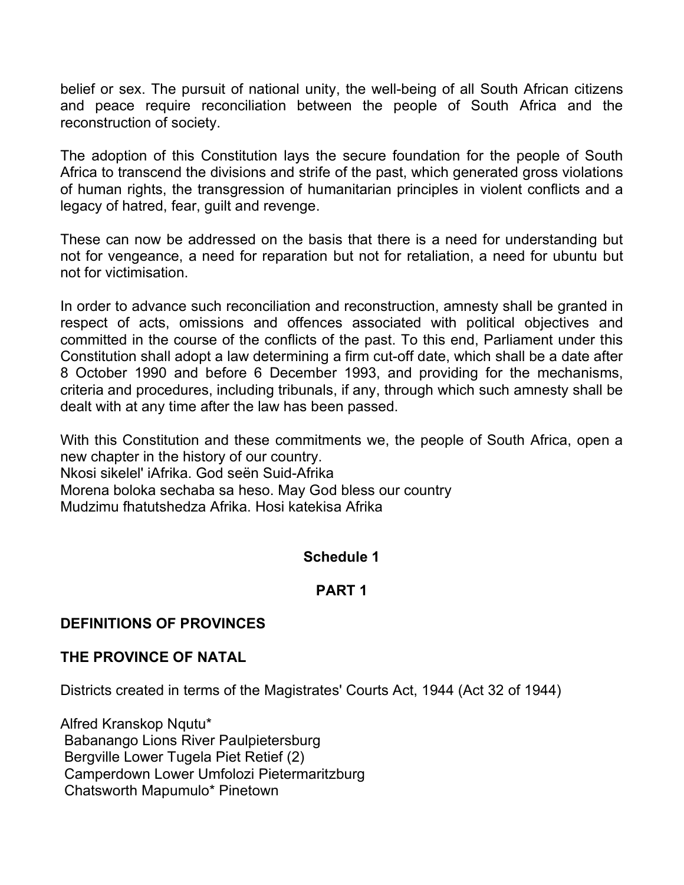belief or sex. The pursuit of national unity, the well-being of all South African citizens and peace require reconciliation between the people of South Africa and the reconstruction of society.

The adoption of this Constitution lays the secure foundation for the people of South Africa to transcend the divisions and strife of the past, which generated gross violations of human rights, the transgression of humanitarian principles in violent conflicts and a legacy of hatred, fear, guilt and revenge.

These can now be addressed on the basis that there is a need for understanding but not for vengeance, a need for reparation but not for retaliation, a need for ubuntu but not for victimisation.

In order to advance such reconciliation and reconstruction, amnesty shall be granted in respect of acts, omissions and offences associated with political objectives and committed in the course of the conflicts of the past. To this end, Parliament under this Constitution shall adopt a law determining a firm cut-off date, which shall be a date after 8 October 1990 and before 6 December 1993, and providing for the mechanisms, criteria and procedures, including tribunals, if any, through which such amnesty shall be dealt with at any time after the law has been passed.

With this Constitution and these commitments we, the people of South Africa, open a new chapter in the history of our country. Nkosi sikelel' iAfrika. God seën Suid-Afrika Morena boloka sechaba sa heso. May God bless our country Mudzimu fhatutshedza Afrika. Hosi katekisa Afrika

#### **Schedule 1**

#### **PART 1**

#### **DEFINITIONS OF PROVINCES**

#### **THE PROVINCE OF NATAL**

Districts created in terms of the Magistrates' Courts Act, 1944 (Act 32 of 1944)

Alfred Kranskop Nqutu\* Babanango Lions River Paulpietersburg Bergville Lower Tugela Piet Retief (2) Camperdown Lower Umfolozi Pietermaritzburg Chatsworth Mapumulo\* Pinetown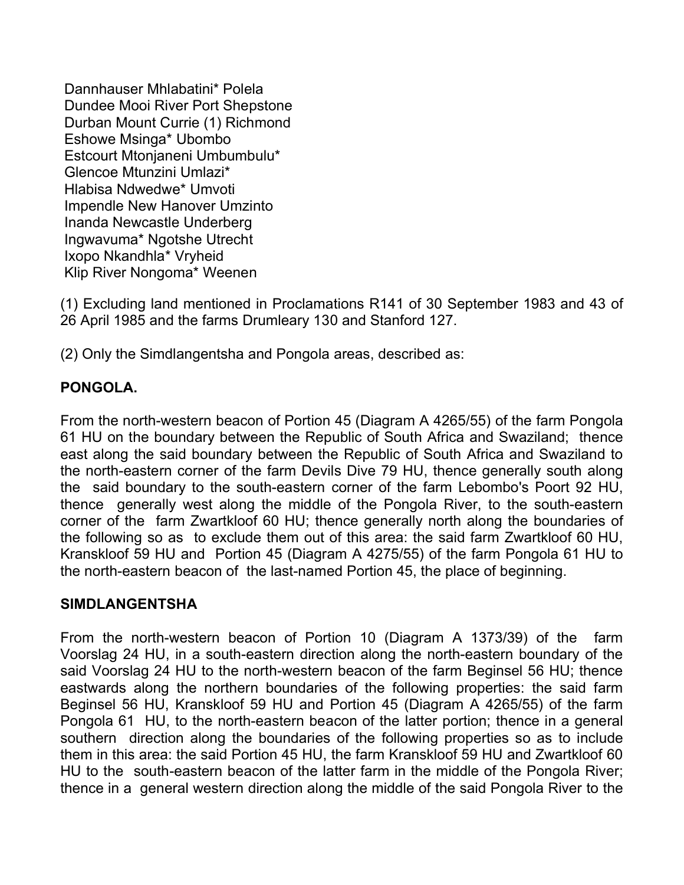Dannhauser Mhlabatini\* Polela Dundee Mooi River Port Shepstone Durban Mount Currie (1) Richmond Eshowe Msinga\* Ubombo Estcourt Mtonjaneni Umbumbulu\* Glencoe Mtunzini Umlazi\* Hlabisa Ndwedwe\* Umvoti Impendle New Hanover Umzinto Inanda Newcastle Underberg Ingwavuma\* Ngotshe Utrecht Ixopo Nkandhla\* Vryheid Klip River Nongoma\* Weenen

(1) Excluding land mentioned in Proclamations R141 of 30 September 1983 and 43 of 26 April 1985 and the farms Drumleary 130 and Stanford 127.

(2) Only the Simdlangentsha and Pongola areas, described as:

# **PONGOLA.**

From the north-western beacon of Portion 45 (Diagram A 4265/55) of the farm Pongola 61 HU on the boundary between the Republic of South Africa and Swaziland; thence east along the said boundary between the Republic of South Africa and Swaziland to the north-eastern corner of the farm Devils Dive 79 HU, thence generally south along the said boundary to the south-eastern corner of the farm Lebombo's Poort 92 HU, thence generally west along the middle of the Pongola River, to the south-eastern corner of the farm Zwartkloof 60 HU; thence generally north along the boundaries of the following so as to exclude them out of this area: the said farm Zwartkloof 60 HU, Kranskloof 59 HU and Portion 45 (Diagram A 4275/55) of the farm Pongola 61 HU to the north-eastern beacon of the last-named Portion 45, the place of beginning.

#### **SIMDLANGENTSHA**

From the north-western beacon of Portion 10 (Diagram A 1373/39) of the farm Voorslag 24 HU, in a south-eastern direction along the north-eastern boundary of the said Voorslag 24 HU to the north-western beacon of the farm Beginsel 56 HU; thence eastwards along the northern boundaries of the following properties: the said farm Beginsel 56 HU, Kranskloof 59 HU and Portion 45 (Diagram A 4265/55) of the farm Pongola 61 HU, to the north-eastern beacon of the latter portion; thence in a general southern direction along the boundaries of the following properties so as to include them in this area: the said Portion 45 HU, the farm Kranskloof 59 HU and Zwartkloof 60 HU to the south-eastern beacon of the latter farm in the middle of the Pongola River; thence in a general western direction along the middle of the said Pongola River to the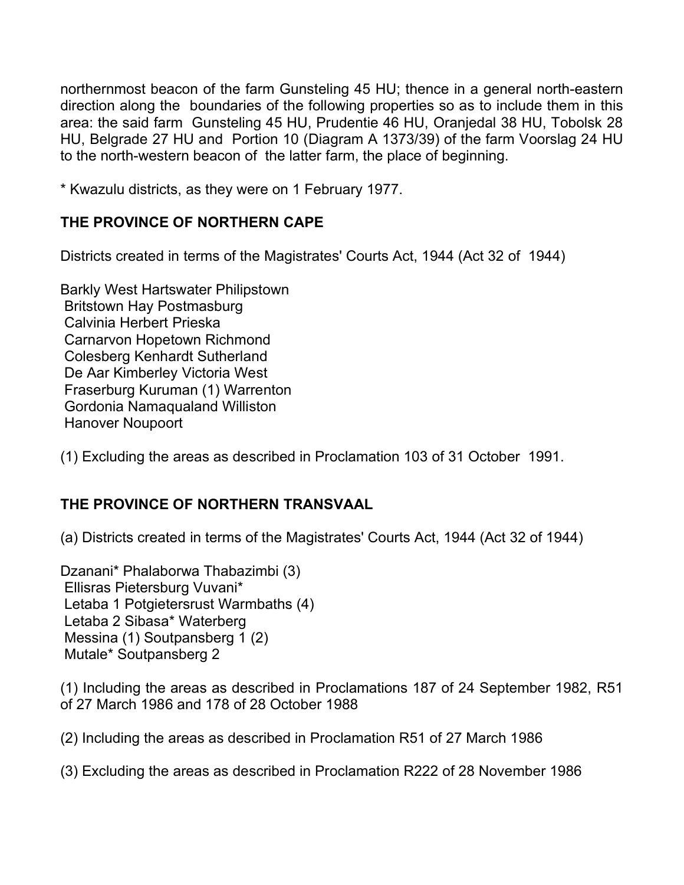northernmost beacon of the farm Gunsteling 45 HU; thence in a general north-eastern direction along the boundaries of the following properties so as to include them in this area: the said farm Gunsteling 45 HU, Prudentie 46 HU, Oranjedal 38 HU, Tobolsk 28 HU, Belgrade 27 HU and Portion 10 (Diagram A 1373/39) of the farm Voorslag 24 HU to the north-western beacon of the latter farm, the place of beginning.

\* Kwazulu districts, as they were on 1 February 1977.

# **THE PROVINCE OF NORTHERN CAPE**

Districts created in terms of the Magistrates' Courts Act, 1944 (Act 32 of 1944)

Barkly West Hartswater Philipstown Britstown Hay Postmasburg Calvinia Herbert Prieska Carnarvon Hopetown Richmond Colesberg Kenhardt Sutherland De Aar Kimberley Victoria West Fraserburg Kuruman (1) Warrenton Gordonia Namaqualand Williston Hanover Noupoort

(1) Excluding the areas as described in Proclamation 103 of 31 October 1991.

# **THE PROVINCE OF NORTHERN TRANSVAAL**

(a) Districts created in terms of the Magistrates' Courts Act, 1944 (Act 32 of 1944)

Dzanani\* Phalaborwa Thabazimbi (3) Ellisras Pietersburg Vuvani\* Letaba 1 Potgietersrust Warmbaths (4) Letaba 2 Sibasa\* Waterberg Messina (1) Soutpansberg 1 (2) Mutale\* Soutpansberg 2

(1) Including the areas as described in Proclamations 187 of 24 September 1982, R51 of 27 March 1986 and 178 of 28 October 1988

(2) Including the areas as described in Proclamation R51 of 27 March 1986

(3) Excluding the areas as described in Proclamation R222 of 28 November 1986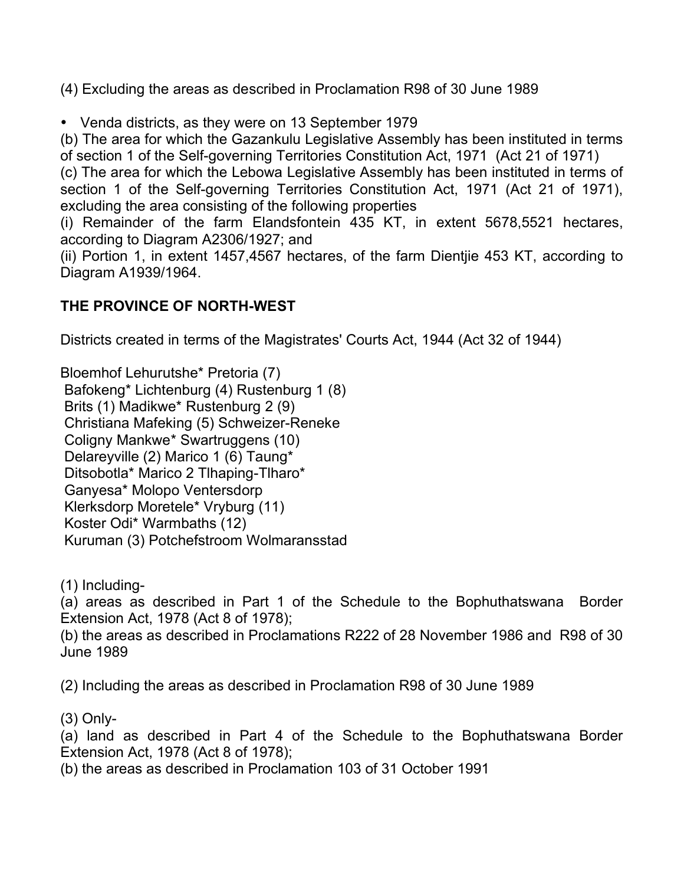(4) Excluding the areas as described in Proclamation R98 of 30 June 1989

• Venda districts, as they were on 13 September 1979

(b) The area for which the Gazankulu Legislative Assembly has been instituted in terms of section 1 of the Self-governing Territories Constitution Act, 1971 (Act 21 of 1971) (c) The area for which the Lebowa Legislative Assembly has been instituted in terms of section 1 of the Self-governing Territories Constitution Act, 1971 (Act 21 of 1971), excluding the area consisting of the following properties

(i) Remainder of the farm Elandsfontein 435 KT, in extent 5678,5521 hectares, according to Diagram A2306/1927; and

(ii) Portion 1, in extent 1457,4567 hectares, of the farm Dientjie 453 KT, according to Diagram A1939/1964.

# **THE PROVINCE OF NORTH-WEST**

Districts created in terms of the Magistrates' Courts Act, 1944 (Act 32 of 1944)

Bloemhof Lehurutshe\* Pretoria (7) Bafokeng\* Lichtenburg (4) Rustenburg 1 (8) Brits (1) Madikwe\* Rustenburg 2 (9) Christiana Mafeking (5) Schweizer-Reneke Coligny Mankwe\* Swartruggens (10) Delareyville (2) Marico 1 (6) Taung\* Ditsobotla\* Marico 2 Tlhaping-Tlharo\* Ganyesa\* Molopo Ventersdorp Klerksdorp Moretele\* Vryburg (11) Koster Odi\* Warmbaths (12) Kuruman (3) Potchefstroom Wolmaransstad

(1) Including-

(a) areas as described in Part 1 of the Schedule to the Bophuthatswana Border Extension Act, 1978 (Act 8 of 1978);

(b) the areas as described in Proclamations R222 of 28 November 1986 and R98 of 30 June 1989

(2) Including the areas as described in Proclamation R98 of 30 June 1989

(3) Only-

(a) land as described in Part 4 of the Schedule to the Bophuthatswana Border Extension Act, 1978 (Act 8 of 1978);

(b) the areas as described in Proclamation 103 of 31 October 1991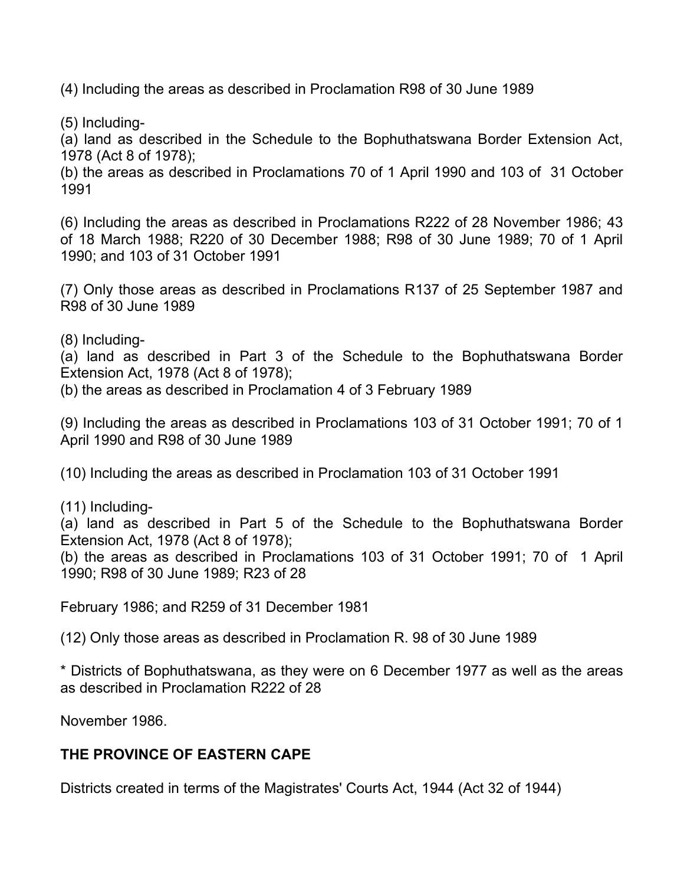(4) Including the areas as described in Proclamation R98 of 30 June 1989

(5) Including-

(a) land as described in the Schedule to the Bophuthatswana Border Extension Act, 1978 (Act 8 of 1978);

(b) the areas as described in Proclamations 70 of 1 April 1990 and 103 of 31 October 1991

(6) Including the areas as described in Proclamations R222 of 28 November 1986; 43 of 18 March 1988; R220 of 30 December 1988; R98 of 30 June 1989; 70 of 1 April 1990; and 103 of 31 October 1991

(7) Only those areas as described in Proclamations R137 of 25 September 1987 and R98 of 30 June 1989

(8) Including-

(a) land as described in Part 3 of the Schedule to the Bophuthatswana Border Extension Act, 1978 (Act 8 of 1978);

(b) the areas as described in Proclamation 4 of 3 February 1989

(9) Including the areas as described in Proclamations 103 of 31 October 1991; 70 of 1 April 1990 and R98 of 30 June 1989

(10) Including the areas as described in Proclamation 103 of 31 October 1991

(11) Including-

(a) land as described in Part 5 of the Schedule to the Bophuthatswana Border Extension Act, 1978 (Act 8 of 1978);

(b) the areas as described in Proclamations 103 of 31 October 1991; 70 of 1 April 1990; R98 of 30 June 1989; R23 of 28

February 1986; and R259 of 31 December 1981

(12) Only those areas as described in Proclamation R. 98 of 30 June 1989

\* Districts of Bophuthatswana, as they were on 6 December 1977 as well as the areas as described in Proclamation R222 of 28

November 1986.

#### **THE PROVINCE OF EASTERN CAPE**

Districts created in terms of the Magistrates' Courts Act, 1944 (Act 32 of 1944)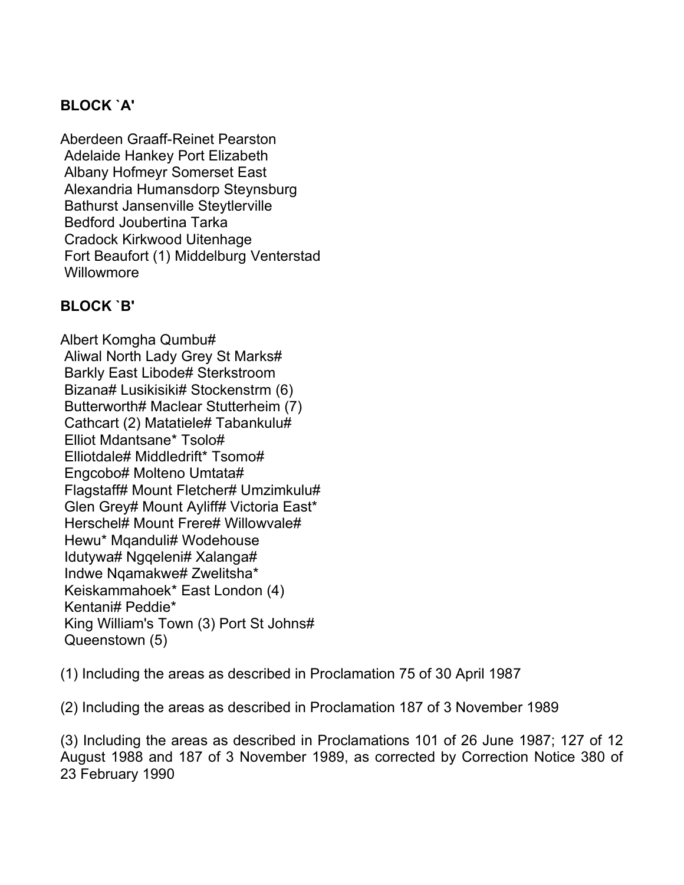# **BLOCK `A'**

Aberdeen Graaff-Reinet Pearston Adelaide Hankey Port Elizabeth Albany Hofmeyr Somerset East Alexandria Humansdorp Steynsburg Bathurst Jansenville Steytlerville Bedford Joubertina Tarka Cradock Kirkwood Uitenhage Fort Beaufort (1) Middelburg Venterstad **Willowmore** 

# **BLOCK `B'**

Albert Komgha Qumbu# Aliwal North Lady Grey St Marks# Barkly East Libode# Sterkstroom Bizana# Lusikisiki# Stockenstrm (6) Butterworth# Maclear Stutterheim (7) Cathcart (2) Matatiele# Tabankulu# Elliot Mdantsane\* Tsolo# Elliotdale# Middledrift\* Tsomo# Engcobo# Molteno Umtata# Flagstaff# Mount Fletcher# Umzimkulu# Glen Grey# Mount Ayliff# Victoria East\* Herschel# Mount Frere# Willowvale# Hewu\* Mqanduli# Wodehouse Idutywa# Ngqeleni# Xalanga# Indwe Nqamakwe# Zwelitsha\* Keiskammahoek\* East London (4) Kentani# Peddie\* King William's Town (3) Port St Johns# Queenstown (5)

(1) Including the areas as described in Proclamation 75 of 30 April 1987

(2) Including the areas as described in Proclamation 187 of 3 November 1989

(3) Including the areas as described in Proclamations 101 of 26 June 1987; 127 of 12 August 1988 and 187 of 3 November 1989, as corrected by Correction Notice 380 of 23 February 1990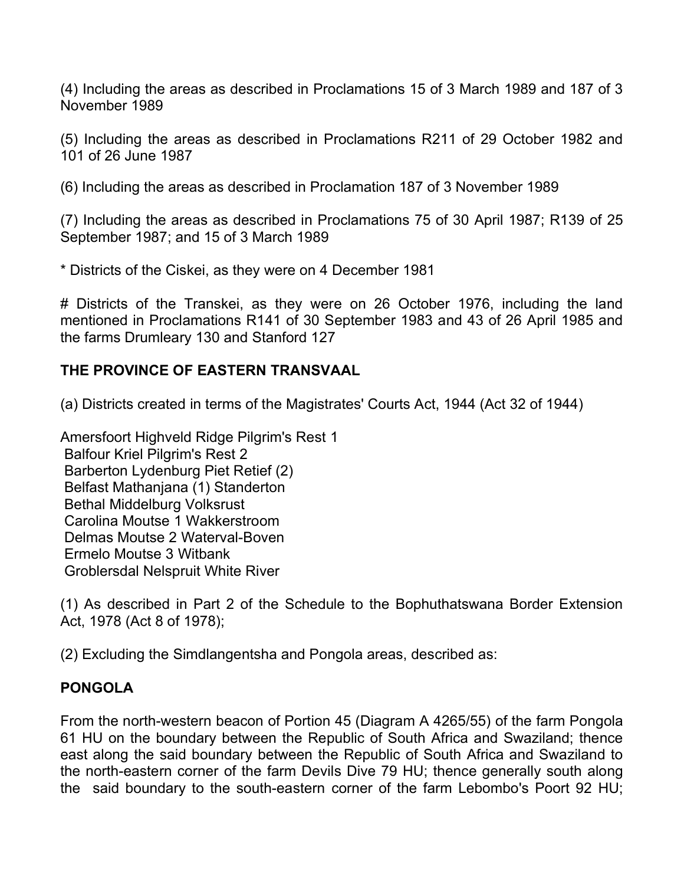(4) Including the areas as described in Proclamations 15 of 3 March 1989 and 187 of 3 November 1989

(5) Including the areas as described in Proclamations R211 of 29 October 1982 and 101 of 26 June 1987

(6) Including the areas as described in Proclamation 187 of 3 November 1989

(7) Including the areas as described in Proclamations 75 of 30 April 1987; R139 of 25 September 1987; and 15 of 3 March 1989

\* Districts of the Ciskei, as they were on 4 December 1981

# Districts of the Transkei, as they were on 26 October 1976, including the land mentioned in Proclamations R141 of 30 September 1983 and 43 of 26 April 1985 and the farms Drumleary 130 and Stanford 127

# **THE PROVINCE OF EASTERN TRANSVAAL**

(a) Districts created in terms of the Magistrates' Courts Act, 1944 (Act 32 of 1944)

Amersfoort Highveld Ridge Pilgrim's Rest 1 Balfour Kriel Pilgrim's Rest 2 Barberton Lydenburg Piet Retief (2) Belfast Mathanjana (1) Standerton Bethal Middelburg Volksrust Carolina Moutse 1 Wakkerstroom Delmas Moutse 2 Waterval-Boven Ermelo Moutse 3 Witbank Groblersdal Nelspruit White River

(1) As described in Part 2 of the Schedule to the Bophuthatswana Border Extension Act, 1978 (Act 8 of 1978);

(2) Excluding the Simdlangentsha and Pongola areas, described as:

#### **PONGOLA**

From the north-western beacon of Portion 45 (Diagram A 4265/55) of the farm Pongola 61 HU on the boundary between the Republic of South Africa and Swaziland; thence east along the said boundary between the Republic of South Africa and Swaziland to the north-eastern corner of the farm Devils Dive 79 HU; thence generally south along the said boundary to the south-eastern corner of the farm Lebombo's Poort 92 HU;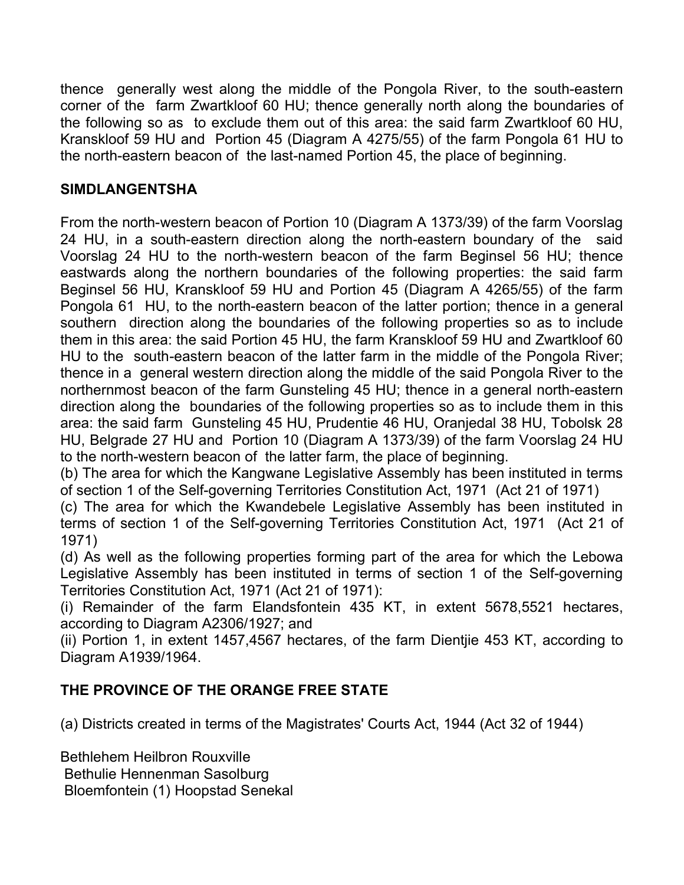thence generally west along the middle of the Pongola River, to the south-eastern corner of the farm Zwartkloof 60 HU; thence generally north along the boundaries of the following so as to exclude them out of this area: the said farm Zwartkloof 60 HU, Kranskloof 59 HU and Portion 45 (Diagram A 4275/55) of the farm Pongola 61 HU to the north-eastern beacon of the last-named Portion 45, the place of beginning.

# **SIMDLANGENTSHA**

From the north-western beacon of Portion 10 (Diagram A 1373/39) of the farm Voorslag 24 HU, in a south-eastern direction along the north-eastern boundary of the said Voorslag 24 HU to the north-western beacon of the farm Beginsel 56 HU; thence eastwards along the northern boundaries of the following properties: the said farm Beginsel 56 HU, Kranskloof 59 HU and Portion 45 (Diagram A 4265/55) of the farm Pongola 61 HU, to the north-eastern beacon of the latter portion; thence in a general southern direction along the boundaries of the following properties so as to include them in this area: the said Portion 45 HU, the farm Kranskloof 59 HU and Zwartkloof 60 HU to the south-eastern beacon of the latter farm in the middle of the Pongola River; thence in a general western direction along the middle of the said Pongola River to the northernmost beacon of the farm Gunsteling 45 HU; thence in a general north-eastern direction along the boundaries of the following properties so as to include them in this area: the said farm Gunsteling 45 HU, Prudentie 46 HU, Oranjedal 38 HU, Tobolsk 28 HU, Belgrade 27 HU and Portion 10 (Diagram A 1373/39) of the farm Voorslag 24 HU to the north-western beacon of the latter farm, the place of beginning.

(b) The area for which the Kangwane Legislative Assembly has been instituted in terms of section 1 of the Self-governing Territories Constitution Act, 1971 (Act 21 of 1971)

(c) The area for which the Kwandebele Legislative Assembly has been instituted in terms of section 1 of the Self-governing Territories Constitution Act, 1971 (Act 21 of 1971)

(d) As well as the following properties forming part of the area for which the Lebowa Legislative Assembly has been instituted in terms of section 1 of the Self-governing Territories Constitution Act, 1971 (Act 21 of 1971):

(i) Remainder of the farm Elandsfontein 435 KT, in extent 5678,5521 hectares, according to Diagram A2306/1927; and

(ii) Portion 1, in extent 1457,4567 hectares, of the farm Dientjie 453 KT, according to Diagram A1939/1964.

# **THE PROVINCE OF THE ORANGE FREE STATE**

(a) Districts created in terms of the Magistrates' Courts Act, 1944 (Act 32 of 1944)

Bethlehem Heilbron Rouxville Bethulie Hennenman Sasolburg Bloemfontein (1) Hoopstad Senekal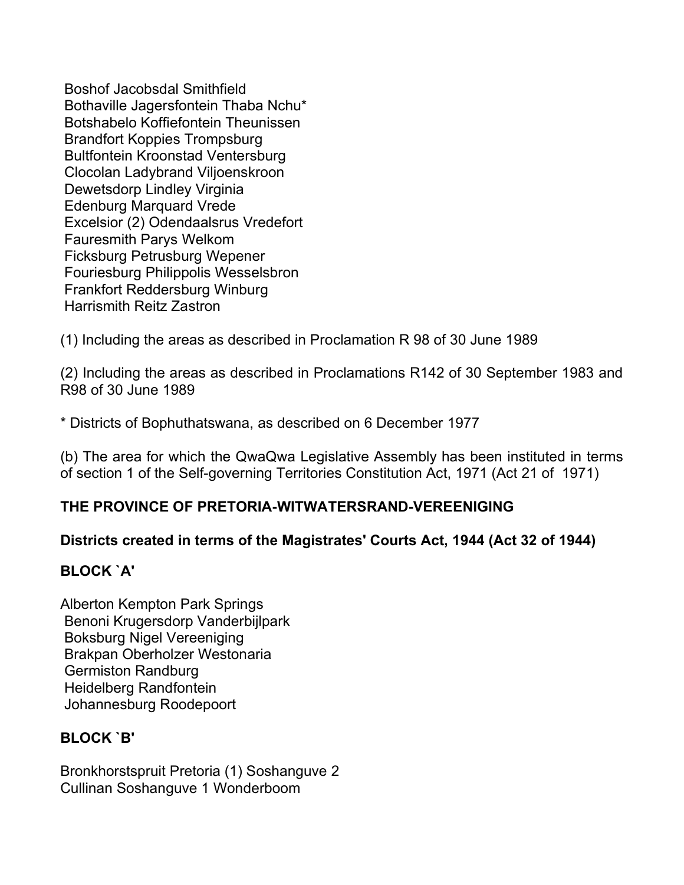Boshof Jacobsdal Smithfield Bothaville Jagersfontein Thaba Nchu\* Botshabelo Koffiefontein Theunissen Brandfort Koppies Trompsburg Bultfontein Kroonstad Ventersburg Clocolan Ladybrand Viljoenskroon Dewetsdorp Lindley Virginia Edenburg Marquard Vrede Excelsior (2) Odendaalsrus Vredefort Fauresmith Parys Welkom Ficksburg Petrusburg Wepener Fouriesburg Philippolis Wesselsbron Frankfort Reddersburg Winburg Harrismith Reitz Zastron

(1) Including the areas as described in Proclamation R 98 of 30 June 1989

(2) Including the areas as described in Proclamations R142 of 30 September 1983 and R98 of 30 June 1989

\* Districts of Bophuthatswana, as described on 6 December 1977

(b) The area for which the QwaQwa Legislative Assembly has been instituted in terms of section 1 of the Self-governing Territories Constitution Act, 1971 (Act 21 of 1971)

# **THE PROVINCE OF PRETORIA-WITWATERSRAND-VEREENIGING**

#### **Districts created in terms of the Magistrates' Courts Act, 1944 (Act 32 of 1944)**

# **BLOCK `A'**

Alberton Kempton Park Springs Benoni Krugersdorp Vanderbijlpark Boksburg Nigel Vereeniging Brakpan Oberholzer Westonaria Germiston Randburg Heidelberg Randfontein Johannesburg Roodepoort

# **BLOCK `B'**

Bronkhorstspruit Pretoria (1) Soshanguve 2 Cullinan Soshanguve 1 Wonderboom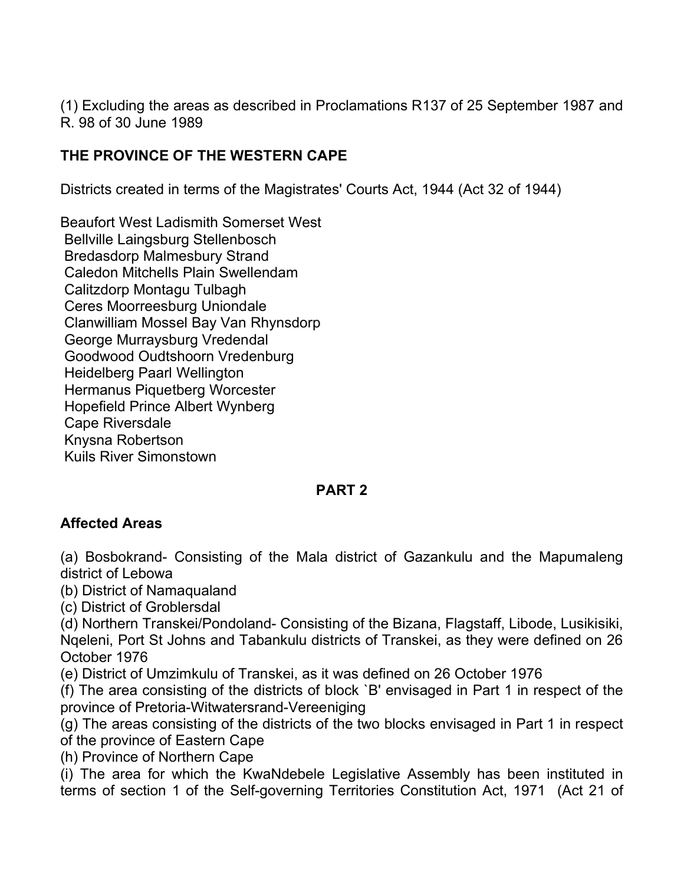(1) Excluding the areas as described in Proclamations R137 of 25 September 1987 and R. 98 of 30 June 1989

# **THE PROVINCE OF THE WESTERN CAPE**

Districts created in terms of the Magistrates' Courts Act, 1944 (Act 32 of 1944)

Beaufort West Ladismith Somerset West Bellville Laingsburg Stellenbosch Bredasdorp Malmesbury Strand Caledon Mitchells Plain Swellendam Calitzdorp Montagu Tulbagh Ceres Moorreesburg Uniondale Clanwilliam Mossel Bay Van Rhynsdorp George Murraysburg Vredendal Goodwood Oudtshoorn Vredenburg Heidelberg Paarl Wellington Hermanus Piquetberg Worcester Hopefield Prince Albert Wynberg Cape Riversdale Knysna Robertson Kuils River Simonstown

#### **PART 2**

#### **Affected Areas**

(a) Bosbokrand- Consisting of the Mala district of Gazankulu and the Mapumaleng district of Lebowa

(b) District of Namaqualand

(c) District of Groblersdal

(d) Northern Transkei/Pondoland- Consisting of the Bizana, Flagstaff, Libode, Lusikisiki, Nqeleni, Port St Johns and Tabankulu districts of Transkei, as they were defined on 26 October 1976

(e) District of Umzimkulu of Transkei, as it was defined on 26 October 1976

(f) The area consisting of the districts of block `B' envisaged in Part 1 in respect of the province of Pretoria-Witwatersrand-Vereeniging

(g) The areas consisting of the districts of the two blocks envisaged in Part 1 in respect of the province of Eastern Cape

(h) Province of Northern Cape

(i) The area for which the KwaNdebele Legislative Assembly has been instituted in terms of section 1 of the Self-governing Territories Constitution Act, 1971 (Act 21 of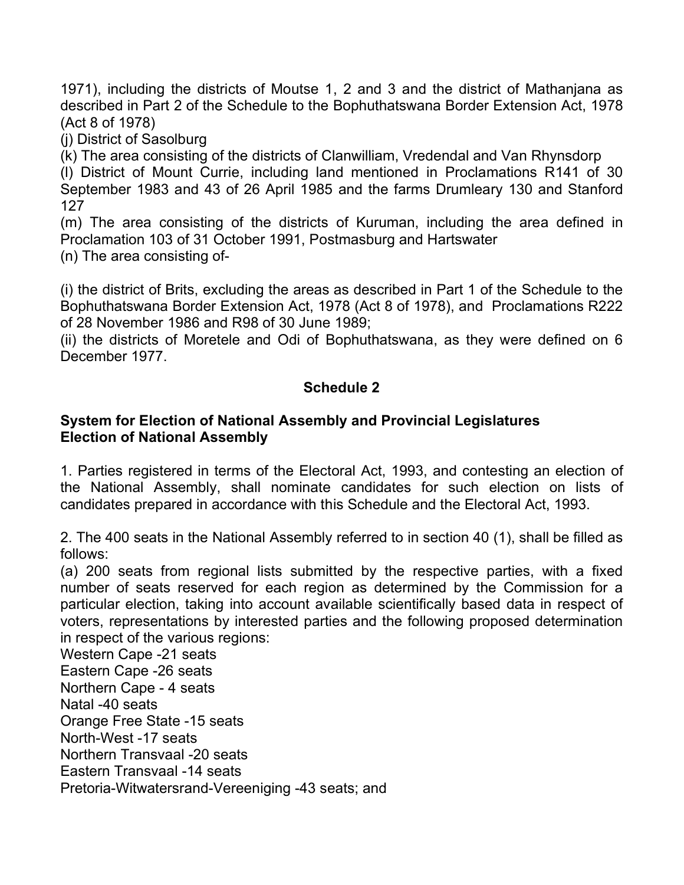1971), including the districts of Moutse 1, 2 and 3 and the district of Mathanjana as described in Part 2 of the Schedule to the Bophuthatswana Border Extension Act, 1978 (Act 8 of 1978)

(j) District of Sasolburg

(k) The area consisting of the districts of Clanwilliam, Vredendal and Van Rhynsdorp

(l) District of Mount Currie, including land mentioned in Proclamations R141 of 30 September 1983 and 43 of 26 April 1985 and the farms Drumleary 130 and Stanford 127

(m) The area consisting of the districts of Kuruman, including the area defined in Proclamation 103 of 31 October 1991, Postmasburg and Hartswater

(n) The area consisting of-

(i) the district of Brits, excluding the areas as described in Part 1 of the Schedule to the Bophuthatswana Border Extension Act, 1978 (Act 8 of 1978), and Proclamations R222 of 28 November 1986 and R98 of 30 June 1989;

(ii) the districts of Moretele and Odi of Bophuthatswana, as they were defined on 6 December 1977.

#### **Schedule 2**

#### **System for Election of National Assembly and Provincial Legislatures Election of National Assembly**

1. Parties registered in terms of the Electoral Act, 1993, and contesting an election of the National Assembly, shall nominate candidates for such election on lists of candidates prepared in accordance with this Schedule and the Electoral Act, 1993.

2. The 400 seats in the National Assembly referred to in section 40 (1), shall be filled as follows:

(a) 200 seats from regional lists submitted by the respective parties, with a fixed number of seats reserved for each region as determined by the Commission for a particular election, taking into account available scientifically based data in respect of voters, representations by interested parties and the following proposed determination in respect of the various regions:

Western Cape -21 seats Eastern Cape -26 seats Northern Cape - 4 seats Natal -40 seats Orange Free State -15 seats North-West -17 seats Northern Transvaal -20 seats Eastern Transvaal -14 seats Pretoria-Witwatersrand-Vereeniging -43 seats; and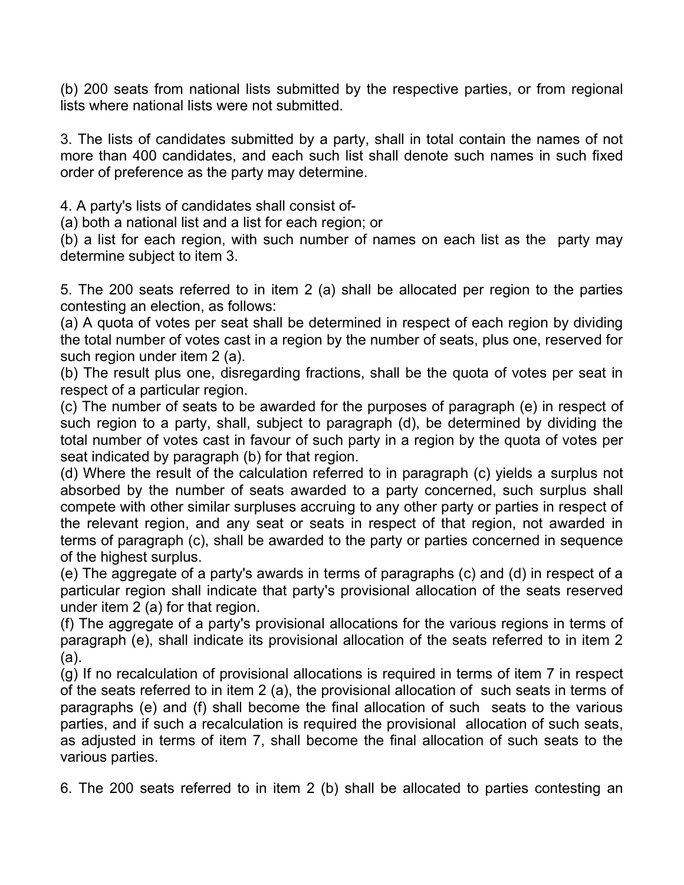(b) 200 seats from national lists submitted by the respective parties, or from regional lists where national lists were not submitted.

3. The lists of candidates submitted by a party, shall in total contain the names of not more than 400 candidates, and each such list shall denote such names in such fixed order of preference as the party may determine.

4. A party's lists of candidates shall consist of-

(a) both a national list and a list for each region; or

(b) a list for each region, with such number of names on each list as the party may determine subject to item 3.

5. The 200 seats referred to in item 2 (a) shall be allocated per region to the parties contesting an election, as follows:

(a) A quota of votes per seat shall be determined in respect of each region by dividing the total number of votes cast in a region by the number of seats, plus one, reserved for such region under item 2 (a).

(b) The result plus one, disregarding fractions, shall be the quota of votes per seat in respect of a particular region.

(c) The number of seats to be awarded for the purposes of paragraph (e) in respect of such region to a party, shall, subject to paragraph (d), be determined by dividing the total number of votes cast in favour of such party in a region by the quota of votes per seat indicated by paragraph (b) for that region.

(d) Where the result of the calculation referred to in paragraph (c) yields a surplus not absorbed by the number of seats awarded to a party concerned, such surplus shall compete with other similar surpluses accruing to any other party or parties in respect of the relevant region, and any seat or seats in respect of that region, not awarded in terms of paragraph (c), shall be awarded to the party or parties concerned in sequence of the highest surplus.

(e) The aggregate of a party's awards in terms of paragraphs (c) and (d) in respect of a particular region shall indicate that party's provisional allocation of the seats reserved under item 2 (a) for that region.

(f) The aggregate of a party's provisional allocations for the various regions in terms of paragraph (e), shall indicate its provisional allocation of the seats referred to in item 2 (a).

(g) If no recalculation of provisional allocations is required in terms of item 7 in respect of the seats referred to in item 2 (a), the provisional allocation of such seats in terms of paragraphs (e) and (f) shall become the final allocation of such seats to the various parties, and if such a recalculation is required the provisional allocation of such seats, as adjusted in terms of item 7, shall become the final allocation of such seats to the various parties.

6. The 200 seats referred to in item 2 (b) shall be allocated to parties contesting an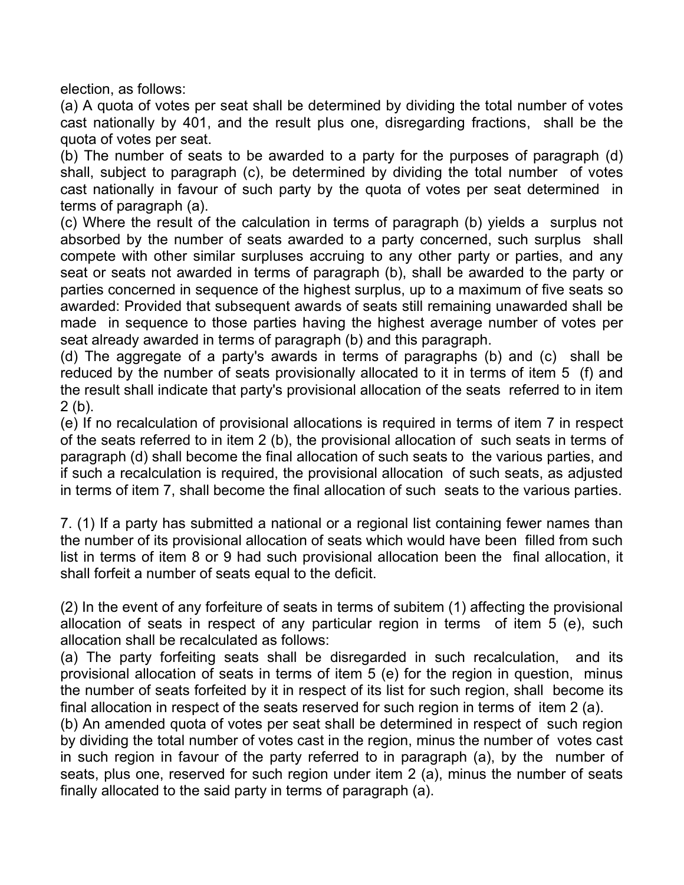election, as follows:

(a) A quota of votes per seat shall be determined by dividing the total number of votes cast nationally by 401, and the result plus one, disregarding fractions, shall be the quota of votes per seat.

(b) The number of seats to be awarded to a party for the purposes of paragraph (d) shall, subject to paragraph (c), be determined by dividing the total number of votes cast nationally in favour of such party by the quota of votes per seat determined in terms of paragraph (a).

(c) Where the result of the calculation in terms of paragraph (b) yields a surplus not absorbed by the number of seats awarded to a party concerned, such surplus shall compete with other similar surpluses accruing to any other party or parties, and any seat or seats not awarded in terms of paragraph (b), shall be awarded to the party or parties concerned in sequence of the highest surplus, up to a maximum of five seats so awarded: Provided that subsequent awards of seats still remaining unawarded shall be made in sequence to those parties having the highest average number of votes per seat already awarded in terms of paragraph (b) and this paragraph.

(d) The aggregate of a party's awards in terms of paragraphs (b) and (c) shall be reduced by the number of seats provisionally allocated to it in terms of item 5 (f) and the result shall indicate that party's provisional allocation of the seats referred to in item 2 (b).

(e) If no recalculation of provisional allocations is required in terms of item 7 in respect of the seats referred to in item 2 (b), the provisional allocation of such seats in terms of paragraph (d) shall become the final allocation of such seats to the various parties, and if such a recalculation is required, the provisional allocation of such seats, as adjusted in terms of item 7, shall become the final allocation of such seats to the various parties.

7. (1) If a party has submitted a national or a regional list containing fewer names than the number of its provisional allocation of seats which would have been filled from such list in terms of item 8 or 9 had such provisional allocation been the final allocation, it shall forfeit a number of seats equal to the deficit.

(2) In the event of any forfeiture of seats in terms of subitem (1) affecting the provisional allocation of seats in respect of any particular region in terms of item 5 (e), such allocation shall be recalculated as follows:

(a) The party forfeiting seats shall be disregarded in such recalculation, and its provisional allocation of seats in terms of item 5 (e) for the region in question, minus the number of seats forfeited by it in respect of its list for such region, shall become its final allocation in respect of the seats reserved for such region in terms of item 2 (a).

(b) An amended quota of votes per seat shall be determined in respect of such region by dividing the total number of votes cast in the region, minus the number of votes cast in such region in favour of the party referred to in paragraph (a), by the number of seats, plus one, reserved for such region under item 2 (a), minus the number of seats finally allocated to the said party in terms of paragraph (a).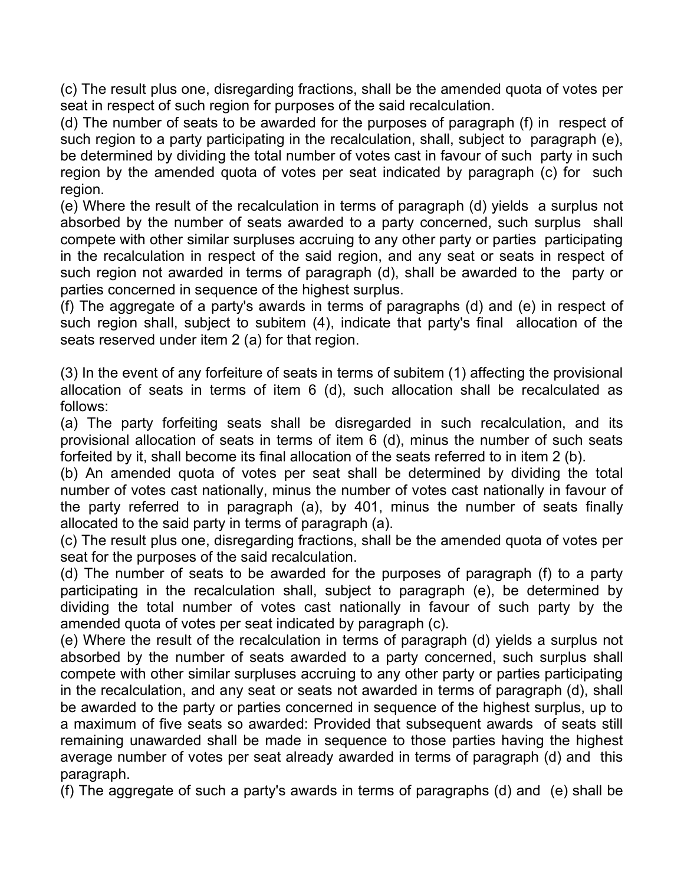(c) The result plus one, disregarding fractions, shall be the amended quota of votes per seat in respect of such region for purposes of the said recalculation.

(d) The number of seats to be awarded for the purposes of paragraph (f) in respect of such region to a party participating in the recalculation, shall, subject to paragraph (e), be determined by dividing the total number of votes cast in favour of such party in such region by the amended quota of votes per seat indicated by paragraph (c) for such region.

(e) Where the result of the recalculation in terms of paragraph (d) yields a surplus not absorbed by the number of seats awarded to a party concerned, such surplus shall compete with other similar surpluses accruing to any other party or parties participating in the recalculation in respect of the said region, and any seat or seats in respect of such region not awarded in terms of paragraph (d), shall be awarded to the party or parties concerned in sequence of the highest surplus.

(f) The aggregate of a party's awards in terms of paragraphs (d) and (e) in respect of such region shall, subject to subitem (4), indicate that party's final allocation of the seats reserved under item 2 (a) for that region.

(3) In the event of any forfeiture of seats in terms of subitem (1) affecting the provisional allocation of seats in terms of item 6 (d), such allocation shall be recalculated as follows:

(a) The party forfeiting seats shall be disregarded in such recalculation, and its provisional allocation of seats in terms of item 6 (d), minus the number of such seats forfeited by it, shall become its final allocation of the seats referred to in item 2 (b).

(b) An amended quota of votes per seat shall be determined by dividing the total number of votes cast nationally, minus the number of votes cast nationally in favour of the party referred to in paragraph (a), by 401, minus the number of seats finally allocated to the said party in terms of paragraph (a).

(c) The result plus one, disregarding fractions, shall be the amended quota of votes per seat for the purposes of the said recalculation.

(d) The number of seats to be awarded for the purposes of paragraph (f) to a party participating in the recalculation shall, subject to paragraph (e), be determined by dividing the total number of votes cast nationally in favour of such party by the amended quota of votes per seat indicated by paragraph (c).

(e) Where the result of the recalculation in terms of paragraph (d) yields a surplus not absorbed by the number of seats awarded to a party concerned, such surplus shall compete with other similar surpluses accruing to any other party or parties participating in the recalculation, and any seat or seats not awarded in terms of paragraph (d), shall be awarded to the party or parties concerned in sequence of the highest surplus, up to a maximum of five seats so awarded: Provided that subsequent awards of seats still remaining unawarded shall be made in sequence to those parties having the highest average number of votes per seat already awarded in terms of paragraph (d) and this paragraph.

(f) The aggregate of such a party's awards in terms of paragraphs (d) and (e) shall be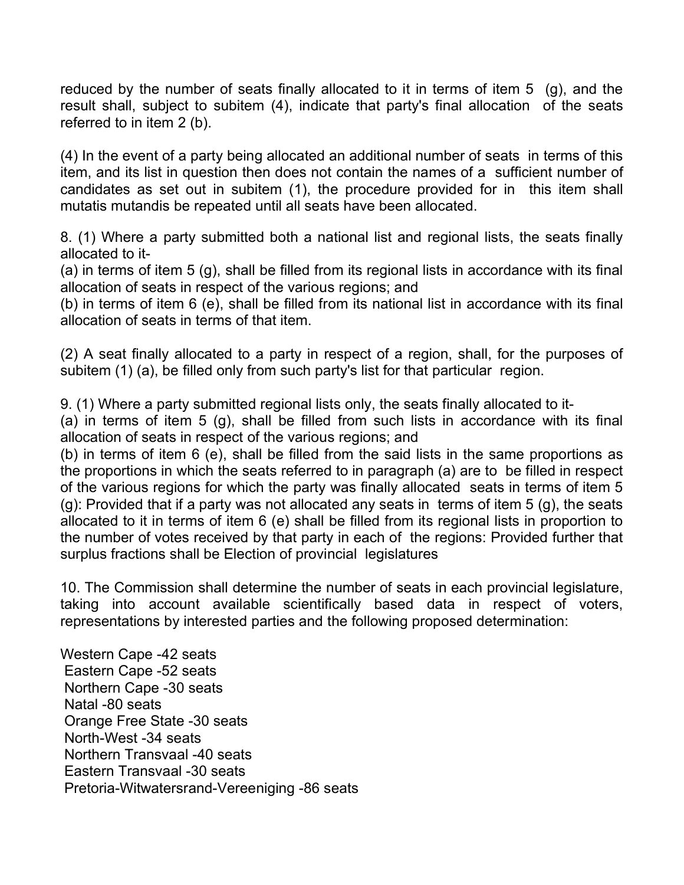reduced by the number of seats finally allocated to it in terms of item 5 (g), and the result shall, subject to subitem (4), indicate that party's final allocation of the seats referred to in item 2 (b).

(4) In the event of a party being allocated an additional number of seats in terms of this item, and its list in question then does not contain the names of a sufficient number of candidates as set out in subitem (1), the procedure provided for in this item shall mutatis mutandis be repeated until all seats have been allocated.

8. (1) Where a party submitted both a national list and regional lists, the seats finally allocated to it-

(a) in terms of item 5 (g), shall be filled from its regional lists in accordance with its final allocation of seats in respect of the various regions; and

(b) in terms of item 6 (e), shall be filled from its national list in accordance with its final allocation of seats in terms of that item.

(2) A seat finally allocated to a party in respect of a region, shall, for the purposes of subitem (1) (a), be filled only from such party's list for that particular region.

9. (1) Where a party submitted regional lists only, the seats finally allocated to it-

(a) in terms of item 5 (g), shall be filled from such lists in accordance with its final allocation of seats in respect of the various regions; and

(b) in terms of item 6 (e), shall be filled from the said lists in the same proportions as the proportions in which the seats referred to in paragraph (a) are to be filled in respect of the various regions for which the party was finally allocated seats in terms of item 5 (g): Provided that if a party was not allocated any seats in terms of item  $5$  (g), the seats allocated to it in terms of item 6 (e) shall be filled from its regional lists in proportion to the number of votes received by that party in each of the regions: Provided further that surplus fractions shall be Election of provincial legislatures

10. The Commission shall determine the number of seats in each provincial legislature, taking into account available scientifically based data in respect of voters, representations by interested parties and the following proposed determination:

Western Cape -42 seats Eastern Cape -52 seats Northern Cape -30 seats Natal -80 seats Orange Free State -30 seats North-West -34 seats Northern Transvaal -40 seats Eastern Transvaal -30 seats Pretoria-Witwatersrand-Vereeniging -86 seats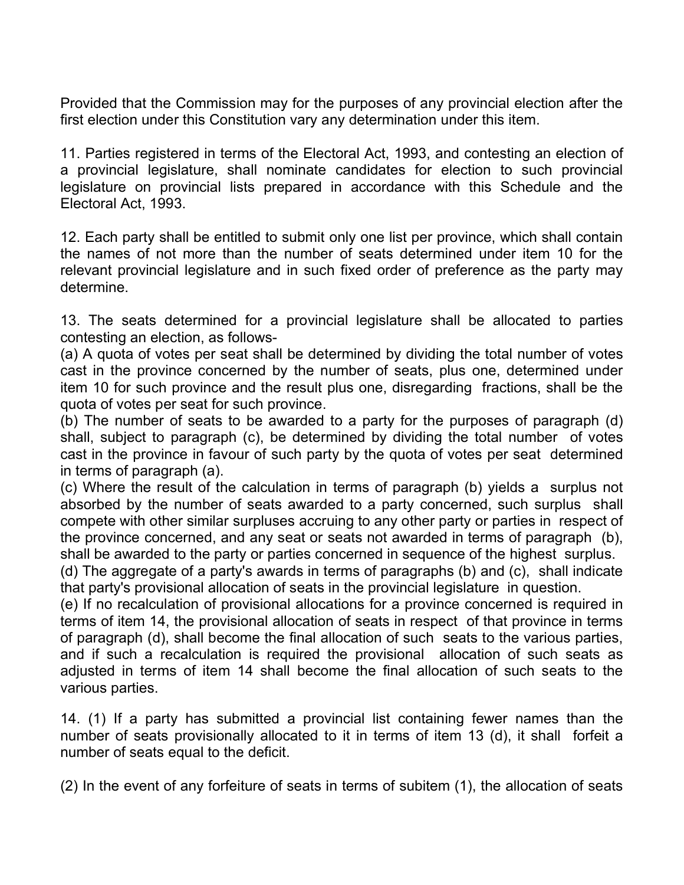Provided that the Commission may for the purposes of any provincial election after the first election under this Constitution vary any determination under this item.

11. Parties registered in terms of the Electoral Act, 1993, and contesting an election of a provincial legislature, shall nominate candidates for election to such provincial legislature on provincial lists prepared in accordance with this Schedule and the Electoral Act, 1993.

12. Each party shall be entitled to submit only one list per province, which shall contain the names of not more than the number of seats determined under item 10 for the relevant provincial legislature and in such fixed order of preference as the party may determine.

13. The seats determined for a provincial legislature shall be allocated to parties contesting an election, as follows-

(a) A quota of votes per seat shall be determined by dividing the total number of votes cast in the province concerned by the number of seats, plus one, determined under item 10 for such province and the result plus one, disregarding fractions, shall be the quota of votes per seat for such province.

(b) The number of seats to be awarded to a party for the purposes of paragraph (d) shall, subject to paragraph (c), be determined by dividing the total number of votes cast in the province in favour of such party by the quota of votes per seat determined in terms of paragraph (a).

(c) Where the result of the calculation in terms of paragraph (b) yields a surplus not absorbed by the number of seats awarded to a party concerned, such surplus shall compete with other similar surpluses accruing to any other party or parties in respect of the province concerned, and any seat or seats not awarded in terms of paragraph (b), shall be awarded to the party or parties concerned in sequence of the highest surplus.

(d) The aggregate of a party's awards in terms of paragraphs (b) and (c), shall indicate that party's provisional allocation of seats in the provincial legislature in question.

(e) If no recalculation of provisional allocations for a province concerned is required in terms of item 14, the provisional allocation of seats in respect of that province in terms of paragraph (d), shall become the final allocation of such seats to the various parties, and if such a recalculation is required the provisional allocation of such seats as adjusted in terms of item 14 shall become the final allocation of such seats to the various parties.

14. (1) If a party has submitted a provincial list containing fewer names than the number of seats provisionally allocated to it in terms of item 13 (d), it shall forfeit a number of seats equal to the deficit.

(2) In the event of any forfeiture of seats in terms of subitem (1), the allocation of seats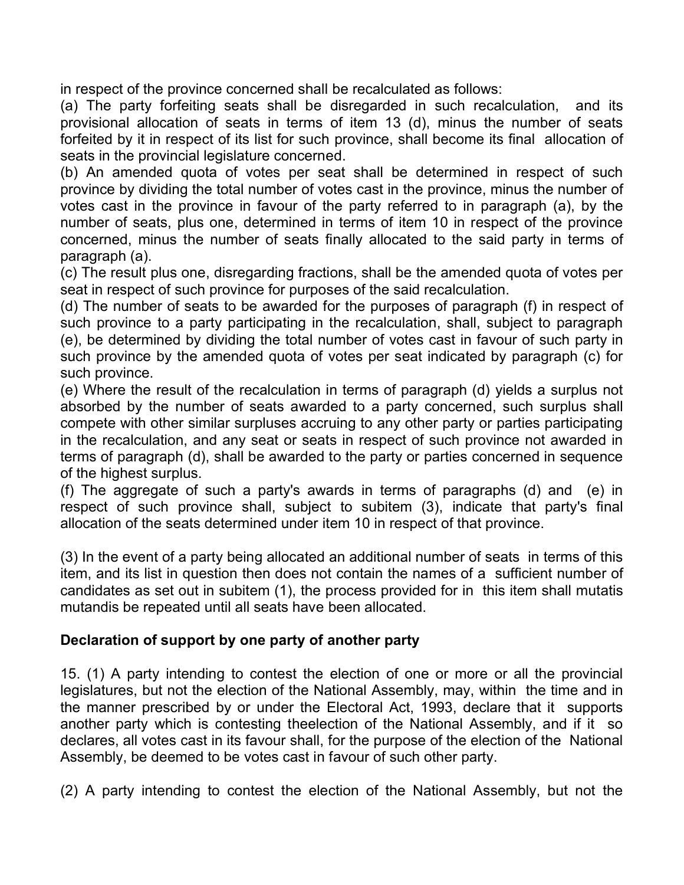in respect of the province concerned shall be recalculated as follows:

(a) The party forfeiting seats shall be disregarded in such recalculation, and its provisional allocation of seats in terms of item 13 (d), minus the number of seats forfeited by it in respect of its list for such province, shall become its final allocation of seats in the provincial legislature concerned.

(b) An amended quota of votes per seat shall be determined in respect of such province by dividing the total number of votes cast in the province, minus the number of votes cast in the province in favour of the party referred to in paragraph (a), by the number of seats, plus one, determined in terms of item 10 in respect of the province concerned, minus the number of seats finally allocated to the said party in terms of paragraph (a).

(c) The result plus one, disregarding fractions, shall be the amended quota of votes per seat in respect of such province for purposes of the said recalculation.

(d) The number of seats to be awarded for the purposes of paragraph (f) in respect of such province to a party participating in the recalculation, shall, subject to paragraph (e), be determined by dividing the total number of votes cast in favour of such party in such province by the amended quota of votes per seat indicated by paragraph (c) for such province.

(e) Where the result of the recalculation in terms of paragraph (d) yields a surplus not absorbed by the number of seats awarded to a party concerned, such surplus shall compete with other similar surpluses accruing to any other party or parties participating in the recalculation, and any seat or seats in respect of such province not awarded in terms of paragraph (d), shall be awarded to the party or parties concerned in sequence of the highest surplus.

(f) The aggregate of such a party's awards in terms of paragraphs (d) and (e) in respect of such province shall, subject to subitem (3), indicate that party's final allocation of the seats determined under item 10 in respect of that province.

(3) In the event of a party being allocated an additional number of seats in terms of this item, and its list in question then does not contain the names of a sufficient number of candidates as set out in subitem (1), the process provided for in this item shall mutatis mutandis be repeated until all seats have been allocated.

### **Declaration of support by one party of another party**

15. (1) A party intending to contest the election of one or more or all the provincial legislatures, but not the election of the National Assembly, may, within the time and in the manner prescribed by or under the Electoral Act, 1993, declare that it supports another party which is contesting theelection of the National Assembly, and if it so declares, all votes cast in its favour shall, for the purpose of the election of the National Assembly, be deemed to be votes cast in favour of such other party.

(2) A party intending to contest the election of the National Assembly, but not the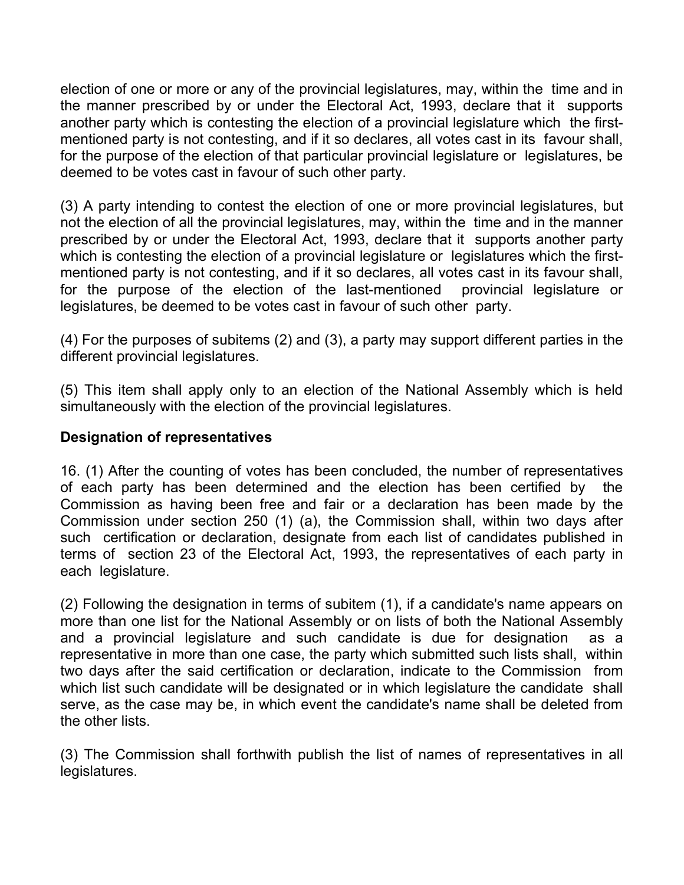election of one or more or any of the provincial legislatures, may, within the time and in the manner prescribed by or under the Electoral Act, 1993, declare that it supports another party which is contesting the election of a provincial legislature which the firstmentioned party is not contesting, and if it so declares, all votes cast in its favour shall, for the purpose of the election of that particular provincial legislature or legislatures, be deemed to be votes cast in favour of such other party.

(3) A party intending to contest the election of one or more provincial legislatures, but not the election of all the provincial legislatures, may, within the time and in the manner prescribed by or under the Electoral Act, 1993, declare that it supports another party which is contesting the election of a provincial legislature or legislatures which the firstmentioned party is not contesting, and if it so declares, all votes cast in its favour shall, for the purpose of the election of the last-mentioned provincial legislature or legislatures, be deemed to be votes cast in favour of such other party.

(4) For the purposes of subitems (2) and (3), a party may support different parties in the different provincial legislatures.

(5) This item shall apply only to an election of the National Assembly which is held simultaneously with the election of the provincial legislatures.

### **Designation of representatives**

16. (1) After the counting of votes has been concluded, the number of representatives of each party has been determined and the election has been certified by the Commission as having been free and fair or a declaration has been made by the Commission under section 250 (1) (a), the Commission shall, within two days after such certification or declaration, designate from each list of candidates published in terms of section 23 of the Electoral Act, 1993, the representatives of each party in each legislature.

(2) Following the designation in terms of subitem (1), if a candidate's name appears on more than one list for the National Assembly or on lists of both the National Assembly and a provincial legislature and such candidate is due for designation as a representative in more than one case, the party which submitted such lists shall, within two days after the said certification or declaration, indicate to the Commission from which list such candidate will be designated or in which legislature the candidate shall serve, as the case may be, in which event the candidate's name shall be deleted from the other lists.

(3) The Commission shall forthwith publish the list of names of representatives in all legislatures.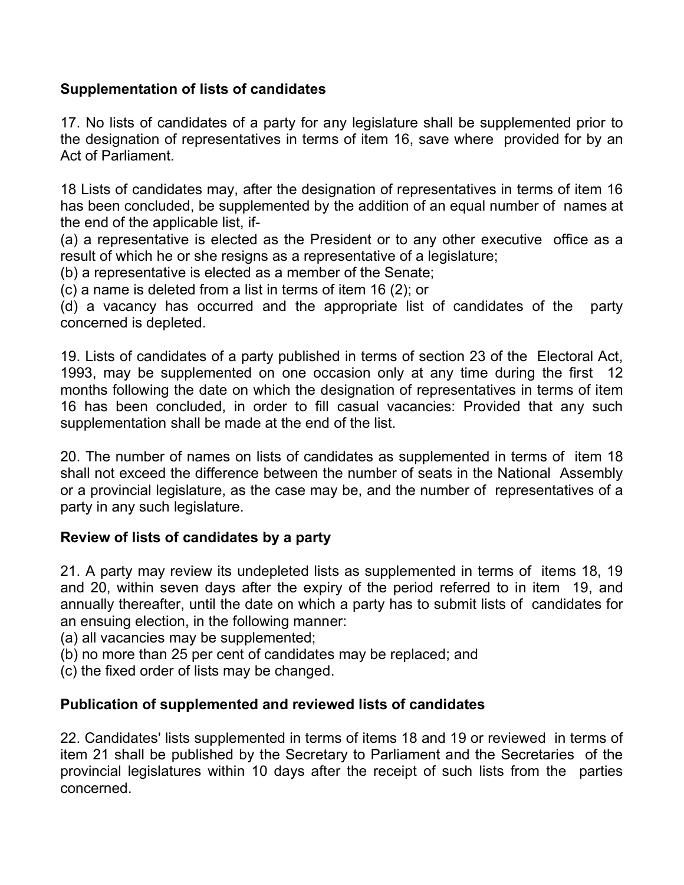## **Supplementation of lists of candidates**

17. No lists of candidates of a party for any legislature shall be supplemented prior to the designation of representatives in terms of item 16, save where provided for by an Act of Parliament.

18 Lists of candidates may, after the designation of representatives in terms of item 16 has been concluded, be supplemented by the addition of an equal number of names at the end of the applicable list, if-

(a) a representative is elected as the President or to any other executive office as a result of which he or she resigns as a representative of a legislature;

(b) a representative is elected as a member of the Senate;

(c) a name is deleted from a list in terms of item 16 (2); or

(d) a vacancy has occurred and the appropriate list of candidates of the party concerned is depleted.

19. Lists of candidates of a party published in terms of section 23 of the Electoral Act, 1993, may be supplemented on one occasion only at any time during the first 12 months following the date on which the designation of representatives in terms of item 16 has been concluded, in order to fill casual vacancies: Provided that any such supplementation shall be made at the end of the list.

20. The number of names on lists of candidates as supplemented in terms of item 18 shall not exceed the difference between the number of seats in the National Assembly or a provincial legislature, as the case may be, and the number of representatives of a party in any such legislature.

### **Review of lists of candidates by a party**

21. A party may review its undepleted lists as supplemented in terms of items 18, 19 and 20, within seven days after the expiry of the period referred to in item 19, and annually thereafter, until the date on which a party has to submit lists of candidates for an ensuing election, in the following manner:

(a) all vacancies may be supplemented;

(b) no more than 25 per cent of candidates may be replaced; and

(c) the fixed order of lists may be changed.

### **Publication of supplemented and reviewed lists of candidates**

22. Candidates' lists supplemented in terms of items 18 and 19 or reviewed in terms of item 21 shall be published by the Secretary to Parliament and the Secretaries of the provincial legislatures within 10 days after the receipt of such lists from the parties concerned.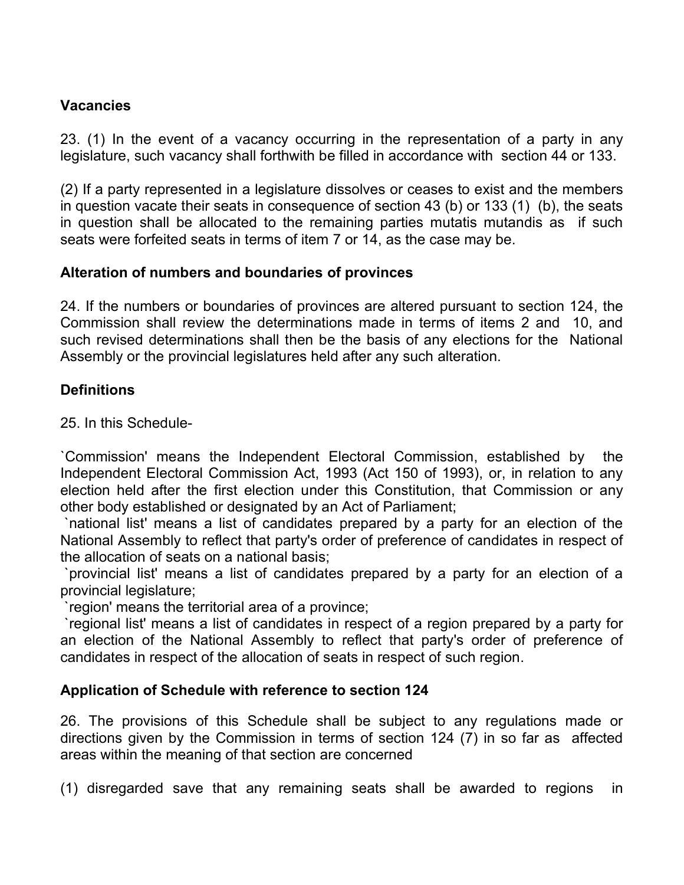### **Vacancies**

23. (1) In the event of a vacancy occurring in the representation of a party in any legislature, such vacancy shall forthwith be filled in accordance with section 44 or 133.

(2) If a party represented in a legislature dissolves or ceases to exist and the members in question vacate their seats in consequence of section 43 (b) or 133 (1) (b), the seats in question shall be allocated to the remaining parties mutatis mutandis as if such seats were forfeited seats in terms of item 7 or 14, as the case may be.

### **Alteration of numbers and boundaries of provinces**

24. If the numbers or boundaries of provinces are altered pursuant to section 124, the Commission shall review the determinations made in terms of items 2 and 10, and such revised determinations shall then be the basis of any elections for the National Assembly or the provincial legislatures held after any such alteration.

## **Definitions**

25. In this Schedule-

`Commission' means the Independent Electoral Commission, established by the Independent Electoral Commission Act, 1993 (Act 150 of 1993), or, in relation to any election held after the first election under this Constitution, that Commission or any other body established or designated by an Act of Parliament;

 `national list' means a list of candidates prepared by a party for an election of the National Assembly to reflect that party's order of preference of candidates in respect of the allocation of seats on a national basis;

 `provincial list' means a list of candidates prepared by a party for an election of a provincial legislature;

`region' means the territorial area of a province;

 `regional list' means a list of candidates in respect of a region prepared by a party for an election of the National Assembly to reflect that party's order of preference of candidates in respect of the allocation of seats in respect of such region.

### **Application of Schedule with reference to section 124**

26. The provisions of this Schedule shall be subject to any regulations made or directions given by the Commission in terms of section 124 (7) in so far as affected areas within the meaning of that section are concerned

(1) disregarded save that any remaining seats shall be awarded to regions in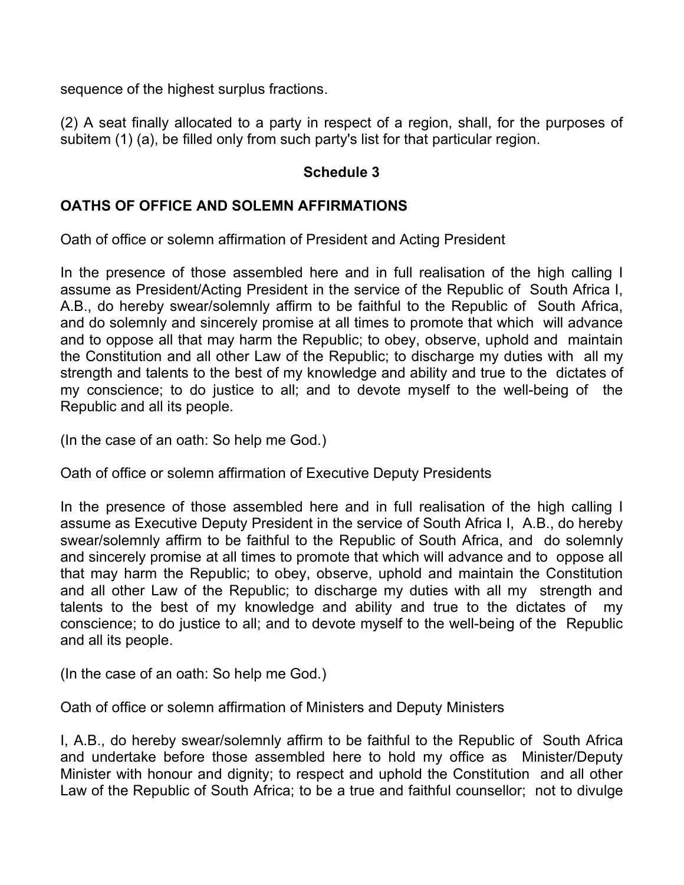sequence of the highest surplus fractions.

(2) A seat finally allocated to a party in respect of a region, shall, for the purposes of subitem (1) (a), be filled only from such party's list for that particular region.

### **Schedule 3**

#### **OATHS OF OFFICE AND SOLEMN AFFIRMATIONS**

Oath of office or solemn affirmation of President and Acting President

In the presence of those assembled here and in full realisation of the high calling I assume as President/Acting President in the service of the Republic of South Africa I, A.B., do hereby swear/solemnly affirm to be faithful to the Republic of South Africa, and do solemnly and sincerely promise at all times to promote that which will advance and to oppose all that may harm the Republic; to obey, observe, uphold and maintain the Constitution and all other Law of the Republic; to discharge my duties with all my strength and talents to the best of my knowledge and ability and true to the dictates of my conscience; to do justice to all; and to devote myself to the well-being of the Republic and all its people.

(In the case of an oath: So help me God.)

Oath of office or solemn affirmation of Executive Deputy Presidents

In the presence of those assembled here and in full realisation of the high calling I assume as Executive Deputy President in the service of South Africa I, A.B., do hereby swear/solemnly affirm to be faithful to the Republic of South Africa, and do solemnly and sincerely promise at all times to promote that which will advance and to oppose all that may harm the Republic; to obey, observe, uphold and maintain the Constitution and all other Law of the Republic; to discharge my duties with all my strength and talents to the best of my knowledge and ability and true to the dictates of my conscience; to do justice to all; and to devote myself to the well-being of the Republic and all its people.

(In the case of an oath: So help me God.)

Oath of office or solemn affirmation of Ministers and Deputy Ministers

I, A.B., do hereby swear/solemnly affirm to be faithful to the Republic of South Africa and undertake before those assembled here to hold my office as Minister/Deputy Minister with honour and dignity; to respect and uphold the Constitution and all other Law of the Republic of South Africa; to be a true and faithful counsellor; not to divulge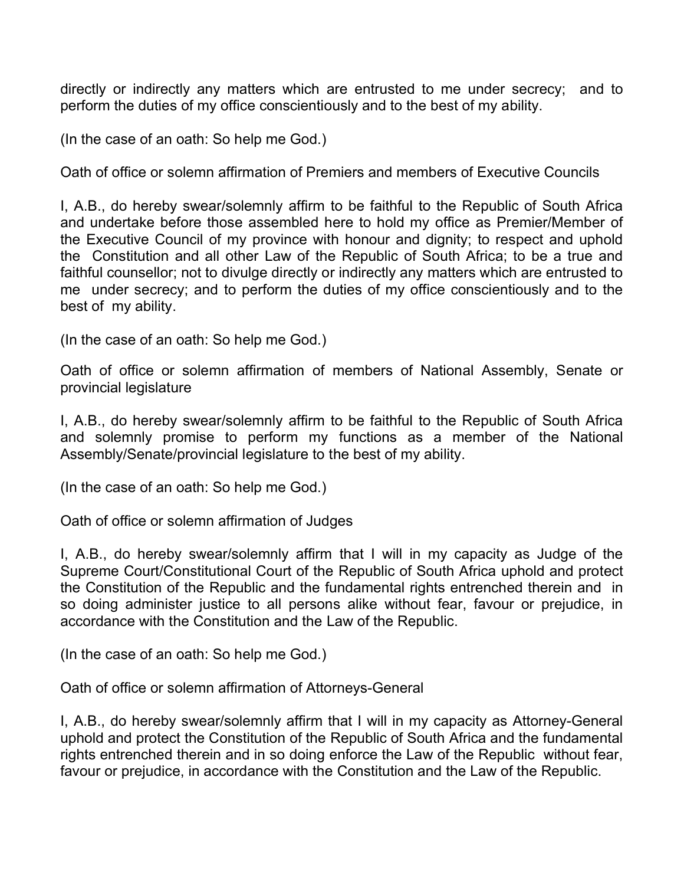directly or indirectly any matters which are entrusted to me under secrecy; and to perform the duties of my office conscientiously and to the best of my ability.

(In the case of an oath: So help me God.)

Oath of office or solemn affirmation of Premiers and members of Executive Councils

I, A.B., do hereby swear/solemnly affirm to be faithful to the Republic of South Africa and undertake before those assembled here to hold my office as Premier/Member of the Executive Council of my province with honour and dignity; to respect and uphold the Constitution and all other Law of the Republic of South Africa; to be a true and faithful counsellor; not to divulge directly or indirectly any matters which are entrusted to me under secrecy; and to perform the duties of my office conscientiously and to the best of my ability.

(In the case of an oath: So help me God.)

Oath of office or solemn affirmation of members of National Assembly, Senate or provincial legislature

I, A.B., do hereby swear/solemnly affirm to be faithful to the Republic of South Africa and solemnly promise to perform my functions as a member of the National Assembly/Senate/provincial legislature to the best of my ability.

(In the case of an oath: So help me God.)

Oath of office or solemn affirmation of Judges

I, A.B., do hereby swear/solemnly affirm that I will in my capacity as Judge of the Supreme Court/Constitutional Court of the Republic of South Africa uphold and protect the Constitution of the Republic and the fundamental rights entrenched therein and in so doing administer justice to all persons alike without fear, favour or prejudice, in accordance with the Constitution and the Law of the Republic.

(In the case of an oath: So help me God.)

Oath of office or solemn affirmation of Attorneys-General

I, A.B., do hereby swear/solemnly affirm that I will in my capacity as Attorney-General uphold and protect the Constitution of the Republic of South Africa and the fundamental rights entrenched therein and in so doing enforce the Law of the Republic without fear, favour or prejudice, in accordance with the Constitution and the Law of the Republic.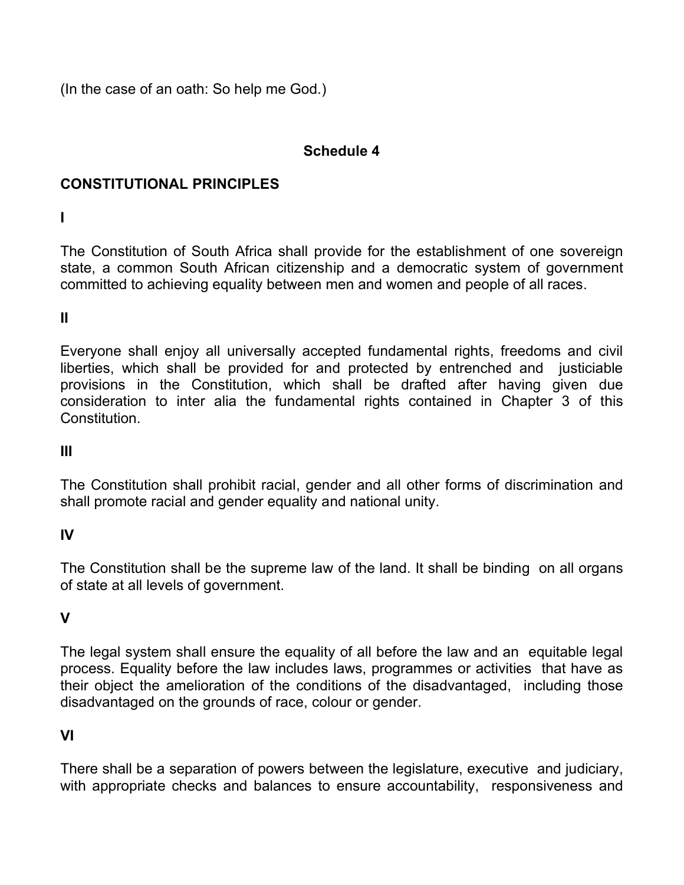(In the case of an oath: So help me God.)

## **Schedule 4**

## **CONSTITUTIONAL PRINCIPLES**

**I**

The Constitution of South Africa shall provide for the establishment of one sovereign state, a common South African citizenship and a democratic system of government committed to achieving equality between men and women and people of all races.

**II**

Everyone shall enjoy all universally accepted fundamental rights, freedoms and civil liberties, which shall be provided for and protected by entrenched and justiciable provisions in the Constitution, which shall be drafted after having given due consideration to inter alia the fundamental rights contained in Chapter 3 of this Constitution.

**III**

The Constitution shall prohibit racial, gender and all other forms of discrimination and shall promote racial and gender equality and national unity.

**IV**

The Constitution shall be the supreme law of the land. It shall be binding on all organs of state at all levels of government.

**V**

The legal system shall ensure the equality of all before the law and an equitable legal process. Equality before the law includes laws, programmes or activities that have as their object the amelioration of the conditions of the disadvantaged, including those disadvantaged on the grounds of race, colour or gender.

**VI**

There shall be a separation of powers between the legislature, executive and judiciary, with appropriate checks and balances to ensure accountability, responsiveness and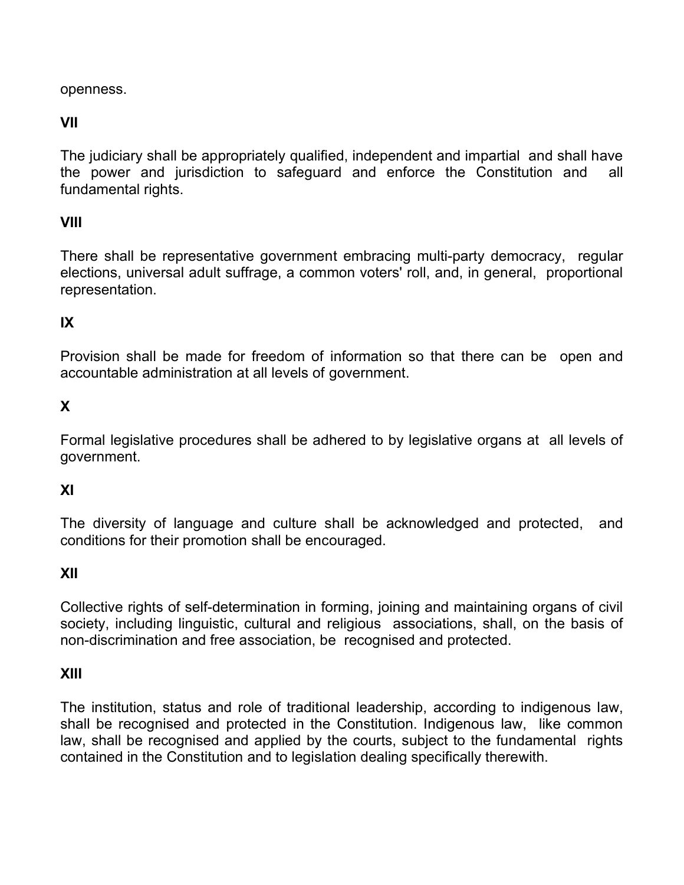openness.

### **VII**

The judiciary shall be appropriately qualified, independent and impartial and shall have the power and jurisdiction to safeguard and enforce the Constitution and all fundamental rights.

### **VIII**

There shall be representative government embracing multi-party democracy, regular elections, universal adult suffrage, a common voters' roll, and, in general, proportional representation.

### **IX**

Provision shall be made for freedom of information so that there can be open and accountable administration at all levels of government.

### **X**

Formal legislative procedures shall be adhered to by legislative organs at all levels of government.

#### **XI**

The diversity of language and culture shall be acknowledged and protected, and conditions for their promotion shall be encouraged.

#### **XII**

Collective rights of self-determination in forming, joining and maintaining organs of civil society, including linguistic, cultural and religious associations, shall, on the basis of non-discrimination and free association, be recognised and protected.

#### **XIII**

The institution, status and role of traditional leadership, according to indigenous law, shall be recognised and protected in the Constitution. Indigenous law, like common law, shall be recognised and applied by the courts, subject to the fundamental rights contained in the Constitution and to legislation dealing specifically therewith.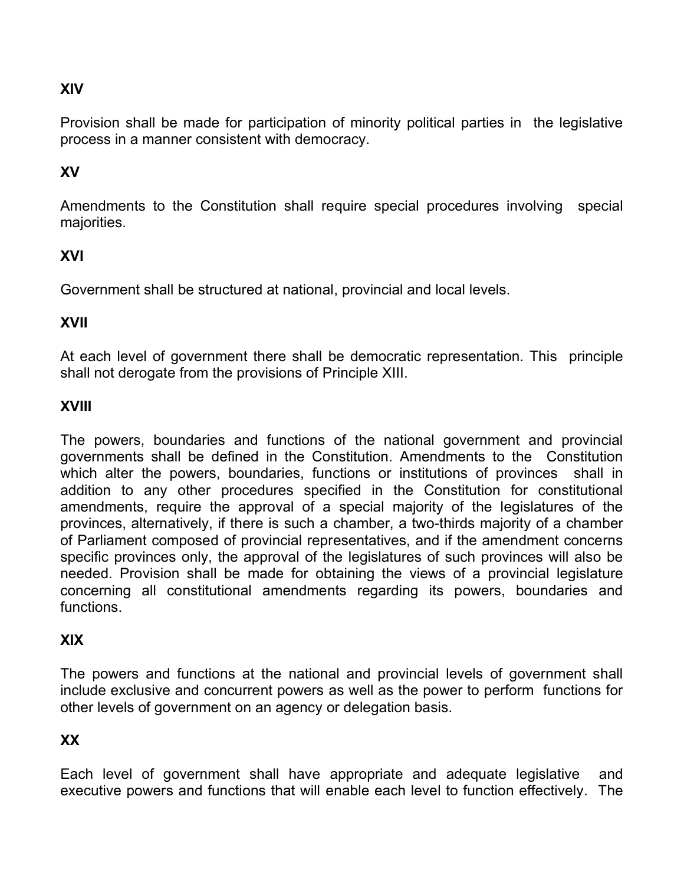## **XIV**

Provision shall be made for participation of minority political parties in the legislative process in a manner consistent with democracy.

## **XV**

Amendments to the Constitution shall require special procedures involving special majorities.

## **XVI**

Government shall be structured at national, provincial and local levels.

### **XVII**

At each level of government there shall be democratic representation. This principle shall not derogate from the provisions of Principle XIII.

### **XVIII**

The powers, boundaries and functions of the national government and provincial governments shall be defined in the Constitution. Amendments to the Constitution which alter the powers, boundaries, functions or institutions of provinces shall in addition to any other procedures specified in the Constitution for constitutional amendments, require the approval of a special majority of the legislatures of the provinces, alternatively, if there is such a chamber, a two-thirds majority of a chamber of Parliament composed of provincial representatives, and if the amendment concerns specific provinces only, the approval of the legislatures of such provinces will also be needed. Provision shall be made for obtaining the views of a provincial legislature concerning all constitutional amendments regarding its powers, boundaries and functions.

#### **XIX**

The powers and functions at the national and provincial levels of government shall include exclusive and concurrent powers as well as the power to perform functions for other levels of government on an agency or delegation basis.

#### **XX**

Each level of government shall have appropriate and adequate legislative and executive powers and functions that will enable each level to function effectively. The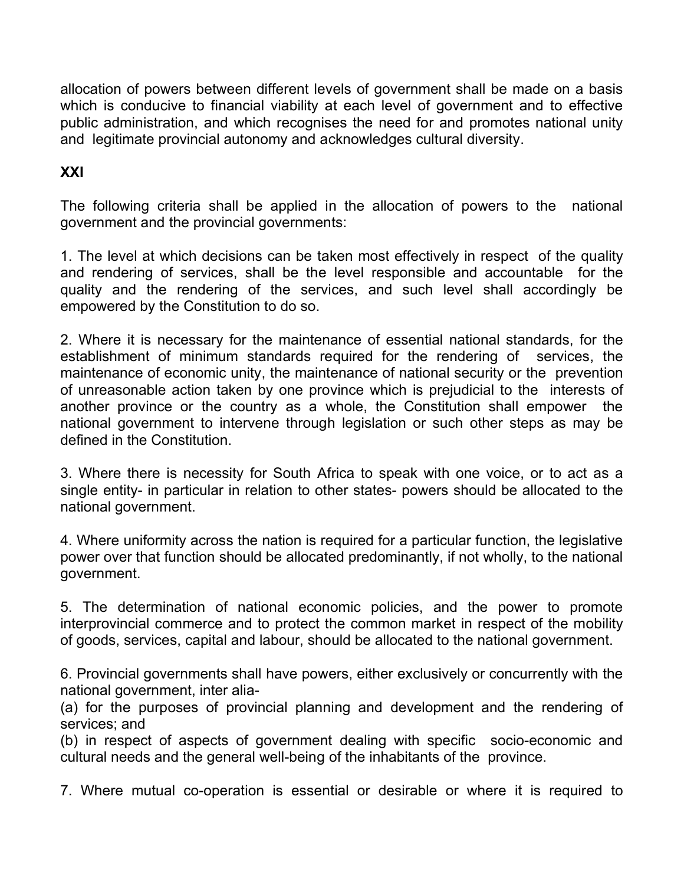allocation of powers between different levels of government shall be made on a basis which is conducive to financial viability at each level of government and to effective public administration, and which recognises the need for and promotes national unity and legitimate provincial autonomy and acknowledges cultural diversity.

## **XXI**

The following criteria shall be applied in the allocation of powers to the national government and the provincial governments:

1. The level at which decisions can be taken most effectively in respect of the quality and rendering of services, shall be the level responsible and accountable for the quality and the rendering of the services, and such level shall accordingly be empowered by the Constitution to do so.

2. Where it is necessary for the maintenance of essential national standards, for the establishment of minimum standards required for the rendering of services, the maintenance of economic unity, the maintenance of national security or the prevention of unreasonable action taken by one province which is prejudicial to the interests of another province or the country as a whole, the Constitution shall empower the national government to intervene through legislation or such other steps as may be defined in the Constitution.

3. Where there is necessity for South Africa to speak with one voice, or to act as a single entity- in particular in relation to other states- powers should be allocated to the national government.

4. Where uniformity across the nation is required for a particular function, the legislative power over that function should be allocated predominantly, if not wholly, to the national government.

5. The determination of national economic policies, and the power to promote interprovincial commerce and to protect the common market in respect of the mobility of goods, services, capital and labour, should be allocated to the national government.

6. Provincial governments shall have powers, either exclusively or concurrently with the national government, inter alia-

(a) for the purposes of provincial planning and development and the rendering of services; and

(b) in respect of aspects of government dealing with specific socio-economic and cultural needs and the general well-being of the inhabitants of the province.

7. Where mutual co-operation is essential or desirable or where it is required to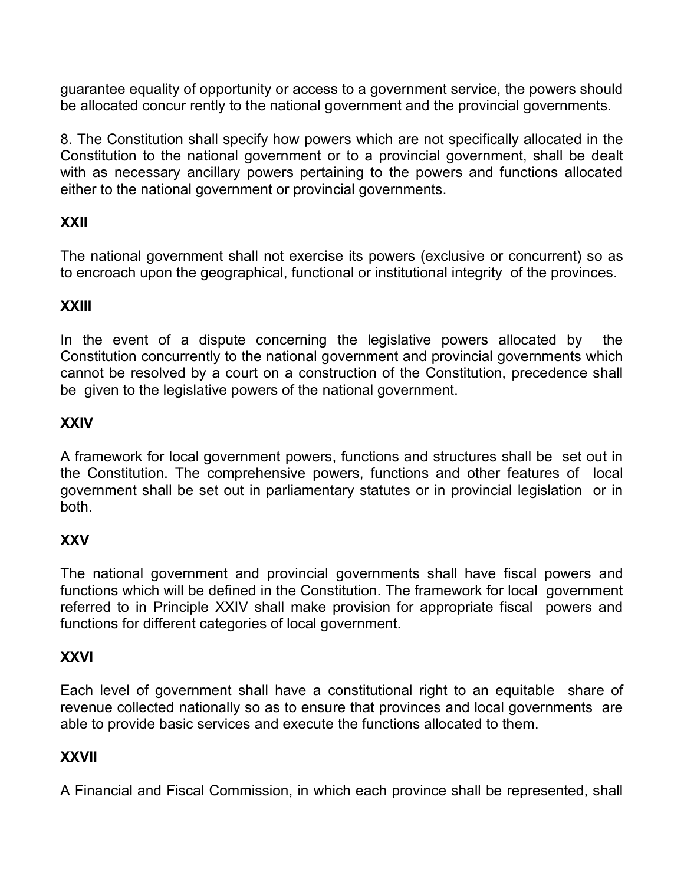guarantee equality of opportunity or access to a government service, the powers should be allocated concur rently to the national government and the provincial governments.

8. The Constitution shall specify how powers which are not specifically allocated in the Constitution to the national government or to a provincial government, shall be dealt with as necessary ancillary powers pertaining to the powers and functions allocated either to the national government or provincial governments.

## **XXII**

The national government shall not exercise its powers (exclusive or concurrent) so as to encroach upon the geographical, functional or institutional integrity of the provinces.

## **XXIII**

In the event of a dispute concerning the legislative powers allocated by the Constitution concurrently to the national government and provincial governments which cannot be resolved by a court on a construction of the Constitution, precedence shall be given to the legislative powers of the national government.

## **XXIV**

A framework for local government powers, functions and structures shall be set out in the Constitution. The comprehensive powers, functions and other features of local government shall be set out in parliamentary statutes or in provincial legislation or in both.

## **XXV**

The national government and provincial governments shall have fiscal powers and functions which will be defined in the Constitution. The framework for local government referred to in Principle XXIV shall make provision for appropriate fiscal powers and functions for different categories of local government.

### **XXVI**

Each level of government shall have a constitutional right to an equitable share of revenue collected nationally so as to ensure that provinces and local governments are able to provide basic services and execute the functions allocated to them.

## **XXVII**

A Financial and Fiscal Commission, in which each province shall be represented, shall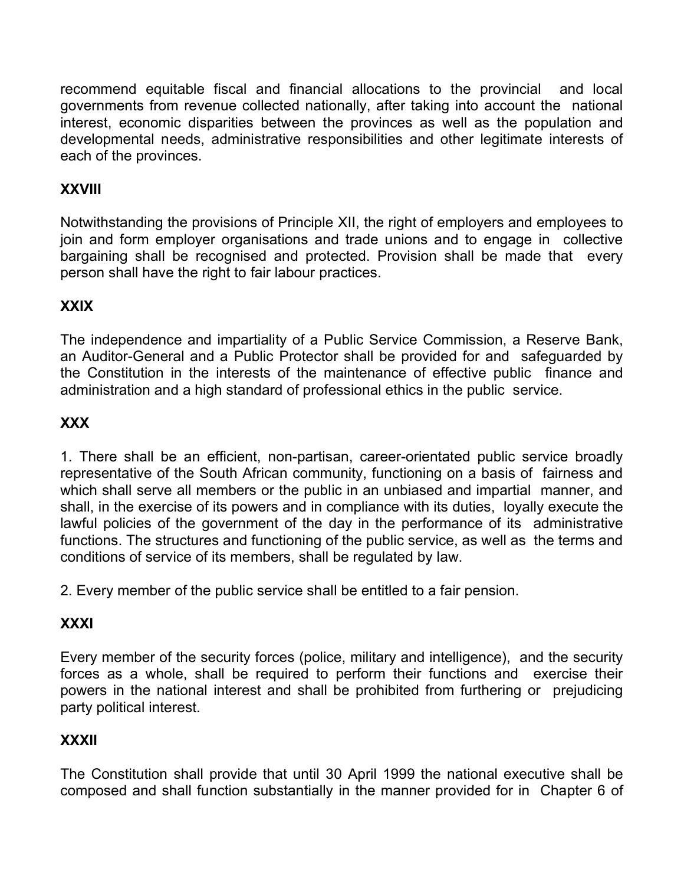recommend equitable fiscal and financial allocations to the provincial and local governments from revenue collected nationally, after taking into account the national interest, economic disparities between the provinces as well as the population and developmental needs, administrative responsibilities and other legitimate interests of each of the provinces.

## **XXVIII**

Notwithstanding the provisions of Principle XII, the right of employers and employees to join and form employer organisations and trade unions and to engage in collective bargaining shall be recognised and protected. Provision shall be made that every person shall have the right to fair labour practices.

## **XXIX**

The independence and impartiality of a Public Service Commission, a Reserve Bank, an Auditor-General and a Public Protector shall be provided for and safeguarded by the Constitution in the interests of the maintenance of effective public finance and administration and a high standard of professional ethics in the public service.

# **XXX**

1. There shall be an efficient, non-partisan, career-orientated public service broadly representative of the South African community, functioning on a basis of fairness and which shall serve all members or the public in an unbiased and impartial manner, and shall, in the exercise of its powers and in compliance with its duties, loyally execute the lawful policies of the government of the day in the performance of its administrative functions. The structures and functioning of the public service, as well as the terms and conditions of service of its members, shall be regulated by law.

2. Every member of the public service shall be entitled to a fair pension.

## **XXXI**

Every member of the security forces (police, military and intelligence), and the security forces as a whole, shall be required to perform their functions and exercise their powers in the national interest and shall be prohibited from furthering or prejudicing party political interest.

## **XXXII**

The Constitution shall provide that until 30 April 1999 the national executive shall be composed and shall function substantially in the manner provided for in Chapter 6 of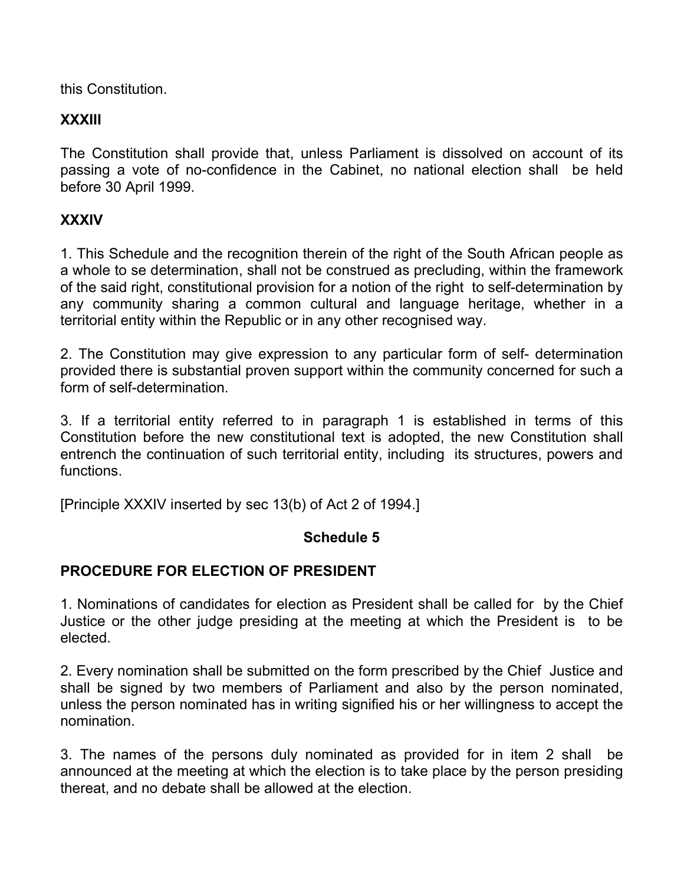this Constitution.

## **XXXIII**

The Constitution shall provide that, unless Parliament is dissolved on account of its passing a vote of no-confidence in the Cabinet, no national election shall be held before 30 April 1999.

## **XXXIV**

1. This Schedule and the recognition therein of the right of the South African people as a whole to se determination, shall not be construed as precluding, within the framework of the said right, constitutional provision for a notion of the right to self-determination by any community sharing a common cultural and language heritage, whether in a territorial entity within the Republic or in any other recognised way.

2. The Constitution may give expression to any particular form of self- determination provided there is substantial proven support within the community concerned for such a form of self-determination.

3. If a territorial entity referred to in paragraph 1 is established in terms of this Constitution before the new constitutional text is adopted, the new Constitution shall entrench the continuation of such territorial entity, including its structures, powers and functions.

[Principle XXXIV inserted by sec 13(b) of Act 2 of 1994.]

### **Schedule 5**

## **PROCEDURE FOR ELECTION OF PRESIDENT**

1. Nominations of candidates for election as President shall be called for by the Chief Justice or the other judge presiding at the meeting at which the President is to be elected.

2. Every nomination shall be submitted on the form prescribed by the Chief Justice and shall be signed by two members of Parliament and also by the person nominated, unless the person nominated has in writing signified his or her willingness to accept the nomination.

3. The names of the persons duly nominated as provided for in item 2 shall be announced at the meeting at which the election is to take place by the person presiding thereat, and no debate shall be allowed at the election.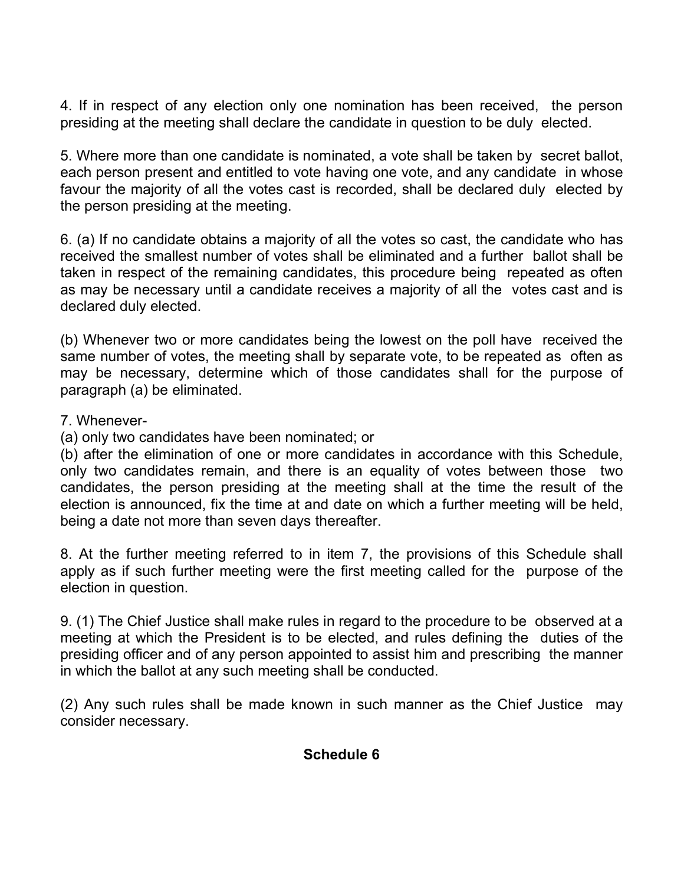4. If in respect of any election only one nomination has been received, the person presiding at the meeting shall declare the candidate in question to be duly elected.

5. Where more than one candidate is nominated, a vote shall be taken by secret ballot, each person present and entitled to vote having one vote, and any candidate in whose favour the majority of all the votes cast is recorded, shall be declared duly elected by the person presiding at the meeting.

6. (a) If no candidate obtains a majority of all the votes so cast, the candidate who has received the smallest number of votes shall be eliminated and a further ballot shall be taken in respect of the remaining candidates, this procedure being repeated as often as may be necessary until a candidate receives a majority of all the votes cast and is declared duly elected.

(b) Whenever two or more candidates being the lowest on the poll have received the same number of votes, the meeting shall by separate vote, to be repeated as often as may be necessary, determine which of those candidates shall for the purpose of paragraph (a) be eliminated.

7. Whenever-

(a) only two candidates have been nominated; or

(b) after the elimination of one or more candidates in accordance with this Schedule, only two candidates remain, and there is an equality of votes between those two candidates, the person presiding at the meeting shall at the time the result of the election is announced, fix the time at and date on which a further meeting will be held, being a date not more than seven days thereafter.

8. At the further meeting referred to in item 7, the provisions of this Schedule shall apply as if such further meeting were the first meeting called for the purpose of the election in question.

9. (1) The Chief Justice shall make rules in regard to the procedure to be observed at a meeting at which the President is to be elected, and rules defining the duties of the presiding officer and of any person appointed to assist him and prescribing the manner in which the ballot at any such meeting shall be conducted.

(2) Any such rules shall be made known in such manner as the Chief Justice may consider necessary.

### **Schedule 6**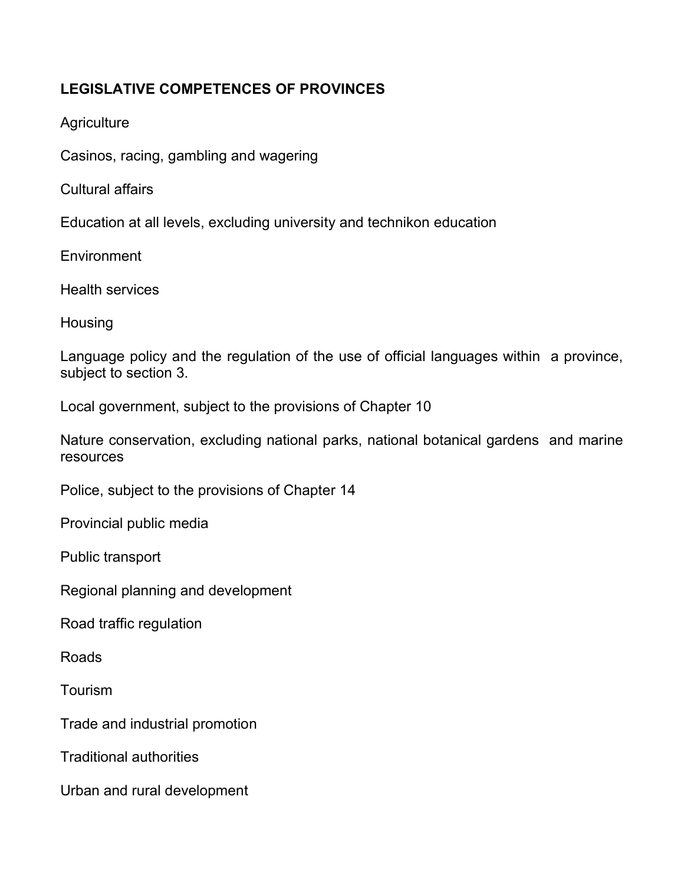# **LEGISLATIVE COMPETENCES OF PROVINCES**

## **Agriculture**

Casinos, racing, gambling and wagering

Cultural affairs

Education at all levels, excluding university and technikon education

**Environment** 

Health services

**Housing** 

Language policy and the regulation of the use of official languages within a province, subject to section 3.

Local government, subject to the provisions of Chapter 10

Nature conservation, excluding national parks, national botanical gardens and marine resources

Police, subject to the provisions of Chapter 14

Provincial public media

Public transport

Regional planning and development

Road traffic regulation

Roads

Tourism

Trade and industrial promotion

Traditional authorities

Urban and rural development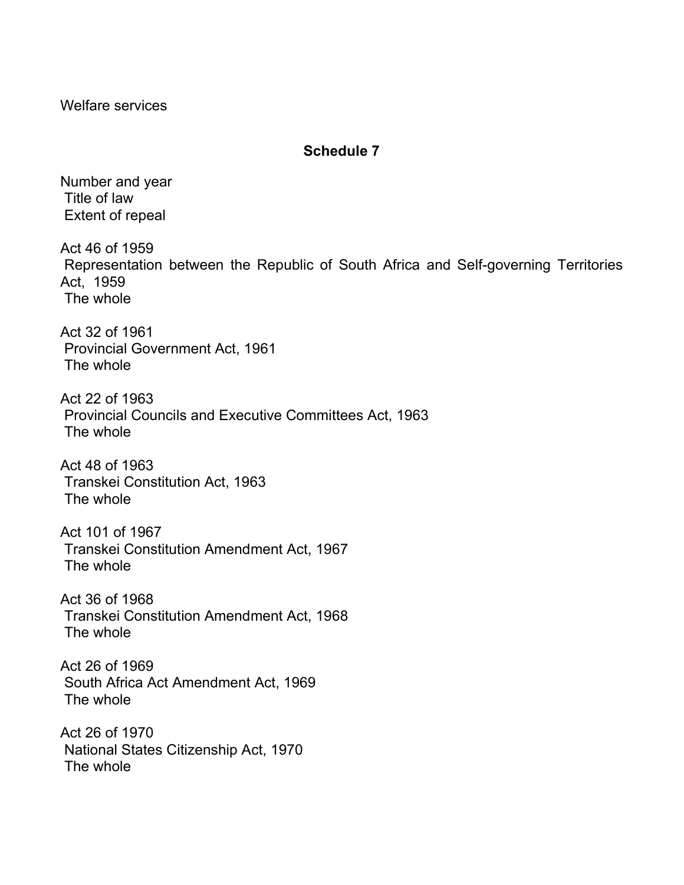Welfare services

#### **Schedule 7**

Number and year Title of law Extent of repeal

Act 46 of 1959 Representation between the Republic of South Africa and Self-governing Territories Act, 1959 The whole

Act 32 of 1961 Provincial Government Act, 1961 The whole

Act 22 of 1963 Provincial Councils and Executive Committees Act, 1963 The whole

Act 48 of 1963 Transkei Constitution Act, 1963 The whole

Act 101 of 1967 Transkei Constitution Amendment Act, 1967 The whole

Act 36 of 1968 Transkei Constitution Amendment Act, 1968 The whole

Act 26 of 1969 South Africa Act Amendment Act, 1969 The whole

Act 26 of 1970 National States Citizenship Act, 1970 The whole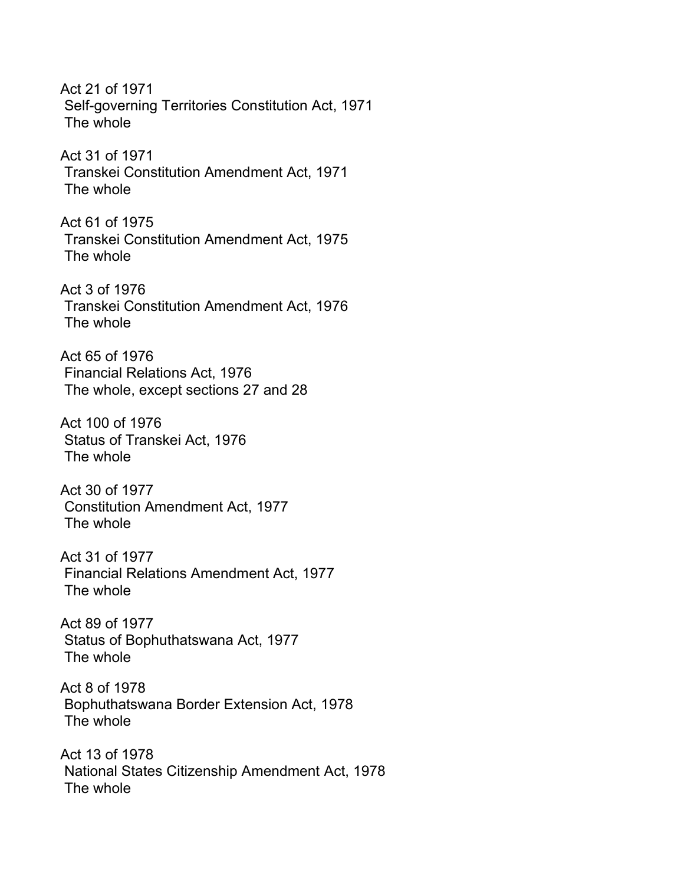Act 21 of 1971 Self-governing Territories Constitution Act, 1971 The whole

Act 31 of 1971 Transkei Constitution Amendment Act, 1971 The whole

Act 61 of 1975 Transkei Constitution Amendment Act, 1975 The whole

Act 3 of 1976 Transkei Constitution Amendment Act, 1976 The whole

Act 65 of 1976 Financial Relations Act, 1976 The whole, except sections 27 and 28

Act 100 of 1976 Status of Transkei Act, 1976 The whole

Act 30 of 1977 Constitution Amendment Act, 1977 The whole

Act 31 of 1977 Financial Relations Amendment Act, 1977 The whole

Act 89 of 1977 Status of Bophuthatswana Act, 1977 The whole

Act 8 of 1978 Bophuthatswana Border Extension Act, 1978 The whole

Act 13 of 1978 National States Citizenship Amendment Act, 1978 The whole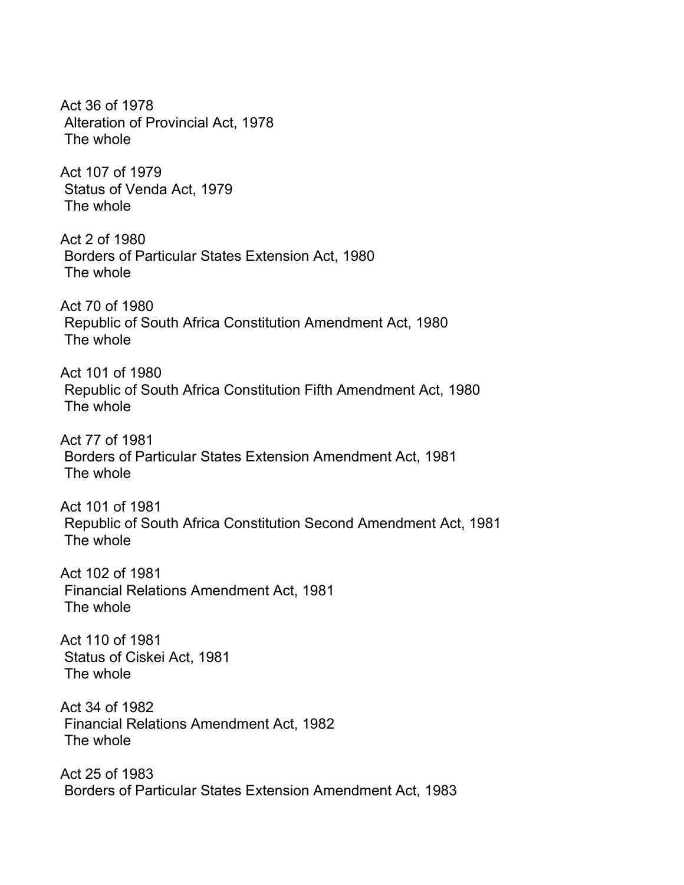Act 36 of 1978 Alteration of Provincial Act, 1978 The whole Act 107 of 1979 Status of Venda Act, 1979 The whole Act 2 of 1980 Borders of Particular States Extension Act, 1980 The whole Act 70 of 1980 Republic of South Africa Constitution Amendment Act, 1980 The whole Act 101 of 1980 Republic of South Africa Constitution Fifth Amendment Act, 1980 The whole Act 77 of 1981 Borders of Particular States Extension Amendment Act, 1981 The whole Act 101 of 1981 Republic of South Africa Constitution Second Amendment Act, 1981 The whole Act 102 of 1981 Financial Relations Amendment Act, 1981 The whole Act 110 of 1981 Status of Ciskei Act, 1981 The whole Act 34 of 1982 Financial Relations Amendment Act, 1982 The whole Act 25 of 1983 Borders of Particular States Extension Amendment Act, 1983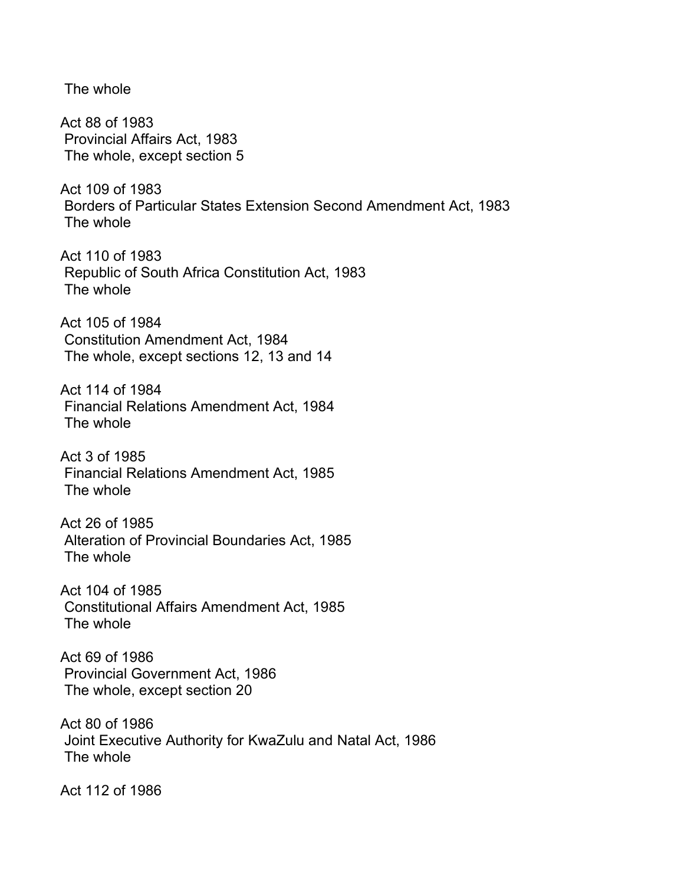The whole Act 88 of 1983 Provincial Affairs Act, 1983 The whole, except section 5 Act 109 of 1983 Borders of Particular States Extension Second Amendment Act, 1983 The whole Act 110 of 1983 Republic of South Africa Constitution Act, 1983 The whole Act 105 of 1984 Constitution Amendment Act, 1984 The whole, except sections 12, 13 and 14 Act 114 of 1984 Financial Relations Amendment Act, 1984 The whole Act 3 of 1985 Financial Relations Amendment Act, 1985 The whole Act 26 of 1985 Alteration of Provincial Boundaries Act, 1985 The whole Act 104 of 1985 Constitutional Affairs Amendment Act, 1985 The whole Act 69 of 1986 Provincial Government Act, 1986 The whole, except section 20 Act 80 of 1986 Joint Executive Authority for KwaZulu and Natal Act, 1986 The whole

Act 112 of 1986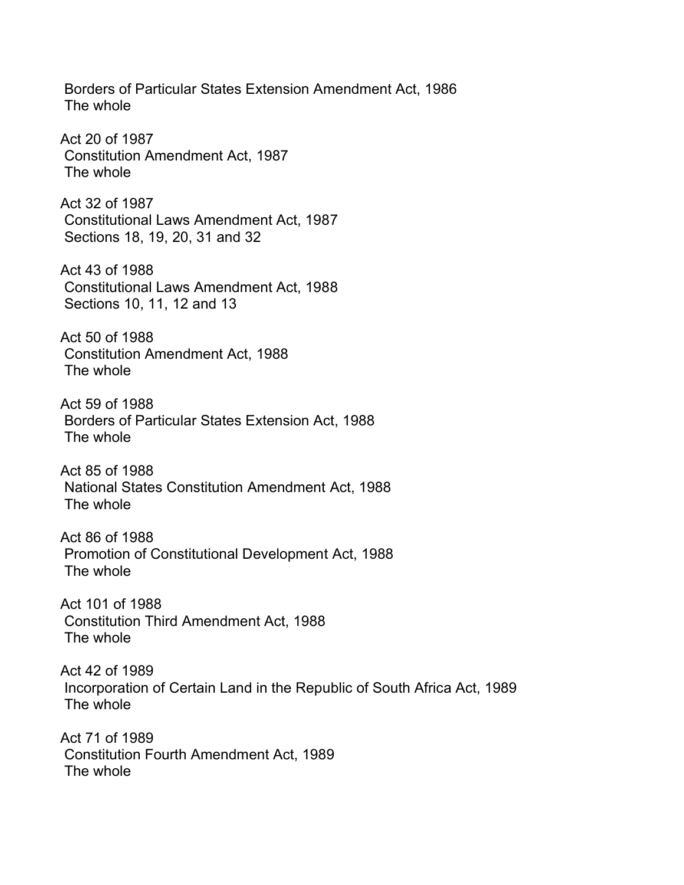Borders of Particular States Extension Amendment Act, 1986 The whole Act 20 of 1987 Constitution Amendment Act, 1987 The whole Act 32 of 1987 Constitutional Laws Amendment Act, 1987 Sections 18, 19, 20, 31 and 32 Act 43 of 1988 Constitutional Laws Amendment Act, 1988 Sections 10, 11, 12 and 13 Act 50 of 1988 Constitution Amendment Act, 1988 The whole Act 59 of 1988 Borders of Particular States Extension Act, 1988 The whole Act 85 of 1988 National States Constitution Amendment Act, 1988 The whole Act 86 of 1988 Promotion of Constitutional Development Act, 1988 The whole Act 101 of 1988 Constitution Third Amendment Act, 1988 The whole Act 42 of 1989 Incorporation of Certain Land in the Republic of South Africa Act, 1989 The whole Act 71 of 1989 Constitution Fourth Amendment Act, 1989 The whole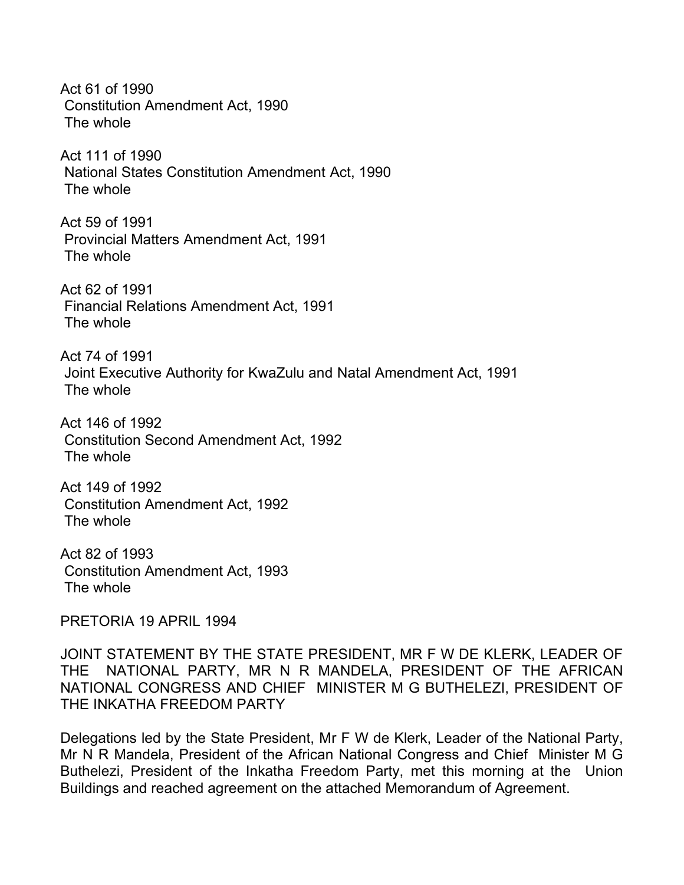Act 61 of 1990 Constitution Amendment Act, 1990 The whole

Act 111 of 1990 National States Constitution Amendment Act, 1990 The whole

Act 59 of 1991 Provincial Matters Amendment Act, 1991 The whole

Act 62 of 1991 Financial Relations Amendment Act, 1991 The whole

Act 74 of 1991 Joint Executive Authority for KwaZulu and Natal Amendment Act, 1991 The whole

Act 146 of 1992 Constitution Second Amendment Act, 1992 The whole

Act 149 of 1992 Constitution Amendment Act, 1992 The whole

Act 82 of 1993 Constitution Amendment Act, 1993 The whole

PRETORIA 19 APRIL 1994

JOINT STATEMENT BY THE STATE PRESIDENT, MR F W DE KLERK, LEADER OF THE NATIONAL PARTY, MR N R MANDELA, PRESIDENT OF THE AFRICAN NATIONAL CONGRESS AND CHIEF MINISTER M G BUTHELEZI, PRESIDENT OF THE INKATHA FREEDOM PARTY

Delegations led by the State President, Mr F W de Klerk, Leader of the National Party, Mr N R Mandela, President of the African National Congress and Chief Minister M G Buthelezi, President of the Inkatha Freedom Party, met this morning at the Union Buildings and reached agreement on the attached Memorandum of Agreement.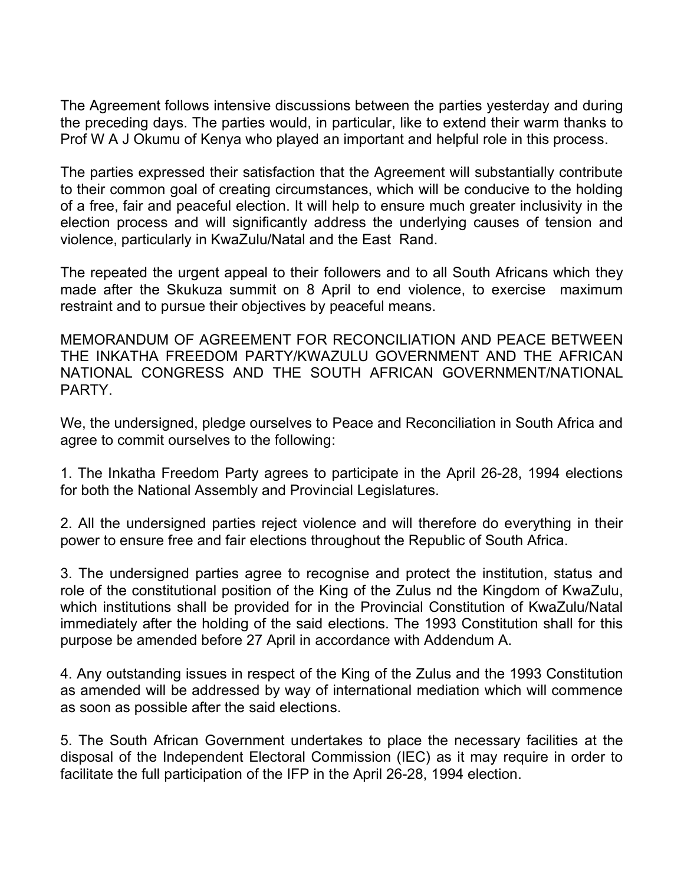The Agreement follows intensive discussions between the parties yesterday and during the preceding days. The parties would, in particular, like to extend their warm thanks to Prof W A J Okumu of Kenya who played an important and helpful role in this process.

The parties expressed their satisfaction that the Agreement will substantially contribute to their common goal of creating circumstances, which will be conducive to the holding of a free, fair and peaceful election. It will help to ensure much greater inclusivity in the election process and will significantly address the underlying causes of tension and violence, particularly in KwaZulu/Natal and the East Rand.

The repeated the urgent appeal to their followers and to all South Africans which they made after the Skukuza summit on 8 April to end violence, to exercise maximum restraint and to pursue their objectives by peaceful means.

MEMORANDUM OF AGREEMENT FOR RECONCILIATION AND PEACE BETWEEN THE INKATHA FREEDOM PARTY/KWAZULU GOVERNMENT AND THE AFRICAN NATIONAL CONGRESS AND THE SOUTH AFRICAN GOVERNMENT/NATIONAL PARTY.

We, the undersigned, pledge ourselves to Peace and Reconciliation in South Africa and agree to commit ourselves to the following:

1. The Inkatha Freedom Party agrees to participate in the April 26-28, 1994 elections for both the National Assembly and Provincial Legislatures.

2. All the undersigned parties reject violence and will therefore do everything in their power to ensure free and fair elections throughout the Republic of South Africa.

3. The undersigned parties agree to recognise and protect the institution, status and role of the constitutional position of the King of the Zulus nd the Kingdom of KwaZulu, which institutions shall be provided for in the Provincial Constitution of KwaZulu/Natal immediately after the holding of the said elections. The 1993 Constitution shall for this purpose be amended before 27 April in accordance with Addendum A.

4. Any outstanding issues in respect of the King of the Zulus and the 1993 Constitution as amended will be addressed by way of international mediation which will commence as soon as possible after the said elections.

5. The South African Government undertakes to place the necessary facilities at the disposal of the Independent Electoral Commission (IEC) as it may require in order to facilitate the full participation of the IFP in the April 26-28, 1994 election.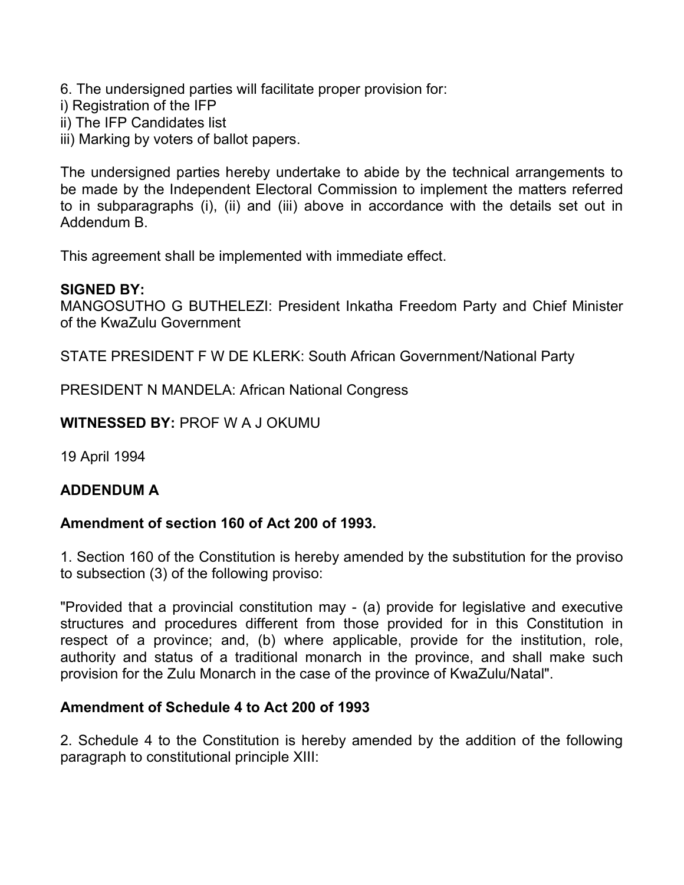- 6. The undersigned parties will facilitate proper provision for:
- i) Registration of the IFP
- ii) The IFP Candidates list
- iii) Marking by voters of ballot papers.

The undersigned parties hereby undertake to abide by the technical arrangements to be made by the Independent Electoral Commission to implement the matters referred to in subparagraphs (i), (ii) and (iii) above in accordance with the details set out in Addendum B.

This agreement shall be implemented with immediate effect.

#### **SIGNED BY:**

MANGOSUTHO G BUTHELEZI: President Inkatha Freedom Party and Chief Minister of the KwaZulu Government

STATE PRESIDENT F W DE KLERK: South African Government/National Party

PRESIDENT N MANDELA: African National Congress

**WITNESSED BY:** PROF W A J OKUMU

19 April 1994

#### **ADDENDUM A**

#### **Amendment of section 160 of Act 200 of 1993.**

1. Section 160 of the Constitution is hereby amended by the substitution for the proviso to subsection (3) of the following proviso:

"Provided that a provincial constitution may - (a) provide for legislative and executive structures and procedures different from those provided for in this Constitution in respect of a province; and, (b) where applicable, provide for the institution, role, authority and status of a traditional monarch in the province, and shall make such provision for the Zulu Monarch in the case of the province of KwaZulu/Natal".

#### **Amendment of Schedule 4 to Act 200 of 1993**

2. Schedule 4 to the Constitution is hereby amended by the addition of the following paragraph to constitutional principle XIII: